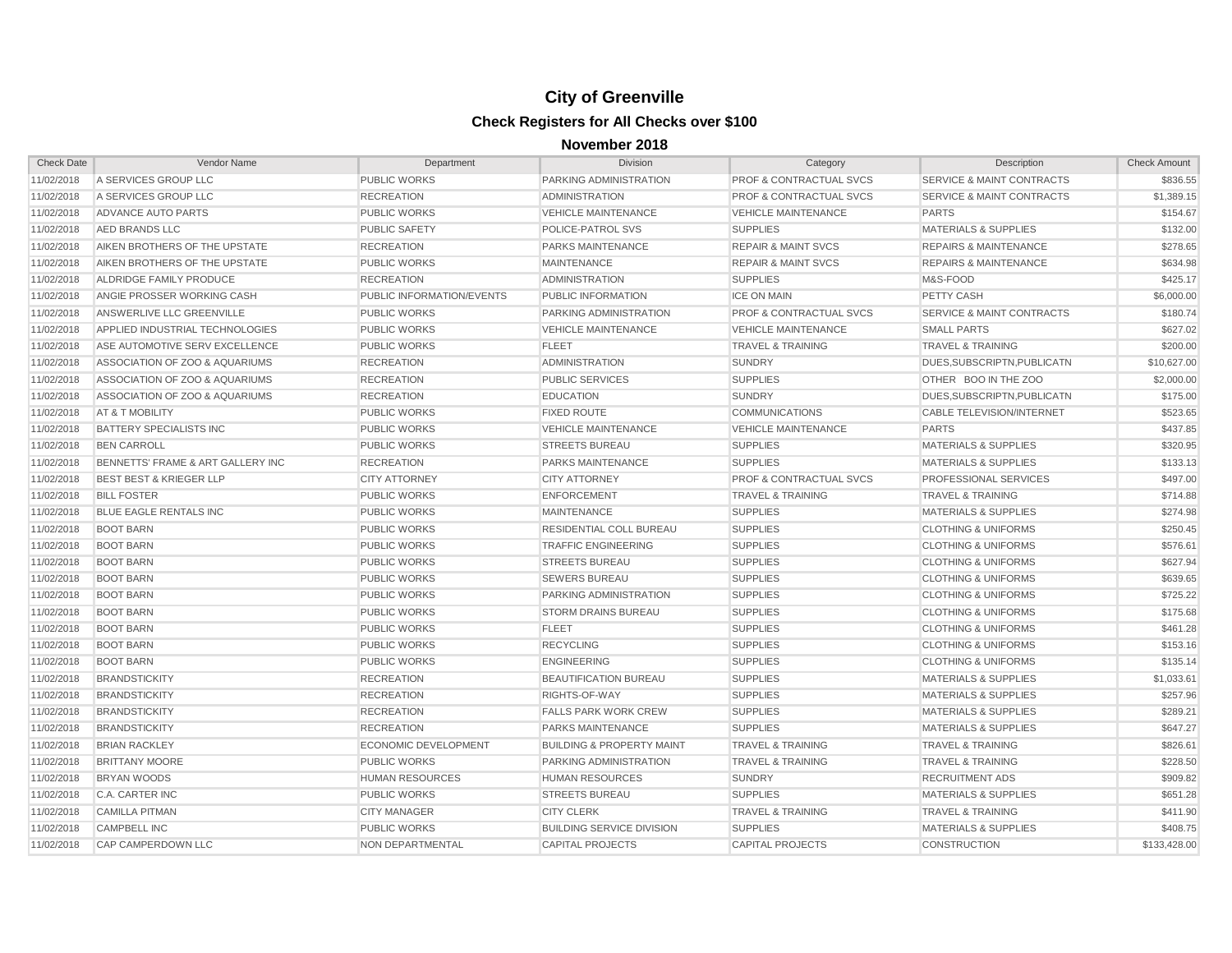| <b>Check Date</b> | Vendor Name                            | Department                | Division                             | Category                           | Description                          | <b>Check Amount</b> |
|-------------------|----------------------------------------|---------------------------|--------------------------------------|------------------------------------|--------------------------------------|---------------------|
| 11/02/2018        | A SERVICES GROUP LLC                   | PUBLIC WORKS              | PARKING ADMINISTRATION               | <b>PROF &amp; CONTRACTUAL SVCS</b> | <b>SERVICE &amp; MAINT CONTRACTS</b> | \$836.55            |
| 11/02/2018        | A SERVICES GROUP LLC                   | <b>RECREATION</b>         | <b>ADMINISTRATION</b>                | <b>PROF &amp; CONTRACTUAL SVCS</b> | <b>SERVICE &amp; MAINT CONTRACTS</b> | \$1,389.15          |
| 11/02/2018        | ADVANCE AUTO PARTS                     | <b>PUBLIC WORKS</b>       | <b>VEHICLE MAINTENANCE</b>           | <b>VEHICLE MAINTENANCE</b>         | <b>PARTS</b>                         | \$154.67            |
| 11/02/2018        | AED BRANDS LLC                         | <b>PUBLIC SAFETY</b>      | POLICE-PATROL SVS                    | <b>SUPPLIES</b>                    | <b>MATERIALS &amp; SUPPLIES</b>      | \$132.00            |
| 11/02/2018        | AIKEN BROTHERS OF THE UPSTATE          | <b>RECREATION</b>         | PARKS MAINTENANCE                    | <b>REPAIR &amp; MAINT SVCS</b>     | <b>REPAIRS &amp; MAINTENANCE</b>     | \$278.65            |
| 11/02/2018        | AIKEN BROTHERS OF THE UPSTATE          | <b>PUBLIC WORKS</b>       | <b>MAINTENANCE</b>                   | <b>REPAIR &amp; MAINT SVCS</b>     | <b>REPAIRS &amp; MAINTENANCE</b>     | \$634.98            |
| 11/02/2018        | ALDRIDGE FAMILY PRODUCE                | <b>RECREATION</b>         | ADMINISTRATION                       | <b>SUPPLIES</b>                    | M&S-FOOD                             | \$425.17            |
| 11/02/2018        | ANGIE PROSSER WORKING CASH             | PUBLIC INFORMATION/EVENTS | PUBLIC INFORMATION                   | <b>ICE ON MAIN</b>                 | PETTY CASH                           | \$6,000.00          |
| 11/02/2018        | ANSWERLIVE LLC GREENVILLE              | <b>PUBLIC WORKS</b>       | PARKING ADMINISTRATION               | <b>PROF &amp; CONTRACTUAL SVCS</b> | <b>SERVICE &amp; MAINT CONTRACTS</b> | \$180.74            |
| 11/02/2018        | <b>APPLIED INDUSTRIAL TECHNOLOGIES</b> | <b>PUBLIC WORKS</b>       | <b>VEHICLE MAINTENANCE</b>           | <b>VEHICLE MAINTENANCE</b>         | <b>SMALL PARTS</b>                   | \$627.02            |
| 11/02/2018        | ASE AUTOMOTIVE SERV EXCELLENCE         | <b>PUBLIC WORKS</b>       | <b>FLEET</b>                         | <b>TRAVEL &amp; TRAINING</b>       | <b>TRAVEL &amp; TRAINING</b>         | \$200.00            |
| 11/02/2018        | ASSOCIATION OF ZOO & AQUARIUMS         | <b>RECREATION</b>         | <b>ADMINISTRATION</b>                | <b>SUNDRY</b>                      | DUES.SUBSCRIPTN.PUBLICATN            | \$10,627.00         |
| 11/02/2018        | ASSOCIATION OF ZOO & AQUARIUMS         | <b>RECREATION</b>         | <b>PUBLIC SERVICES</b>               | <b>SUPPLIES</b>                    | OTHER BOO IN THE ZOO                 | \$2,000.00          |
| 11/02/2018        | ASSOCIATION OF ZOO & AQUARIUMS         | <b>RECREATION</b>         | <b>EDUCATION</b>                     | <b>SUNDRY</b>                      | DUES, SUBSCRIPTN, PUBLICATN          | \$175.00            |
| 11/02/2018        | AT & T MOBILITY                        | <b>PUBLIC WORKS</b>       | <b>FIXED ROUTE</b>                   | <b>COMMUNICATIONS</b>              | <b>CABLE TELEVISION/INTERNET</b>     | \$523.65            |
| 11/02/2018        | <b>BATTERY SPECIALISTS INC</b>         | <b>PUBLIC WORKS</b>       | <b>VEHICLE MAINTENANCE</b>           | <b>VEHICLE MAINTENANCE</b>         | <b>PARTS</b>                         | \$437.85            |
| 11/02/2018        | <b>BEN CARROLL</b>                     | <b>PUBLIC WORKS</b>       | <b>STREETS BUREAU</b>                | <b>SUPPLIES</b>                    | <b>MATERIALS &amp; SUPPLIES</b>      | \$320.95            |
| 11/02/2018        | BENNETTS' FRAME & ART GALLERY INC      | <b>RECREATION</b>         | <b>PARKS MAINTENANCE</b>             | <b>SUPPLIES</b>                    | <b>MATERIALS &amp; SUPPLIES</b>      | \$133.13            |
| 11/02/2018        | <b>BEST BEST &amp; KRIEGER LLP</b>     | <b>CITY ATTORNEY</b>      | <b>CITY ATTORNEY</b>                 | <b>PROF &amp; CONTRACTUAL SVCS</b> | PROFESSIONAL SERVICES                | \$497.00            |
| 11/02/2018        | <b>BILL FOSTER</b>                     | <b>PUBLIC WORKS</b>       | <b>ENFORCEMENT</b>                   | <b>TRAVEL &amp; TRAINING</b>       | <b>TRAVEL &amp; TRAINING</b>         | \$714.88            |
| 11/02/2018        | <b>BLUE EAGLE RENTALS INC</b>          | <b>PUBLIC WORKS</b>       | <b>MAINTENANCE</b>                   | <b>SUPPLIES</b>                    | <b>MATERIALS &amp; SUPPLIES</b>      | \$274.98            |
| 11/02/2018        | <b>BOOT BARN</b>                       | <b>PUBLIC WORKS</b>       | <b>RESIDENTIAL COLL BUREAU</b>       | <b>SUPPLIES</b>                    | <b>CLOTHING &amp; UNIFORMS</b>       | \$250.45            |
| 11/02/2018        | <b>BOOT BARN</b>                       | <b>PUBLIC WORKS</b>       | <b>TRAFFIC ENGINEERING</b>           | <b>SUPPLIES</b>                    | <b>CLOTHING &amp; UNIFORMS</b>       | \$576.61            |
| 11/02/2018        | <b>BOOT BARN</b>                       | <b>PUBLIC WORKS</b>       | <b>STREETS BUREAU</b>                | <b>SUPPLIES</b>                    | <b>CLOTHING &amp; UNIFORMS</b>       | \$627.94            |
| 11/02/2018        | <b>BOOT BARN</b>                       | <b>PUBLIC WORKS</b>       | <b>SEWERS BUREAU</b>                 | <b>SUPPLIES</b>                    | <b>CLOTHING &amp; UNIFORMS</b>       | \$639.65            |
| 11/02/2018        | <b>BOOT BARN</b>                       | <b>PUBLIC WORKS</b>       | PARKING ADMINISTRATION               | <b>SUPPLIES</b>                    | <b>CLOTHING &amp; UNIFORMS</b>       | \$725.22            |
| 11/02/2018        | <b>BOOT BARN</b>                       | <b>PUBLIC WORKS</b>       | <b>STORM DRAINS BUREAU</b>           | <b>SUPPLIES</b>                    | <b>CLOTHING &amp; UNIFORMS</b>       | \$175.68            |
| 11/02/2018        | <b>BOOT BARN</b>                       | <b>PUBLIC WORKS</b>       | <b>FLEET</b>                         | <b>SUPPLIES</b>                    | <b>CLOTHING &amp; UNIFORMS</b>       | \$461.28            |
| 11/02/2018        | <b>BOOT BARN</b>                       | <b>PUBLIC WORKS</b>       | <b>RECYCLING</b>                     | <b>SUPPLIES</b>                    | <b>CLOTHING &amp; UNIFORMS</b>       | \$153.16            |
| 11/02/2018        | <b>BOOT BARN</b>                       | <b>PUBLIC WORKS</b>       | <b>ENGINEERING</b>                   | <b>SUPPLIES</b>                    | <b>CLOTHING &amp; UNIFORMS</b>       | \$135.14            |
| 11/02/2018        | <b>BRANDSTICKITY</b>                   | <b>RECREATION</b>         | BEAUTIFICATION BUREAU                | <b>SUPPLIES</b>                    | <b>MATERIALS &amp; SUPPLIES</b>      | \$1,033.61          |
| 11/02/2018        | <b>BRANDSTICKITY</b>                   | <b>RECREATION</b>         | RIGHTS-OF-WAY                        | <b>SUPPLIES</b>                    | <b>MATERIALS &amp; SUPPLIES</b>      | \$257.96            |
| 11/02/2018        | <b>BRANDSTICKITY</b>                   | <b>RECREATION</b>         | <b>FALLS PARK WORK CREW</b>          | <b>SUPPLIES</b>                    | <b>MATERIALS &amp; SUPPLIES</b>      | \$289.21            |
| 11/02/2018        | <b>BRANDSTICKITY</b>                   | <b>RECREATION</b>         | PARKS MAINTENANCE                    | <b>SUPPLIES</b>                    | <b>MATERIALS &amp; SUPPLIES</b>      | \$647.27            |
| 11/02/2018        | <b>BRIAN RACKLEY</b>                   | ECONOMIC DEVELOPMENT      | <b>BUILDING &amp; PROPERTY MAINT</b> | <b>TRAVEL &amp; TRAINING</b>       | <b>TRAVEL &amp; TRAINING</b>         | \$826.61            |
| 11/02/2018        | <b>BRITTANY MOORE</b>                  | <b>PUBLIC WORKS</b>       | PARKING ADMINISTRATION               | <b>TRAVEL &amp; TRAINING</b>       | <b>TRAVEL &amp; TRAINING</b>         | \$228.50            |
| 11/02/2018        | <b>BRYAN WOODS</b>                     | <b>HUMAN RESOURCES</b>    | <b>HUMAN RESOURCES</b>               | <b>SUNDRY</b>                      | <b>RECRUITMENT ADS</b>               | \$909.82            |
| 11/02/2018        | C.A. CARTER INC                        | <b>PUBLIC WORKS</b>       | <b>STREETS BUREAU</b>                | <b>SUPPLIES</b>                    | <b>MATERIALS &amp; SUPPLIES</b>      | \$651.28            |
| 11/02/2018        | <b>CAMILLA PITMAN</b>                  | <b>CITY MANAGER</b>       | <b>CITY CLERK</b>                    | <b>TRAVEL &amp; TRAINING</b>       | <b>TRAVEL &amp; TRAINING</b>         | \$411.90            |
| 11/02/2018        | <b>CAMPBELL INC</b>                    | <b>PUBLIC WORKS</b>       | <b>BUILDING SERVICE DIVISION</b>     | <b>SUPPLIES</b>                    | <b>MATERIALS &amp; SUPPLIES</b>      | \$408.75            |
| 11/02/2018        | CAP CAMPERDOWN LLC                     | NON DEPARTMENTAL          | <b>CAPITAL PROJECTS</b>              | <b>CAPITAL PROJECTS</b>            | <b>CONSTRUCTION</b>                  | \$133,428.00        |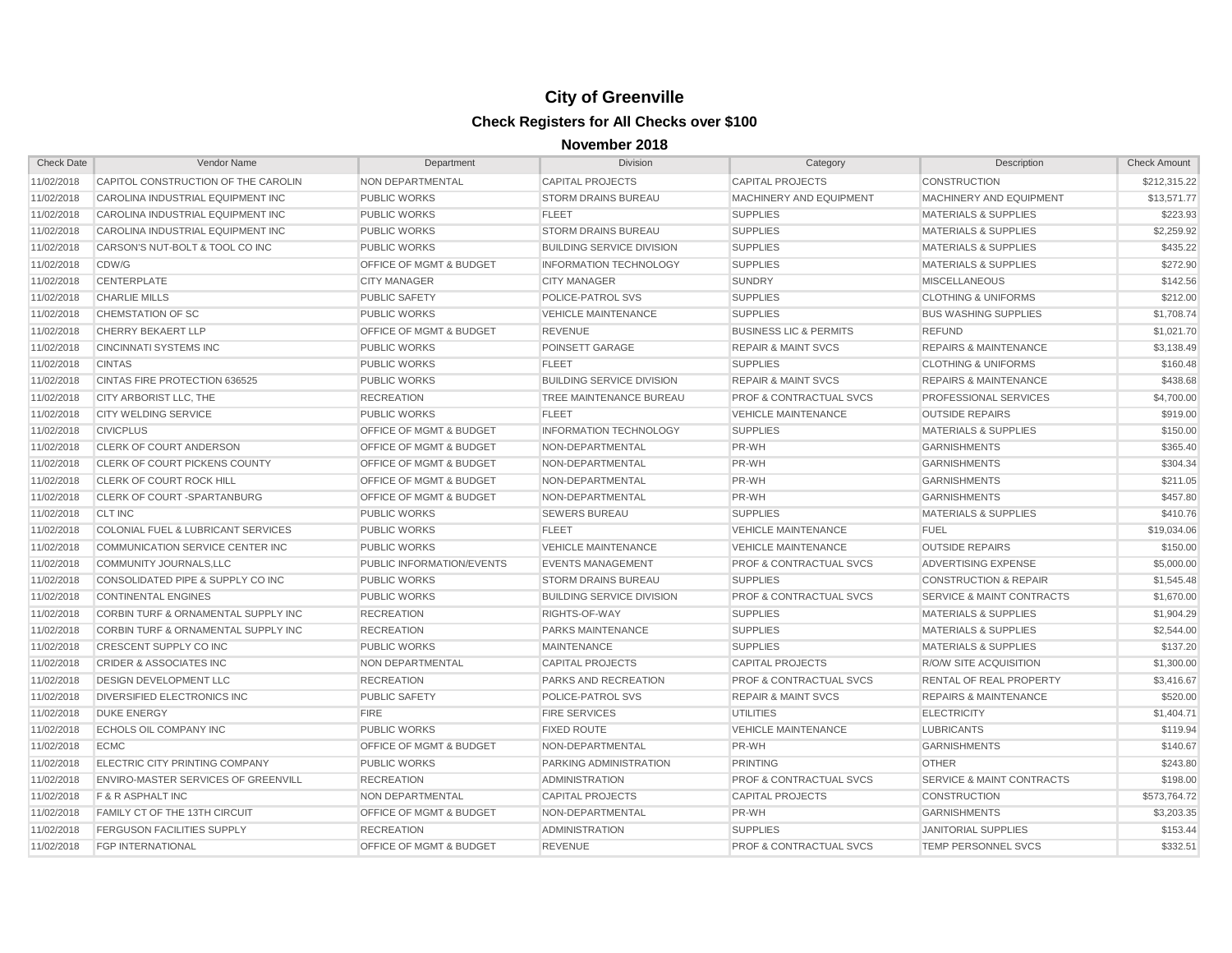| <b>Check Date</b> | Vendor Name                                    | Department                         | <b>Division</b>                  | Category                           | Description                          | <b>Check Amount</b> |
|-------------------|------------------------------------------------|------------------------------------|----------------------------------|------------------------------------|--------------------------------------|---------------------|
| 11/02/2018        | CAPITOL CONSTRUCTION OF THE CAROLIN            | NON DEPARTMENTAL                   | <b>CAPITAL PROJECTS</b>          | <b>CAPITAL PROJECTS</b>            | <b>CONSTRUCTION</b>                  | \$212,315.22        |
| 11/02/2018        | CAROLINA INDUSTRIAL EQUIPMENT INC              | <b>PUBLIC WORKS</b>                | <b>STORM DRAINS BUREAU</b>       | MACHINERY AND EQUIPMENT            | MACHINERY AND EQUIPMENT              | \$13,571.77         |
| 11/02/2018        | CAROLINA INDUSTRIAL EQUIPMENT INC              | <b>PUBLIC WORKS</b>                | <b>FLEET</b>                     | <b>SUPPLIES</b>                    | <b>MATERIALS &amp; SUPPLIES</b>      | \$223.93            |
| 11/02/2018        | CAROLINA INDUSTRIAL EQUIPMENT INC              | <b>PUBLIC WORKS</b>                | STORM DRAINS BUREAU              | <b>SUPPLIES</b>                    | <b>MATERIALS &amp; SUPPLIES</b>      | \$2,259.92          |
| 11/02/2018        | CARSON'S NUT-BOLT & TOOL CO INC                | <b>PUBLIC WORKS</b>                | <b>BUILDING SERVICE DIVISION</b> | <b>SUPPLIES</b>                    | <b>MATERIALS &amp; SUPPLIES</b>      | \$435.22            |
| 11/02/2018        | CDW/G                                          | OFFICE OF MGMT & BUDGET            | <b>INFORMATION TECHNOLOGY</b>    | <b>SUPPLIES</b>                    | <b>MATERIALS &amp; SUPPLIES</b>      | \$272.90            |
| 11/02/2018        | CENTERPLATE                                    | <b>CITY MANAGER</b>                | <b>CITY MANAGER</b>              | <b>SUNDRY</b>                      | <b>MISCELLANEOUS</b>                 | \$142.56            |
| 11/02/2018        | <b>CHARLIE MILLS</b>                           | <b>PUBLIC SAFETY</b>               | POLICE-PATROL SVS                | <b>SUPPLIES</b>                    | <b>CLOTHING &amp; UNIFORMS</b>       | \$212.00            |
| 11/02/2018        | <b>CHEMSTATION OF SC</b>                       | <b>PUBLIC WORKS</b>                | <b>VEHICLE MAINTENANCE</b>       | <b>SUPPLIES</b>                    | <b>BUS WASHING SUPPLIES</b>          | \$1,708.74          |
| 11/02/2018        | CHERRY BEKAERT LLP                             | OFFICE OF MGMT & BUDGET            | <b>REVENUE</b>                   | <b>BUSINESS LIC &amp; PERMITS</b>  | <b>REFUND</b>                        | \$1,021.70          |
| 11/02/2018        | <b>CINCINNATI SYSTEMS INC</b>                  | <b>PUBLIC WORKS</b>                | POINSETT GARAGE                  | <b>REPAIR &amp; MAINT SVCS</b>     | <b>REPAIRS &amp; MAINTENANCE</b>     | \$3,138.49          |
| 11/02/2018        | <b>CINTAS</b>                                  | <b>PUBLIC WORKS</b>                | <b>FLEET</b>                     | <b>SUPPLIES</b>                    | <b>CLOTHING &amp; UNIFORMS</b>       | \$160.48            |
| 11/02/2018        | <b>CINTAS FIRE PROTECTION 636525</b>           | <b>PUBLIC WORKS</b>                | <b>BUILDING SERVICE DIVISION</b> | <b>REPAIR &amp; MAINT SVCS</b>     | <b>REPAIRS &amp; MAINTENANCE</b>     | \$438.68            |
| 11/02/2018        | CITY ARBORIST LLC, THE                         | <b>RECREATION</b>                  | TREE MAINTENANCE BUREAU          | <b>PROF &amp; CONTRACTUAL SVCS</b> | <b>PROFESSIONAL SERVICES</b>         | \$4,700.00          |
| 11/02/2018        | <b>CITY WELDING SERVICE</b>                    | <b>PUBLIC WORKS</b>                | <b>FLEET</b>                     | <b>VEHICLE MAINTENANCE</b>         | <b>OUTSIDE REPAIRS</b>               | \$919.00            |
| 11/02/2018        | <b>CIVICPLUS</b>                               | OFFICE OF MGMT & BUDGET            | <b>INFORMATION TECHNOLOGY</b>    | <b>SUPPLIES</b>                    | <b>MATERIALS &amp; SUPPLIES</b>      | \$150.00            |
| 11/02/2018        | <b>CLERK OF COURT ANDERSON</b>                 | OFFICE OF MGMT & BUDGET            | NON-DEPARTMENTAL                 | PR-WH                              | <b>GARNISHMENTS</b>                  | \$365.40            |
| 11/02/2018        | <b>CLERK OF COURT PICKENS COUNTY</b>           | <b>OFFICE OF MGMT &amp; BUDGET</b> | NON-DEPARTMENTAL                 | PR-WH                              | <b>GARNISHMENTS</b>                  | \$304.34            |
| 11/02/2018        | <b>CLERK OF COURT ROCK HILL</b>                | <b>OFFICE OF MGMT &amp; BUDGET</b> | NON-DEPARTMENTAL                 | PR-WH                              | <b>GARNISHMENTS</b>                  | \$211.05            |
| 11/02/2018        | <b>CLERK OF COURT-SPARTANBURG</b>              | <b>OFFICE OF MGMT &amp; BUDGET</b> | NON-DEPARTMENTAL                 | PR-WH                              | <b>GARNISHMENTS</b>                  | \$457.80            |
| 11/02/2018        | <b>CLT INC</b>                                 | <b>PUBLIC WORKS</b>                | <b>SEWERS BUREAU</b>             | <b>SUPPLIES</b>                    | <b>MATERIALS &amp; SUPPLIES</b>      | \$410.76            |
| 11/02/2018        | COLONIAL FUEL & LUBRICANT SERVICES             | <b>PUBLIC WORKS</b>                | <b>FLEET</b>                     | <b>VEHICLE MAINTENANCE</b>         | <b>FUEL</b>                          | \$19,034.06         |
| 11/02/2018        | COMMUNICATION SERVICE CENTER INC               | <b>PUBLIC WORKS</b>                | <b>VEHICLE MAINTENANCE</b>       | <b>VEHICLE MAINTENANCE</b>         | <b>OUTSIDE REPAIRS</b>               | \$150.00            |
| 11/02/2018        | COMMUNITY JOURNALS, LLC                        | PUBLIC INFORMATION/EVENTS          | <b>EVENTS MANAGEMENT</b>         | PROF & CONTRACTUAL SVCS            | ADVERTISING EXPENSE                  | \$5,000.00          |
| 11/02/2018        | CONSOLIDATED PIPE & SUPPLY CO INC              | <b>PUBLIC WORKS</b>                | <b>STORM DRAINS BUREAU</b>       | <b>SUPPLIES</b>                    | <b>CONSTRUCTION &amp; REPAIR</b>     | \$1,545.48          |
| 11/02/2018        | <b>CONTINENTAL ENGINES</b>                     | <b>PUBLIC WORKS</b>                | <b>BUILDING SERVICE DIVISION</b> | <b>PROF &amp; CONTRACTUAL SVCS</b> | <b>SERVICE &amp; MAINT CONTRACTS</b> | \$1,670.00          |
| 11/02/2018        | CORBIN TURF & ORNAMENTAL SUPPLY INC            | <b>RECREATION</b>                  | RIGHTS-OF-WAY                    | <b>SUPPLIES</b>                    | <b>MATERIALS &amp; SUPPLIES</b>      | \$1,904.29          |
| 11/02/2018        | <b>CORBIN TURF &amp; ORNAMENTAL SUPPLY INC</b> | <b>RECREATION</b>                  | <b>PARKS MAINTENANCE</b>         | <b>SUPPLIES</b>                    | <b>MATERIALS &amp; SUPPLIES</b>      | \$2,544.00          |
| 11/02/2018        | CRESCENT SUPPLY CO INC                         | <b>PUBLIC WORKS</b>                | <b>MAINTENANCE</b>               | <b>SUPPLIES</b>                    | <b>MATERIALS &amp; SUPPLIES</b>      | \$137.20            |
| 11/02/2018        | <b>CRIDER &amp; ASSOCIATES INC</b>             | <b>NON DEPARTMENTAL</b>            | <b>CAPITAL PROJECTS</b>          | <b>CAPITAL PROJECTS</b>            | <b>R/O/W SITE ACQUISITION</b>        | \$1,300.00          |
| 11/02/2018        | <b>DESIGN DEVELOPMENT LLC</b>                  | <b>RECREATION</b>                  | <b>PARKS AND RECREATION</b>      | <b>PROF &amp; CONTRACTUAL SVCS</b> | RENTAL OF REAL PROPERTY              | \$3,416.67          |
| 11/02/2018        | DIVERSIFIED ELECTRONICS INC                    | <b>PUBLIC SAFETY</b>               | POLICE-PATROL SVS                | <b>REPAIR &amp; MAINT SVCS</b>     | <b>REPAIRS &amp; MAINTENANCE</b>     | \$520.00            |
| 11/02/2018        | <b>DUKE ENERGY</b>                             | <b>FIRE</b>                        | <b>FIRE SERVICES</b>             | <b>UTILITIES</b>                   | <b>ELECTRICITY</b>                   | \$1,404.71          |
| 11/02/2018        | <b>ECHOLS OIL COMPANY INC</b>                  | <b>PUBLIC WORKS</b>                | <b>FIXED ROUTE</b>               | <b>VEHICLE MAINTENANCE</b>         | <b>LUBRICANTS</b>                    | \$119.94            |
| 11/02/2018        | <b>ECMC</b>                                    | <b>OFFICE OF MGMT &amp; BUDGET</b> | NON-DEPARTMENTAL                 | PR-WH                              | <b>GARNISHMENTS</b>                  | \$140.67            |
| 11/02/2018        | <b>ELECTRIC CITY PRINTING COMPANY</b>          | <b>PUBLIC WORKS</b>                | PARKING ADMINISTRATION           | <b>PRINTING</b>                    | <b>OTHER</b>                         | \$243.80            |
| 11/02/2018        | <b>ENVIRO-MASTER SERVICES OF GREENVILL</b>     | <b>RECREATION</b>                  | <b>ADMINISTRATION</b>            | <b>PROF &amp; CONTRACTUAL SVCS</b> | SERVICE & MAINT CONTRACTS            | \$198.00            |
| 11/02/2018        | F & R ASPHALT INC                              | NON DEPARTMENTAL                   | <b>CAPITAL PROJECTS</b>          | <b>CAPITAL PROJECTS</b>            | <b>CONSTRUCTION</b>                  | \$573.764.72        |
| 11/02/2018        | <b>FAMILY CT OF THE 13TH CIRCUIT</b>           | <b>OFFICE OF MGMT &amp; BUDGET</b> | NON-DEPARTMENTAL                 | PR-WH                              | <b>GARNISHMENTS</b>                  | \$3,203.35          |
| 11/02/2018        | <b>FERGUSON FACILITIES SUPPLY</b>              | <b>RECREATION</b>                  | <b>ADMINISTRATION</b>            | <b>SUPPLIES</b>                    | <b>JANITORIAL SUPPLIES</b>           | \$153.44            |
| 11/02/2018        | <b>FGP INTERNATIONAL</b>                       | <b>OFFICE OF MGMT &amp; BUDGET</b> | <b>REVENUE</b>                   | <b>PROF &amp; CONTRACTUAL SVCS</b> | <b>TEMP PERSONNEL SVCS</b>           | \$332.51            |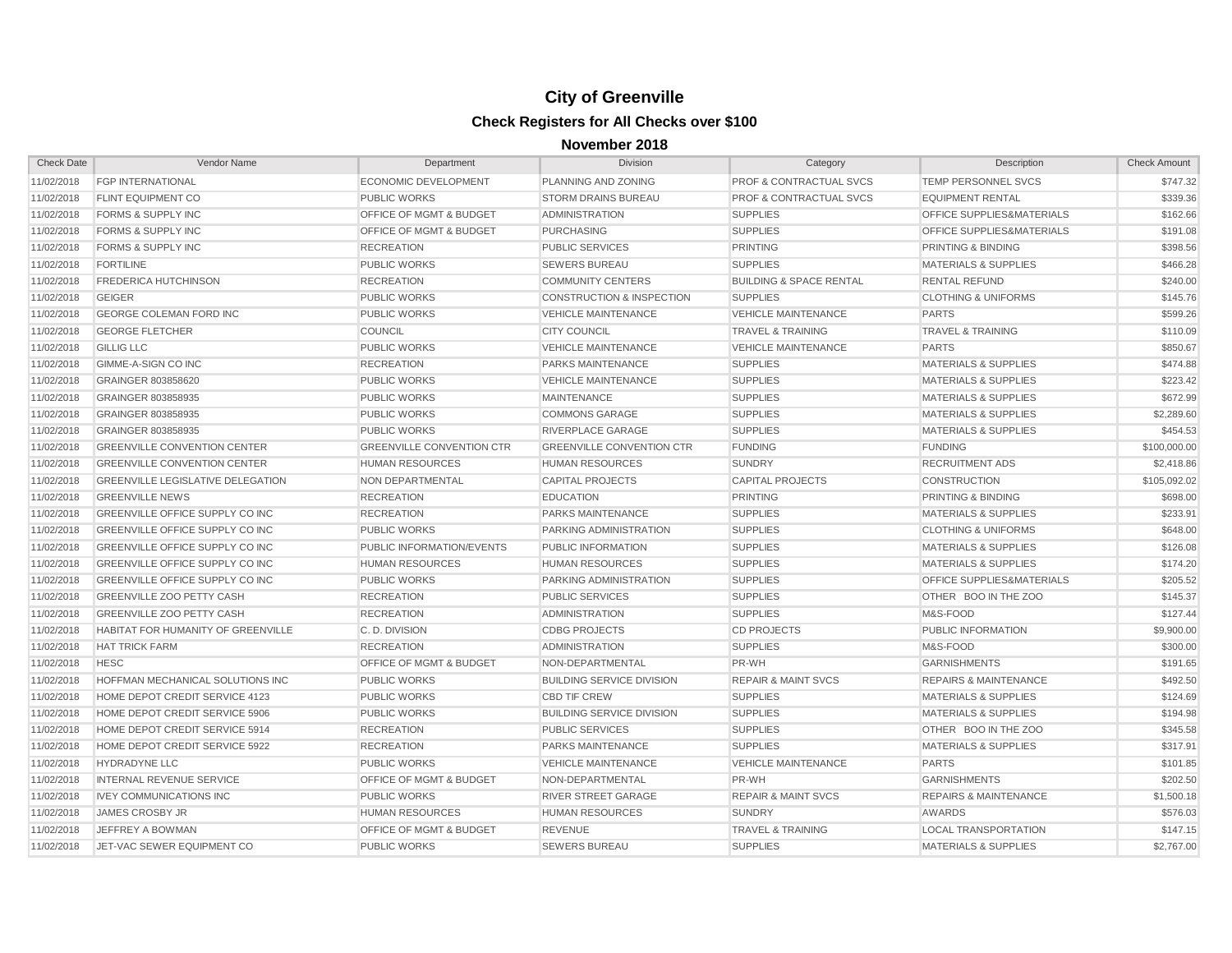| <b>Check Date</b> | Vendor Name                               | Department                         | <b>Division</b>                      | Category                           | Description                          | <b>Check Amount</b> |
|-------------------|-------------------------------------------|------------------------------------|--------------------------------------|------------------------------------|--------------------------------------|---------------------|
| 11/02/2018        | <b>FGP INTERNATIONAL</b>                  | ECONOMIC DEVELOPMENT               | PLANNING AND ZONING                  | <b>PROF &amp; CONTRACTUAL SVCS</b> | TEMP PERSONNEL SVCS                  | \$747.32            |
| 11/02/2018        | <b>FLINT EQUIPMENT CO</b>                 | <b>PUBLIC WORKS</b>                | <b>STORM DRAINS BUREAU</b>           | <b>PROF &amp; CONTRACTUAL SVCS</b> | <b>EQUIPMENT RENTAL</b>              | \$339.36            |
| 11/02/2018        | <b>FORMS &amp; SUPPLY INC</b>             | OFFICE OF MGMT & BUDGET            | <b>ADMINISTRATION</b>                | <b>SUPPLIES</b>                    | OFFICE SUPPLIES&MATERIALS            | \$162.66            |
| 11/02/2018        | <b>FORMS &amp; SUPPLY INC</b>             | <b>OFFICE OF MGMT &amp; BUDGET</b> | <b>PURCHASING</b>                    | <b>SUPPLIES</b>                    | <b>OFFICE SUPPLIES&amp;MATERIALS</b> | \$191.08            |
| 11/02/2018        | <b>FORMS &amp; SUPPLY INC</b>             | <b>RECREATION</b>                  | <b>PUBLIC SERVICES</b>               | <b>PRINTING</b>                    | PRINTING & BINDING                   | \$398.56            |
| 11/02/2018        | <b>FORTILINE</b>                          | <b>PUBLIC WORKS</b>                | <b>SEWERS BUREAU</b>                 | <b>SUPPLIES</b>                    | <b>MATERIALS &amp; SUPPLIES</b>      | \$466.28            |
| 11/02/2018        | <b>FREDERICA HUTCHINSON</b>               | <b>RECREATION</b>                  | <b>COMMUNITY CENTERS</b>             | <b>BUILDING &amp; SPACE RENTAL</b> | <b>RENTAL REFUND</b>                 | \$240.00            |
| 11/02/2018        | <b>GEIGER</b>                             | <b>PUBLIC WORKS</b>                | <b>CONSTRUCTION &amp; INSPECTION</b> | <b>SUPPLIES</b>                    | <b>CLOTHING &amp; UNIFORMS</b>       | \$145.76            |
| 11/02/2018        | <b>GEORGE COLEMAN FORD INC</b>            | <b>PUBLIC WORKS</b>                | <b>VEHICLE MAINTENANCE</b>           | <b>VEHICLE MAINTENANCE</b>         | <b>PARTS</b>                         | \$599.26            |
| 11/02/2018        | <b>GEORGE FLETCHER</b>                    | <b>COUNCIL</b>                     | <b>CITY COUNCIL</b>                  | <b>TRAVEL &amp; TRAINING</b>       | <b>TRAVEL &amp; TRAINING</b>         | \$110.09            |
| 11/02/2018        | <b>GILLIG LLC</b>                         | <b>PUBLIC WORKS</b>                | <b>VEHICLE MAINTENANCE</b>           | <b>VEHICLE MAINTENANCE</b>         | <b>PARTS</b>                         | \$850.67            |
| 11/02/2018        | GIMME-A-SIGN CO INC                       | <b>RECREATION</b>                  | <b>PARKS MAINTENANCE</b>             | <b>SUPPLIES</b>                    | <b>MATERIALS &amp; SUPPLIES</b>      | \$474.88            |
| 11/02/2018        | GRAINGER 803858620                        | <b>PUBLIC WORKS</b>                | <b>VEHICLE MAINTENANCE</b>           | <b>SUPPLIES</b>                    | <b>MATERIALS &amp; SUPPLIES</b>      | \$223.42            |
| 11/02/2018        | GRAINGER 803858935                        | <b>PUBLIC WORKS</b>                | <b>MAINTENANCE</b>                   | <b>SUPPLIES</b>                    | <b>MATERIALS &amp; SUPPLIES</b>      | \$672.99            |
| 11/02/2018        | GRAINGER 803858935                        | <b>PUBLIC WORKS</b>                | <b>COMMONS GARAGE</b>                | <b>SUPPLIES</b>                    | <b>MATERIALS &amp; SUPPLIES</b>      | \$2,289.60          |
| 11/02/2018        | GRAINGER 803858935                        | <b>PUBLIC WORKS</b>                | <b>RIVERPLACE GARAGE</b>             | <b>SUPPLIES</b>                    | <b>MATERIALS &amp; SUPPLIES</b>      | \$454.53            |
| 11/02/2018        | <b>GREENVILLE CONVENTION CENTER</b>       | <b>GREENVILLE CONVENTION CTR</b>   | <b>GREENVILLE CONVENTION CTR</b>     | <b>FUNDING</b>                     | <b>FUNDING</b>                       | \$100,000,00        |
| 11/02/2018        | <b>GREENVILLE CONVENTION CENTER</b>       | <b>HUMAN RESOURCES</b>             | <b>HUMAN RESOURCES</b>               | <b>SUNDRY</b>                      | <b>RECRUITMENT ADS</b>               | \$2,418.86          |
| 11/02/2018        | <b>GREENVILLE LEGISLATIVE DELEGATION</b>  | <b>NON DEPARTMENTAL</b>            | <b>CAPITAL PROJECTS</b>              | <b>CAPITAL PROJECTS</b>            | <b>CONSTRUCTION</b>                  | \$105,092.02        |
| 11/02/2018        | <b>GREENVILLE NEWS</b>                    | <b>RECREATION</b>                  | <b>EDUCATION</b>                     | <b>PRINTING</b>                    | <b>PRINTING &amp; BINDING</b>        | \$698.00            |
| 11/02/2018        | GREENVILLE OFFICE SUPPLY CO INC           | <b>RECREATION</b>                  | PARKS MAINTENANCE                    | <b>SUPPLIES</b>                    | <b>MATERIALS &amp; SUPPLIES</b>      | \$233.91            |
| 11/02/2018        | GREENVILLE OFFICE SUPPLY CO INC           | <b>PUBLIC WORKS</b>                | PARKING ADMINISTRATION               | <b>SUPPLIES</b>                    | <b>CLOTHING &amp; UNIFORMS</b>       | \$648.00            |
| 11/02/2018        | <b>GREENVILLE OFFICE SUPPLY CO INC</b>    | PUBLIC INFORMATION/EVENTS          | PUBLIC INFORMATION                   | <b>SUPPLIES</b>                    | <b>MATERIALS &amp; SUPPLIES</b>      | \$126.08            |
| 11/02/2018        | <b>GREENVILLE OFFICE SUPPLY CO INC</b>    | <b>HUMAN RESOURCES</b>             | <b>HUMAN RESOURCES</b>               | <b>SUPPLIES</b>                    | <b>MATERIALS &amp; SUPPLIES</b>      | \$174.20            |
| 11/02/2018        | GREENVILLE OFFICE SUPPLY CO INC           | <b>PUBLIC WORKS</b>                | PARKING ADMINISTRATION               | <b>SUPPLIES</b>                    | <b>OFFICE SUPPLIES&amp;MATERIALS</b> | \$205.52            |
| 11/02/2018        | <b>GREENVILLE ZOO PETTY CASH</b>          | <b>RECREATION</b>                  | <b>PUBLIC SERVICES</b>               | <b>SUPPLIES</b>                    | OTHER BOO IN THE ZOO                 | \$145.37            |
| 11/02/2018        | <b>GREENVILLE ZOO PETTY CASH</b>          | <b>RECREATION</b>                  | <b>ADMINISTRATION</b>                | <b>SUPPLIES</b>                    | M&S-FOOD                             | \$127.44            |
| 11/02/2018        | <b>HABITAT FOR HUMANITY OF GREENVILLE</b> | C.D. DIVISION                      | <b>CDBG PROJECTS</b>                 | <b>CD PROJECTS</b>                 | PUBLIC INFORMATION                   | \$9,900.00          |
| 11/02/2018        | <b>HAT TRICK FARM</b>                     | <b>RECREATION</b>                  | <b>ADMINISTRATION</b>                | <b>SUPPLIES</b>                    | M&S-FOOD                             | \$300.00            |
| 11/02/2018        | <b>HESC</b>                               | <b>OFFICE OF MGMT &amp; BUDGET</b> | NON-DEPARTMENTAL                     | PR-WH                              | <b>GARNISHMENTS</b>                  | \$191.65            |
| 11/02/2018        | HOFFMAN MECHANICAL SOLUTIONS INC          | <b>PUBLIC WORKS</b>                | <b>BUILDING SERVICE DIVISION</b>     | <b>REPAIR &amp; MAINT SVCS</b>     | <b>REPAIRS &amp; MAINTENANCE</b>     | \$492.50            |
| 11/02/2018        | HOME DEPOT CREDIT SERVICE 4123            | <b>PUBLIC WORKS</b>                | <b>CBD TIF CREW</b>                  | <b>SUPPLIES</b>                    | <b>MATERIALS &amp; SUPPLIES</b>      | \$124.69            |
| 11/02/2018        | HOME DEPOT CREDIT SERVICE 5906            | <b>PUBLIC WORKS</b>                | <b>BUILDING SERVICE DIVISION</b>     | <b>SUPPLIES</b>                    | <b>MATERIALS &amp; SUPPLIES</b>      | \$194.98            |
| 11/02/2018        | HOME DEPOT CREDIT SERVICE 5914            | <b>RECREATION</b>                  | <b>PUBLIC SERVICES</b>               | <b>SUPPLIES</b>                    | OTHER BOO IN THE ZOO                 | \$345.58            |
| 11/02/2018        | HOME DEPOT CREDIT SERVICE 5922            | <b>RECREATION</b>                  | PARKS MAINTENANCE                    | <b>SUPPLIES</b>                    | <b>MATERIALS &amp; SUPPLIES</b>      | \$317.91            |
| 11/02/2018        | <b>HYDRADYNE LLC</b>                      | <b>PUBLIC WORKS</b>                | <b>VEHICLE MAINTENANCE</b>           | <b>VEHICLE MAINTENANCE</b>         | <b>PARTS</b>                         | \$101.85            |
| 11/02/2018        | <b>INTERNAL REVENUE SERVICE</b>           | <b>OFFICE OF MGMT &amp; BUDGET</b> | NON-DEPARTMENTAL                     | PR-WH                              | <b>GARNISHMENTS</b>                  | \$202.50            |
| 11/02/2018        | <b>IVEY COMMUNICATIONS INC</b>            | <b>PUBLIC WORKS</b>                | <b>RIVER STREET GARAGE</b>           | <b>REPAIR &amp; MAINT SVCS</b>     | <b>REPAIRS &amp; MAINTENANCE</b>     | \$1,500.18          |
| 11/02/2018        | <b>JAMES CROSBY JR</b>                    | <b>HUMAN RESOURCES</b>             | <b>HUMAN RESOURCES</b>               | <b>SUNDRY</b>                      | <b>AWARDS</b>                        | \$576.03            |
| 11/02/2018        | <b>JEFFREY A BOWMAN</b>                   | OFFICE OF MGMT & BUDGET            | <b>REVENUE</b>                       | <b>TRAVEL &amp; TRAINING</b>       | <b>LOCAL TRANSPORTATION</b>          | \$147.15            |
| 11/02/2018        | JET-VAC SEWER EQUIPMENT CO                | <b>PUBLIC WORKS</b>                | <b>SEWERS BUREAU</b>                 | <b>SUPPLIES</b>                    | <b>MATERIALS &amp; SUPPLIES</b>      | \$2,767.00          |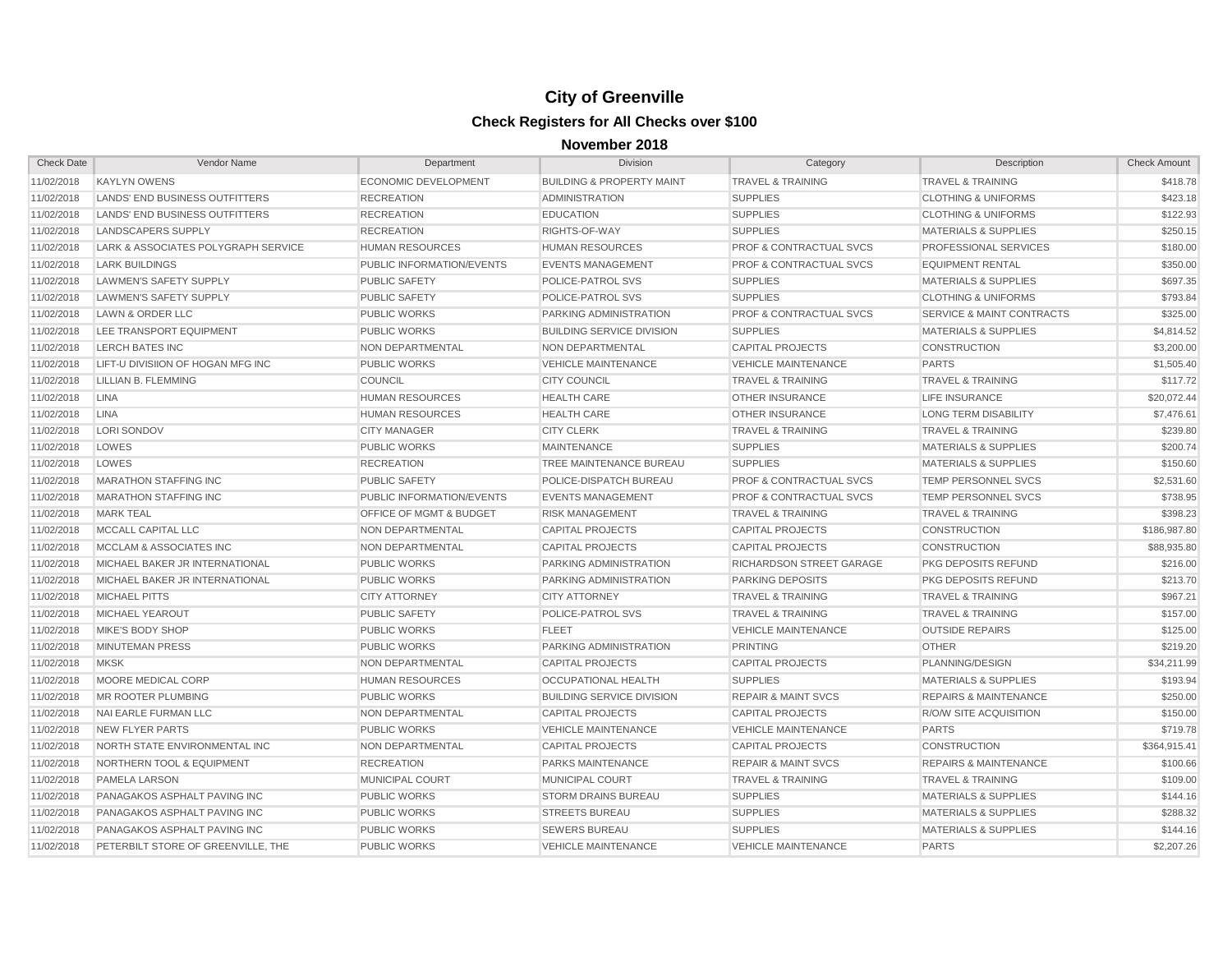| <b>Check Date</b> | Vendor Name                         | Department                       | <b>Division</b>                      | Category                           | Description                          | <b>Check Amount</b> |
|-------------------|-------------------------------------|----------------------------------|--------------------------------------|------------------------------------|--------------------------------------|---------------------|
| 11/02/2018        | <b>KAYLYN OWENS</b>                 | ECONOMIC DEVELOPMENT             | <b>BUILDING &amp; PROPERTY MAINT</b> | <b>TRAVEL &amp; TRAINING</b>       | <b>TRAVEL &amp; TRAINING</b>         | \$418.78            |
| 11/02/2018        | LANDS' END BUSINESS OUTFITTERS      | <b>RECREATION</b>                | <b>ADMINISTRATION</b>                | <b>SUPPLIES</b>                    | <b>CLOTHING &amp; UNIFORMS</b>       | \$423.18            |
| 11/02/2018        | LANDS' END BUSINESS OUTFITTERS      | <b>RECREATION</b>                | <b>EDUCATION</b>                     | <b>SUPPLIES</b>                    | <b>CLOTHING &amp; UNIFORMS</b>       | \$122.93            |
| 11/02/2018        | LANDSCAPERS SUPPLY                  | <b>RECREATION</b>                | RIGHTS-OF-WAY                        | <b>SUPPLIES</b>                    | <b>MATERIALS &amp; SUPPLIES</b>      | \$250.15            |
| 11/02/2018        | LARK & ASSOCIATES POLYGRAPH SERVICE | <b>HUMAN RESOURCES</b>           | <b>HUMAN RESOURCES</b>               | <b>PROF &amp; CONTRACTUAL SVCS</b> | PROFESSIONAL SERVICES                | \$180.00            |
| 11/02/2018        | <b>LARK BUILDINGS</b>               | PUBLIC INFORMATION/EVENTS        | <b>EVENTS MANAGEMENT</b>             | <b>PROF &amp; CONTRACTUAL SVCS</b> | <b>EQUIPMENT RENTAL</b>              | \$350.00            |
| 11/02/2018        | <b>LAWMEN'S SAFETY SUPPLY</b>       | <b>PUBLIC SAFETY</b>             | POLICE-PATROL SVS                    | <b>SUPPLIES</b>                    | <b>MATERIALS &amp; SUPPLIES</b>      | \$697.35            |
| 11/02/2018        | LAWMEN'S SAFETY SUPPLY              | <b>PUBLIC SAFETY</b>             | POLICE-PATROL SVS                    | <b>SUPPLIES</b>                    | <b>CLOTHING &amp; UNIFORMS</b>       | \$793.84            |
| 11/02/2018        | LAWN & ORDER LLC                    | <b>PUBLIC WORKS</b>              | PARKING ADMINISTRATION               | <b>PROF &amp; CONTRACTUAL SVCS</b> | <b>SERVICE &amp; MAINT CONTRACTS</b> | \$325.00            |
| 11/02/2018        | LEE TRANSPORT EQUIPMENT             | <b>PUBLIC WORKS</b>              | <b>BUILDING SERVICE DIVISION</b>     | <b>SUPPLIES</b>                    | <b>MATERIALS &amp; SUPPLIES</b>      | \$4,814.52          |
| 11/02/2018        | <b>LERCH BATES INC</b>              | NON DEPARTMENTAL                 | NON DEPARTMENTAL                     | <b>CAPITAL PROJECTS</b>            | <b>CONSTRUCTION</b>                  | \$3,200.00          |
| 11/02/2018        | LIFT-U DIVISIION OF HOGAN MFG INC   | <b>PUBLIC WORKS</b>              | <b>VEHICLE MAINTENANCE</b>           | <b>VEHICLE MAINTENANCE</b>         | <b>PARTS</b>                         | \$1,505.40          |
| 11/02/2018        | <b>LILLIAN B. FLEMMING</b>          | <b>COUNCIL</b>                   | <b>CITY COUNCIL</b>                  | <b>TRAVEL &amp; TRAINING</b>       | <b>TRAVEL &amp; TRAINING</b>         | \$117.72            |
| 11/02/2018        | <b>LINA</b>                         | <b>HUMAN RESOURCES</b>           | <b>HEALTH CARE</b>                   | <b>OTHER INSURANCE</b>             | <b>LIFE INSURANCE</b>                | \$20,072.44         |
| 11/02/2018        | LINA                                | <b>HUMAN RESOURCES</b>           | <b>HEALTH CARE</b>                   | <b>OTHER INSURANCE</b>             | <b>LONG TERM DISABILITY</b>          | \$7,476.61          |
| 11/02/2018        | <b>LORI SONDOV</b>                  | <b>CITY MANAGER</b>              | <b>CITY CLERK</b>                    | <b>TRAVEL &amp; TRAINING</b>       | <b>TRAVEL &amp; TRAINING</b>         | \$239.80            |
| 11/02/2018        | LOWES                               | <b>PUBLIC WORKS</b>              | <b>MAINTENANCE</b>                   | <b>SUPPLIES</b>                    | <b>MATERIALS &amp; SUPPLIES</b>      | \$200.74            |
| 11/02/2018        | LOWES                               | <b>RECREATION</b>                | TREE MAINTENANCE BUREAU              | <b>SUPPLIES</b>                    | <b>MATERIALS &amp; SUPPLIES</b>      | \$150.60            |
| 11/02/2018        | <b>MARATHON STAFFING INC</b>        | <b>PUBLIC SAFETY</b>             | POLICE-DISPATCH BUREAU               | <b>PROF &amp; CONTRACTUAL SVCS</b> | TEMP PERSONNEL SVCS                  | \$2,531.60          |
| 11/02/2018        | <b>MARATHON STAFFING INC</b>        | <b>PUBLIC INFORMATION/EVENTS</b> | <b>EVENTS MANAGEMENT</b>             | PROF & CONTRACTUAL SVCS            | <b>TEMP PERSONNEL SVCS</b>           | \$738.95            |
| 11/02/2018        | <b>MARK TEAL</b>                    | OFFICE OF MGMT & BUDGET          | <b>RISK MANAGEMENT</b>               | <b>TRAVEL &amp; TRAINING</b>       | <b>TRAVEL &amp; TRAINING</b>         | \$398.23            |
| 11/02/2018        | MCCALL CAPITAL LLC                  | <b>NON DEPARTMENTAL</b>          | <b>CAPITAL PROJECTS</b>              | <b>CAPITAL PROJECTS</b>            | <b>CONSTRUCTION</b>                  | \$186,987.80        |
| 11/02/2018        | MCCLAM & ASSOCIATES INC             | NON DEPARTMENTAL                 | <b>CAPITAL PROJECTS</b>              | <b>CAPITAL PROJECTS</b>            | <b>CONSTRUCTION</b>                  | \$88,935.80         |
| 11/02/2018        | MICHAEL BAKER JR INTERNATIONAL      | <b>PUBLIC WORKS</b>              | PARKING ADMINISTRATION               | RICHARDSON STREET GARAGE           | PKG DEPOSITS REFUND                  | \$216.00            |
| 11/02/2018        | MICHAEL BAKER JR INTERNATIONAL      | <b>PUBLIC WORKS</b>              | PARKING ADMINISTRATION               | <b>PARKING DEPOSITS</b>            | PKG DEPOSITS REFUND                  | \$213.70            |
| 11/02/2018        | <b>MICHAEL PITTS</b>                | <b>CITY ATTORNEY</b>             | <b>CITY ATTORNEY</b>                 | <b>TRAVEL &amp; TRAINING</b>       | <b>TRAVEL &amp; TRAINING</b>         | \$967.21            |
| 11/02/2018        | <b>MICHAEL YEAROUT</b>              | <b>PUBLIC SAFETY</b>             | POLICE-PATROL SVS                    | <b>TRAVEL &amp; TRAINING</b>       | <b>TRAVEL &amp; TRAINING</b>         | \$157.00            |
| 11/02/2018        | MIKE'S BODY SHOP                    | <b>PUBLIC WORKS</b>              | <b>FLEET</b>                         | <b>VEHICLE MAINTENANCE</b>         | <b>OUTSIDE REPAIRS</b>               | \$125.00            |
| 11/02/2018        | MINUTEMAN PRESS                     | <b>PUBLIC WORKS</b>              | PARKING ADMINISTRATION               | <b>PRINTING</b>                    | <b>OTHER</b>                         | \$219.20            |
| 11/02/2018        | <b>MKSK</b>                         | <b>NON DEPARTMENTAL</b>          | <b>CAPITAL PROJECTS</b>              | <b>CAPITAL PROJECTS</b>            | PLANNING/DESIGN                      | \$34,211.99         |
| 11/02/2018        | MOORE MEDICAL CORP                  | <b>HUMAN RESOURCES</b>           | OCCUPATIONAL HEALTH                  | <b>SUPPLIES</b>                    | <b>MATERIALS &amp; SUPPLIES</b>      | \$193.94            |
| 11/02/2018        | MR ROOTER PLUMBING                  | <b>PUBLIC WORKS</b>              | <b>BUILDING SERVICE DIVISION</b>     | <b>REPAIR &amp; MAINT SVCS</b>     | <b>REPAIRS &amp; MAINTENANCE</b>     | \$250.00            |
| 11/02/2018        | NAI EARLE FURMAN LLC                | <b>NON DEPARTMENTAL</b>          | <b>CAPITAL PROJECTS</b>              | <b>CAPITAL PROJECTS</b>            | R/O/W SITE ACQUISITION               | \$150.00            |
| 11/02/2018        | <b>NEW FLYER PARTS</b>              | <b>PUBLIC WORKS</b>              | <b>VEHICLE MAINTENANCE</b>           | <b>VEHICLE MAINTENANCE</b>         | <b>PARTS</b>                         | \$719.78            |
| 11/02/2018        | NORTH STATE ENVIRONMENTAL INC       | <b>NON DEPARTMENTAL</b>          | <b>CAPITAL PROJECTS</b>              | <b>CAPITAL PROJECTS</b>            | <b>CONSTRUCTION</b>                  | \$364,915.41        |
| 11/02/2018        | NORTHERN TOOL & EQUIPMENT           | <b>RECREATION</b>                | PARKS MAINTENANCE                    | <b>REPAIR &amp; MAINT SVCS</b>     | <b>REPAIRS &amp; MAINTENANCE</b>     | \$100.66            |
| 11/02/2018        | <b>PAMELA LARSON</b>                | <b>MUNICIPAL COURT</b>           | <b>MUNICIPAL COURT</b>               | <b>TRAVEL &amp; TRAINING</b>       | <b>TRAVEL &amp; TRAINING</b>         | \$109.00            |
| 11/02/2018        | PANAGAKOS ASPHALT PAVING INC        | <b>PUBLIC WORKS</b>              | <b>STORM DRAINS BUREAU</b>           | <b>SUPPLIES</b>                    | <b>MATERIALS &amp; SUPPLIES</b>      | \$144.16            |
| 11/02/2018        | PANAGAKOS ASPHALT PAVING INC        | <b>PUBLIC WORKS</b>              | <b>STREETS BUREAU</b>                | <b>SUPPLIES</b>                    | <b>MATERIALS &amp; SUPPLIES</b>      | \$288.32            |
| 11/02/2018        | PANAGAKOS ASPHALT PAVING INC        | <b>PUBLIC WORKS</b>              | <b>SEWERS BUREAU</b>                 | <b>SUPPLIES</b>                    | <b>MATERIALS &amp; SUPPLIES</b>      | \$144.16            |
| 11/02/2018        | PETERBILT STORE OF GREENVILLE, THE  | <b>PUBLIC WORKS</b>              | <b>VEHICLE MAINTENANCE</b>           | <b>VEHICLE MAINTENANCE</b>         | <b>PARTS</b>                         | \$2,207.26          |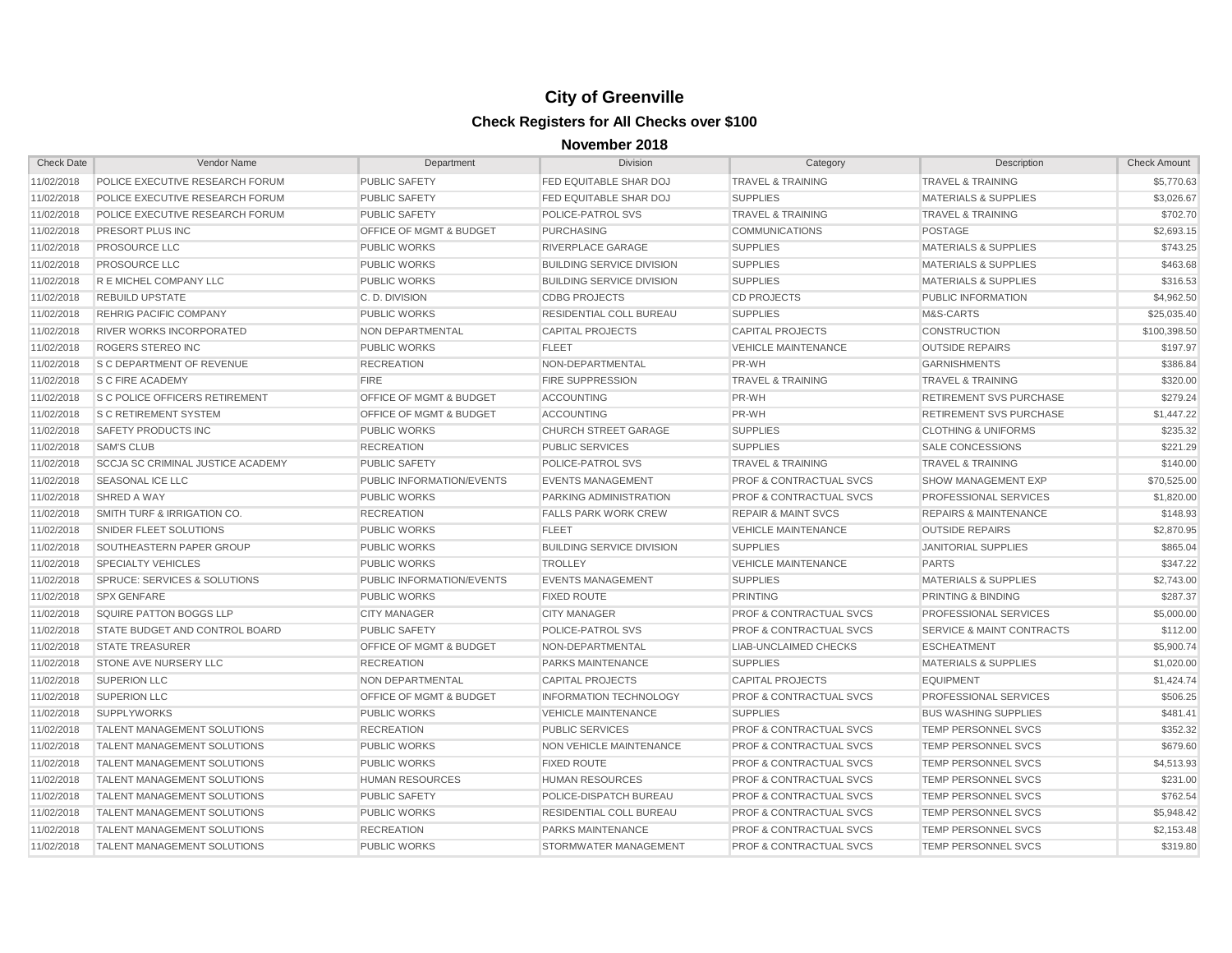| <b>Check Date</b> | Vendor Name                              | Department                         | <b>Division</b>                  | Category                           | Description                          | <b>Check Amount</b> |
|-------------------|------------------------------------------|------------------------------------|----------------------------------|------------------------------------|--------------------------------------|---------------------|
| 11/02/2018        | POLICE EXECUTIVE RESEARCH FORUM          | <b>PUBLIC SAFETY</b>               | FED EQUITABLE SHAR DOJ           | <b>TRAVEL &amp; TRAINING</b>       | <b>TRAVEL &amp; TRAINING</b>         | \$5,770.63          |
| 11/02/2018        | POLICE EXECUTIVE RESEARCH FORUM          | <b>PUBLIC SAFETY</b>               | <b>FED EQUITABLE SHAR DOJ</b>    | <b>SUPPLIES</b>                    | <b>MATERIALS &amp; SUPPLIES</b>      | \$3,026.67          |
| 11/02/2018        | POLICE EXECUTIVE RESEARCH FORUM          | <b>PUBLIC SAFETY</b>               | <b>POLICE-PATROL SVS</b>         | <b>TRAVEL &amp; TRAINING</b>       | <b>TRAVEL &amp; TRAINING</b>         | \$702.70            |
| 11/02/2018        | PRESORT PLUS INC                         | <b>OFFICE OF MGMT &amp; BUDGET</b> | <b>PURCHASING</b>                | <b>COMMUNICATIONS</b>              | <b>POSTAGE</b>                       | \$2,693.15          |
| 11/02/2018        | PROSOURCE LLC                            | <b>PUBLIC WORKS</b>                | RIVERPLACE GARAGE                | <b>SUPPLIES</b>                    | <b>MATERIALS &amp; SUPPLIES</b>      | \$743.25            |
| 11/02/2018        | <b>PROSOURCE LLC</b>                     | <b>PUBLIC WORKS</b>                | <b>BUILDING SERVICE DIVISION</b> | <b>SUPPLIES</b>                    | <b>MATERIALS &amp; SUPPLIES</b>      | \$463.68            |
| 11/02/2018        | R E MICHEL COMPANY LLC                   | <b>PUBLIC WORKS</b>                | <b>BUILDING SERVICE DIVISION</b> | <b>SUPPLIES</b>                    | <b>MATERIALS &amp; SUPPLIES</b>      | \$316.53            |
| 11/02/2018        | <b>REBUILD UPSTATE</b>                   | C.D. DIVISION                      | <b>CDBG PROJECTS</b>             | <b>CD PROJECTS</b>                 | PUBLIC INFORMATION                   | \$4,962.50          |
| 11/02/2018        | <b>REHRIG PACIFIC COMPANY</b>            | <b>PUBLIC WORKS</b>                | <b>RESIDENTIAL COLL BUREAU</b>   | <b>SUPPLIES</b>                    | M&S-CARTS                            | \$25,035.40         |
| 11/02/2018        | <b>RIVER WORKS INCORPORATED</b>          | <b>NON DEPARTMENTAL</b>            | <b>CAPITAL PROJECTS</b>          | <b>CAPITAL PROJECTS</b>            | <b>CONSTRUCTION</b>                  | \$100,398.50        |
| 11/02/2018        | ROGERS STEREO INC                        | <b>PUBLIC WORKS</b>                | <b>FLEET</b>                     | <b>VEHICLE MAINTENANCE</b>         | <b>OUTSIDE REPAIRS</b>               | \$197.97            |
| 11/02/2018        | <b>S C DEPARTMENT OF REVENUE</b>         | <b>RECREATION</b>                  | NON-DEPARTMENTAL                 | PR-WH                              | <b>GARNISHMENTS</b>                  | \$386.84            |
| 11/02/2018        | <b>S C FIRE ACADEMY</b>                  | <b>FIRE</b>                        | <b>FIRE SUPPRESSION</b>          | <b>TRAVEL &amp; TRAINING</b>       | <b>TRAVEL &amp; TRAINING</b>         | \$320.00            |
| 11/02/2018        | <b>S C POLICE OFFICERS RETIREMENT</b>    | OFFICE OF MGMT & BUDGET            | <b>ACCOUNTING</b>                | PR-WH                              | <b>RETIREMENT SVS PURCHASE</b>       | \$279.24            |
| 11/02/2018        | <b>S C RETIREMENT SYSTEM</b>             | OFFICE OF MGMT & BUDGET            | <b>ACCOUNTING</b>                | PR-WH                              | <b>RETIREMENT SVS PURCHASE</b>       | \$1,447.22          |
| 11/02/2018        | <b>SAFETY PRODUCTS INC</b>               | <b>PUBLIC WORKS</b>                | <b>CHURCH STREET GARAGE</b>      | <b>SUPPLIES</b>                    | <b>CLOTHING &amp; UNIFORMS</b>       | \$235.32            |
| 11/02/2018        | <b>SAM'S CLUB</b>                        | <b>RECREATION</b>                  | <b>PUBLIC SERVICES</b>           | <b>SUPPLIES</b>                    | SALE CONCESSIONS                     | \$221.29            |
| 11/02/2018        | <b>SCCJA SC CRIMINAL JUSTICE ACADEMY</b> | <b>PUBLIC SAFETY</b>               | POLICE-PATROL SVS                | <b>TRAVEL &amp; TRAINING</b>       | <b>TRAVEL &amp; TRAINING</b>         | \$140.00            |
| 11/02/2018        | <b>SEASONAL ICE LLC</b>                  | <b>PUBLIC INFORMATION/EVENTS</b>   | <b>EVENTS MANAGEMENT</b>         | <b>PROF &amp; CONTRACTUAL SVCS</b> | <b>SHOW MANAGEMENT EXP</b>           | \$70,525.00         |
| 11/02/2018        | SHRED A WAY                              | <b>PUBLIC WORKS</b>                | <b>PARKING ADMINISTRATION</b>    | <b>PROF &amp; CONTRACTUAL SVCS</b> | <b>PROFESSIONAL SERVICES</b>         | \$1,820.00          |
| 11/02/2018        | SMITH TURF & IRRIGATION CO.              | <b>RECREATION</b>                  | <b>FALLS PARK WORK CREW</b>      | <b>REPAIR &amp; MAINT SVCS</b>     | <b>REPAIRS &amp; MAINTENANCE</b>     | \$148.93            |
| 11/02/2018        | SNIDER FLEET SOLUTIONS                   | <b>PUBLIC WORKS</b>                | <b>FLEET</b>                     | <b>VEHICLE MAINTENANCE</b>         | <b>OUTSIDE REPAIRS</b>               | \$2,870.95          |
| 11/02/2018        | SOUTHEASTERN PAPER GROUP                 | <b>PUBLIC WORKS</b>                | <b>BUILDING SERVICE DIVISION</b> | <b>SUPPLIES</b>                    | <b>JANITORIAL SUPPLIES</b>           | \$865.04            |
| 11/02/2018        | <b>SPECIALTY VEHICLES</b>                | <b>PUBLIC WORKS</b>                | <b>TROLLEY</b>                   | <b>VEHICLE MAINTENANCE</b>         | <b>PARTS</b>                         | \$347.22            |
| 11/02/2018        | SPRUCE: SERVICES & SOLUTIONS             | <b>PUBLIC INFORMATION/EVENTS</b>   | <b>EVENTS MANAGEMENT</b>         | <b>SUPPLIES</b>                    | <b>MATERIALS &amp; SUPPLIES</b>      | \$2,743.00          |
| 11/02/2018        | <b>SPX GENFARE</b>                       | <b>PUBLIC WORKS</b>                | <b>FIXED ROUTE</b>               | <b>PRINTING</b>                    | PRINTING & BINDING                   | \$287.37            |
| 11/02/2018        | SQUIRE PATTON BOGGS LLP                  | <b>CITY MANAGER</b>                | <b>CITY MANAGER</b>              | <b>PROF &amp; CONTRACTUAL SVCS</b> | PROFESSIONAL SERVICES                | \$5,000.00          |
| 11/02/2018        | STATE BUDGET AND CONTROL BOARD           | <b>PUBLIC SAFETY</b>               | POLICE-PATROL SVS                | <b>PROF &amp; CONTRACTUAL SVCS</b> | <b>SERVICE &amp; MAINT CONTRACTS</b> | \$112.00            |
| 11/02/2018        | <b>STATE TREASURER</b>                   | <b>OFFICE OF MGMT &amp; BUDGET</b> | NON-DEPARTMENTAL                 | <b>LIAB-UNCLAIMED CHECKS</b>       | <b>ESCHEATMENT</b>                   | \$5,900.74          |
| 11/02/2018        | STONE AVE NURSERY LLC                    | <b>RECREATION</b>                  | <b>PARKS MAINTENANCE</b>         | <b>SUPPLIES</b>                    | <b>MATERIALS &amp; SUPPLIES</b>      | \$1,020.00          |
| 11/02/2018        | <b>SUPERION LLC</b>                      | <b>NON DEPARTMENTAL</b>            | <b>CAPITAL PROJECTS</b>          | <b>CAPITAL PROJECTS</b>            | <b>EQUIPMENT</b>                     | \$1,424.74          |
| 11/02/2018        | <b>SUPERION LLC</b>                      | OFFICE OF MGMT & BUDGET            | <b>INFORMATION TECHNOLOGY</b>    | <b>PROF &amp; CONTRACTUAL SVCS</b> | PROFESSIONAL SERVICES                | \$506.25            |
| 11/02/2018        | <b>SUPPLYWORKS</b>                       | <b>PUBLIC WORKS</b>                | <b>VEHICLE MAINTENANCE</b>       | <b>SUPPLIES</b>                    | <b>BUS WASHING SUPPLIES</b>          | \$481.41            |
| 11/02/2018        | <b>TALENT MANAGEMENT SOLUTIONS</b>       | <b>RECREATION</b>                  | <b>PUBLIC SERVICES</b>           | <b>PROF &amp; CONTRACTUAL SVCS</b> | TEMP PERSONNEL SVCS                  | \$352.32            |
| 11/02/2018        | <b>TALENT MANAGEMENT SOLUTIONS</b>       | <b>PUBLIC WORKS</b>                | <b>NON VEHICLE MAINTENANCE</b>   | <b>PROF &amp; CONTRACTUAL SVCS</b> | <b>TEMP PERSONNEL SVCS</b>           | \$679.60            |
| 11/02/2018        | <b>TALENT MANAGEMENT SOLUTIONS</b>       | <b>PUBLIC WORKS</b>                | <b>FIXED ROUTE</b>               | <b>PROF &amp; CONTRACTUAL SVCS</b> | <b>TEMP PERSONNEL SVCS</b>           | \$4,513.93          |
| 11/02/2018        | <b>TALENT MANAGEMENT SOLUTIONS</b>       | <b>HUMAN RESOURCES</b>             | <b>HUMAN RESOURCES</b>           | <b>PROF &amp; CONTRACTUAL SVCS</b> | <b>TEMP PERSONNEL SVCS</b>           | \$231.00            |
| 11/02/2018        | <b>TALENT MANAGEMENT SOLUTIONS</b>       | <b>PUBLIC SAFETY</b>               | POLICE-DISPATCH BUREAU           | PROF & CONTRACTUAL SVCS            | <b>TEMP PERSONNEL SVCS</b>           | \$762.54            |
| 11/02/2018        | <b>TALENT MANAGEMENT SOLUTIONS</b>       | <b>PUBLIC WORKS</b>                | <b>RESIDENTIAL COLL BUREAU</b>   | <b>PROF &amp; CONTRACTUAL SVCS</b> | <b>TEMP PERSONNEL SVCS</b>           | \$5.948.42          |
| 11/02/2018        | <b>TALENT MANAGEMENT SOLUTIONS</b>       | <b>RECREATION</b>                  | <b>PARKS MAINTENANCE</b>         | <b>PROF &amp; CONTRACTUAL SVCS</b> | <b>TEMP PERSONNEL SVCS</b>           | \$2,153.48          |
| 11/02/2018        | <b>TALENT MANAGEMENT SOLUTIONS</b>       | <b>PUBLIC WORKS</b>                | STORMWATER MANAGEMENT            | <b>PROF &amp; CONTRACTUAL SVCS</b> | <b>TEMP PERSONNEL SVCS</b>           | \$319.80            |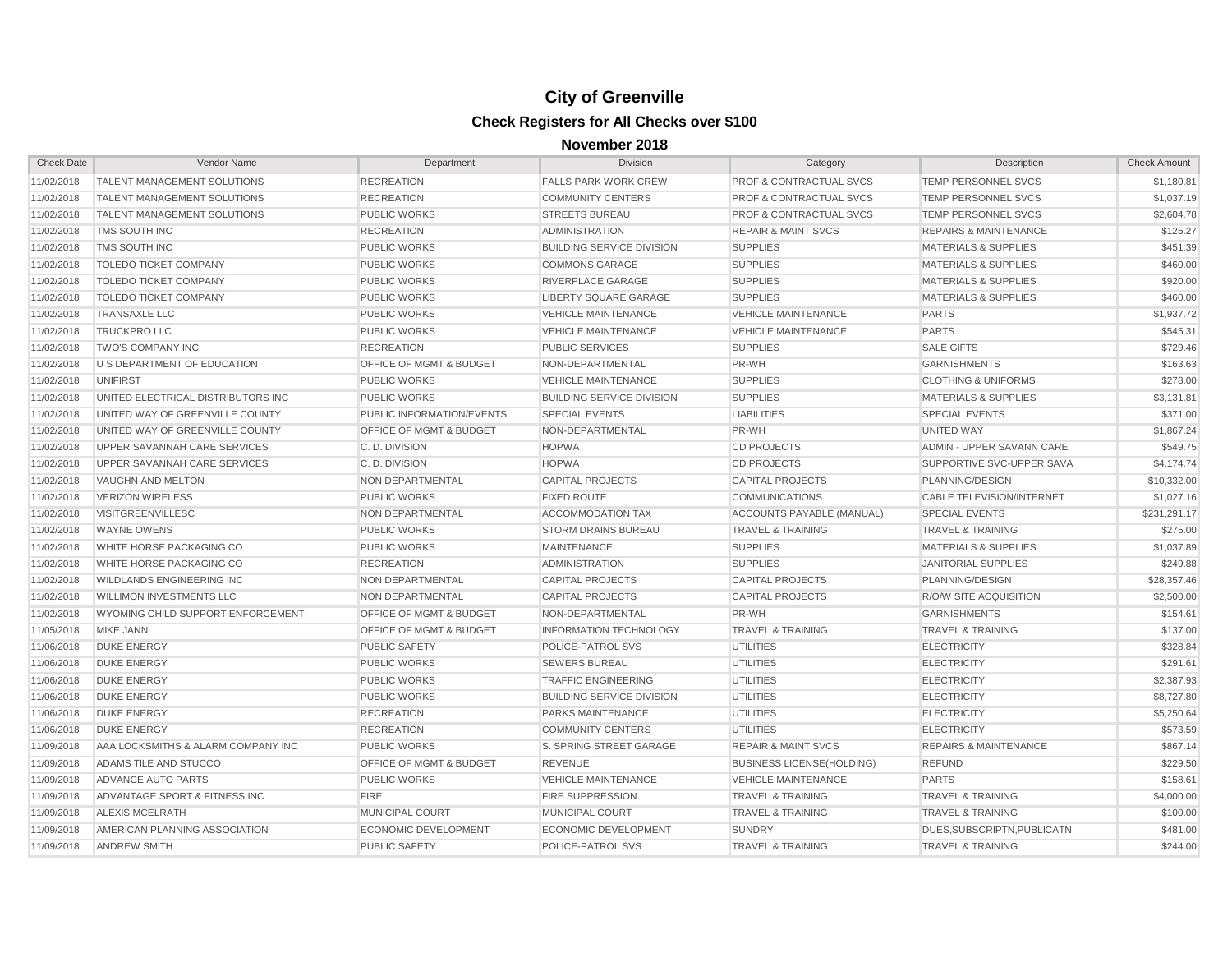| <b>Check Date</b> | Vendor Name                        | Department                         | Division                         | Category                           | Description                      | <b>Check Amount</b> |
|-------------------|------------------------------------|------------------------------------|----------------------------------|------------------------------------|----------------------------------|---------------------|
| 11/02/2018        | <b>TALENT MANAGEMENT SOLUTIONS</b> | <b>RECREATION</b>                  | <b>FALLS PARK WORK CREW</b>      | PROF & CONTRACTUAL SVCS            | TEMP PERSONNEL SVCS              | \$1,180.81          |
| 11/02/2018        | <b>TALENT MANAGEMENT SOLUTIONS</b> | <b>RECREATION</b>                  | <b>COMMUNITY CENTERS</b>         | <b>PROF &amp; CONTRACTUAL SVCS</b> | <b>TEMP PERSONNEL SVCS</b>       | \$1,037.19          |
| 11/02/2018        | <b>TALENT MANAGEMENT SOLUTIONS</b> | <b>PUBLIC WORKS</b>                | <b>STREETS BUREAU</b>            | <b>PROF &amp; CONTRACTUAL SVCS</b> | TEMP PERSONNEL SVCS              | \$2,604.78          |
| 11/02/2018        | TMS SOUTH INC                      | <b>RECREATION</b>                  | <b>ADMINISTRATION</b>            | <b>REPAIR &amp; MAINT SVCS</b>     | <b>REPAIRS &amp; MAINTENANCE</b> | \$125.27            |
| 11/02/2018        | TMS SOUTH INC                      | <b>PUBLIC WORKS</b>                | <b>BUILDING SERVICE DIVISION</b> | <b>SUPPLIES</b>                    | <b>MATERIALS &amp; SUPPLIES</b>  | \$451.39            |
| 11/02/2018        | <b>TOLEDO TICKET COMPANY</b>       | <b>PUBLIC WORKS</b>                | <b>COMMONS GARAGE</b>            | <b>SUPPLIES</b>                    | <b>MATERIALS &amp; SUPPLIES</b>  | \$460.00            |
| 11/02/2018        | <b>TOLEDO TICKET COMPANY</b>       | <b>PUBLIC WORKS</b>                | <b>RIVERPLACE GARAGE</b>         | <b>SUPPLIES</b>                    | <b>MATERIALS &amp; SUPPLIES</b>  | \$920.00            |
| 11/02/2018        | <b>TOLEDO TICKET COMPANY</b>       | <b>PUBLIC WORKS</b>                | <b>LIBERTY SQUARE GARAGE</b>     | <b>SUPPLIES</b>                    | <b>MATERIALS &amp; SUPPLIES</b>  | \$460.00            |
| 11/02/2018        | <b>TRANSAXLE LLC</b>               | <b>PUBLIC WORKS</b>                | <b>VEHICLE MAINTENANCE</b>       | <b>VEHICLE MAINTENANCE</b>         | <b>PARTS</b>                     | \$1,937.72          |
| 11/02/2018        | <b>TRUCKPRO LLC</b>                | <b>PUBLIC WORKS</b>                | <b>VEHICLE MAINTENANCE</b>       | <b>VEHICLE MAINTENANCE</b>         | <b>PARTS</b>                     | \$545.31            |
| 11/02/2018        | TWO'S COMPANY INC                  | <b>RECREATION</b>                  | <b>PUBLIC SERVICES</b>           | <b>SUPPLIES</b>                    | <b>SALE GIFTS</b>                | \$729.46            |
| 11/02/2018        | U S DEPARTMENT OF EDUCATION        | <b>OFFICE OF MGMT &amp; BUDGET</b> | NON-DEPARTMENTAL                 | PR-WH                              | <b>GARNISHMENTS</b>              | \$163.63            |
| 11/02/2018        | <b>UNIFIRST</b>                    | <b>PUBLIC WORKS</b>                | <b>VEHICLE MAINTENANCE</b>       | <b>SUPPLIES</b>                    | <b>CLOTHING &amp; UNIFORMS</b>   | \$278.00            |
| 11/02/2018        | UNITED ELECTRICAL DISTRIBUTORS INC | <b>PUBLIC WORKS</b>                | <b>BUILDING SERVICE DIVISION</b> | <b>SUPPLIES</b>                    | <b>MATERIALS &amp; SUPPLIES</b>  | \$3,131.81          |
| 11/02/2018        | UNITED WAY OF GREENVILLE COUNTY    | PUBLIC INFORMATION/EVENTS          | <b>SPECIAL EVENTS</b>            | <b>LIABILITIES</b>                 | <b>SPECIAL EVENTS</b>            | \$371.00            |
| 11/02/2018        | UNITED WAY OF GREENVILLE COUNTY    | OFFICE OF MGMT & BUDGET            | NON-DEPARTMENTAL                 | PR-WH                              | UNITED WAY                       | \$1,867.24          |
| 11/02/2018        | UPPER SAVANNAH CARE SERVICES       | C.D. DIVISION                      | <b>HOPWA</b>                     | <b>CD PROJECTS</b>                 | ADMIN - UPPER SAVANN CARE        | \$549.75            |
| 11/02/2018        | UPPER SAVANNAH CARE SERVICES       | C.D. DIVISION                      | <b>HOPWA</b>                     | <b>CD PROJECTS</b>                 | SUPPORTIVE SVC-UPPER SAVA        | \$4,174.74          |
| 11/02/2018        | <b>VAUGHN AND MELTON</b>           | NON DEPARTMENTAL                   | <b>CAPITAL PROJECTS</b>          | <b>CAPITAL PROJECTS</b>            | PLANNING/DESIGN                  | \$10,332.00         |
| 11/02/2018        | <b>VERIZON WIRELESS</b>            | <b>PUBLIC WORKS</b>                | <b>FIXED ROUTE</b>               | <b>COMMUNICATIONS</b>              | <b>CABLE TELEVISION/INTERNET</b> | \$1,027.16          |
| 11/02/2018        | <b>VISITGREENVILLESC</b>           | NON DEPARTMENTAL                   | ACCOMMODATION TAX                | <b>ACCOUNTS PAYABLE (MANUAL)</b>   | <b>SPECIAL EVENTS</b>            | \$231,291.17        |
| 11/02/2018        | <b>WAYNE OWENS</b>                 | <b>PUBLIC WORKS</b>                | <b>STORM DRAINS BUREAU</b>       | <b>TRAVEL &amp; TRAINING</b>       | <b>TRAVEL &amp; TRAINING</b>     | \$275.00            |
| 11/02/2018        | WHITE HORSE PACKAGING CO           | <b>PUBLIC WORKS</b>                | <b>MAINTENANCE</b>               | <b>SUPPLIES</b>                    | <b>MATERIALS &amp; SUPPLIES</b>  | \$1,037.89          |
| 11/02/2018        | WHITE HORSE PACKAGING CO           | <b>RECREATION</b>                  | <b>ADMINISTRATION</b>            | <b>SUPPLIES</b>                    | <b>JANITORIAL SUPPLIES</b>       | \$249.88            |
| 11/02/2018        | WILDLANDS ENGINEERING INC          | NON DEPARTMENTAL                   | <b>CAPITAL PROJECTS</b>          | <b>CAPITAL PROJECTS</b>            | PLANNING/DESIGN                  | \$28,357.46         |
| 11/02/2018        | <b>WILLIMON INVESTMENTS LLC</b>    | NON DEPARTMENTAL                   | <b>CAPITAL PROJECTS</b>          | <b>CAPITAL PROJECTS</b>            | R/O/W SITE ACQUISITION           | \$2,500.00          |
| 11/02/2018        | WYOMING CHILD SUPPORT ENFORCEMENT  | OFFICE OF MGMT & BUDGET            | NON-DEPARTMENTAL                 | PR-WH                              | <b>GARNISHMENTS</b>              | \$154.61            |
| 11/05/2018        | <b>MIKE JANN</b>                   | <b>OFFICE OF MGMT &amp; BUDGET</b> | <b>INFORMATION TECHNOLOGY</b>    | <b>TRAVEL &amp; TRAINING</b>       | <b>TRAVEL &amp; TRAINING</b>     | \$137.00            |
| 11/06/2018        | <b>DUKE ENERGY</b>                 | <b>PUBLIC SAFETY</b>               | POLICE-PATROL SVS                | <b>UTILITIES</b>                   | <b>ELECTRICITY</b>               | \$328.84            |
| 11/06/2018        | <b>DUKE ENERGY</b>                 | <b>PUBLIC WORKS</b>                | <b>SEWERS BUREAU</b>             | <b>UTILITIES</b>                   | <b>ELECTRICITY</b>               | \$291.61            |
| 11/06/2018        | <b>DUKE ENERGY</b>                 | <b>PUBLIC WORKS</b>                | <b>TRAFFIC ENGINEERING</b>       | <b>UTILITIES</b>                   | <b>ELECTRICITY</b>               | \$2,387.93          |
| 11/06/2018        | <b>DUKE ENERGY</b>                 | <b>PUBLIC WORKS</b>                | <b>BUILDING SERVICE DIVISION</b> | <b>UTILITIES</b>                   | <b>ELECTRICITY</b>               | \$8,727.80          |
| 11/06/2018        | <b>DUKE ENERGY</b>                 | <b>RECREATION</b>                  | PARKS MAINTENANCE                | <b>UTILITIES</b>                   | <b>ELECTRICITY</b>               | \$5,250.64          |
| 11/06/2018        | <b>DUKE ENERGY</b>                 | <b>RECREATION</b>                  | <b>COMMUNITY CENTERS</b>         | <b>UTILITIES</b>                   | <b>ELECTRICITY</b>               | \$573.59            |
| 11/09/2018        | AAA LOCKSMITHS & ALARM COMPANY INC | <b>PUBLIC WORKS</b>                | <b>S. SPRING STREET GARAGE</b>   | <b>REPAIR &amp; MAINT SVCS</b>     | <b>REPAIRS &amp; MAINTENANCE</b> | \$867.14            |
| 11/09/2018        | ADAMS TILE AND STUCCO              | OFFICE OF MGMT & BUDGET            | <b>REVENUE</b>                   | <b>BUSINESS LICENSE(HOLDING)</b>   | <b>REFUND</b>                    | \$229.50            |
| 11/09/2018        | ADVANCE AUTO PARTS                 | <b>PUBLIC WORKS</b>                | <b>VEHICLE MAINTENANCE</b>       | <b>VEHICLE MAINTENANCE</b>         | <b>PARTS</b>                     | \$158.61            |
| 11/09/2018        | ADVANTAGE SPORT & FITNESS INC      | <b>FIRE</b>                        | <b>FIRE SUPPRESSION</b>          | <b>TRAVEL &amp; TRAINING</b>       | TRAVEL & TRAINING                | \$4,000.00          |
| 11/09/2018        | <b>ALEXIS MCELRATH</b>             | MUNICIPAL COURT                    | <b>MUNICIPAL COURT</b>           | <b>TRAVEL &amp; TRAINING</b>       | TRAVEL & TRAINING                | \$100.00            |
| 11/09/2018        | AMERICAN PLANNING ASSOCIATION      | <b>ECONOMIC DEVELOPMENT</b>        | <b>ECONOMIC DEVELOPMENT</b>      | <b>SUNDRY</b>                      | DUES.SUBSCRIPTN.PUBLICATN        | \$481.00            |
| 11/09/2018        | <b>ANDREW SMITH</b>                | <b>PUBLIC SAFETY</b>               | POLICE-PATROL SVS                | <b>TRAVEL &amp; TRAINING</b>       | <b>TRAVEL &amp; TRAINING</b>     | \$244.00            |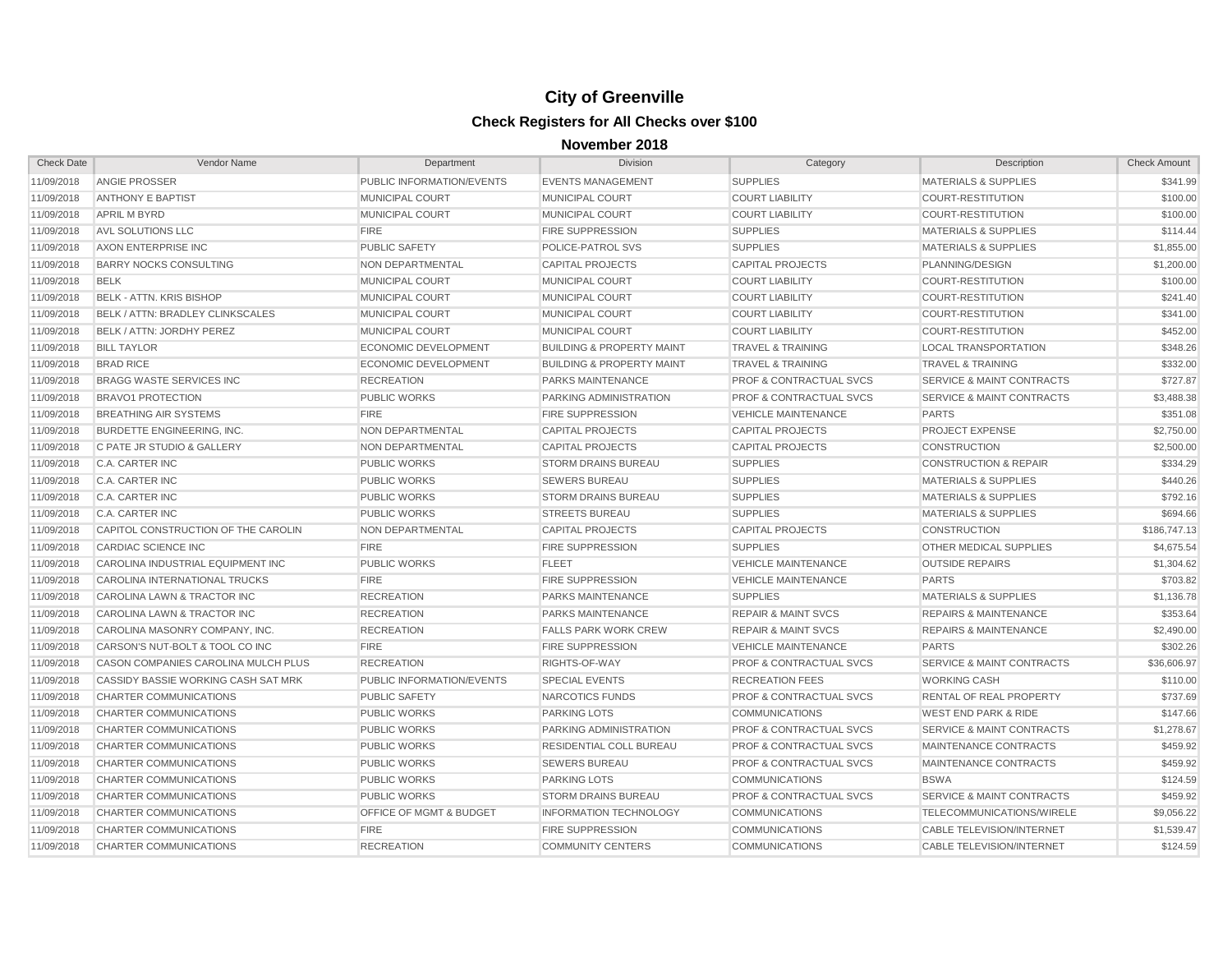| <b>Check Date</b> | Vendor Name                         | Department                         | <b>Division</b>                      | Category                           | Description                          | <b>Check Amount</b> |
|-------------------|-------------------------------------|------------------------------------|--------------------------------------|------------------------------------|--------------------------------------|---------------------|
| 11/09/2018        | <b>ANGIE PROSSER</b>                | PUBLIC INFORMATION/EVENTS          | <b>EVENTS MANAGEMENT</b>             | <b>SUPPLIES</b>                    | <b>MATERIALS &amp; SUPPLIES</b>      | \$341.99            |
| 11/09/2018        | <b>ANTHONY E BAPTIST</b>            | MUNICIPAL COURT                    | MUNICIPAL COURT                      | <b>COURT LIABILITY</b>             | <b>COURT-RESTITUTION</b>             | \$100.00            |
| 11/09/2018        | <b>APRIL M BYRD</b>                 | <b>MUNICIPAL COURT</b>             | MUNICIPAL COURT                      | <b>COURT LIABILITY</b>             | <b>COURT-RESTITUTION</b>             | \$100.00            |
| 11/09/2018        | AVL SOLUTIONS LLC                   | <b>FIRE</b>                        | <b>FIRE SUPPRESSION</b>              | <b>SUPPLIES</b>                    | <b>MATERIALS &amp; SUPPLIES</b>      | \$114.44            |
| 11/09/2018        | AXON ENTERPRISE INC                 | <b>PUBLIC SAFETY</b>               | POLICE-PATROL SVS                    | <b>SUPPLIES</b>                    | <b>MATERIALS &amp; SUPPLIES</b>      | \$1,855.00          |
| 11/09/2018        | <b>BARRY NOCKS CONSULTING</b>       | NON DEPARTMENTAL                   | <b>CAPITAL PROJECTS</b>              | <b>CAPITAL PROJECTS</b>            | PLANNING/DESIGN                      | \$1,200.00          |
| 11/09/2018        | <b>BELK</b>                         | <b>MUNICIPAL COURT</b>             | MUNICIPAL COURT                      | <b>COURT LIABILITY</b>             | <b>COURT-RESTITUTION</b>             | \$100.00            |
| 11/09/2018        | <b>BELK - ATTN. KRIS BISHOP</b>     | <b>MUNICIPAL COURT</b>             | MUNICIPAL COURT                      | <b>COURT LIABILITY</b>             | <b>COURT-RESTITUTION</b>             | \$241.40            |
| 11/09/2018        | BELK / ATTN: BRADLEY CLINKSCALES    | <b>MUNICIPAL COURT</b>             | MUNICIPAL COURT                      | <b>COURT LIABILITY</b>             | <b>COURT-RESTITUTION</b>             | \$341.00            |
| 11/09/2018        | BELK / ATTN: JORDHY PEREZ           | <b>MUNICIPAL COURT</b>             | MUNICIPAL COURT                      | <b>COURT LIABILITY</b>             | <b>COURT-RESTITUTION</b>             | \$452.00            |
| 11/09/2018        | <b>BILL TAYLOR</b>                  | <b>ECONOMIC DEVELOPMENT</b>        | <b>BUILDING &amp; PROPERTY MAINT</b> | <b>TRAVEL &amp; TRAINING</b>       | <b>LOCAL TRANSPORTATION</b>          | \$348.26            |
| 11/09/2018        | <b>BRAD RICE</b>                    | <b>ECONOMIC DEVELOPMENT</b>        | <b>BUILDING &amp; PROPERTY MAINT</b> | <b>TRAVEL &amp; TRAINING</b>       | <b>TRAVEL &amp; TRAINING</b>         | \$332.00            |
| 11/09/2018        | <b>BRAGG WASTE SERVICES INC.</b>    | <b>RECREATION</b>                  | PARKS MAINTENANCE                    | <b>PROF &amp; CONTRACTUAL SVCS</b> | <b>SERVICE &amp; MAINT CONTRACTS</b> | \$727.87            |
| 11/09/2018        | <b>BRAVO1 PROTECTION</b>            | <b>PUBLIC WORKS</b>                | PARKING ADMINISTRATION               | <b>PROF &amp; CONTRACTUAL SVCS</b> | <b>SERVICE &amp; MAINT CONTRACTS</b> | \$3,488.38          |
| 11/09/2018        | <b>BREATHING AIR SYSTEMS</b>        | <b>FIRE</b>                        | <b>FIRE SUPPRESSION</b>              | <b>VEHICLE MAINTENANCE</b>         | <b>PARTS</b>                         | \$351.08            |
| 11/09/2018        | <b>BURDETTE ENGINEERING, INC.</b>   | NON DEPARTMENTAL                   | <b>CAPITAL PROJECTS</b>              | <b>CAPITAL PROJECTS</b>            | <b>PROJECT EXPENSE</b>               | \$2,750.00          |
| 11/09/2018        | C PATE JR STUDIO & GALLERY          | NON DEPARTMENTAL                   | <b>CAPITAL PROJECTS</b>              | <b>CAPITAL PROJECTS</b>            | <b>CONSTRUCTION</b>                  | \$2,500.00          |
| 11/09/2018        | C.A. CARTER INC                     | <b>PUBLIC WORKS</b>                | <b>STORM DRAINS BUREAU</b>           | <b>SUPPLIES</b>                    | <b>CONSTRUCTION &amp; REPAIR</b>     | \$334.29            |
| 11/09/2018        | C.A. CARTER INC                     | <b>PUBLIC WORKS</b>                | <b>SEWERS BUREAU</b>                 | <b>SUPPLIES</b>                    | <b>MATERIALS &amp; SUPPLIES</b>      | \$440.26            |
| 11/09/2018        | <b>C.A. CARTER INC</b>              | <b>PUBLIC WORKS</b>                | <b>STORM DRAINS BUREAU</b>           | <b>SUPPLIES</b>                    | <b>MATERIALS &amp; SUPPLIES</b>      | \$792.16            |
| 11/09/2018        | C.A. CARTER INC                     | <b>PUBLIC WORKS</b>                | <b>STREETS BUREAU</b>                | <b>SUPPLIES</b>                    | <b>MATERIALS &amp; SUPPLIES</b>      | \$694.66            |
| 11/09/2018        | CAPITOL CONSTRUCTION OF THE CAROLIN | NON DEPARTMENTAL                   | <b>CAPITAL PROJECTS</b>              | <b>CAPITAL PROJECTS</b>            | <b>CONSTRUCTION</b>                  | \$186,747.13        |
| 11/09/2018        | CARDIAC SCIENCE INC                 | <b>FIRE</b>                        | <b>FIRE SUPPRESSION</b>              | <b>SUPPLIES</b>                    | OTHER MEDICAL SUPPLIES               | \$4,675.54          |
| 11/09/2018        | CAROLINA INDUSTRIAL EQUIPMENT INC   | <b>PUBLIC WORKS</b>                | <b>FLEET</b>                         | <b>VEHICLE MAINTENANCE</b>         | <b>OUTSIDE REPAIRS</b>               | \$1,304.62          |
| 11/09/2018        | CAROLINA INTERNATIONAL TRUCKS       | <b>FIRE</b>                        | <b>FIRE SUPPRESSION</b>              | <b>VEHICLE MAINTENANCE</b>         | <b>PARTS</b>                         | \$703.82            |
| 11/09/2018        | CAROLINA LAWN & TRACTOR INC         | <b>RECREATION</b>                  | PARKS MAINTENANCE                    | <b>SUPPLIES</b>                    | <b>MATERIALS &amp; SUPPLIES</b>      | \$1,136.78          |
| 11/09/2018        | CAROLINA LAWN & TRACTOR INC         | <b>RECREATION</b>                  | PARKS MAINTENANCE                    | <b>REPAIR &amp; MAINT SVCS</b>     | <b>REPAIRS &amp; MAINTENANCE</b>     | \$353.64            |
| 11/09/2018        | CAROLINA MASONRY COMPANY, INC.      | <b>RECREATION</b>                  | <b>FALLS PARK WORK CREW</b>          | <b>REPAIR &amp; MAINT SVCS</b>     | <b>REPAIRS &amp; MAINTENANCE</b>     | \$2,490.00          |
| 11/09/2018        | CARSON'S NUT-BOLT & TOOL CO INC     | <b>FIRE</b>                        | <b>FIRE SUPPRESSION</b>              | <b>VEHICLE MAINTENANCE</b>         | <b>PARTS</b>                         | \$302.26            |
| 11/09/2018        | CASON COMPANIES CAROLINA MULCH PLUS | <b>RECREATION</b>                  | RIGHTS-OF-WAY                        | <b>PROF &amp; CONTRACTUAL SVCS</b> | <b>SERVICE &amp; MAINT CONTRACTS</b> | \$36,606.97         |
| 11/09/2018        | CASSIDY BASSIE WORKING CASH SAT MRK | PUBLIC INFORMATION/EVENTS          | <b>SPECIAL EVENTS</b>                | <b>RECREATION FEES</b>             | <b>WORKING CASH</b>                  | \$110.00            |
| 11/09/2018        | CHARTER COMMUNICATIONS              | <b>PUBLIC SAFETY</b>               | NARCOTICS FUNDS                      | <b>PROF &amp; CONTRACTUAL SVCS</b> | <b>RENTAL OF REAL PROPERTY</b>       | \$737.69            |
| 11/09/2018        | CHARTER COMMUNICATIONS              | <b>PUBLIC WORKS</b>                | <b>PARKING LOTS</b>                  | <b>COMMUNICATIONS</b>              | <b>WEST END PARK &amp; RIDE</b>      | \$147.66            |
| 11/09/2018        | <b>CHARTER COMMUNICATIONS</b>       | <b>PUBLIC WORKS</b>                | PARKING ADMINISTRATION               | <b>PROF &amp; CONTRACTUAL SVCS</b> | <b>SERVICE &amp; MAINT CONTRACTS</b> | \$1,278.67          |
| 11/09/2018        | CHARTER COMMUNICATIONS              | <b>PUBLIC WORKS</b>                | <b>RESIDENTIAL COLL BUREAU</b>       | <b>PROF &amp; CONTRACTUAL SVCS</b> | MAINTENANCE CONTRACTS                | \$459.92            |
| 11/09/2018        | CHARTER COMMUNICATIONS              | <b>PUBLIC WORKS</b>                | <b>SEWERS BUREAU</b>                 | <b>PROF &amp; CONTRACTUAL SVCS</b> | MAINTENANCE CONTRACTS                | \$459.92            |
| 11/09/2018        | <b>CHARTER COMMUNICATIONS</b>       | <b>PUBLIC WORKS</b>                | <b>PARKING LOTS</b>                  | <b>COMMUNICATIONS</b>              | <b>BSWA</b>                          | \$124.59            |
| 11/09/2018        | CHARTER COMMUNICATIONS              | <b>PUBLIC WORKS</b>                | <b>STORM DRAINS BUREAU</b>           | <b>PROF &amp; CONTRACTUAL SVCS</b> | <b>SERVICE &amp; MAINT CONTRACTS</b> | \$459.92            |
| 11/09/2018        | CHARTER COMMUNICATIONS              | <b>OFFICE OF MGMT &amp; BUDGET</b> | <b>INFORMATION TECHNOLOGY</b>        | <b>COMMUNICATIONS</b>              | TELECOMMUNICATIONS/WIRELE            | \$9,056.22          |
| 11/09/2018        | <b>CHARTER COMMUNICATIONS</b>       | <b>FIRE</b>                        | <b>FIRE SUPPRESSION</b>              | <b>COMMUNICATIONS</b>              | <b>CABLE TELEVISION/INTERNET</b>     | \$1,539.47          |
| 11/09/2018        | <b>CHARTER COMMUNICATIONS</b>       | <b>RECREATION</b>                  | <b>COMMUNITY CENTERS</b>             | <b>COMMUNICATIONS</b>              | <b>CABLE TELEVISION/INTERNET</b>     | \$124.59            |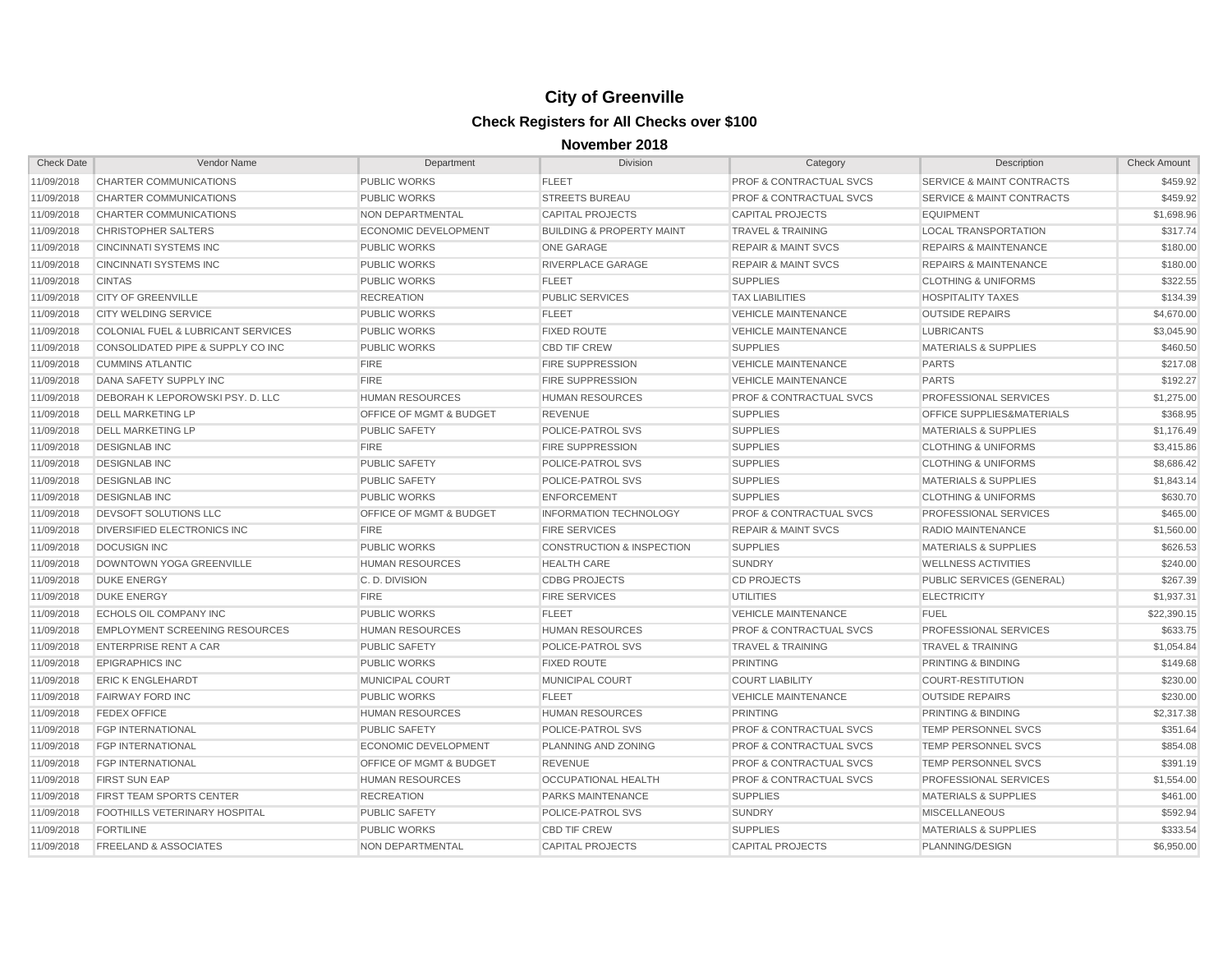| <b>Check Date</b> | Vendor Name                           | Department                         | <b>Division</b>                      | Category                           | Description                          | <b>Check Amount</b> |
|-------------------|---------------------------------------|------------------------------------|--------------------------------------|------------------------------------|--------------------------------------|---------------------|
| 11/09/2018        | CHARTER COMMUNICATIONS                | <b>PUBLIC WORKS</b>                | <b>FLEET</b>                         | PROF & CONTRACTUAL SVCS            | SERVICE & MAINT CONTRACTS            | \$459.92            |
| 11/09/2018        | CHARTER COMMUNICATIONS                | <b>PUBLIC WORKS</b>                | <b>STREETS BUREAU</b>                | <b>PROF &amp; CONTRACTUAL SVCS</b> | <b>SERVICE &amp; MAINT CONTRACTS</b> | \$459.92            |
| 11/09/2018        | CHARTER COMMUNICATIONS                | NON DEPARTMENTAL                   | <b>CAPITAL PROJECTS</b>              | <b>CAPITAL PROJECTS</b>            | <b>EQUIPMENT</b>                     | \$1,698.96          |
| 11/09/2018        | <b>CHRISTOPHER SALTERS</b>            | <b>ECONOMIC DEVELOPMENT</b>        | <b>BUILDING &amp; PROPERTY MAINT</b> | <b>TRAVEL &amp; TRAINING</b>       | <b>LOCAL TRANSPORTATION</b>          | \$317.74            |
| 11/09/2018        | <b>CINCINNATI SYSTEMS INC</b>         | <b>PUBLIC WORKS</b>                | ONE GARAGE                           | <b>REPAIR &amp; MAINT SVCS</b>     | <b>REPAIRS &amp; MAINTENANCE</b>     | \$180.00            |
| 11/09/2018        | <b>CINCINNATI SYSTEMS INC</b>         | <b>PUBLIC WORKS</b>                | RIVERPLACE GARAGE                    | <b>REPAIR &amp; MAINT SVCS</b>     | <b>REPAIRS &amp; MAINTENANCE</b>     | \$180.00            |
| 11/09/2018        | <b>CINTAS</b>                         | <b>PUBLIC WORKS</b>                | <b>FLEET</b>                         | <b>SUPPLIES</b>                    | <b>CLOTHING &amp; UNIFORMS</b>       | \$322.55            |
| 11/09/2018        | <b>CITY OF GREENVILLE</b>             | <b>RECREATION</b>                  | <b>PUBLIC SERVICES</b>               | <b>TAX LIABILITIES</b>             | <b>HOSPITALITY TAXES</b>             | \$134.39            |
| 11/09/2018        | <b>CITY WELDING SERVICE</b>           | <b>PUBLIC WORKS</b>                | <b>FLEET</b>                         | <b>VEHICLE MAINTENANCE</b>         | <b>OUTSIDE REPAIRS</b>               | \$4,670.00          |
| 11/09/2018        | COLONIAL FUEL & LUBRICANT SERVICES    | <b>PUBLIC WORKS</b>                | <b>FIXED ROUTE</b>                   | <b>VEHICLE MAINTENANCE</b>         | <b>LUBRICANTS</b>                    | \$3,045.90          |
| 11/09/2018        | CONSOLIDATED PIPE & SUPPLY CO INC     | <b>PUBLIC WORKS</b>                | <b>CBD TIF CREW</b>                  | <b>SUPPLIES</b>                    | <b>MATERIALS &amp; SUPPLIES</b>      | \$460.50            |
| 11/09/2018        | <b>CUMMINS ATLANTIC</b>               | <b>FIRE</b>                        | <b>FIRE SUPPRESSION</b>              | <b>VEHICLE MAINTENANCE</b>         | <b>PARTS</b>                         | \$217.08            |
| 11/09/2018        | DANA SAFETY SUPPLY INC                | <b>FIRE</b>                        | <b>FIRE SUPPRESSION</b>              | <b>VEHICLE MAINTENANCE</b>         | <b>PARTS</b>                         | \$192.27            |
| 11/09/2018        | DEBORAH K LEPOROWSKI PSY. D. LLC      | <b>HUMAN RESOURCES</b>             | <b>HUMAN RESOURCES</b>               | <b>PROF &amp; CONTRACTUAL SVCS</b> | PROFESSIONAL SERVICES                | \$1,275.00          |
| 11/09/2018        | <b>DELL MARKETING LP</b>              | OFFICE OF MGMT & BUDGET            | <b>REVENUE</b>                       | <b>SUPPLIES</b>                    | <b>OFFICE SUPPLIES&amp;MATERIALS</b> | \$368.95            |
| 11/09/2018        | <b>DELL MARKETING LP</b>              | <b>PUBLIC SAFETY</b>               | POLICE-PATROL SVS                    | <b>SUPPLIES</b>                    | <b>MATERIALS &amp; SUPPLIES</b>      | \$1,176.49          |
| 11/09/2018        | <b>DESIGNLAB INC</b>                  | <b>FIRE</b>                        | <b>FIRE SUPPRESSION</b>              | <b>SUPPLIES</b>                    | <b>CLOTHING &amp; UNIFORMS</b>       | \$3,415.86          |
| 11/09/2018        | <b>DESIGNLAB INC</b>                  | <b>PUBLIC SAFETY</b>               | POLICE-PATROL SVS                    | <b>SUPPLIES</b>                    | <b>CLOTHING &amp; UNIFORMS</b>       | \$8,686.42          |
| 11/09/2018        | <b>DESIGNLAB INC</b>                  | <b>PUBLIC SAFETY</b>               | <b>POLICE-PATROL SVS</b>             | <b>SUPPLIES</b>                    | <b>MATERIALS &amp; SUPPLIES</b>      | \$1,843.14          |
| 11/09/2018        | <b>DESIGNLAB INC</b>                  | <b>PUBLIC WORKS</b>                | <b>ENFORCEMENT</b>                   | <b>SUPPLIES</b>                    | <b>CLOTHING &amp; UNIFORMS</b>       | \$630.70            |
| 11/09/2018        | <b>DEVSOFT SOLUTIONS LLC</b>          | <b>OFFICE OF MGMT &amp; BUDGET</b> | <b>INFORMATION TECHNOLOGY</b>        | <b>PROF &amp; CONTRACTUAL SVCS</b> | <b>PROFESSIONAL SERVICES</b>         | \$465.00            |
| 11/09/2018        | DIVERSIFIED ELECTRONICS INC           | <b>FIRE</b>                        | <b>FIRE SERVICES</b>                 | <b>REPAIR &amp; MAINT SVCS</b>     | <b>RADIO MAINTENANCE</b>             | \$1,560.00          |
| 11/09/2018        | <b>DOCUSIGN INC</b>                   | <b>PUBLIC WORKS</b>                | <b>CONSTRUCTION &amp; INSPECTION</b> | <b>SUPPLIES</b>                    | <b>MATERIALS &amp; SUPPLIES</b>      | \$626.53            |
| 11/09/2018        | DOWNTOWN YOGA GREENVILLE              | <b>HUMAN RESOURCES</b>             | <b>HEALTH CARE</b>                   | <b>SUNDRY</b>                      | <b>WELLNESS ACTIVITIES</b>           | \$240.00            |
| 11/09/2018        | <b>DUKE ENERGY</b>                    | C.D. DIVISION                      | <b>CDBG PROJECTS</b>                 | <b>CD PROJECTS</b>                 | PUBLIC SERVICES (GENERAL)            | \$267.39            |
| 11/09/2018        | <b>DUKE ENERGY</b>                    | <b>FIRE</b>                        | <b>FIRE SERVICES</b>                 | <b>UTILITIES</b>                   | <b>ELECTRICITY</b>                   | \$1,937.31          |
| 11/09/2018        | <b>ECHOLS OIL COMPANY INC</b>         | <b>PUBLIC WORKS</b>                | <b>FLEET</b>                         | <b>VEHICLE MAINTENANCE</b>         | <b>FUEL</b>                          | \$22,390.15         |
| 11/09/2018        | <b>EMPLOYMENT SCREENING RESOURCES</b> | <b>HUMAN RESOURCES</b>             | <b>HUMAN RESOURCES</b>               | <b>PROF &amp; CONTRACTUAL SVCS</b> | PROFESSIONAL SERVICES                | \$633.75            |
| 11/09/2018        | <b>ENTERPRISE RENT A CAR</b>          | <b>PUBLIC SAFETY</b>               | POLICE-PATROL SVS                    | <b>TRAVEL &amp; TRAINING</b>       | <b>TRAVEL &amp; TRAINING</b>         | \$1,054.84          |
| 11/09/2018        | <b>EPIGRAPHICS INC</b>                | <b>PUBLIC WORKS</b>                | <b>FIXED ROUTE</b>                   | <b>PRINTING</b>                    | <b>PRINTING &amp; BINDING</b>        | \$149.68            |
| 11/09/2018        | <b>ERIC K ENGLEHARDT</b>              | <b>MUNICIPAL COURT</b>             | <b>MUNICIPAL COURT</b>               | <b>COURT LIABILITY</b>             | <b>COURT-RESTITUTION</b>             | \$230.00            |
| 11/09/2018        | <b>FAIRWAY FORD INC</b>               | <b>PUBLIC WORKS</b>                | <b>FLEET</b>                         | <b>VEHICLE MAINTENANCE</b>         | <b>OUTSIDE REPAIRS</b>               | \$230.00            |
| 11/09/2018        | <b>FEDEX OFFICE</b>                   | <b>HUMAN RESOURCES</b>             | <b>HUMAN RESOURCES</b>               | <b>PRINTING</b>                    | PRINTING & BINDING                   | \$2,317.38          |
| 11/09/2018        | <b>FGP INTERNATIONAL</b>              | <b>PUBLIC SAFETY</b>               | POLICE-PATROL SVS                    | <b>PROF &amp; CONTRACTUAL SVCS</b> | TEMP PERSONNEL SVCS                  | \$351.64            |
| 11/09/2018        | <b>FGP INTERNATIONAL</b>              | <b>ECONOMIC DEVELOPMENT</b>        | PLANNING AND ZONING                  | <b>PROF &amp; CONTRACTUAL SVCS</b> | <b>TEMP PERSONNEL SVCS</b>           | \$854.08            |
| 11/09/2018        | <b>FGP INTERNATIONAL</b>              | <b>OFFICE OF MGMT &amp; BUDGET</b> | <b>REVENUE</b>                       | <b>PROF &amp; CONTRACTUAL SVCS</b> | TEMP PERSONNEL SVCS                  | \$391.19            |
| 11/09/2018        | <b>FIRST SUN EAP</b>                  | <b>HUMAN RESOURCES</b>             | <b>OCCUPATIONAL HEALTH</b>           | <b>PROF &amp; CONTRACTUAL SVCS</b> | PROFESSIONAL SERVICES                | \$1,554.00          |
| 11/09/2018        | <b>FIRST TEAM SPORTS CENTER</b>       | <b>RECREATION</b>                  | <b>PARKS MAINTENANCE</b>             | <b>SUPPLIES</b>                    | <b>MATERIALS &amp; SUPPLIES</b>      | \$461.00            |
| 11/09/2018        | <b>FOOTHILLS VETERINARY HOSPITAL</b>  | <b>PUBLIC SAFETY</b>               | <b>POLICE-PATROL SVS</b>             | <b>SUNDRY</b>                      | <b>MISCELLANEOUS</b>                 | \$592.94            |
| 11/09/2018        | <b>FORTILINE</b>                      | <b>PUBLIC WORKS</b>                | <b>CBD TIF CREW</b>                  | <b>SUPPLIES</b>                    | <b>MATERIALS &amp; SUPPLIES</b>      | \$333.54            |
| 11/09/2018        | <b>FREELAND &amp; ASSOCIATES</b>      | <b>NON DEPARTMENTAL</b>            | <b>CAPITAL PROJECTS</b>              | <b>CAPITAL PROJECTS</b>            | PLANNING/DESIGN                      | \$6,950.00          |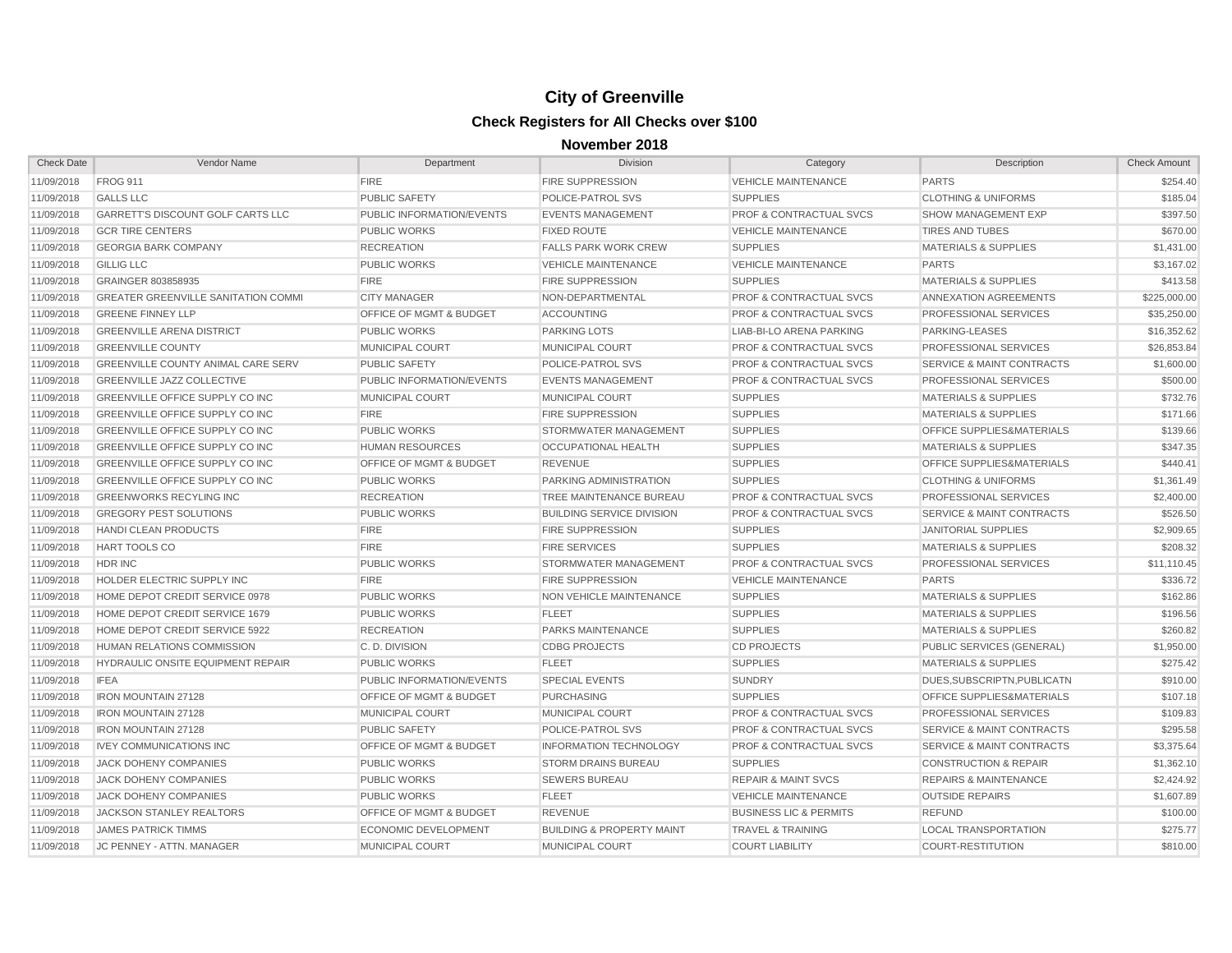| <b>Check Date</b> | Vendor Name                                | Department                         | <b>Division</b>                      | Category                           | Description                          | <b>Check Amount</b> |
|-------------------|--------------------------------------------|------------------------------------|--------------------------------------|------------------------------------|--------------------------------------|---------------------|
| 11/09/2018        | <b>FROG 911</b>                            | <b>FIRE</b>                        | <b>FIRE SUPPRESSION</b>              | <b>VEHICLE MAINTENANCE</b>         | <b>PARTS</b>                         | \$254.40            |
| 11/09/2018        | <b>GALLS LLC</b>                           | <b>PUBLIC SAFETY</b>               | POLICE-PATROL SVS                    | <b>SUPPLIES</b>                    | <b>CLOTHING &amp; UNIFORMS</b>       | \$185.04            |
| 11/09/2018        | GARRETT'S DISCOUNT GOLF CARTS LLC          | PUBLIC INFORMATION/EVENTS          | <b>EVENTS MANAGEMENT</b>             | <b>PROF &amp; CONTRACTUAL SVCS</b> | <b>SHOW MANAGEMENT EXP</b>           | \$397.50            |
| 11/09/2018        | <b>GCR TIRE CENTERS</b>                    | <b>PUBLIC WORKS</b>                | <b>FIXED ROUTE</b>                   | <b>VEHICLE MAINTENANCE</b>         | <b>TIRES AND TUBES</b>               | \$670.00            |
| 11/09/2018        | <b>GEORGIA BARK COMPANY</b>                | <b>RECREATION</b>                  | <b>FALLS PARK WORK CREW</b>          | <b>SUPPLIES</b>                    | <b>MATERIALS &amp; SUPPLIES</b>      | \$1,431.00          |
| 11/09/2018        | <b>GILLIG LLC</b>                          | <b>PUBLIC WORKS</b>                | <b>VEHICLE MAINTENANCE</b>           | <b>VEHICLE MAINTENANCE</b>         | <b>PARTS</b>                         | \$3,167.02          |
| 11/09/2018        | GRAINGER 803858935                         | <b>FIRE</b>                        | <b>FIRE SUPPRESSION</b>              | <b>SUPPLIES</b>                    | <b>MATERIALS &amp; SUPPLIES</b>      | \$413.58            |
| 11/09/2018        | <b>GREATER GREENVILLE SANITATION COMMI</b> | <b>CITY MANAGER</b>                | NON-DEPARTMENTAL                     | <b>PROF &amp; CONTRACTUAL SVCS</b> | ANNEXATION AGREEMENTS                | \$225,000.00        |
| 11/09/2018        | <b>GREENE FINNEY LLP</b>                   | <b>OFFICE OF MGMT &amp; BUDGET</b> | <b>ACCOUNTING</b>                    | <b>PROF &amp; CONTRACTUAL SVCS</b> | <b>PROFESSIONAL SERVICES</b>         | \$35,250.00         |
| 11/09/2018        | <b>GREENVILLE ARENA DISTRICT</b>           | <b>PUBLIC WORKS</b>                | <b>PARKING LOTS</b>                  | LIAB-BI-LO ARENA PARKING           | PARKING-LEASES                       | \$16,352.62         |
| 11/09/2018        | <b>GREENVILLE COUNTY</b>                   | MUNICIPAL COURT                    | <b>MUNICIPAL COURT</b>               | <b>PROF &amp; CONTRACTUAL SVCS</b> | <b>PROFESSIONAL SERVICES</b>         | \$26,853.84         |
| 11/09/2018        | GREENVILLE COUNTY ANIMAL CARE SERV         | <b>PUBLIC SAFETY</b>               | POLICE-PATROL SVS                    | <b>PROF &amp; CONTRACTUAL SVCS</b> | <b>SERVICE &amp; MAINT CONTRACTS</b> | \$1,600.00          |
| 11/09/2018        | <b>GREENVILLE JAZZ COLLECTIVE</b>          | PUBLIC INFORMATION/EVENTS          | <b>EVENTS MANAGEMENT</b>             | <b>PROF &amp; CONTRACTUAL SVCS</b> | <b>PROFESSIONAL SERVICES</b>         | \$500.00            |
| 11/09/2018        | <b>GREENVILLE OFFICE SUPPLY CO INC</b>     | MUNICIPAL COURT                    | <b>MUNICIPAL COURT</b>               | <b>SUPPLIES</b>                    | <b>MATERIALS &amp; SUPPLIES</b>      | \$732.76            |
| 11/09/2018        | GREENVILLE OFFICE SUPPLY CO INC            | <b>FIRE</b>                        | <b>FIRE SUPPRESSION</b>              | <b>SUPPLIES</b>                    | <b>MATERIALS &amp; SUPPLIES</b>      | \$171.66            |
| 11/09/2018        | GREENVILLE OFFICE SUPPLY CO INC            | <b>PUBLIC WORKS</b>                | STORMWATER MANAGEMENT                | <b>SUPPLIES</b>                    | OFFICE SUPPLIES&MATERIALS            | \$139.66            |
| 11/09/2018        | GREENVILLE OFFICE SUPPLY CO INC            | <b>HUMAN RESOURCES</b>             | OCCUPATIONAL HEALTH                  | <b>SUPPLIES</b>                    | <b>MATERIALS &amp; SUPPLIES</b>      | \$347.35            |
| 11/09/2018        | <b>GREENVILLE OFFICE SUPPLY CO INC</b>     | OFFICE OF MGMT & BUDGET            | <b>REVENUE</b>                       | <b>SUPPLIES</b>                    | OFFICE SUPPLIES&MATERIALS            | \$440.41            |
| 11/09/2018        | <b>GREENVILLE OFFICE SUPPLY CO INC</b>     | <b>PUBLIC WORKS</b>                | PARKING ADMINISTRATION               | <b>SUPPLIES</b>                    | <b>CLOTHING &amp; UNIFORMS</b>       | \$1,361.49          |
| 11/09/2018        | <b>GREENWORKS RECYLING INC</b>             | <b>RECREATION</b>                  | TREE MAINTENANCE BUREAU              | <b>PROF &amp; CONTRACTUAL SVCS</b> | <b>PROFESSIONAL SERVICES</b>         | \$2,400.00          |
| 11/09/2018        | <b>GREGORY PEST SOLUTIONS</b>              | <b>PUBLIC WORKS</b>                | <b>BUILDING SERVICE DIVISION</b>     | <b>PROF &amp; CONTRACTUAL SVCS</b> | <b>SERVICE &amp; MAINT CONTRACTS</b> | \$526.50            |
| 11/09/2018        | <b>HANDI CLEAN PRODUCTS</b>                | <b>FIRE</b>                        | <b>FIRE SUPPRESSION</b>              | <b>SUPPLIES</b>                    | <b>JANITORIAL SUPPLIES</b>           | \$2,909.65          |
| 11/09/2018        | HART TOOLS CO                              | <b>FIRE</b>                        | <b>FIRE SERVICES</b>                 | <b>SUPPLIES</b>                    | <b>MATERIALS &amp; SUPPLIES</b>      | \$208.32            |
| 11/09/2018        | HDR INC                                    | <b>PUBLIC WORKS</b>                | STORMWATER MANAGEMENT                | <b>PROF &amp; CONTRACTUAL SVCS</b> | <b>PROFESSIONAL SERVICES</b>         | \$11,110.45         |
| 11/09/2018        | HOLDER ELECTRIC SUPPLY INC                 | <b>FIRE</b>                        | <b>FIRE SUPPRESSION</b>              | <b>VEHICLE MAINTENANCE</b>         | <b>PARTS</b>                         | \$336.72            |
| 11/09/2018        | HOME DEPOT CREDIT SERVICE 0978             | <b>PUBLIC WORKS</b>                | NON VEHICLE MAINTENANCE              | <b>SUPPLIES</b>                    | <b>MATERIALS &amp; SUPPLIES</b>      | \$162.86            |
| 11/09/2018        | HOME DEPOT CREDIT SERVICE 1679             | <b>PUBLIC WORKS</b>                | <b>FLEET</b>                         | <b>SUPPLIES</b>                    | <b>MATERIALS &amp; SUPPLIES</b>      | \$196.56            |
| 11/09/2018        | HOME DEPOT CREDIT SERVICE 5922             | <b>RECREATION</b>                  | <b>PARKS MAINTENANCE</b>             | <b>SUPPLIES</b>                    | <b>MATERIALS &amp; SUPPLIES</b>      | \$260.82            |
| 11/09/2018        | <b>HUMAN RELATIONS COMMISSION</b>          | C. D. DIVISION                     | <b>CDBG PROJECTS</b>                 | <b>CD PROJECTS</b>                 | PUBLIC SERVICES (GENERAL)            | \$1,950.00          |
| 11/09/2018        | <b>HYDRAULIC ONSITE EQUIPMENT REPAIR</b>   | <b>PUBLIC WORKS</b>                | <b>FLEET</b>                         | <b>SUPPLIES</b>                    | <b>MATERIALS &amp; SUPPLIES</b>      | \$275.42            |
| 11/09/2018        | <b>IFEA</b>                                | PUBLIC INFORMATION/EVENTS          | <b>SPECIAL EVENTS</b>                | <b>SUNDRY</b>                      | DUES.SUBSCRIPTN.PUBLICATN            | \$910.00            |
| 11/09/2018        | <b>IRON MOUNTAIN 27128</b>                 | OFFICE OF MGMT & BUDGET            | <b>PURCHASING</b>                    | <b>SUPPLIES</b>                    | <b>OFFICE SUPPLIES&amp;MATERIALS</b> | \$107.18            |
| 11/09/2018        | <b>IRON MOUNTAIN 27128</b>                 | MUNICIPAL COURT                    | <b>MUNICIPAL COURT</b>               | <b>PROF &amp; CONTRACTUAL SVCS</b> | <b>PROFESSIONAL SERVICES</b>         | \$109.83            |
| 11/09/2018        | <b>IRON MOUNTAIN 27128</b>                 | <b>PUBLIC SAFETY</b>               | POLICE-PATROL SVS                    | <b>PROF &amp; CONTRACTUAL SVCS</b> | <b>SERVICE &amp; MAINT CONTRACTS</b> | \$295.58            |
| 11/09/2018        | <b>IVEY COMMUNICATIONS INC</b>             | <b>OFFICE OF MGMT &amp; BUDGET</b> | <b>INFORMATION TECHNOLOGY</b>        | <b>PROF &amp; CONTRACTUAL SVCS</b> | <b>SERVICE &amp; MAINT CONTRACTS</b> | \$3,375.64          |
| 11/09/2018        | <b>JACK DOHENY COMPANIES</b>               | <b>PUBLIC WORKS</b>                | <b>STORM DRAINS BUREAU</b>           | <b>SUPPLIES</b>                    | <b>CONSTRUCTION &amp; REPAIR</b>     | \$1,362.10          |
| 11/09/2018        | <b>JACK DOHENY COMPANIES</b>               | <b>PUBLIC WORKS</b>                | <b>SEWERS BUREAU</b>                 | <b>REPAIR &amp; MAINT SVCS</b>     | <b>REPAIRS &amp; MAINTENANCE</b>     | \$2,424.92          |
| 11/09/2018        | <b>JACK DOHENY COMPANIES</b>               | <b>PUBLIC WORKS</b>                | <b>FLEET</b>                         | <b>VEHICLE MAINTENANCE</b>         | <b>OUTSIDE REPAIRS</b>               | \$1,607.89          |
| 11/09/2018        | <b>JACKSON STANLEY REALTORS</b>            | <b>OFFICE OF MGMT &amp; BUDGET</b> | <b>REVENUE</b>                       | <b>BUSINESS LIC &amp; PERMITS</b>  | <b>REFUND</b>                        | \$100.00            |
| 11/09/2018        | <b>JAMES PATRICK TIMMS</b>                 | <b>ECONOMIC DEVELOPMENT</b>        | <b>BUILDING &amp; PROPERTY MAINT</b> | <b>TRAVEL &amp; TRAINING</b>       | <b>LOCAL TRANSPORTATION</b>          | \$275.77            |
| 11/09/2018        | <b>JC PENNEY - ATTN, MANAGER</b>           | <b>MUNICIPAL COURT</b>             | <b>MUNICIPAL COURT</b>               | <b>COURT LIABILITY</b>             | <b>COURT-RESTITUTION</b>             | \$810.00            |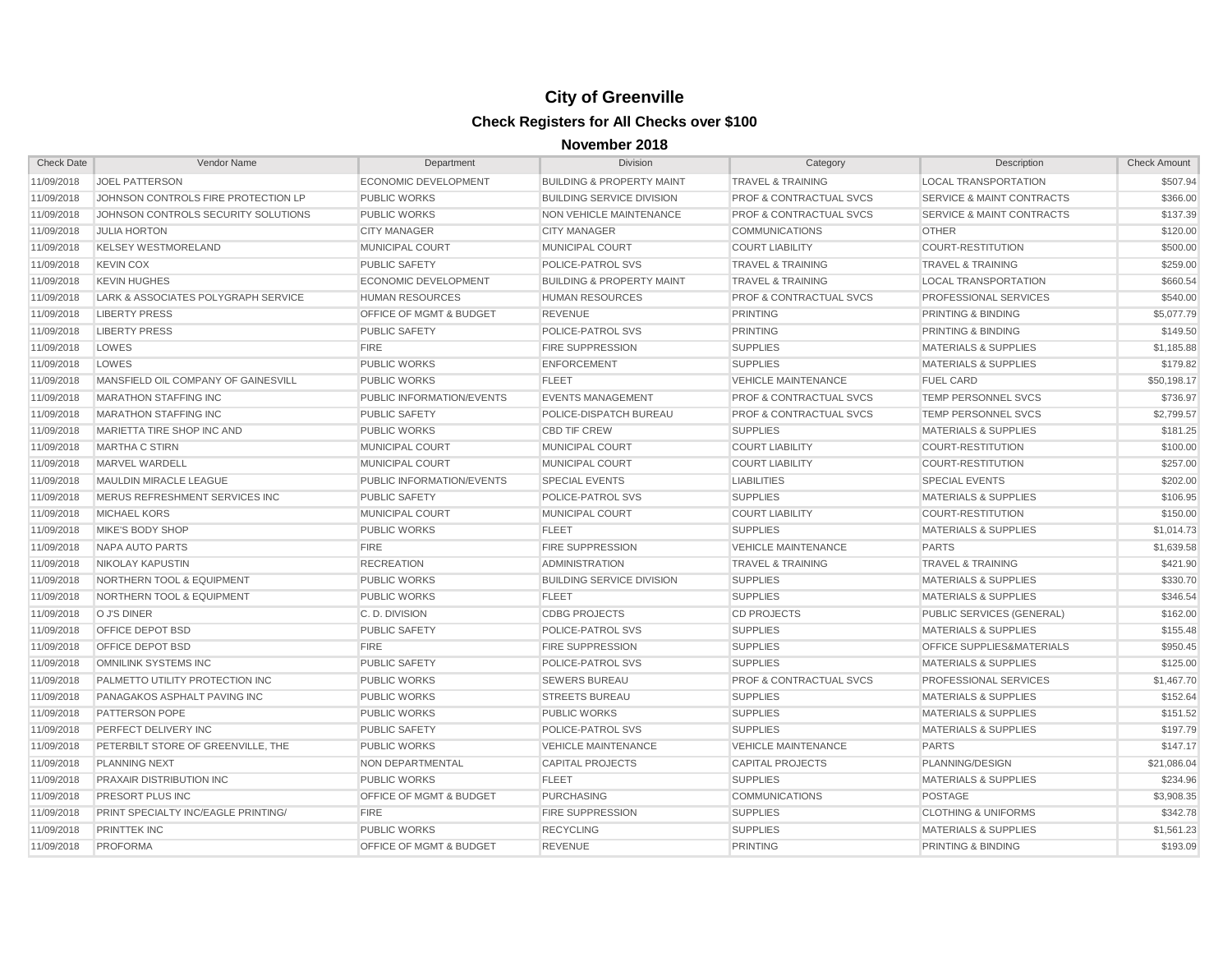| <b>Check Date</b> | Vendor Name                          | Department                         | <b>Division</b>                      | Category                           | Description                          | <b>Check Amount</b> |
|-------------------|--------------------------------------|------------------------------------|--------------------------------------|------------------------------------|--------------------------------------|---------------------|
| 11/09/2018        | <b>JOEL PATTERSON</b>                | <b>ECONOMIC DEVELOPMENT</b>        | <b>BUILDING &amp; PROPERTY MAINT</b> | <b>TRAVEL &amp; TRAINING</b>       | <b>LOCAL TRANSPORTATION</b>          | \$507.94            |
| 11/09/2018        | JOHNSON CONTROLS FIRE PROTECTION LP  | <b>PUBLIC WORKS</b>                | <b>BUILDING SERVICE DIVISION</b>     | <b>PROF &amp; CONTRACTUAL SVCS</b> | <b>SERVICE &amp; MAINT CONTRACTS</b> | \$366.00            |
| 11/09/2018        | JOHNSON CONTROLS SECURITY SOLUTIONS  | <b>PUBLIC WORKS</b>                | NON VEHICLE MAINTENANCE              | <b>PROF &amp; CONTRACTUAL SVCS</b> | <b>SERVICE &amp; MAINT CONTRACTS</b> | \$137.39            |
| 11/09/2018        | <b>JULIA HORTON</b>                  | <b>CITY MANAGER</b>                | <b>CITY MANAGER</b>                  | <b>COMMUNICATIONS</b>              | <b>OTHER</b>                         | \$120.00            |
| 11/09/2018        | <b>KELSEY WESTMORELAND</b>           | MUNICIPAL COURT                    | MUNICIPAL COURT                      | <b>COURT LIABILITY</b>             | <b>COURT-RESTITUTION</b>             | \$500.00            |
| 11/09/2018        | <b>KEVIN COX</b>                     | <b>PUBLIC SAFETY</b>               | POLICE-PATROL SVS                    | <b>TRAVEL &amp; TRAINING</b>       | <b>TRAVEL &amp; TRAINING</b>         | \$259.00            |
| 11/09/2018        | <b>KEVIN HUGHES</b>                  | <b>ECONOMIC DEVELOPMENT</b>        | <b>BUILDING &amp; PROPERTY MAINT</b> | <b>TRAVEL &amp; TRAINING</b>       | <b>LOCAL TRANSPORTATION</b>          | \$660.54            |
| 11/09/2018        | LARK & ASSOCIATES POLYGRAPH SERVICE  | <b>HUMAN RESOURCES</b>             | <b>HUMAN RESOURCES</b>               | <b>PROF &amp; CONTRACTUAL SVCS</b> | <b>PROFESSIONAL SERVICES</b>         | \$540.00            |
| 11/09/2018        | <b>LIBERTY PRESS</b>                 | OFFICE OF MGMT & BUDGET            | <b>REVENUE</b>                       | <b>PRINTING</b>                    | <b>PRINTING &amp; BINDING</b>        | \$5,077.79          |
| 11/09/2018        | <b>LIBERTY PRESS</b>                 | <b>PUBLIC SAFETY</b>               | POLICE-PATROL SVS                    | <b>PRINTING</b>                    | <b>PRINTING &amp; BINDING</b>        | \$149.50            |
| 11/09/2018        | LOWES                                | <b>FIRE</b>                        | <b>FIRE SUPPRESSION</b>              | <b>SUPPLIES</b>                    | <b>MATERIALS &amp; SUPPLIES</b>      | \$1,185.88          |
| 11/09/2018        | LOWES                                | <b>PUBLIC WORKS</b>                | <b>ENFORCEMENT</b>                   | <b>SUPPLIES</b>                    | <b>MATERIALS &amp; SUPPLIES</b>      | \$179.82            |
| 11/09/2018        | MANSFIELD OIL COMPANY OF GAINESVILL  | <b>PUBLIC WORKS</b>                | <b>FLEET</b>                         | <b>VEHICLE MAINTENANCE</b>         | <b>FUEL CARD</b>                     | \$50,198.17         |
| 11/09/2018        | <b>MARATHON STAFFING INC</b>         | PUBLIC INFORMATION/EVENTS          | <b>EVENTS MANAGEMENT</b>             | <b>PROF &amp; CONTRACTUAL SVCS</b> | TEMP PERSONNEL SVCS                  | \$736.97            |
| 11/09/2018        | <b>MARATHON STAFFING INC</b>         | <b>PUBLIC SAFETY</b>               | POLICE-DISPATCH BUREAU               | <b>PROF &amp; CONTRACTUAL SVCS</b> | <b>TEMP PERSONNEL SVCS</b>           | \$2,799.57          |
| 11/09/2018        | MARIETTA TIRE SHOP INC AND           | <b>PUBLIC WORKS</b>                | <b>CBD TIF CREW</b>                  | <b>SUPPLIES</b>                    | <b>MATERIALS &amp; SUPPLIES</b>      | \$181.25            |
| 11/09/2018        | <b>MARTHA C STIRN</b>                | MUNICIPAL COURT                    | MUNICIPAL COURT                      | <b>COURT LIABILITY</b>             | <b>COURT-RESTITUTION</b>             | \$100.00            |
| 11/09/2018        | MARVEL WARDELL                       | MUNICIPAL COURT                    | MUNICIPAL COURT                      | <b>COURT LIABILITY</b>             | <b>COURT-RESTITUTION</b>             | \$257.00            |
| 11/09/2018        | MAULDIN MIRACLE LEAGUE               | <b>PUBLIC INFORMATION/EVENTS</b>   | <b>SPECIAL EVENTS</b>                | <b>LIABILITIES</b>                 | <b>SPECIAL EVENTS</b>                | \$202.00            |
| 11/09/2018        | MERUS REFRESHMENT SERVICES INC       | <b>PUBLIC SAFETY</b>               | POLICE-PATROL SVS                    | <b>SUPPLIES</b>                    | <b>MATERIALS &amp; SUPPLIES</b>      | \$106.95            |
| 11/09/2018        | <b>MICHAEL KORS</b>                  | <b>MUNICIPAL COURT</b>             | <b>MUNICIPAL COURT</b>               | <b>COURT LIABILITY</b>             | <b>COURT-RESTITUTION</b>             | \$150.00            |
| 11/09/2018        | MIKE'S BODY SHOP                     | <b>PUBLIC WORKS</b>                | <b>FLEET</b>                         | <b>SUPPLIES</b>                    | <b>MATERIALS &amp; SUPPLIES</b>      | \$1,014.73          |
| 11/09/2018        | NAPA AUTO PARTS                      | <b>FIRE</b>                        | <b>FIRE SUPPRESSION</b>              | <b>VEHICLE MAINTENANCE</b>         | <b>PARTS</b>                         | \$1,639.58          |
| 11/09/2018        | <b>NIKOLAY KAPUSTIN</b>              | <b>RECREATION</b>                  | <b>ADMINISTRATION</b>                | <b>TRAVEL &amp; TRAINING</b>       | <b>TRAVEL &amp; TRAINING</b>         | \$421.90            |
| 11/09/2018        | <b>NORTHERN TOOL &amp; EQUIPMENT</b> | <b>PUBLIC WORKS</b>                | <b>BUILDING SERVICE DIVISION</b>     | <b>SUPPLIES</b>                    | <b>MATERIALS &amp; SUPPLIES</b>      | \$330.70            |
| 11/09/2018        | <b>NORTHERN TOOL &amp; EQUIPMENT</b> | <b>PUBLIC WORKS</b>                | <b>FLEET</b>                         | <b>SUPPLIES</b>                    | <b>MATERIALS &amp; SUPPLIES</b>      | \$346.54            |
| 11/09/2018        | O J'S DINER                          | C.D. DIVISION                      | <b>CDBG PROJECTS</b>                 | <b>CD PROJECTS</b>                 | PUBLIC SERVICES (GENERAL)            | \$162.00            |
| 11/09/2018        | OFFICE DEPOT BSD                     | <b>PUBLIC SAFETY</b>               | POLICE-PATROL SVS                    | <b>SUPPLIES</b>                    | <b>MATERIALS &amp; SUPPLIES</b>      | \$155.48            |
| 11/09/2018        | <b>OFFICE DEPOT BSD</b>              | <b>FIRE</b>                        | <b>FIRE SUPPRESSION</b>              | <b>SUPPLIES</b>                    | <b>OFFICE SUPPLIES&amp;MATERIALS</b> | \$950.45            |
| 11/09/2018        | OMNILINK SYSTEMS INC                 | <b>PUBLIC SAFETY</b>               | POLICE-PATROL SVS                    | <b>SUPPLIES</b>                    | <b>MATERIALS &amp; SUPPLIES</b>      | \$125.00            |
| 11/09/2018        | PALMETTO UTILITY PROTECTION INC      | <b>PUBLIC WORKS</b>                | <b>SEWERS BUREAU</b>                 | <b>PROF &amp; CONTRACTUAL SVCS</b> | PROFESSIONAL SERVICES                | \$1,467.70          |
| 11/09/2018        | <b>PANAGAKOS ASPHALT PAVING INC</b>  | <b>PUBLIC WORKS</b>                | <b>STREETS BUREAU</b>                | <b>SUPPLIES</b>                    | <b>MATERIALS &amp; SUPPLIES</b>      | \$152.64            |
| 11/09/2018        | PATTERSON POPE                       | <b>PUBLIC WORKS</b>                | <b>PUBLIC WORKS</b>                  | <b>SUPPLIES</b>                    | <b>MATERIALS &amp; SUPPLIES</b>      | \$151.52            |
| 11/09/2018        | <b>PERFECT DELIVERY INC</b>          | <b>PUBLIC SAFETY</b>               | POLICE-PATROL SVS                    | <b>SUPPLIES</b>                    | <b>MATERIALS &amp; SUPPLIES</b>      | \$197.79            |
| 11/09/2018        | PETERBILT STORE OF GREENVILLE, THE   | <b>PUBLIC WORKS</b>                | <b>VEHICLE MAINTENANCE</b>           | <b>VEHICLE MAINTENANCE</b>         | <b>PARTS</b>                         | \$147.17            |
| 11/09/2018        | <b>PLANNING NEXT</b>                 | NON DEPARTMENTAL                   | <b>CAPITAL PROJECTS</b>              | <b>CAPITAL PROJECTS</b>            | PLANNING/DESIGN                      | \$21,086.04         |
| 11/09/2018        | <b>PRAXAIR DISTRIBUTION INC</b>      | <b>PUBLIC WORKS</b>                | <b>FLEET</b>                         | <b>SUPPLIES</b>                    | <b>MATERIALS &amp; SUPPLIES</b>      | \$234.96            |
| 11/09/2018        | <b>PRESORT PLUS INC</b>              | OFFICE OF MGMT & BUDGET            | <b>PURCHASING</b>                    | <b>COMMUNICATIONS</b>              | POSTAGE                              | \$3,908.35          |
| 11/09/2018        | PRINT SPECIALTY INC/EAGLE PRINTING/  | <b>FIRE</b>                        | <b>FIRE SUPPRESSION</b>              | <b>SUPPLIES</b>                    | <b>CLOTHING &amp; UNIFORMS</b>       | \$342.78            |
| 11/09/2018        | <b>PRINTTEK INC</b>                  | <b>PUBLIC WORKS</b>                | <b>RECYCLING</b>                     | <b>SUPPLIES</b>                    | <b>MATERIALS &amp; SUPPLIES</b>      | \$1,561.23          |
| 11/09/2018        | <b>PROFORMA</b>                      | <b>OFFICE OF MGMT &amp; BUDGET</b> | <b>REVENUE</b>                       | <b>PRINTING</b>                    | <b>PRINTING &amp; BINDING</b>        | \$193.09            |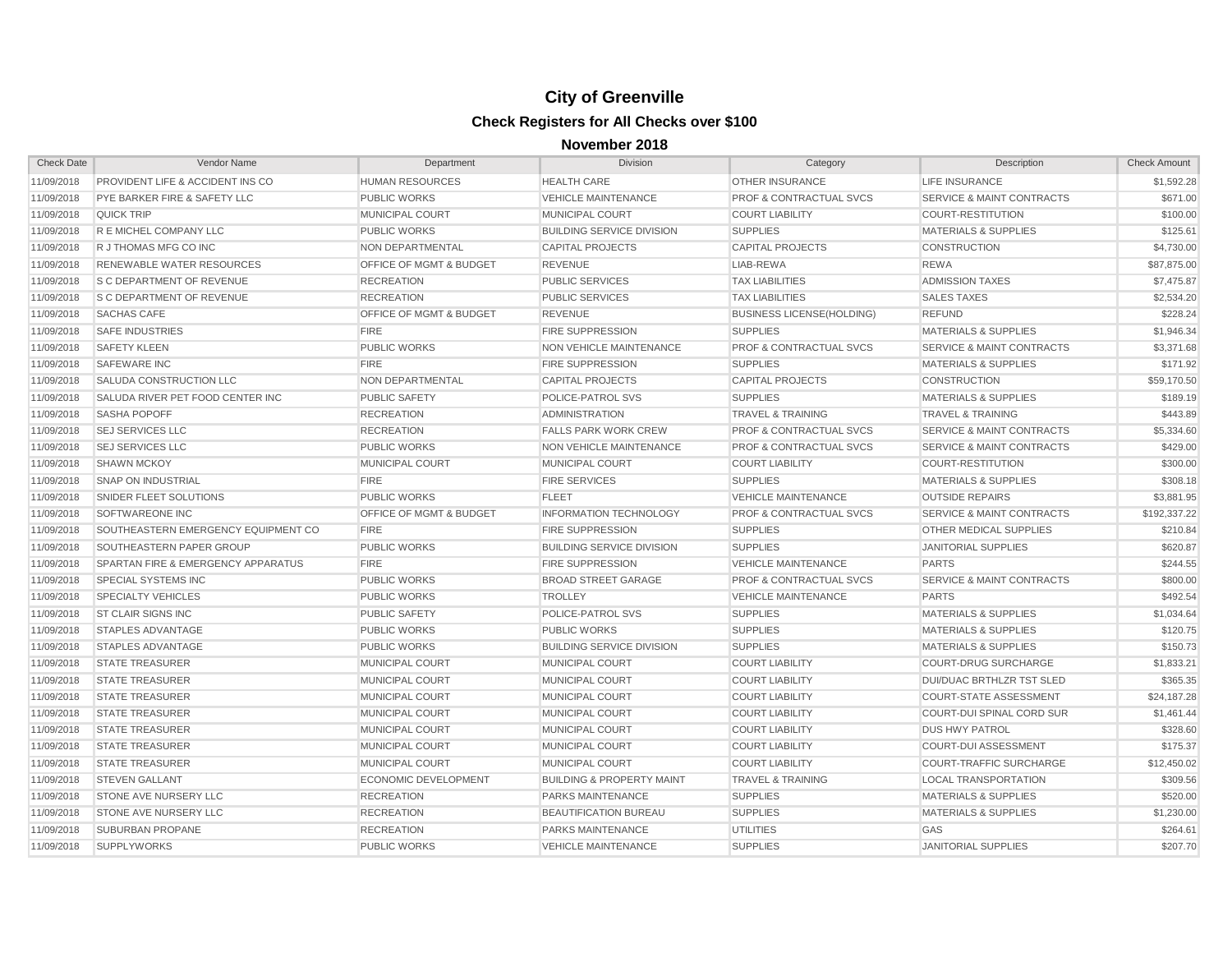| <b>Check Date</b> | Vendor Name                         | Department                         | <b>Division</b>                      | Category                           | Description                          | <b>Check Amount</b> |
|-------------------|-------------------------------------|------------------------------------|--------------------------------------|------------------------------------|--------------------------------------|---------------------|
| 11/09/2018        | PROVIDENT LIFE & ACCIDENT INS CO    | <b>HUMAN RESOURCES</b>             | <b>HEALTH CARE</b>                   | <b>OTHER INSURANCE</b>             | <b>LIFE INSURANCE</b>                | \$1,592.28          |
| 11/09/2018        | PYE BARKER FIRE & SAFETY LLC        | <b>PUBLIC WORKS</b>                | <b>VEHICLE MAINTENANCE</b>           | <b>PROF &amp; CONTRACTUAL SVCS</b> | <b>SERVICE &amp; MAINT CONTRACTS</b> | \$671.00            |
| 11/09/2018        | <b>QUICK TRIP</b>                   | MUNICIPAL COURT                    | MUNICIPAL COURT                      | <b>COURT LIABILITY</b>             | <b>COURT-RESTITUTION</b>             | \$100.00            |
| 11/09/2018        | R E MICHEL COMPANY LLC              | <b>PUBLIC WORKS</b>                | <b>BUILDING SERVICE DIVISION</b>     | <b>SUPPLIES</b>                    | <b>MATERIALS &amp; SUPPLIES</b>      | \$125.61            |
| 11/09/2018        | R J THOMAS MFG CO INC               | NON DEPARTMENTAL                   | <b>CAPITAL PROJECTS</b>              | <b>CAPITAL PROJECTS</b>            | <b>CONSTRUCTION</b>                  | \$4,730.00          |
| 11/09/2018        | <b>RENEWABLE WATER RESOURCES</b>    | <b>OFFICE OF MGMT &amp; BUDGET</b> | <b>REVENUE</b>                       | LIAB-REWA                          | <b>REWA</b>                          | \$87,875.00         |
| 11/09/2018        | <b>S C DEPARTMENT OF REVENUE</b>    | <b>RECREATION</b>                  | <b>PUBLIC SERVICES</b>               | <b>TAX LIABILITIES</b>             | <b>ADMISSION TAXES</b>               | \$7,475.87          |
| 11/09/2018        | <b>S C DEPARTMENT OF REVENUE</b>    | <b>RECREATION</b>                  | <b>PUBLIC SERVICES</b>               | <b>TAX LIABILITIES</b>             | <b>SALES TAXES</b>                   | \$2,534.20          |
| 11/09/2018        | <b>SACHAS CAFE</b>                  | <b>OFFICE OF MGMT &amp; BUDGET</b> | <b>REVENUE</b>                       | <b>BUSINESS LICENSE(HOLDING)</b>   | <b>REFUND</b>                        | \$228.24            |
| 11/09/2018        | <b>SAFE INDUSTRIES</b>              | <b>FIRE</b>                        | <b>FIRE SUPPRESSION</b>              | <b>SUPPLIES</b>                    | <b>MATERIALS &amp; SUPPLIES</b>      | \$1,946.34          |
| 11/09/2018        | <b>SAFETY KLEEN</b>                 | <b>PUBLIC WORKS</b>                | NON VEHICLE MAINTENANCE              | PROF & CONTRACTUAL SVCS            | SERVICE & MAINT CONTRACTS            | \$3,371.68          |
| 11/09/2018        | <b>SAFEWARE INC</b>                 | <b>FIRE</b>                        | <b>FIRE SUPPRESSION</b>              | <b>SUPPLIES</b>                    | <b>MATERIALS &amp; SUPPLIES</b>      | \$171.92            |
| 11/09/2018        | SALUDA CONSTRUCTION LLC             | <b>NON DEPARTMENTAL</b>            | <b>CAPITAL PROJECTS</b>              | <b>CAPITAL PROJECTS</b>            | <b>CONSTRUCTION</b>                  | \$59,170.50         |
| 11/09/2018        | SALUDA RIVER PET FOOD CENTER INC    | <b>PUBLIC SAFETY</b>               | <b>POLICE-PATROL SVS</b>             | <b>SUPPLIES</b>                    | <b>MATERIALS &amp; SUPPLIES</b>      | \$189.19            |
| 11/09/2018        | <b>SASHA POPOFF</b>                 | <b>RECREATION</b>                  | <b>ADMINISTRATION</b>                | <b>TRAVEL &amp; TRAINING</b>       | TRAVEL & TRAINING                    | \$443.89            |
| 11/09/2018        | <b>SEJ SERVICES LLC</b>             | <b>RECREATION</b>                  | <b>FALLS PARK WORK CREW</b>          | <b>PROF &amp; CONTRACTUAL SVCS</b> | SERVICE & MAINT CONTRACTS            | \$5,334.60          |
| 11/09/2018        | <b>SEJ SERVICES LLC</b>             | <b>PUBLIC WORKS</b>                | NON VEHICLE MAINTENANCE              | <b>PROF &amp; CONTRACTUAL SVCS</b> | SERVICE & MAINT CONTRACTS            | \$429.00            |
| 11/09/2018        | <b>SHAWN MCKOY</b>                  | MUNICIPAL COURT                    | MUNICIPAL COURT                      | <b>COURT LIABILITY</b>             | <b>COURT-RESTITUTION</b>             | \$300.00            |
| 11/09/2018        | <b>SNAP ON INDUSTRIAL</b>           | <b>FIRE</b>                        | <b>FIRE SERVICES</b>                 | <b>SUPPLIES</b>                    | <b>MATERIALS &amp; SUPPLIES</b>      | \$308.18            |
| 11/09/2018        | SNIDER FLEET SOLUTIONS              | PUBLIC WORKS                       | <b>FLEET</b>                         | <b>VEHICLE MAINTENANCE</b>         | <b>OUTSIDE REPAIRS</b>               | \$3,881.95          |
| 11/09/2018        | SOFTWAREONE INC                     | <b>OFFICE OF MGMT &amp; BUDGET</b> | <b>INFORMATION TECHNOLOGY</b>        | <b>PROF &amp; CONTRACTUAL SVCS</b> | <b>SERVICE &amp; MAINT CONTRACTS</b> | \$192,337.22        |
| 11/09/2018        | SOUTHEASTERN EMERGENCY EQUIPMENT CO | <b>FIRE</b>                        | <b>FIRE SUPPRESSION</b>              | <b>SUPPLIES</b>                    | <b>OTHER MEDICAL SUPPLIES</b>        | \$210.84            |
| 11/09/2018        | SOUTHEASTERN PAPER GROUP            | <b>PUBLIC WORKS</b>                | <b>BUILDING SERVICE DIVISION</b>     | <b>SUPPLIES</b>                    | <b>JANITORIAL SUPPLIES</b>           | \$620.87            |
| 11/09/2018        | SPARTAN FIRE & EMERGENCY APPARATUS  | <b>FIRE</b>                        | <b>FIRE SUPPRESSION</b>              | <b>VEHICLE MAINTENANCE</b>         | <b>PARTS</b>                         | \$244.55            |
| 11/09/2018        | <b>SPECIAL SYSTEMS INC</b>          | <b>PUBLIC WORKS</b>                | <b>BROAD STREET GARAGE</b>           | <b>PROF &amp; CONTRACTUAL SVCS</b> | SERVICE & MAINT CONTRACTS            | \$800.00            |
| 11/09/2018        | <b>SPECIALTY VEHICLES</b>           | <b>PUBLIC WORKS</b>                | <b>TROLLEY</b>                       | <b>VEHICLE MAINTENANCE</b>         | <b>PARTS</b>                         | \$492.54            |
| 11/09/2018        | <b>ST CLAIR SIGNS INC</b>           | <b>PUBLIC SAFETY</b>               | POLICE-PATROL SVS                    | <b>SUPPLIES</b>                    | <b>MATERIALS &amp; SUPPLIES</b>      | \$1,034.64          |
| 11/09/2018        | <b>STAPLES ADVANTAGE</b>            | <b>PUBLIC WORKS</b>                | <b>PUBLIC WORKS</b>                  | <b>SUPPLIES</b>                    | <b>MATERIALS &amp; SUPPLIES</b>      | \$120.75            |
| 11/09/2018        | <b>STAPLES ADVANTAGE</b>            | <b>PUBLIC WORKS</b>                | <b>BUILDING SERVICE DIVISION</b>     | <b>SUPPLIES</b>                    | <b>MATERIALS &amp; SUPPLIES</b>      | \$150.73            |
| 11/09/2018        | <b>STATE TREASURER</b>              | <b>MUNICIPAL COURT</b>             | <b>MUNICIPAL COURT</b>               | <b>COURT LIABILITY</b>             | <b>COURT-DRUG SURCHARGE</b>          | \$1,833.21          |
| 11/09/2018        | <b>STATE TREASURER</b>              | <b>MUNICIPAL COURT</b>             | <b>MUNICIPAL COURT</b>               | <b>COURT LIABILITY</b>             | <b>DUI/DUAC BRTHLZR TST SLED</b>     | \$365.35            |
| 11/09/2018        | <b>STATE TREASURER</b>              | <b>MUNICIPAL COURT</b>             | <b>MUNICIPAL COURT</b>               | <b>COURT LIABILITY</b>             | <b>COURT-STATE ASSESSMENT</b>        | \$24,187.28         |
| 11/09/2018        | <b>STATE TREASURER</b>              | <b>MUNICIPAL COURT</b>             | <b>MUNICIPAL COURT</b>               | <b>COURT LIABILITY</b>             | <b>COURT-DUI SPINAL CORD SUR</b>     | \$1,461.44          |
| 11/09/2018        | <b>STATE TREASURER</b>              | MUNICIPAL COURT                    | MUNICIPAL COURT                      | <b>COURT LIABILITY</b>             | <b>DUS HWY PATROL</b>                | \$328.60            |
| 11/09/2018        | <b>STATE TREASURER</b>              | MUNICIPAL COURT                    | MUNICIPAL COURT                      | <b>COURT LIABILITY</b>             | <b>COURT-DUI ASSESSMENT</b>          | \$175.37            |
| 11/09/2018        | <b>STATE TREASURER</b>              | <b>MUNICIPAL COURT</b>             | <b>MUNICIPAL COURT</b>               | <b>COURT LIABILITY</b>             | <b>COURT-TRAFFIC SURCHARGE</b>       | \$12,450.02         |
| 11/09/2018        | <b>STEVEN GALLANT</b>               | <b>ECONOMIC DEVELOPMENT</b>        | <b>BUILDING &amp; PROPERTY MAINT</b> | <b>TRAVEL &amp; TRAINING</b>       | <b>LOCAL TRANSPORTATION</b>          | \$309.56            |
| 11/09/2018        | <b>STONE AVE NURSERY LLC</b>        | <b>RECREATION</b>                  | <b>PARKS MAINTENANCE</b>             | <b>SUPPLIES</b>                    | <b>MATERIALS &amp; SUPPLIES</b>      | \$520.00            |
| 11/09/2018        | STONE AVE NURSERY LLC               | <b>RECREATION</b>                  | <b>BEAUTIFICATION BUREAU</b>         | <b>SUPPLIES</b>                    | <b>MATERIALS &amp; SUPPLIES</b>      | \$1,230.00          |
| 11/09/2018        | <b>SUBURBAN PROPANE</b>             | <b>RECREATION</b>                  | <b>PARKS MAINTENANCE</b>             | <b>UTILITIES</b>                   | GAS                                  | \$264.61            |
| 11/09/2018        | <b>SUPPLYWORKS</b>                  | <b>PUBLIC WORKS</b>                | <b>VEHICLE MAINTENANCE</b>           | <b>SUPPLIES</b>                    | <b>JANITORIAL SUPPLIES</b>           | \$207.70            |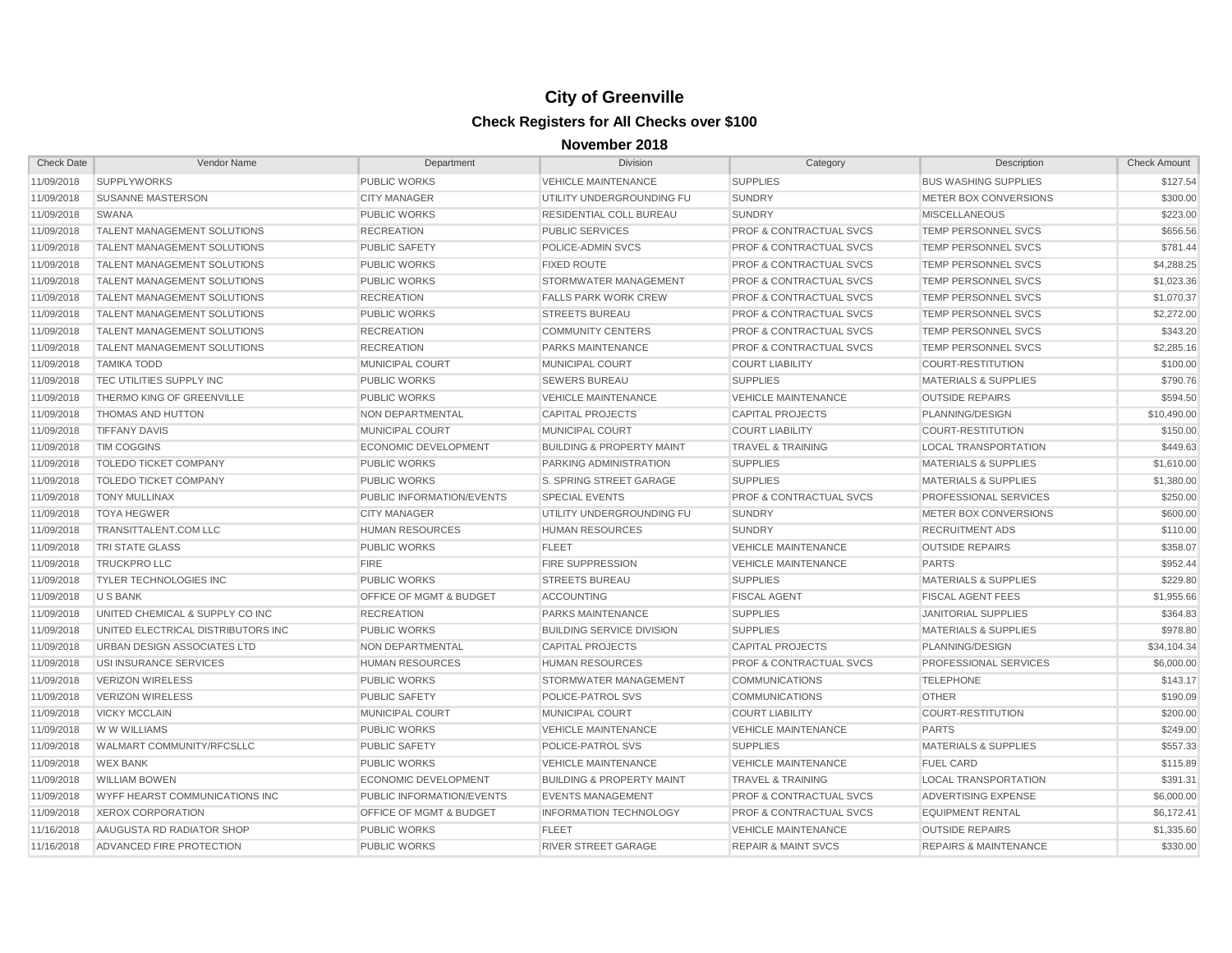| <b>Check Date</b> | Vendor Name                           | Department                         | <b>Division</b>                      | Category                           | Description                      | <b>Check Amount</b> |
|-------------------|---------------------------------------|------------------------------------|--------------------------------------|------------------------------------|----------------------------------|---------------------|
| 11/09/2018        | <b>SUPPLYWORKS</b>                    | <b>PUBLIC WORKS</b>                | <b>VEHICLE MAINTENANCE</b>           | <b>SUPPLIES</b>                    | <b>BUS WASHING SUPPLIES</b>      | \$127.54            |
| 11/09/2018        | <b>SUSANNE MASTERSON</b>              | <b>CITY MANAGER</b>                | UTILITY UNDERGROUNDING FU            | <b>SUNDRY</b>                      | METER BOX CONVERSIONS            | \$300.00            |
| 11/09/2018        | <b>SWANA</b>                          | <b>PUBLIC WORKS</b>                | RESIDENTIAL COLL BUREAU              | <b>SUNDRY</b>                      | <b>MISCELLANEOUS</b>             | \$223.00            |
| 11/09/2018        | <b>TALENT MANAGEMENT SOLUTIONS</b>    | <b>RECREATION</b>                  | <b>PUBLIC SERVICES</b>               | <b>PROF &amp; CONTRACTUAL SVCS</b> | TEMP PERSONNEL SVCS              | \$656.56            |
| 11/09/2018        | <b>TALENT MANAGEMENT SOLUTIONS</b>    | <b>PUBLIC SAFETY</b>               | POLICE-ADMIN SVCS                    | <b>PROF &amp; CONTRACTUAL SVCS</b> | TEMP PERSONNEL SVCS              | \$781.44            |
| 11/09/2018        | <b>TALENT MANAGEMENT SOLUTIONS</b>    | <b>PUBLIC WORKS</b>                | <b>FIXED ROUTE</b>                   | <b>PROF &amp; CONTRACTUAL SVCS</b> | TEMP PERSONNEL SVCS              | \$4,288.25          |
| 11/09/2018        | <b>TALENT MANAGEMENT SOLUTIONS</b>    | <b>PUBLIC WORKS</b>                | STORMWATER MANAGEMENT                | <b>PROF &amp; CONTRACTUAL SVCS</b> | TEMP PERSONNEL SVCS              | \$1,023.36          |
| 11/09/2018        | <b>TALENT MANAGEMENT SOLUTIONS</b>    | <b>RECREATION</b>                  | <b>FALLS PARK WORK CREW</b>          | <b>PROF &amp; CONTRACTUAL SVCS</b> | TEMP PERSONNEL SVCS              | \$1,070.37          |
| 11/09/2018        | <b>TALENT MANAGEMENT SOLUTIONS</b>    | <b>PUBLIC WORKS</b>                | <b>STREETS BUREAU</b>                | <b>PROF &amp; CONTRACTUAL SVCS</b> | TEMP PERSONNEL SVCS              | \$2,272.00          |
| 11/09/2018        | <b>TALENT MANAGEMENT SOLUTIONS</b>    | <b>RECREATION</b>                  | <b>COMMUNITY CENTERS</b>             | <b>PROF &amp; CONTRACTUAL SVCS</b> | TEMP PERSONNEL SVCS              | \$343.20            |
| 11/09/2018        | <b>TALENT MANAGEMENT SOLUTIONS</b>    | <b>RECREATION</b>                  | PARKS MAINTENANCE                    | <b>PROF &amp; CONTRACTUAL SVCS</b> | TEMP PERSONNEL SVCS              | \$2,285.16          |
| 11/09/2018        | <b>TAMIKA TODD</b>                    | <b>MUNICIPAL COURT</b>             | <b>MUNICIPAL COURT</b>               | <b>COURT LIABILITY</b>             | <b>COURT-RESTITUTION</b>         | \$100.00            |
| 11/09/2018        | <b>TEC UTILITIES SUPPLY INC</b>       | <b>PUBLIC WORKS</b>                | <b>SEWERS BUREAU</b>                 | <b>SUPPLIES</b>                    | <b>MATERIALS &amp; SUPPLIES</b>  | \$790.76            |
| 11/09/2018        | <b>THERMO KING OF GREENVILLE</b>      | <b>PUBLIC WORKS</b>                | <b>VEHICLE MAINTENANCE</b>           | <b>VEHICLE MAINTENANCE</b>         | <b>OUTSIDE REPAIRS</b>           | \$594.50            |
| 11/09/2018        | <b>THOMAS AND HUTTON</b>              | <b>NON DEPARTMENTAL</b>            | <b>CAPITAL PROJECTS</b>              | <b>CAPITAL PROJECTS</b>            | PLANNING/DESIGN                  | \$10,490.00         |
| 11/09/2018        | <b>TIFFANY DAVIS</b>                  | <b>MUNICIPAL COURT</b>             | <b>MUNICIPAL COURT</b>               | <b>COURT LIABILITY</b>             | <b>COURT-RESTITUTION</b>         | \$150.00            |
| 11/09/2018        | <b>TIM COGGINS</b>                    | <b>ECONOMIC DEVELOPMENT</b>        | <b>BUILDING &amp; PROPERTY MAINT</b> | <b>TRAVEL &amp; TRAINING</b>       | <b>LOCAL TRANSPORTATION</b>      | \$449.63            |
| 11/09/2018        | <b>TOLEDO TICKET COMPANY</b>          | <b>PUBLIC WORKS</b>                | PARKING ADMINISTRATION               | <b>SUPPLIES</b>                    | <b>MATERIALS &amp; SUPPLIES</b>  | \$1,610.00          |
| 11/09/2018        | <b>TOLEDO TICKET COMPANY</b>          | <b>PUBLIC WORKS</b>                | S. SPRING STREET GARAGE              | <b>SUPPLIES</b>                    | <b>MATERIALS &amp; SUPPLIES</b>  | \$1,380.00          |
| 11/09/2018        | <b>TONY MULLINAX</b>                  | <b>PUBLIC INFORMATION/EVENTS</b>   | <b>SPECIAL EVENTS</b>                | <b>PROF &amp; CONTRACTUAL SVCS</b> | <b>PROFESSIONAL SERVICES</b>     | \$250.00            |
| 11/09/2018        | <b>TOYA HEGWER</b>                    | <b>CITY MANAGER</b>                | UTILITY UNDERGROUNDING FU            | <b>SUNDRY</b>                      | METER BOX CONVERSIONS            | \$600.00            |
| 11/09/2018        | TRANSITTALENT.COM LLC                 | <b>HUMAN RESOURCES</b>             | <b>HUMAN RESOURCES</b>               | <b>SUNDRY</b>                      | <b>RECRUITMENT ADS</b>           | \$110.00            |
| 11/09/2018        | <b>TRI STATE GLASS</b>                | <b>PUBLIC WORKS</b>                | <b>FLEET</b>                         | <b>VEHICLE MAINTENANCE</b>         | <b>OUTSIDE REPAIRS</b>           | \$358.07            |
| 11/09/2018        | <b>TRUCKPRO LLC</b>                   | FIRE                               | <b>FIRE SUPPRESSION</b>              | <b>VEHICLE MAINTENANCE</b>         | <b>PARTS</b>                     | \$952.44            |
| 11/09/2018        | <b>TYLER TECHNOLOGIES INC</b>         | <b>PUBLIC WORKS</b>                | <b>STREETS BUREAU</b>                | <b>SUPPLIES</b>                    | <b>MATERIALS &amp; SUPPLIES</b>  | \$229.80            |
| 11/09/2018        | U S BANK                              | <b>OFFICE OF MGMT &amp; BUDGET</b> | <b>ACCOUNTING</b>                    | <b>FISCAL AGENT</b>                | <b>FISCAL AGENT FEES</b>         | \$1,955.66          |
| 11/09/2018        | UNITED CHEMICAL & SUPPLY CO INC       | <b>RECREATION</b>                  | PARKS MAINTENANCE                    | <b>SUPPLIES</b>                    | <b>JANITORIAL SUPPLIES</b>       | \$364.83            |
| 11/09/2018        | UNITED ELECTRICAL DISTRIBUTORS INC    | <b>PUBLIC WORKS</b>                | <b>BUILDING SERVICE DIVISION</b>     | <b>SUPPLIES</b>                    | <b>MATERIALS &amp; SUPPLIES</b>  | \$978.80            |
| 11/09/2018        | URBAN DESIGN ASSOCIATES LTD           | NON DEPARTMENTAL                   | <b>CAPITAL PROJECTS</b>              | <b>CAPITAL PROJECTS</b>            | PLANNING/DESIGN                  | \$34,104.34         |
| 11/09/2018        | USI INSURANCE SERVICES                | <b>HUMAN RESOURCES</b>             | <b>HUMAN RESOURCES</b>               | <b>PROF &amp; CONTRACTUAL SVCS</b> | <b>PROFESSIONAL SERVICES</b>     | \$6,000.00          |
| 11/09/2018        | <b>VERIZON WIRELESS</b>               | <b>PUBLIC WORKS</b>                | <b>STORMWATER MANAGEMENT</b>         | <b>COMMUNICATIONS</b>              | <b>TELEPHONE</b>                 | \$143.17            |
| 11/09/2018        | <b>VERIZON WIRELESS</b>               | <b>PUBLIC SAFETY</b>               | <b>POLICE-PATROL SVS</b>             | <b>COMMUNICATIONS</b>              | <b>OTHER</b>                     | \$190.09            |
| 11/09/2018        | <b>VICKY MCCLAIN</b>                  | <b>MUNICIPAL COURT</b>             | <b>MUNICIPAL COURT</b>               | <b>COURT LIABILITY</b>             | <b>COURT-RESTITUTION</b>         | \$200.00            |
| 11/09/2018        | W W WILLIAMS                          | <b>PUBLIC WORKS</b>                | <b>VEHICLE MAINTENANCE</b>           | <b>VEHICLE MAINTENANCE</b>         | <b>PARTS</b>                     | \$249.00            |
| 11/09/2018        | <b>WALMART COMMUNITY/RFCSLLC</b>      | <b>PUBLIC SAFETY</b>               | POLICE-PATROL SVS                    | <b>SUPPLIES</b>                    | <b>MATERIALS &amp; SUPPLIES</b>  | \$557.33            |
| 11/09/2018        | <b>WEX BANK</b>                       | <b>PUBLIC WORKS</b>                | <b>VEHICLE MAINTENANCE</b>           | <b>VEHICLE MAINTENANCE</b>         | <b>FUEL CARD</b>                 | \$115.89            |
| 11/09/2018        | <b>WILLIAM BOWEN</b>                  | <b>ECONOMIC DEVELOPMENT</b>        | <b>BUILDING &amp; PROPERTY MAINT</b> | <b>TRAVEL &amp; TRAINING</b>       | <b>LOCAL TRANSPORTATION</b>      | \$391.31            |
| 11/09/2018        | <b>WYFF HEARST COMMUNICATIONS INC</b> | <b>PUBLIC INFORMATION/EVENTS</b>   | <b>EVENTS MANAGEMENT</b>             | <b>PROF &amp; CONTRACTUAL SVCS</b> | ADVERTISING EXPENSE              | \$6,000.00          |
| 11/09/2018        | <b>XEROX CORPORATION</b>              | <b>OFFICE OF MGMT &amp; BUDGET</b> | <b>INFORMATION TECHNOLOGY</b>        | <b>PROF &amp; CONTRACTUAL SVCS</b> | <b>EQUIPMENT RENTAL</b>          | \$6,172.41          |
| 11/16/2018        | AAUGUSTA RD RADIATOR SHOP             | <b>PUBLIC WORKS</b>                | <b>FLEET</b>                         | <b>VEHICLE MAINTENANCE</b>         | <b>OUTSIDE REPAIRS</b>           | \$1,335.60          |
| 11/16/2018        | ADVANCED FIRE PROTECTION              | <b>PUBLIC WORKS</b>                | <b>RIVER STREET GARAGE</b>           | <b>REPAIR &amp; MAINT SVCS</b>     | <b>REPAIRS &amp; MAINTENANCE</b> | \$330.00            |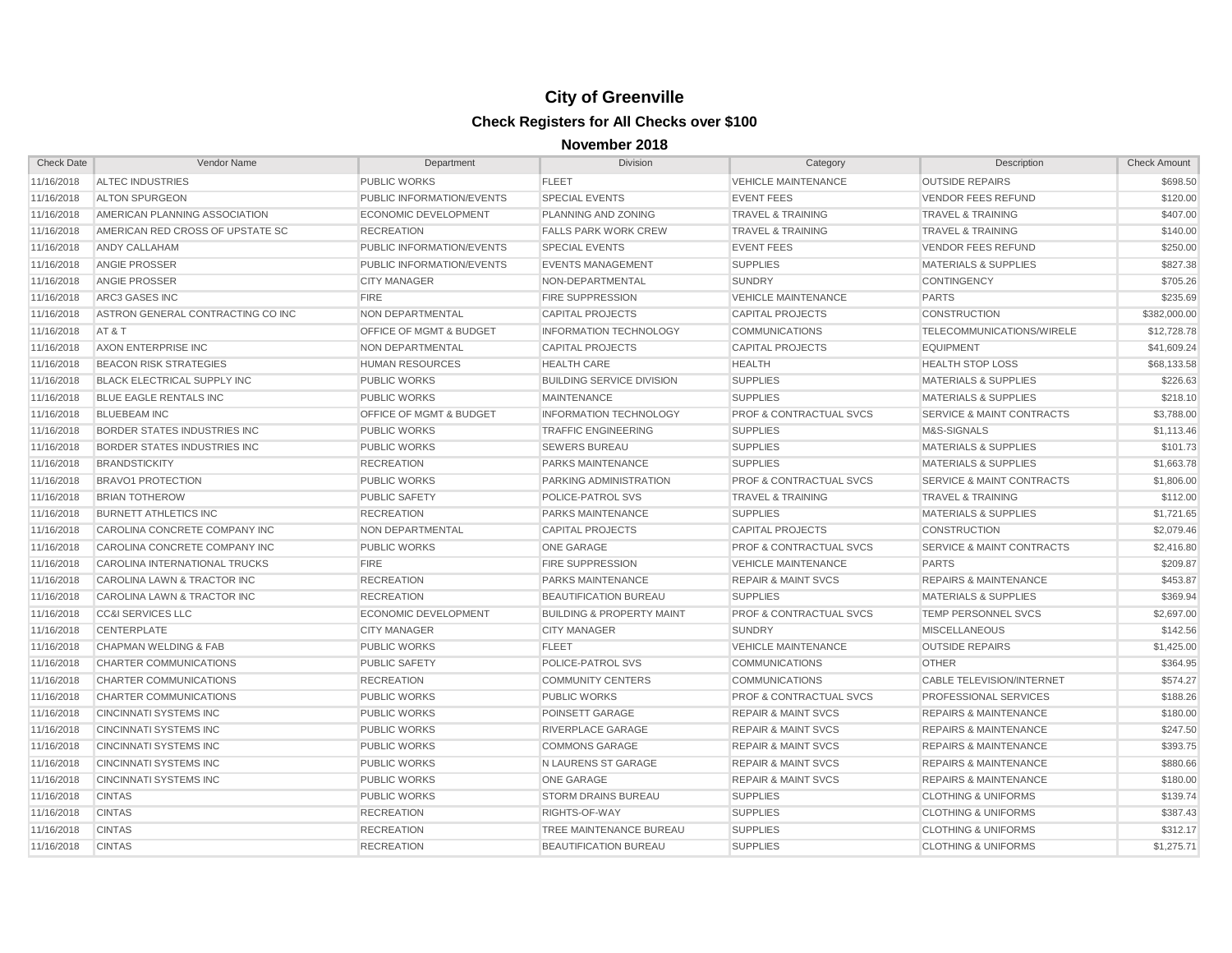| <b>Check Date</b> | Vendor Name                         | Department                         | Division                             | Category                           | Description                          | <b>Check Amount</b> |
|-------------------|-------------------------------------|------------------------------------|--------------------------------------|------------------------------------|--------------------------------------|---------------------|
| 11/16/2018        | <b>ALTEC INDUSTRIES</b>             | PUBLIC WORKS                       | <b>FLEET</b>                         | <b>VEHICLE MAINTENANCE</b>         | <b>OUTSIDE REPAIRS</b>               | \$698.50            |
| 11/16/2018        | <b>ALTON SPURGEON</b>               | PUBLIC INFORMATION/EVENTS          | <b>SPECIAL EVENTS</b>                | <b>EVENT FEES</b>                  | <b>VENDOR FEES REFUND</b>            | \$120.00            |
| 11/16/2018        | AMERICAN PLANNING ASSOCIATION       | <b>ECONOMIC DEVELOPMENT</b>        | PLANNING AND ZONING                  | <b>TRAVEL &amp; TRAINING</b>       | <b>TRAVEL &amp; TRAINING</b>         | \$407.00            |
| 11/16/2018        | AMERICAN RED CROSS OF UPSTATE SC    | <b>RECREATION</b>                  | <b>FALLS PARK WORK CREW</b>          | <b>TRAVEL &amp; TRAINING</b>       | <b>TRAVEL &amp; TRAINING</b>         | \$140.00            |
| 11/16/2018        | ANDY CALLAHAM                       | PUBLIC INFORMATION/EVENTS          | <b>SPECIAL EVENTS</b>                | <b>EVENT FEES</b>                  | <b>VENDOR FEES REFUND</b>            | \$250.00            |
| 11/16/2018        | <b>ANGIE PROSSER</b>                | PUBLIC INFORMATION/EVENTS          | <b>EVENTS MANAGEMENT</b>             | <b>SUPPLIES</b>                    | <b>MATERIALS &amp; SUPPLIES</b>      | \$827.38            |
| 11/16/2018        | <b>ANGIE PROSSER</b>                | <b>CITY MANAGER</b>                | NON-DEPARTMENTAL                     | <b>SUNDRY</b>                      | <b>CONTINGENCY</b>                   | \$705.26            |
| 11/16/2018        | ARC3 GASES INC                      | <b>FIRE</b>                        | <b>FIRE SUPPRESSION</b>              | <b>VEHICLE MAINTENANCE</b>         | <b>PARTS</b>                         | \$235.69            |
| 11/16/2018        | ASTRON GENERAL CONTRACTING CO INC   | NON DEPARTMENTAL                   | <b>CAPITAL PROJECTS</b>              | <b>CAPITAL PROJECTS</b>            | <b>CONSTRUCTION</b>                  | \$382,000.00        |
| 11/16/2018        | AT&T                                | OFFICE OF MGMT & BUDGET            | <b>INFORMATION TECHNOLOGY</b>        | <b>COMMUNICATIONS</b>              | TELECOMMUNICATIONS/WIRELE            | \$12,728.78         |
| 11/16/2018        | AXON ENTERPRISE INC                 | <b>NON DEPARTMENTAL</b>            | <b>CAPITAL PROJECTS</b>              | <b>CAPITAL PROJECTS</b>            | <b>EQUIPMENT</b>                     | \$41,609.24         |
| 11/16/2018        | <b>BEACON RISK STRATEGIES</b>       | <b>HUMAN RESOURCES</b>             | <b>HEALTH CARE</b>                   | <b>HEALTH</b>                      | <b>HEALTH STOP LOSS</b>              | \$68,133.58         |
| 11/16/2018        | <b>BLACK ELECTRICAL SUPPLY INC</b>  | <b>PUBLIC WORKS</b>                | <b>BUILDING SERVICE DIVISION</b>     | <b>SUPPLIES</b>                    | <b>MATERIALS &amp; SUPPLIES</b>      | \$226.63            |
| 11/16/2018        | <b>BLUE EAGLE RENTALS INC</b>       | <b>PUBLIC WORKS</b>                | <b>MAINTENANCE</b>                   | <b>SUPPLIES</b>                    | <b>MATERIALS &amp; SUPPLIES</b>      | \$218.10            |
| 11/16/2018        | <b>BLUEBEAM INC</b>                 | <b>OFFICE OF MGMT &amp; BUDGET</b> | <b>INFORMATION TECHNOLOGY</b>        | <b>PROF &amp; CONTRACTUAL SVCS</b> | <b>SERVICE &amp; MAINT CONTRACTS</b> | \$3,788.00          |
| 11/16/2018        | <b>BORDER STATES INDUSTRIES INC</b> | <b>PUBLIC WORKS</b>                | <b>TRAFFIC ENGINEERING</b>           | <b>SUPPLIES</b>                    | M&S-SIGNALS                          | \$1,113.46          |
| 11/16/2018        | BORDER STATES INDUSTRIES INC        | <b>PUBLIC WORKS</b>                | <b>SEWERS BUREAU</b>                 | <b>SUPPLIES</b>                    | <b>MATERIALS &amp; SUPPLIES</b>      | \$101.73            |
| 11/16/2018        | <b>BRANDSTICKITY</b>                | <b>RECREATION</b>                  | PARKS MAINTENANCE                    | <b>SUPPLIES</b>                    | <b>MATERIALS &amp; SUPPLIES</b>      | \$1,663.78          |
| 11/16/2018        | <b>BRAVO1 PROTECTION</b>            | <b>PUBLIC WORKS</b>                | <b>PARKING ADMINISTRATION</b>        | <b>PROF &amp; CONTRACTUAL SVCS</b> | <b>SERVICE &amp; MAINT CONTRACTS</b> | \$1,806.00          |
| 11/16/2018        | <b>BRIAN TOTHEROW</b>               | <b>PUBLIC SAFETY</b>               | POLICE-PATROL SVS                    | <b>TRAVEL &amp; TRAINING</b>       | <b>TRAVEL &amp; TRAINING</b>         | \$112.00            |
| 11/16/2018        | <b>BURNETT ATHLETICS INC</b>        | <b>RECREATION</b>                  | <b>PARKS MAINTENANCE</b>             | <b>SUPPLIES</b>                    | <b>MATERIALS &amp; SUPPLIES</b>      | \$1,721.65          |
| 11/16/2018        | CAROLINA CONCRETE COMPANY INC       | NON DEPARTMENTAL                   | <b>CAPITAL PROJECTS</b>              | <b>CAPITAL PROJECTS</b>            | <b>CONSTRUCTION</b>                  | \$2,079.46          |
| 11/16/2018        | CAROLINA CONCRETE COMPANY INC       | <b>PUBLIC WORKS</b>                | <b>ONE GARAGE</b>                    | <b>PROF &amp; CONTRACTUAL SVCS</b> | <b>SERVICE &amp; MAINT CONTRACTS</b> | \$2,416.80          |
| 11/16/2018        | CAROLINA INTERNATIONAL TRUCKS       | <b>FIRE</b>                        | <b>FIRE SUPPRESSION</b>              | <b>VEHICLE MAINTENANCE</b>         | <b>PARTS</b>                         | \$209.87            |
| 11/16/2018        | CAROLINA LAWN & TRACTOR INC         | <b>RECREATION</b>                  | <b>PARKS MAINTENANCE</b>             | <b>REPAIR &amp; MAINT SVCS</b>     | <b>REPAIRS &amp; MAINTENANCE</b>     | \$453.87            |
| 11/16/2018        | CAROLINA LAWN & TRACTOR INC         | <b>RECREATION</b>                  | <b>BEAUTIFICATION BUREAU</b>         | <b>SUPPLIES</b>                    | <b>MATERIALS &amp; SUPPLIES</b>      | \$369.94            |
| 11/16/2018        | <b>CC&amp;I SERVICES LLC</b>        | <b>ECONOMIC DEVELOPMENT</b>        | <b>BUILDING &amp; PROPERTY MAINT</b> | <b>PROF &amp; CONTRACTUAL SVCS</b> | TEMP PERSONNEL SVCS                  | \$2,697.00          |
| 11/16/2018        | <b>CENTERPLATE</b>                  | <b>CITY MANAGER</b>                | <b>CITY MANAGER</b>                  | <b>SUNDRY</b>                      | <b>MISCELLANEOUS</b>                 | \$142.56            |
| 11/16/2018        | <b>CHAPMAN WELDING &amp; FAB</b>    | <b>PUBLIC WORKS</b>                | <b>FLEET</b>                         | <b>VEHICLE MAINTENANCE</b>         | <b>OUTSIDE REPAIRS</b>               | \$1,425.00          |
| 11/16/2018        | <b>CHARTER COMMUNICATIONS</b>       | <b>PUBLIC SAFETY</b>               | POLICE-PATROL SVS                    | <b>COMMUNICATIONS</b>              | <b>OTHER</b>                         | \$364.95            |
| 11/16/2018        | CHARTER COMMUNICATIONS              | <b>RECREATION</b>                  | <b>COMMUNITY CENTERS</b>             | <b>COMMUNICATIONS</b>              | <b>CABLE TELEVISION/INTERNET</b>     | \$574.27            |
| 11/16/2018        | <b>CHARTER COMMUNICATIONS</b>       | <b>PUBLIC WORKS</b>                | <b>PUBLIC WORKS</b>                  | <b>PROF &amp; CONTRACTUAL SVCS</b> | PROFESSIONAL SERVICES                | \$188.26            |
| 11/16/2018        | <b>CINCINNATI SYSTEMS INC</b>       | <b>PUBLIC WORKS</b>                | POINSETT GARAGE                      | <b>REPAIR &amp; MAINT SVCS</b>     | <b>REPAIRS &amp; MAINTENANCE</b>     | \$180.00            |
| 11/16/2018        | <b>CINCINNATI SYSTEMS INC</b>       | <b>PUBLIC WORKS</b>                | RIVERPLACE GARAGE                    | <b>REPAIR &amp; MAINT SVCS</b>     | <b>REPAIRS &amp; MAINTENANCE</b>     | \$247.50            |
| 11/16/2018        | <b>CINCINNATI SYSTEMS INC</b>       | <b>PUBLIC WORKS</b>                | <b>COMMONS GARAGE</b>                | <b>REPAIR &amp; MAINT SVCS</b>     | <b>REPAIRS &amp; MAINTENANCE</b>     | \$393.75            |
| 11/16/2018        | <b>CINCINNATI SYSTEMS INC</b>       | <b>PUBLIC WORKS</b>                | N LAURENS ST GARAGE                  | <b>REPAIR &amp; MAINT SVCS</b>     | <b>REPAIRS &amp; MAINTENANCE</b>     | \$880.66            |
| 11/16/2018        | <b>CINCINNATI SYSTEMS INC</b>       | <b>PUBLIC WORKS</b>                | <b>ONE GARAGE</b>                    | <b>REPAIR &amp; MAINT SVCS</b>     | <b>REPAIRS &amp; MAINTENANCE</b>     | \$180.00            |
| 11/16/2018        | <b>CINTAS</b>                       | <b>PUBLIC WORKS</b>                | <b>STORM DRAINS BUREAU</b>           | <b>SUPPLIES</b>                    | <b>CLOTHING &amp; UNIFORMS</b>       | \$139.74            |
| 11/16/2018        | <b>CINTAS</b>                       | <b>RECREATION</b>                  | RIGHTS-OF-WAY                        | <b>SUPPLIES</b>                    | <b>CLOTHING &amp; UNIFORMS</b>       | \$387.43            |
| 11/16/2018        | <b>CINTAS</b>                       | <b>RECREATION</b>                  | TREE MAINTENANCE BUREAU              | <b>SUPPLIES</b>                    | <b>CLOTHING &amp; UNIFORMS</b>       | \$312.17            |
| 11/16/2018        | <b>CINTAS</b>                       | <b>RECREATION</b>                  | <b>BEAUTIFICATION BUREAU</b>         | <b>SUPPLIES</b>                    | <b>CLOTHING &amp; UNIFORMS</b>       | \$1,275.71          |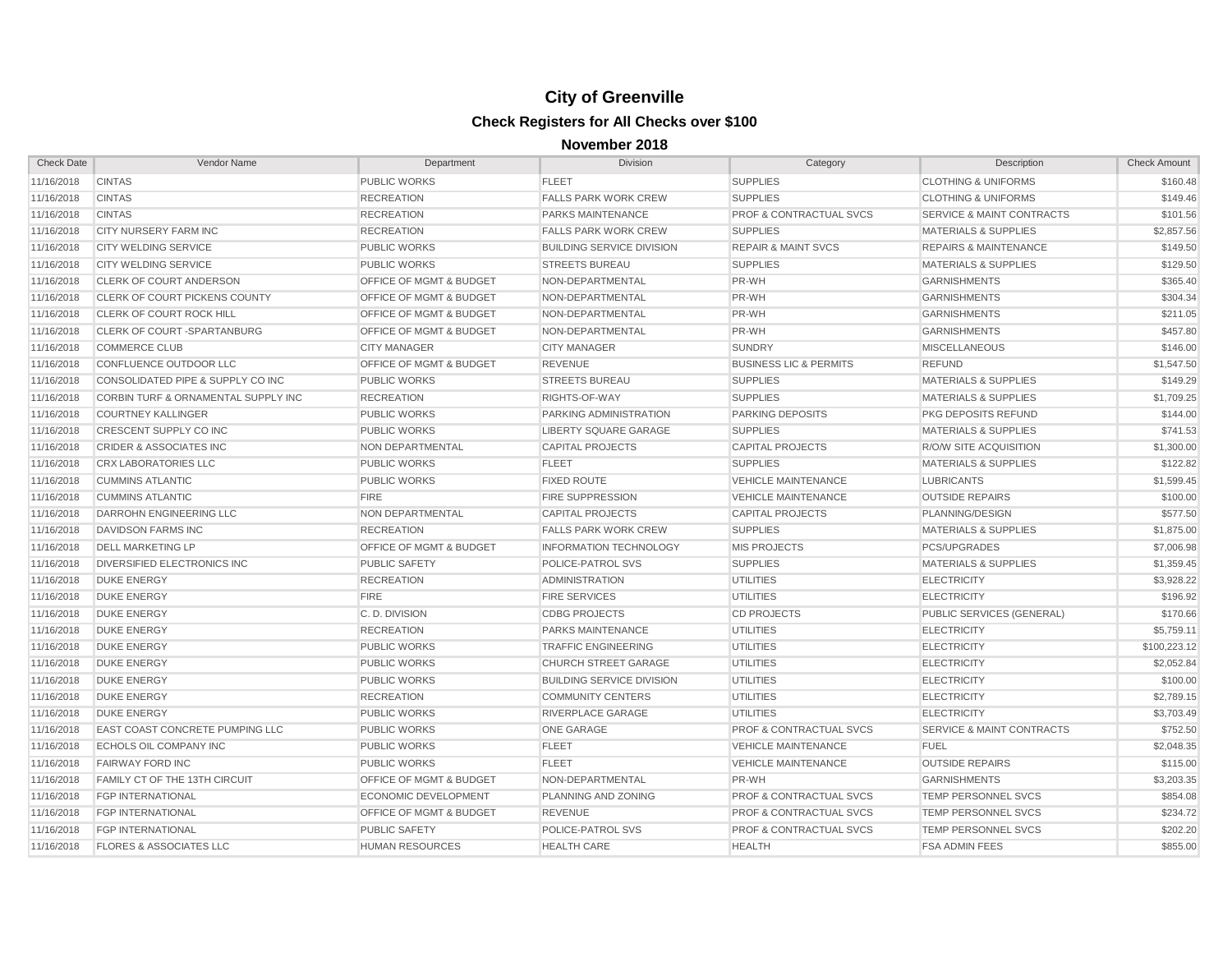| <b>Check Date</b> | Vendor Name                         | Department                         | Division                         | Category                           | Description                          | <b>Check Amount</b> |
|-------------------|-------------------------------------|------------------------------------|----------------------------------|------------------------------------|--------------------------------------|---------------------|
| 11/16/2018        | <b>CINTAS</b>                       | PUBLIC WORKS                       | <b>FLEET</b>                     | <b>SUPPLIES</b>                    | <b>CLOTHING &amp; UNIFORMS</b>       | \$160.48            |
| 11/16/2018        | <b>CINTAS</b>                       | <b>RECREATION</b>                  | <b>FALLS PARK WORK CREW</b>      | <b>SUPPLIES</b>                    | <b>CLOTHING &amp; UNIFORMS</b>       | \$149.46            |
| 11/16/2018        | <b>CINTAS</b>                       | <b>RECREATION</b>                  | PARKS MAINTENANCE                | <b>PROF &amp; CONTRACTUAL SVCS</b> | <b>SERVICE &amp; MAINT CONTRACTS</b> | \$101.56            |
| 11/16/2018        | CITY NURSERY FARM INC               | <b>RECREATION</b>                  | <b>FALLS PARK WORK CREW</b>      | <b>SUPPLIES</b>                    | <b>MATERIALS &amp; SUPPLIES</b>      | \$2,857.56          |
| 11/16/2018        | <b>CITY WELDING SERVICE</b>         | <b>PUBLIC WORKS</b>                | <b>BUILDING SERVICE DIVISION</b> | <b>REPAIR &amp; MAINT SVCS</b>     | <b>REPAIRS &amp; MAINTENANCE</b>     | \$149.50            |
| 11/16/2018        | <b>CITY WELDING SERVICE</b>         | <b>PUBLIC WORKS</b>                | <b>STREETS BUREAU</b>            | <b>SUPPLIES</b>                    | <b>MATERIALS &amp; SUPPLIES</b>      | \$129.50            |
| 11/16/2018        | CLERK OF COURT ANDERSON             | <b>OFFICE OF MGMT &amp; BUDGET</b> | NON-DEPARTMENTAL                 | PR-WH                              | <b>GARNISHMENTS</b>                  | \$365.40            |
| 11/16/2018        | CLERK OF COURT PICKENS COUNTY       | OFFICE OF MGMT & BUDGET            | NON-DEPARTMENTAL                 | PR-WH                              | <b>GARNISHMENTS</b>                  | \$304.34            |
| 11/16/2018        | <b>CLERK OF COURT ROCK HILL</b>     | <b>OFFICE OF MGMT &amp; BUDGET</b> | NON-DEPARTMENTAL                 | PR-WH                              | <b>GARNISHMENTS</b>                  | \$211.05            |
| 11/16/2018        | CLERK OF COURT-SPARTANBURG          | OFFICE OF MGMT & BUDGET            | NON-DEPARTMENTAL                 | PR-WH                              | <b>GARNISHMENTS</b>                  | \$457.80            |
| 11/16/2018        | <b>COMMERCE CLUB</b>                | <b>CITY MANAGER</b>                | <b>CITY MANAGER</b>              | <b>SUNDRY</b>                      | <b>MISCELLANEOUS</b>                 | \$146.00            |
| 11/16/2018        | CONFLUENCE OUTDOOR LLC              | <b>OFFICE OF MGMT &amp; BUDGET</b> | <b>REVENUE</b>                   | <b>BUSINESS LIC &amp; PERMITS</b>  | <b>REFUND</b>                        | \$1,547.50          |
| 11/16/2018        | CONSOLIDATED PIPE & SUPPLY CO INC   | <b>PUBLIC WORKS</b>                | <b>STREETS BUREAU</b>            | <b>SUPPLIES</b>                    | <b>MATERIALS &amp; SUPPLIES</b>      | \$149.29            |
| 11/16/2018        | CORBIN TURF & ORNAMENTAL SUPPLY INC | <b>RECREATION</b>                  | RIGHTS-OF-WAY                    | <b>SUPPLIES</b>                    | <b>MATERIALS &amp; SUPPLIES</b>      | \$1,709.25          |
| 11/16/2018        | <b>COURTNEY KALLINGER</b>           | <b>PUBLIC WORKS</b>                | PARKING ADMINISTRATION           | <b>PARKING DEPOSITS</b>            | PKG DEPOSITS REFUND                  | \$144.00            |
| 11/16/2018        | CRESCENT SUPPLY CO INC              | <b>PUBLIC WORKS</b>                | <b>LIBERTY SQUARE GARAGE</b>     | <b>SUPPLIES</b>                    | <b>MATERIALS &amp; SUPPLIES</b>      | \$741.53            |
| 11/16/2018        | <b>CRIDER &amp; ASSOCIATES INC</b>  | NON DEPARTMENTAL                   | <b>CAPITAL PROJECTS</b>          | <b>CAPITAL PROJECTS</b>            | <b>R/O/W SITE ACQUISITION</b>        | \$1,300.00          |
| 11/16/2018        | <b>CRX LABORATORIES LLC</b>         | <b>PUBLIC WORKS</b>                | <b>FLEET</b>                     | <b>SUPPLIES</b>                    | <b>MATERIALS &amp; SUPPLIES</b>      | \$122.82            |
| 11/16/2018        | <b>CUMMINS ATLANTIC</b>             | <b>PUBLIC WORKS</b>                | <b>FIXED ROUTE</b>               | <b>VEHICLE MAINTENANCE</b>         | <b>LUBRICANTS</b>                    | \$1,599.45          |
| 11/16/2018        | <b>CUMMINS ATLANTIC</b>             | <b>FIRE</b>                        | <b>FIRE SUPPRESSION</b>          | <b>VEHICLE MAINTENANCE</b>         | <b>OUTSIDE REPAIRS</b>               | \$100.00            |
| 11/16/2018        | DARROHN ENGINEERING LLC             | NON DEPARTMENTAL                   | <b>CAPITAL PROJECTS</b>          | <b>CAPITAL PROJECTS</b>            | PLANNING/DESIGN                      | \$577.50            |
| 11/16/2018        | DAVIDSON FARMS INC                  | <b>RECREATION</b>                  | <b>FALLS PARK WORK CREW</b>      | <b>SUPPLIES</b>                    | <b>MATERIALS &amp; SUPPLIES</b>      | \$1,875.00          |
| 11/16/2018        | <b>DELL MARKETING LP</b>            | OFFICE OF MGMT & BUDGET            | <b>INFORMATION TECHNOLOGY</b>    | <b>MIS PROJECTS</b>                | PCS/UPGRADES                         | \$7,006.98          |
| 11/16/2018        | DIVERSIFIED ELECTRONICS INC         | <b>PUBLIC SAFETY</b>               | POLICE-PATROL SVS                | <b>SUPPLIES</b>                    | <b>MATERIALS &amp; SUPPLIES</b>      | \$1,359.45          |
| 11/16/2018        | <b>DUKE ENERGY</b>                  | <b>RECREATION</b>                  | <b>ADMINISTRATION</b>            | <b>UTILITIES</b>                   | <b>ELECTRICITY</b>                   | \$3,928.22          |
| 11/16/2018        | <b>DUKE ENERGY</b>                  | <b>FIRE</b>                        | <b>FIRE SERVICES</b>             | <b>UTILITIES</b>                   | <b>ELECTRICITY</b>                   | \$196.92            |
| 11/16/2018        | <b>DUKE ENERGY</b>                  | C.D. DIVISION                      | <b>CDBG PROJECTS</b>             | <b>CD PROJECTS</b>                 | PUBLIC SERVICES (GENERAL)            | \$170.66            |
| 11/16/2018        | <b>DUKE ENERGY</b>                  | <b>RECREATION</b>                  | <b>PARKS MAINTENANCE</b>         | <b>UTILITIES</b>                   | <b>ELECTRICITY</b>                   | \$5,759.11          |
| 11/16/2018        | <b>DUKE ENERGY</b>                  | <b>PUBLIC WORKS</b>                | <b>TRAFFIC ENGINEERING</b>       | <b>UTILITIES</b>                   | <b>ELECTRICITY</b>                   | \$100,223.12        |
| 11/16/2018        | <b>DUKE ENERGY</b>                  | <b>PUBLIC WORKS</b>                | <b>CHURCH STREET GARAGE</b>      | <b>UTILITIES</b>                   | <b>ELECTRICITY</b>                   | \$2,052.84          |
| 11/16/2018        | <b>DUKE ENERGY</b>                  | <b>PUBLIC WORKS</b>                | <b>BUILDING SERVICE DIVISION</b> | <b>UTILITIES</b>                   | <b>ELECTRICITY</b>                   | \$100.00            |
| 11/16/2018        | <b>DUKE ENERGY</b>                  | <b>RECREATION</b>                  | <b>COMMUNITY CENTERS</b>         | <b>UTILITIES</b>                   | <b>ELECTRICITY</b>                   | \$2,789.15          |
| 11/16/2018        | <b>DUKE ENERGY</b>                  | <b>PUBLIC WORKS</b>                | RIVERPLACE GARAGE                | <b>UTILITIES</b>                   | <b>ELECTRICITY</b>                   | \$3,703.49          |
| 11/16/2018        | EAST COAST CONCRETE PUMPING LLC     | <b>PUBLIC WORKS</b>                | <b>ONE GARAGE</b>                | <b>PROF &amp; CONTRACTUAL SVCS</b> | SERVICE & MAINT CONTRACTS            | \$752.50            |
| 11/16/2018        | ECHOLS OIL COMPANY INC              | <b>PUBLIC WORKS</b>                | <b>FLEET</b>                     | <b>VEHICLE MAINTENANCE</b>         | <b>FUEL</b>                          | \$2,048.35          |
| 11/16/2018        | <b>FAIRWAY FORD INC</b>             | <b>PUBLIC WORKS</b>                | <b>FLEET</b>                     | <b>VEHICLE MAINTENANCE</b>         | <b>OUTSIDE REPAIRS</b>               | \$115.00            |
| 11/16/2018        | FAMILY CT OF THE 13TH CIRCUIT       | <b>OFFICE OF MGMT &amp; BUDGET</b> | NON-DEPARTMENTAL                 | PR-WH                              | <b>GARNISHMENTS</b>                  | \$3,203.35          |
| 11/16/2018        | <b>FGP INTERNATIONAL</b>            | <b>ECONOMIC DEVELOPMENT</b>        | PLANNING AND ZONING              | <b>PROF &amp; CONTRACTUAL SVCS</b> | TEMP PERSONNEL SVCS                  | \$854.08            |
| 11/16/2018        | <b>FGP INTERNATIONAL</b>            | <b>OFFICE OF MGMT &amp; BUDGET</b> | <b>REVENUE</b>                   | <b>PROF &amp; CONTRACTUAL SVCS</b> | TEMP PERSONNEL SVCS                  | \$234.72            |
| 11/16/2018        | <b>FGP INTERNATIONAL</b>            | <b>PUBLIC SAFETY</b>               | POLICE-PATROL SVS                | <b>PROF &amp; CONTRACTUAL SVCS</b> | TEMP PERSONNEL SVCS                  | \$202.20            |
| 11/16/2018        | <b>FLORES &amp; ASSOCIATES LLC</b>  | <b>HUMAN RESOURCES</b>             | <b>HEALTH CARE</b>               | <b>HEALTH</b>                      | <b>FSA ADMIN FEES</b>                | \$855.00            |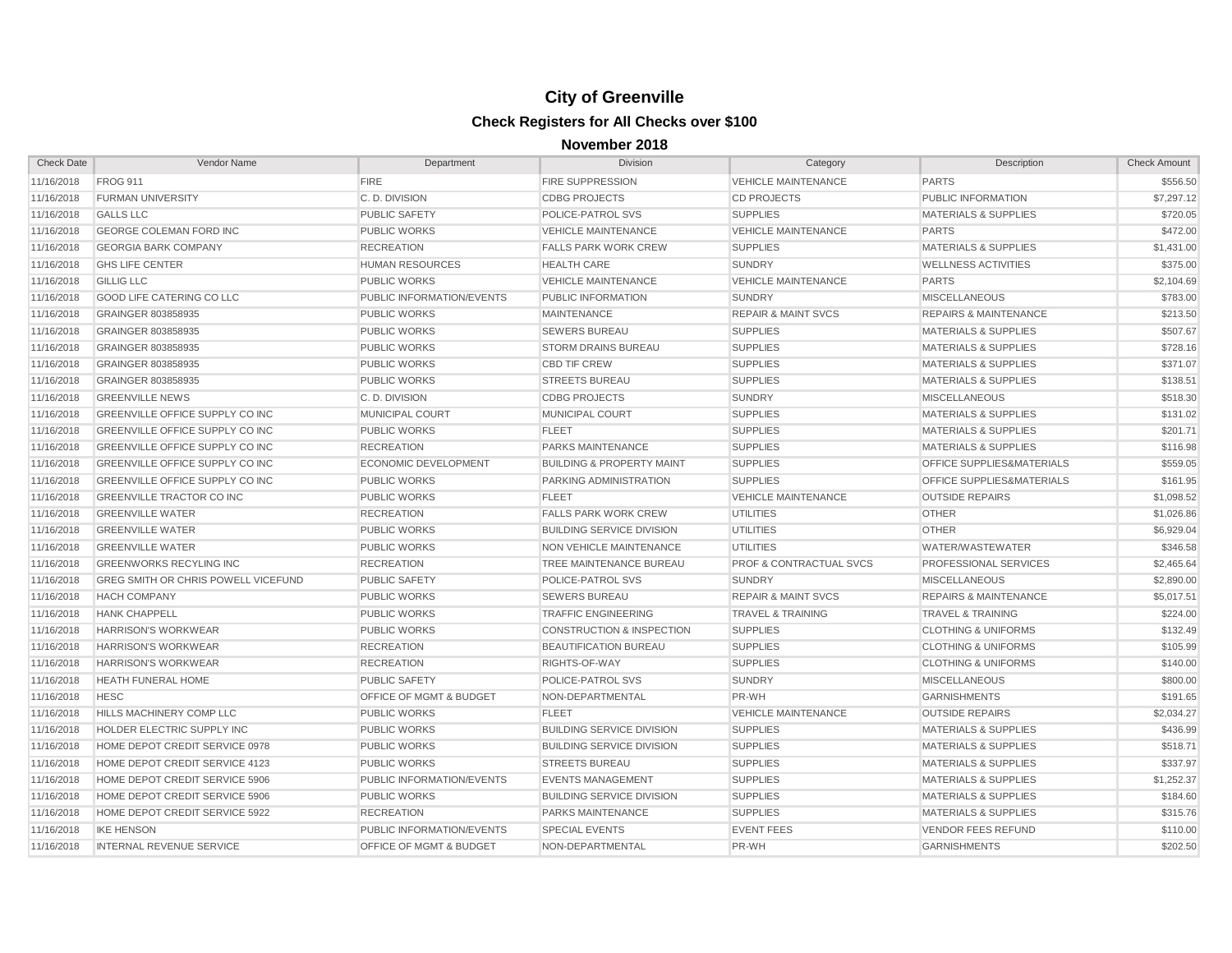| <b>Check Date</b> | Vendor Name                                | Department                         | Division                             | Category                           | Description                      | <b>Check Amount</b> |
|-------------------|--------------------------------------------|------------------------------------|--------------------------------------|------------------------------------|----------------------------------|---------------------|
| 11/16/2018        | <b>FROG 911</b>                            | <b>FIRE</b>                        | <b>FIRE SUPPRESSION</b>              | <b>VEHICLE MAINTENANCE</b>         | <b>PARTS</b>                     | \$556.50            |
| 11/16/2018        | <b>FURMAN UNIVERSITY</b>                   | C.D. DIVISION                      | <b>CDBG PROJECTS</b>                 | <b>CD PROJECTS</b>                 | PUBLIC INFORMATION               | \$7,297.12          |
| 11/16/2018        | <b>GALLS LLC</b>                           | <b>PUBLIC SAFETY</b>               | POLICE-PATROL SVS                    | <b>SUPPLIES</b>                    | <b>MATERIALS &amp; SUPPLIES</b>  | \$720.05            |
| 11/16/2018        | <b>GEORGE COLEMAN FORD INC</b>             | <b>PUBLIC WORKS</b>                | <b>VEHICLE MAINTENANCE</b>           | <b>VEHICLE MAINTENANCE</b>         | <b>PARTS</b>                     | \$472.00            |
| 11/16/2018        | <b>GEORGIA BARK COMPANY</b>                | <b>RECREATION</b>                  | <b>FALLS PARK WORK CREW</b>          | <b>SUPPLIES</b>                    | <b>MATERIALS &amp; SUPPLIES</b>  | \$1,431.00          |
| 11/16/2018        | <b>GHS LIFE CENTER</b>                     | <b>HUMAN RESOURCES</b>             | <b>HEALTH CARE</b>                   | <b>SUNDRY</b>                      | <b>WELLNESS ACTIVITIES</b>       | \$375.00            |
| 11/16/2018        | <b>GILLIG LLC</b>                          | <b>PUBLIC WORKS</b>                | <b>VEHICLE MAINTENANCE</b>           | <b>VEHICLE MAINTENANCE</b>         | <b>PARTS</b>                     | \$2,104.69          |
| 11/16/2018        | GOOD LIFE CATERING CO LLC                  | PUBLIC INFORMATION/EVENTS          | PUBLIC INFORMATION                   | <b>SUNDRY</b>                      | <b>MISCELLANEOUS</b>             | \$783.00            |
| 11/16/2018        | GRAINGER 803858935                         | <b>PUBLIC WORKS</b>                | <b>MAINTENANCE</b>                   | <b>REPAIR &amp; MAINT SVCS</b>     | <b>REPAIRS &amp; MAINTENANCE</b> | \$213.50            |
| 11/16/2018        | GRAINGER 803858935                         | <b>PUBLIC WORKS</b>                | <b>SEWERS BUREAU</b>                 | <b>SUPPLIES</b>                    | <b>MATERIALS &amp; SUPPLIES</b>  | \$507.67            |
| 11/16/2018        | GRAINGER 803858935                         | <b>PUBLIC WORKS</b>                | <b>STORM DRAINS BUREAU</b>           | <b>SUPPLIES</b>                    | <b>MATERIALS &amp; SUPPLIES</b>  | \$728.16            |
| 11/16/2018        | GRAINGER 803858935                         | <b>PUBLIC WORKS</b>                | <b>CBD TIF CREW</b>                  | <b>SUPPLIES</b>                    | <b>MATERIALS &amp; SUPPLIES</b>  | \$371.07            |
| 11/16/2018        | GRAINGER 803858935                         | <b>PUBLIC WORKS</b>                | <b>STREETS BUREAU</b>                | <b>SUPPLIES</b>                    | <b>MATERIALS &amp; SUPPLIES</b>  | \$138.51            |
| 11/16/2018        | <b>GREENVILLE NEWS</b>                     | C.D. DIVISION                      | <b>CDBG PROJECTS</b>                 | <b>SUNDRY</b>                      | <b>MISCELLANEOUS</b>             | \$518.30            |
| 11/16/2018        | GREENVILLE OFFICE SUPPLY CO INC            | <b>MUNICIPAL COURT</b>             | MUNICIPAL COURT                      | <b>SUPPLIES</b>                    | <b>MATERIALS &amp; SUPPLIES</b>  | \$131.02            |
| 11/16/2018        | GREENVILLE OFFICE SUPPLY CO INC            | <b>PUBLIC WORKS</b>                | <b>FLEET</b>                         | <b>SUPPLIES</b>                    | <b>MATERIALS &amp; SUPPLIES</b>  | \$201.71            |
| 11/16/2018        | GREENVILLE OFFICE SUPPLY CO INC            | <b>RECREATION</b>                  | PARKS MAINTENANCE                    | <b>SUPPLIES</b>                    | <b>MATERIALS &amp; SUPPLIES</b>  | \$116.98            |
| 11/16/2018        | <b>GREENVILLE OFFICE SUPPLY CO INC</b>     | <b>ECONOMIC DEVELOPMENT</b>        | <b>BUILDING &amp; PROPERTY MAINT</b> | <b>SUPPLIES</b>                    | OFFICE SUPPLIES&MATERIALS        | \$559.05            |
| 11/16/2018        | GREENVILLE OFFICE SUPPLY CO INC            | <b>PUBLIC WORKS</b>                | PARKING ADMINISTRATION               | <b>SUPPLIES</b>                    | OFFICE SUPPLIES&MATERIALS        | \$161.95            |
| 11/16/2018        | <b>GREENVILLE TRACTOR CO INC</b>           | <b>PUBLIC WORKS</b>                | <b>FLEET</b>                         | <b>VEHICLE MAINTENANCE</b>         | <b>OUTSIDE REPAIRS</b>           | \$1,098.52          |
| 11/16/2018        | <b>GREENVILLE WATER</b>                    | <b>RECREATION</b>                  | <b>FALLS PARK WORK CREW</b>          | <b>UTILITIES</b>                   | <b>OTHER</b>                     | \$1,026.86          |
| 11/16/2018        | <b>GREENVILLE WATER</b>                    | <b>PUBLIC WORKS</b>                | <b>BUILDING SERVICE DIVISION</b>     | <b>UTILITIES</b>                   | <b>OTHER</b>                     | \$6,929.04          |
| 11/16/2018        | <b>GREENVILLE WATER</b>                    | <b>PUBLIC WORKS</b>                | NON VEHICLE MAINTENANCE              | <b>UTILITIES</b>                   | WATER/WASTEWATER                 | \$346.58            |
| 11/16/2018        | <b>GREENWORKS RECYLING INC</b>             | <b>RECREATION</b>                  | TREE MAINTENANCE BUREAU              | <b>PROF &amp; CONTRACTUAL SVCS</b> | <b>PROFESSIONAL SERVICES</b>     | \$2,465.64          |
| 11/16/2018        | <b>GREG SMITH OR CHRIS POWELL VICEFUND</b> | <b>PUBLIC SAFETY</b>               | POLICE-PATROL SVS                    | <b>SUNDRY</b>                      | <b>MISCELLANEOUS</b>             | \$2,890.00          |
| 11/16/2018        | <b>HACH COMPANY</b>                        | <b>PUBLIC WORKS</b>                | <b>SEWERS BUREAU</b>                 | <b>REPAIR &amp; MAINT SVCS</b>     | <b>REPAIRS &amp; MAINTENANCE</b> | \$5,017.51          |
| 11/16/2018        | <b>HANK CHAPPELL</b>                       | <b>PUBLIC WORKS</b>                | <b>TRAFFIC ENGINEERING</b>           | <b>TRAVEL &amp; TRAINING</b>       | <b>TRAVEL &amp; TRAINING</b>     | \$224.00            |
| 11/16/2018        | <b>HARRISON'S WORKWEAR</b>                 | <b>PUBLIC WORKS</b>                | <b>CONSTRUCTION &amp; INSPECTION</b> | <b>SUPPLIES</b>                    | <b>CLOTHING &amp; UNIFORMS</b>   | \$132.49            |
| 11/16/2018        | <b>HARRISON'S WORKWEAR</b>                 | <b>RECREATION</b>                  | <b>BEAUTIFICATION BUREAU</b>         | <b>SUPPLIES</b>                    | <b>CLOTHING &amp; UNIFORMS</b>   | \$105.99            |
| 11/16/2018        | <b>HARRISON'S WORKWEAR</b>                 | <b>RECREATION</b>                  | RIGHTS-OF-WAY                        | <b>SUPPLIES</b>                    | <b>CLOTHING &amp; UNIFORMS</b>   | \$140.00            |
| 11/16/2018        | <b>HEATH FUNERAL HOME</b>                  | <b>PUBLIC SAFETY</b>               | POLICE-PATROL SVS                    | <b>SUNDRY</b>                      | <b>MISCELLANEOUS</b>             | \$800.00            |
| 11/16/2018        | <b>HESC</b>                                | <b>OFFICE OF MGMT &amp; BUDGET</b> | NON-DEPARTMENTAL                     | PR-WH                              | <b>GARNISHMENTS</b>              | \$191.65            |
| 11/16/2018        | HILLS MACHINERY COMP LLC                   | <b>PUBLIC WORKS</b>                | <b>FLEET</b>                         | <b>VEHICLE MAINTENANCE</b>         | <b>OUTSIDE REPAIRS</b>           | \$2,034.27          |
| 11/16/2018        | HOLDER ELECTRIC SUPPLY INC                 | <b>PUBLIC WORKS</b>                | <b>BUILDING SERVICE DIVISION</b>     | <b>SUPPLIES</b>                    | <b>MATERIALS &amp; SUPPLIES</b>  | \$436.99            |
| 11/16/2018        | HOME DEPOT CREDIT SERVICE 0978             | <b>PUBLIC WORKS</b>                | <b>BUILDING SERVICE DIVISION</b>     | <b>SUPPLIES</b>                    | <b>MATERIALS &amp; SUPPLIES</b>  | \$518.71            |
| 11/16/2018        | HOME DEPOT CREDIT SERVICE 4123             | <b>PUBLIC WORKS</b>                | <b>STREETS BUREAU</b>                | <b>SUPPLIES</b>                    | MATERIALS & SUPPLIES             | \$337.97            |
| 11/16/2018        | HOME DEPOT CREDIT SERVICE 5906             | PUBLIC INFORMATION/EVENTS          | <b>EVENTS MANAGEMENT</b>             | <b>SUPPLIES</b>                    | <b>MATERIALS &amp; SUPPLIES</b>  | \$1,252.37          |
| 11/16/2018        | HOME DEPOT CREDIT SERVICE 5906             | <b>PUBLIC WORKS</b>                | <b>BUILDING SERVICE DIVISION</b>     | <b>SUPPLIES</b>                    | <b>MATERIALS &amp; SUPPLIES</b>  | \$184.60            |
| 11/16/2018        | HOME DEPOT CREDIT SERVICE 5922             | <b>RECREATION</b>                  | <b>PARKS MAINTENANCE</b>             | <b>SUPPLIES</b>                    | <b>MATERIALS &amp; SUPPLIES</b>  | \$315.76            |
| 11/16/2018        | <b>IKE HENSON</b>                          | PUBLIC INFORMATION/EVENTS          | <b>SPECIAL EVENTS</b>                | <b>EVENT FEES</b>                  | <b>VENDOR FEES REFUND</b>        | \$110.00            |
| 11/16/2018        | <b>INTERNAL REVENUE SERVICE</b>            | <b>OFFICE OF MGMT &amp; BUDGET</b> | NON-DEPARTMENTAL                     | PR-WH                              | <b>GARNISHMENTS</b>              | \$202.50            |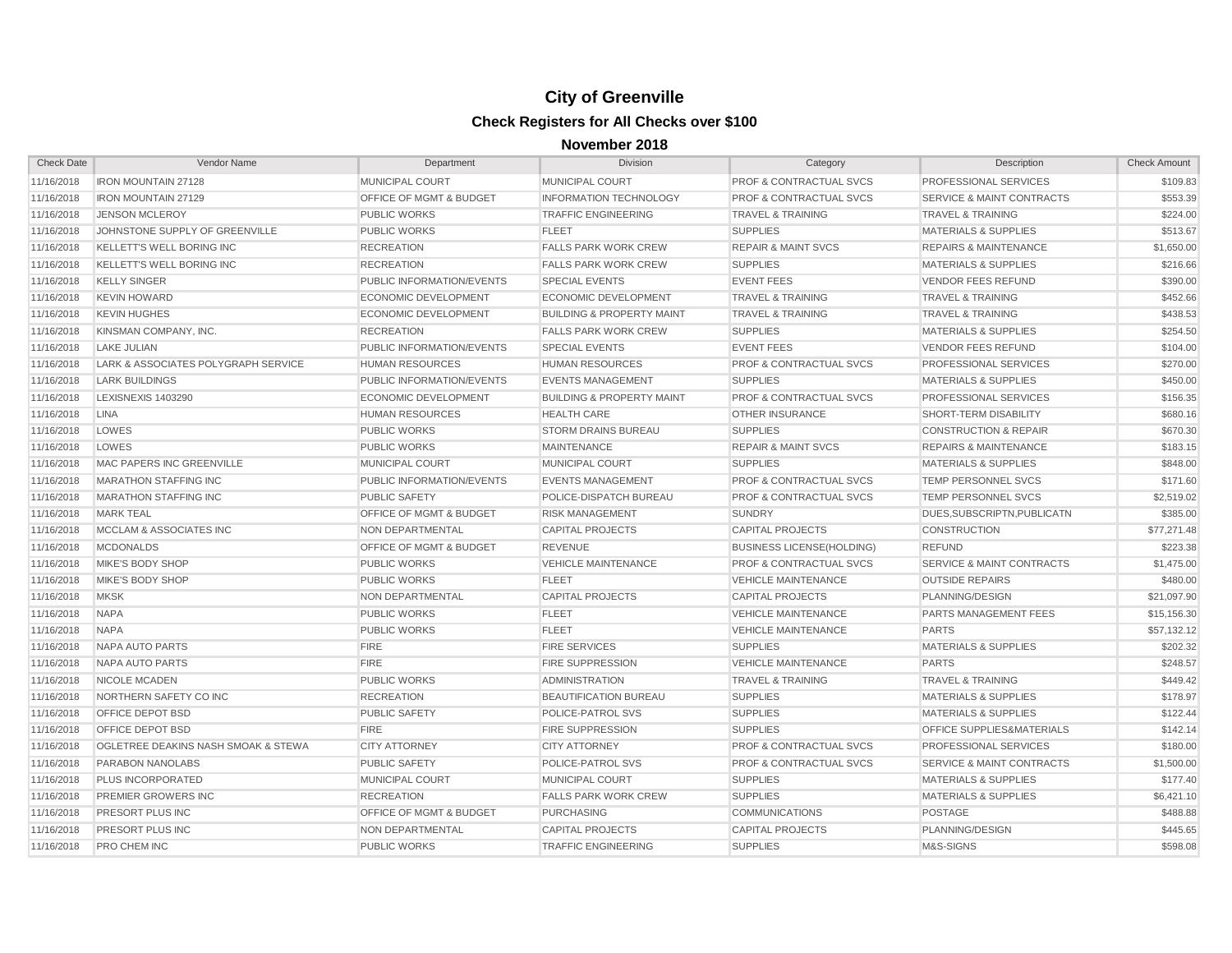| <b>Check Date</b> | Vendor Name                         | Department                         | Division                             | Category                           | Description                          | <b>Check Amount</b> |
|-------------------|-------------------------------------|------------------------------------|--------------------------------------|------------------------------------|--------------------------------------|---------------------|
| 11/16/2018        | <b>IRON MOUNTAIN 27128</b>          | MUNICIPAL COURT                    | MUNICIPAL COURT                      | <b>PROF &amp; CONTRACTUAL SVCS</b> | PROFESSIONAL SERVICES                | \$109.83            |
| 11/16/2018        | <b>IRON MOUNTAIN 27129</b>          | <b>OFFICE OF MGMT &amp; BUDGET</b> | <b>INFORMATION TECHNOLOGY</b>        | <b>PROF &amp; CONTRACTUAL SVCS</b> | <b>SERVICE &amp; MAINT CONTRACTS</b> | \$553.39            |
| 11/16/2018        | <b>JENSON MCLEROY</b>               | <b>PUBLIC WORKS</b>                | <b>TRAFFIC ENGINEERING</b>           | <b>TRAVEL &amp; TRAINING</b>       | <b>TRAVEL &amp; TRAINING</b>         | \$224.00            |
| 11/16/2018        | JOHNSTONE SUPPLY OF GREENVILLE      | <b>PUBLIC WORKS</b>                | <b>FLEET</b>                         | <b>SUPPLIES</b>                    | <b>MATERIALS &amp; SUPPLIES</b>      | \$513.67            |
| 11/16/2018        | <b>KELLETT'S WELL BORING INC</b>    | <b>RECREATION</b>                  | <b>FALLS PARK WORK CREW</b>          | <b>REPAIR &amp; MAINT SVCS</b>     | <b>REPAIRS &amp; MAINTENANCE</b>     | \$1,650.00          |
| 11/16/2018        | <b>KELLETT'S WELL BORING INC</b>    | <b>RECREATION</b>                  | <b>FALLS PARK WORK CREW</b>          | <b>SUPPLIES</b>                    | <b>MATERIALS &amp; SUPPLIES</b>      | \$216.66            |
| 11/16/2018        | <b>KELLY SINGER</b>                 | PUBLIC INFORMATION/EVENTS          | <b>SPECIAL EVENTS</b>                | <b>EVENT FEES</b>                  | <b>VENDOR FEES REFUND</b>            | \$390.00            |
| 11/16/2018        | <b>KEVIN HOWARD</b>                 | ECONOMIC DEVELOPMENT               | ECONOMIC DEVELOPMENT                 | <b>TRAVEL &amp; TRAINING</b>       | <b>TRAVEL &amp; TRAINING</b>         | \$452.66            |
| 11/16/2018        | <b>KEVIN HUGHES</b>                 | <b>ECONOMIC DEVELOPMENT</b>        | <b>BUILDING &amp; PROPERTY MAINT</b> | <b>TRAVEL &amp; TRAINING</b>       | <b>TRAVEL &amp; TRAINING</b>         | \$438.53            |
| 11/16/2018        | KINSMAN COMPANY, INC.               | <b>RECREATION</b>                  | <b>FALLS PARK WORK CREW</b>          | <b>SUPPLIES</b>                    | <b>MATERIALS &amp; SUPPLIES</b>      | \$254.50            |
| 11/16/2018        | <b>LAKE JULIAN</b>                  | PUBLIC INFORMATION/EVENTS          | <b>SPECIAL EVENTS</b>                | <b>EVENT FEES</b>                  | <b>VENDOR FEES REFUND</b>            | \$104.00            |
| 11/16/2018        | LARK & ASSOCIATES POLYGRAPH SERVICE | <b>HUMAN RESOURCES</b>             | <b>HUMAN RESOURCES</b>               | <b>PROF &amp; CONTRACTUAL SVCS</b> | <b>PROFESSIONAL SERVICES</b>         | \$270.00            |
| 11/16/2018        | <b>LARK BUILDINGS</b>               | PUBLIC INFORMATION/EVENTS          | <b>EVENTS MANAGEMENT</b>             | <b>SUPPLIES</b>                    | <b>MATERIALS &amp; SUPPLIES</b>      | \$450.00            |
| 11/16/2018        | LEXISNEXIS 1403290                  | <b>ECONOMIC DEVELOPMENT</b>        | <b>BUILDING &amp; PROPERTY MAINT</b> | <b>PROF &amp; CONTRACTUAL SVCS</b> | PROFESSIONAL SERVICES                | \$156.35            |
| 11/16/2018        | LINA                                | <b>HUMAN RESOURCES</b>             | <b>HEALTH CARE</b>                   | <b>OTHER INSURANCE</b>             | SHORT-TERM DISABILITY                | \$680.16            |
| 11/16/2018        | LOWES                               | <b>PUBLIC WORKS</b>                | <b>STORM DRAINS BUREAU</b>           | <b>SUPPLIES</b>                    | <b>CONSTRUCTION &amp; REPAIR</b>     | \$670.30            |
| 11/16/2018        | LOWES                               | <b>PUBLIC WORKS</b>                | <b>MAINTENANCE</b>                   | <b>REPAIR &amp; MAINT SVCS</b>     | <b>REPAIRS &amp; MAINTENANCE</b>     | \$183.15            |
| 11/16/2018        | MAC PAPERS INC GREENVILLE           | MUNICIPAL COURT                    | <b>MUNICIPAL COURT</b>               | <b>SUPPLIES</b>                    | <b>MATERIALS &amp; SUPPLIES</b>      | \$848.00            |
| 11/16/2018        | <b>MARATHON STAFFING INC</b>        | PUBLIC INFORMATION/EVENTS          | <b>EVENTS MANAGEMENT</b>             | <b>PROF &amp; CONTRACTUAL SVCS</b> | <b>TEMP PERSONNEL SVCS</b>           | \$171.60            |
| 11/16/2018        | <b>MARATHON STAFFING INC</b>        | <b>PUBLIC SAFETY</b>               | POLICE-DISPATCH BUREAU               | <b>PROF &amp; CONTRACTUAL SVCS</b> | TEMP PERSONNEL SVCS                  | \$2,519.02          |
| 11/16/2018        | <b>MARK TEAL</b>                    | <b>OFFICE OF MGMT &amp; BUDGET</b> | <b>RISK MANAGEMENT</b>               | <b>SUNDRY</b>                      | DUES.SUBSCRIPTN.PUBLICATN            | \$385.00            |
| 11/16/2018        | MCCLAM & ASSOCIATES INC             | NON DEPARTMENTAL                   | <b>CAPITAL PROJECTS</b>              | <b>CAPITAL PROJECTS</b>            | <b>CONSTRUCTION</b>                  | \$77,271.48         |
| 11/16/2018        | <b>MCDONALDS</b>                    | <b>OFFICE OF MGMT &amp; BUDGET</b> | <b>REVENUE</b>                       | <b>BUSINESS LICENSE(HOLDING)</b>   | <b>REFUND</b>                        | \$223.38            |
| 11/16/2018        | MIKE'S BODY SHOP                    | <b>PUBLIC WORKS</b>                | <b>VEHICLE MAINTENANCE</b>           | <b>PROF &amp; CONTRACTUAL SVCS</b> | <b>SERVICE &amp; MAINT CONTRACTS</b> | \$1,475.00          |
| 11/16/2018        | MIKE'S BODY SHOP                    | <b>PUBLIC WORKS</b>                | <b>FLEET</b>                         | <b>VEHICLE MAINTENANCE</b>         | <b>OUTSIDE REPAIRS</b>               | \$480.00            |
| 11/16/2018        | <b>MKSK</b>                         | NON DEPARTMENTAL                   | <b>CAPITAL PROJECTS</b>              | <b>CAPITAL PROJECTS</b>            | PLANNING/DESIGN                      | \$21,097.90         |
| 11/16/2018        | <b>NAPA</b>                         | <b>PUBLIC WORKS</b>                | <b>FLEET</b>                         | <b>VEHICLE MAINTENANCE</b>         | PARTS MANAGEMENT FEES                | \$15,156.30         |
| 11/16/2018        | <b>NAPA</b>                         | <b>PUBLIC WORKS</b>                | <b>FLEET</b>                         | <b>VEHICLE MAINTENANCE</b>         | <b>PARTS</b>                         | \$57,132.12         |
| 11/16/2018        | NAPA AUTO PARTS                     | <b>FIRE</b>                        | <b>FIRE SERVICES</b>                 | <b>SUPPLIES</b>                    | <b>MATERIALS &amp; SUPPLIES</b>      | \$202.32            |
| 11/16/2018        | <b>NAPA AUTO PARTS</b>              | <b>FIRE</b>                        | <b>FIRE SUPPRESSION</b>              | <b>VEHICLE MAINTENANCE</b>         | <b>PARTS</b>                         | \$248.57            |
| 11/16/2018        | NICOLE MCADEN                       | <b>PUBLIC WORKS</b>                | <b>ADMINISTRATION</b>                | <b>TRAVEL &amp; TRAINING</b>       | <b>TRAVEL &amp; TRAINING</b>         | \$449.42            |
| 11/16/2018        | NORTHERN SAFETY CO INC              | <b>RECREATION</b>                  | BEAUTIFICATION BUREAU                | <b>SUPPLIES</b>                    | <b>MATERIALS &amp; SUPPLIES</b>      | \$178.97            |
| 11/16/2018        | OFFICE DEPOT BSD                    | <b>PUBLIC SAFETY</b>               | <b>POLICE-PATROL SVS</b>             | <b>SUPPLIES</b>                    | <b>MATERIALS &amp; SUPPLIES</b>      | \$122.44            |
| 11/16/2018        | OFFICE DEPOT BSD                    | <b>FIRE</b>                        | <b>FIRE SUPPRESSION</b>              | <b>SUPPLIES</b>                    | <b>OFFICE SUPPLIES&amp;MATERIALS</b> | \$142.14            |
| 11/16/2018        | OGLETREE DEAKINS NASH SMOAK & STEWA | <b>CITY ATTORNEY</b>               | <b>CITY ATTORNEY</b>                 | <b>PROF &amp; CONTRACTUAL SVCS</b> | <b>PROFESSIONAL SERVICES</b>         | \$180.00            |
| 11/16/2018        | PARABON NANOLABS                    | <b>PUBLIC SAFETY</b>               | POLICE-PATROL SVS                    | <b>PROF &amp; CONTRACTUAL SVCS</b> | <b>SERVICE &amp; MAINT CONTRACTS</b> | \$1,500.00          |
| 11/16/2018        | PLUS INCORPORATED                   | <b>MUNICIPAL COURT</b>             | <b>MUNICIPAL COURT</b>               | <b>SUPPLIES</b>                    | <b>MATERIALS &amp; SUPPLIES</b>      | \$177.40            |
| 11/16/2018        | <b>PREMIER GROWERS INC</b>          | <b>RECREATION</b>                  | <b>FALLS PARK WORK CREW</b>          | <b>SUPPLIES</b>                    | <b>MATERIALS &amp; SUPPLIES</b>      | \$6,421.10          |
| 11/16/2018        | PRESORT PLUS INC                    | <b>OFFICE OF MGMT &amp; BUDGET</b> | <b>PURCHASING</b>                    | <b>COMMUNICATIONS</b>              | POSTAGE                              | \$488.88            |
| 11/16/2018        | PRESORT PLUS INC                    | NON DEPARTMENTAL                   | <b>CAPITAL PROJECTS</b>              | <b>CAPITAL PROJECTS</b>            | PLANNING/DESIGN                      | \$445.65            |
| 11/16/2018        | <b>PRO CHEM INC</b>                 | <b>PUBLIC WORKS</b>                | <b>TRAFFIC ENGINEERING</b>           | <b>SUPPLIES</b>                    | M&S-SIGNS                            | \$598.08            |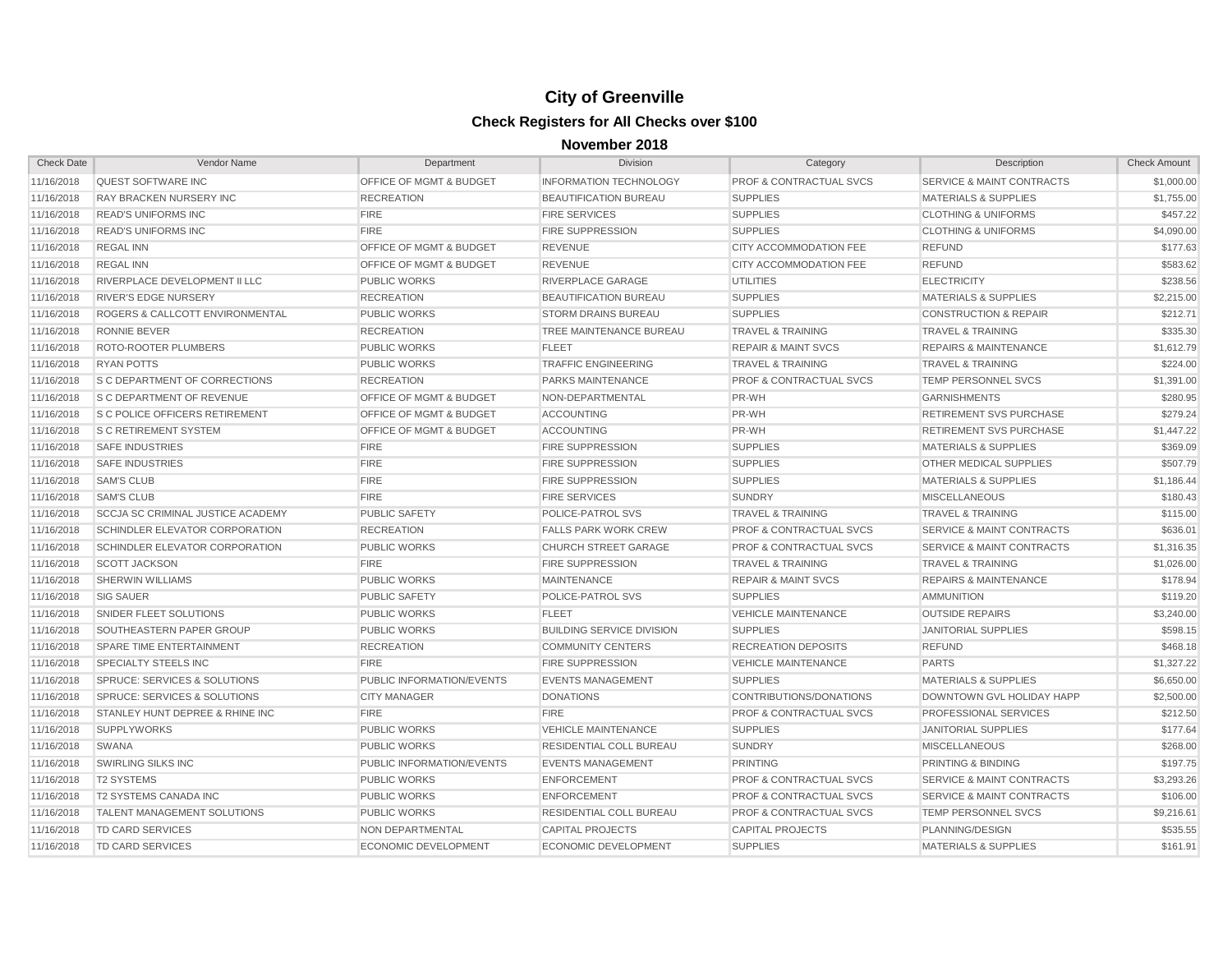| <b>Check Date</b> | Vendor Name                                | Department                         | <b>Division</b>                  | Category                           | Description                          | <b>Check Amount</b> |
|-------------------|--------------------------------------------|------------------------------------|----------------------------------|------------------------------------|--------------------------------------|---------------------|
| 11/16/2018        | <b>QUEST SOFTWARE INC</b>                  | OFFICE OF MGMT & BUDGET            | <b>INFORMATION TECHNOLOGY</b>    | PROF & CONTRACTUAL SVCS            | <b>SERVICE &amp; MAINT CONTRACTS</b> | \$1,000.00          |
| 11/16/2018        | <b>RAY BRACKEN NURSERY INC</b>             | <b>RECREATION</b>                  | <b>BEAUTIFICATION BUREAU</b>     | <b>SUPPLIES</b>                    | <b>MATERIALS &amp; SUPPLIES</b>      | \$1,755.00          |
| 11/16/2018        | <b>READ'S UNIFORMS INC</b>                 | <b>FIRE</b>                        | <b>FIRE SERVICES</b>             | <b>SUPPLIES</b>                    | <b>CLOTHING &amp; UNIFORMS</b>       | \$457.22            |
| 11/16/2018        | <b>READ'S UNIFORMS INC</b>                 | <b>FIRE</b>                        | <b>FIRE SUPPRESSION</b>          | <b>SUPPLIES</b>                    | <b>CLOTHING &amp; UNIFORMS</b>       | \$4,090.00          |
| 11/16/2018        | <b>REGAL INN</b>                           | OFFICE OF MGMT & BUDGET            | <b>REVENUE</b>                   | CITY ACCOMMODATION FEE             | <b>REFUND</b>                        | \$177.63            |
| 11/16/2018        | <b>REGAL INN</b>                           | <b>OFFICE OF MGMT &amp; BUDGET</b> | <b>REVENUE</b>                   | CITY ACCOMMODATION FEE             | <b>REFUND</b>                        | \$583.62            |
| 11/16/2018        | RIVERPLACE DEVELOPMENT II LLC              | <b>PUBLIC WORKS</b>                | RIVERPLACE GARAGE                | <b>UTILITIES</b>                   | <b>ELECTRICITY</b>                   | \$238.56            |
| 11/16/2018        | <b>RIVER'S EDGE NURSERY</b>                | <b>RECREATION</b>                  | BEAUTIFICATION BUREAU            | <b>SUPPLIES</b>                    | <b>MATERIALS &amp; SUPPLIES</b>      | \$2,215.00          |
| 11/16/2018        | <b>ROGERS &amp; CALLCOTT ENVIRONMENTAL</b> | <b>PUBLIC WORKS</b>                | <b>STORM DRAINS BUREAU</b>       | <b>SUPPLIES</b>                    | <b>CONSTRUCTION &amp; REPAIR</b>     | \$212.71            |
| 11/16/2018        | <b>RONNIE BEVER</b>                        | <b>RECREATION</b>                  | TREE MAINTENANCE BUREAU          | <b>TRAVEL &amp; TRAINING</b>       | <b>TRAVEL &amp; TRAINING</b>         | \$335.30            |
| 11/16/2018        | <b>ROTO-ROOTER PLUMBERS</b>                | <b>PUBLIC WORKS</b>                | <b>FLEET</b>                     | <b>REPAIR &amp; MAINT SVCS</b>     | <b>REPAIRS &amp; MAINTENANCE</b>     | \$1,612.79          |
| 11/16/2018        | <b>RYAN POTTS</b>                          | <b>PUBLIC WORKS</b>                | <b>TRAFFIC ENGINEERING</b>       | <b>TRAVEL &amp; TRAINING</b>       | <b>TRAVEL &amp; TRAINING</b>         | \$224.00            |
| 11/16/2018        | <b>S C DEPARTMENT OF CORRECTIONS</b>       | <b>RECREATION</b>                  | PARKS MAINTENANCE                | <b>PROF &amp; CONTRACTUAL SVCS</b> | <b>TEMP PERSONNEL SVCS</b>           | \$1,391.00          |
| 11/16/2018        | <b>S C DEPARTMENT OF REVENUE</b>           | OFFICE OF MGMT & BUDGET            | NON-DEPARTMENTAL                 | PR-WH                              | <b>GARNISHMENTS</b>                  | \$280.95            |
| 11/16/2018        | <b>S C POLICE OFFICERS RETIREMENT</b>      | OFFICE OF MGMT & BUDGET            | <b>ACCOUNTING</b>                | PR-WH                              | RETIREMENT SVS PURCHASE              | \$279.24            |
| 11/16/2018        | <b>S C RETIREMENT SYSTEM</b>               | OFFICE OF MGMT & BUDGET            | <b>ACCOUNTING</b>                | PR-WH                              | RETIREMENT SVS PURCHASE              | \$1,447.22          |
| 11/16/2018        | <b>SAFE INDUSTRIES</b>                     | <b>FIRE</b>                        | <b>FIRE SUPPRESSION</b>          | <b>SUPPLIES</b>                    | <b>MATERIALS &amp; SUPPLIES</b>      | \$369.09            |
| 11/16/2018        | <b>SAFE INDUSTRIES</b>                     | <b>FIRE</b>                        | <b>FIRE SUPPRESSION</b>          | <b>SUPPLIES</b>                    | OTHER MEDICAL SUPPLIES               | \$507.79            |
| 11/16/2018        | <b>SAM'S CLUB</b>                          | <b>FIRE</b>                        | <b>FIRE SUPPRESSION</b>          | <b>SUPPLIES</b>                    | <b>MATERIALS &amp; SUPPLIES</b>      | \$1,186.44          |
| 11/16/2018        | <b>SAM'S CLUB</b>                          | <b>FIRE</b>                        | <b>FIRE SERVICES</b>             | <b>SUNDRY</b>                      | <b>MISCELLANEOUS</b>                 | \$180.43            |
| 11/16/2018        | <b>SCCJA SC CRIMINAL JUSTICE ACADEMY</b>   | <b>PUBLIC SAFETY</b>               | <b>POLICE-PATROL SVS</b>         | <b>TRAVEL &amp; TRAINING</b>       | <b>TRAVEL &amp; TRAINING</b>         | \$115.00            |
| 11/16/2018        | SCHINDLER ELEVATOR CORPORATION             | <b>RECREATION</b>                  | <b>FALLS PARK WORK CREW</b>      | <b>PROF &amp; CONTRACTUAL SVCS</b> | <b>SERVICE &amp; MAINT CONTRACTS</b> | \$636.01            |
| 11/16/2018        | <b>SCHINDLER ELEVATOR CORPORATION</b>      | <b>PUBLIC WORKS</b>                | <b>CHURCH STREET GARAGE</b>      | <b>PROF &amp; CONTRACTUAL SVCS</b> | <b>SERVICE &amp; MAINT CONTRACTS</b> | \$1,316.35          |
| 11/16/2018        | <b>SCOTT JACKSON</b>                       | <b>FIRE</b>                        | <b>FIRE SUPPRESSION</b>          | <b>TRAVEL &amp; TRAINING</b>       | <b>TRAVEL &amp; TRAINING</b>         | \$1,026.00          |
| 11/16/2018        | <b>SHERWIN WILLIAMS</b>                    | <b>PUBLIC WORKS</b>                | <b>MAINTENANCE</b>               | <b>REPAIR &amp; MAINT SVCS</b>     | <b>REPAIRS &amp; MAINTENANCE</b>     | \$178.94            |
| 11/16/2018        | <b>SIG SAUER</b>                           | <b>PUBLIC SAFETY</b>               | POLICE-PATROL SVS                | <b>SUPPLIES</b>                    | <b>AMMUNITION</b>                    | \$119.20            |
| 11/16/2018        | SNIDER FLEET SOLUTIONS                     | <b>PUBLIC WORKS</b>                | <b>FLEET</b>                     | <b>VEHICLE MAINTENANCE</b>         | <b>OUTSIDE REPAIRS</b>               | \$3,240.00          |
| 11/16/2018        | SOUTHEASTERN PAPER GROUP                   | <b>PUBLIC WORKS</b>                | <b>BUILDING SERVICE DIVISION</b> | <b>SUPPLIES</b>                    | <b>JANITORIAL SUPPLIES</b>           | \$598.15            |
| 11/16/2018        | SPARE TIME ENTERTAINMENT                   | <b>RECREATION</b>                  | <b>COMMUNITY CENTERS</b>         | <b>RECREATION DEPOSITS</b>         | <b>REFUND</b>                        | \$468.18            |
| 11/16/2018        | <b>SPECIALTY STEELS INC</b>                | <b>FIRE</b>                        | <b>FIRE SUPPRESSION</b>          | <b>VEHICLE MAINTENANCE</b>         | <b>PARTS</b>                         | \$1,327.22          |
| 11/16/2018        | SPRUCE: SERVICES & SOLUTIONS               | PUBLIC INFORMATION/EVENTS          | <b>EVENTS MANAGEMENT</b>         | <b>SUPPLIES</b>                    | <b>MATERIALS &amp; SUPPLIES</b>      | \$6,650.00          |
| 11/16/2018        | SPRUCE: SERVICES & SOLUTIONS               | <b>CITY MANAGER</b>                | <b>DONATIONS</b>                 | CONTRIBUTIONS/DONATIONS            | DOWNTOWN GVL HOLIDAY HAPP            | \$2,500.00          |
| 11/16/2018        | STANLEY HUNT DEPREE & RHINE INC            | <b>FIRE</b>                        | <b>FIRE</b>                      | <b>PROF &amp; CONTRACTUAL SVCS</b> | PROFESSIONAL SERVICES                | \$212.50            |
| 11/16/2018        | <b>SUPPLYWORKS</b>                         | <b>PUBLIC WORKS</b>                | <b>VEHICLE MAINTENANCE</b>       | <b>SUPPLIES</b>                    | <b>JANITORIAL SUPPLIES</b>           | \$177.64            |
| 11/16/2018        | SWANA                                      | <b>PUBLIC WORKS</b>                | RESIDENTIAL COLL BUREAU          | <b>SUNDRY</b>                      | <b>MISCELLANEOUS</b>                 | \$268.00            |
| 11/16/2018        | <b>SWIRLING SILKS INC</b>                  | PUBLIC INFORMATION/EVENTS          | <b>EVENTS MANAGEMENT</b>         | <b>PRINTING</b>                    | PRINTING & BINDING                   | \$197.75            |
| 11/16/2018        | <b>T2 SYSTEMS</b>                          | <b>PUBLIC WORKS</b>                | <b>ENFORCEMENT</b>               | <b>PROF &amp; CONTRACTUAL SVCS</b> | <b>SERVICE &amp; MAINT CONTRACTS</b> | \$3,293.26          |
| 11/16/2018        | <b>T2 SYSTEMS CANADA INC</b>               | <b>PUBLIC WORKS</b>                | <b>ENFORCEMENT</b>               | <b>PROF &amp; CONTRACTUAL SVCS</b> | <b>SERVICE &amp; MAINT CONTRACTS</b> | \$106.00            |
| 11/16/2018        | <b>TALENT MANAGEMENT SOLUTIONS</b>         | <b>PUBLIC WORKS</b>                | <b>RESIDENTIAL COLL BUREAU</b>   | <b>PROF &amp; CONTRACTUAL SVCS</b> | <b>TEMP PERSONNEL SVCS</b>           | \$9,216.61          |
| 11/16/2018        | <b>TD CARD SERVICES</b>                    | <b>NON DEPARTMENTAL</b>            | <b>CAPITAL PROJECTS</b>          | CAPITAL PROJECTS                   | PLANNING/DESIGN                      | \$535.55            |
| 11/16/2018        | <b>TD CARD SERVICES</b>                    | <b>ECONOMIC DEVELOPMENT</b>        | <b>ECONOMIC DEVELOPMENT</b>      | <b>SUPPLIES</b>                    | <b>MATERIALS &amp; SUPPLIES</b>      | \$161.91            |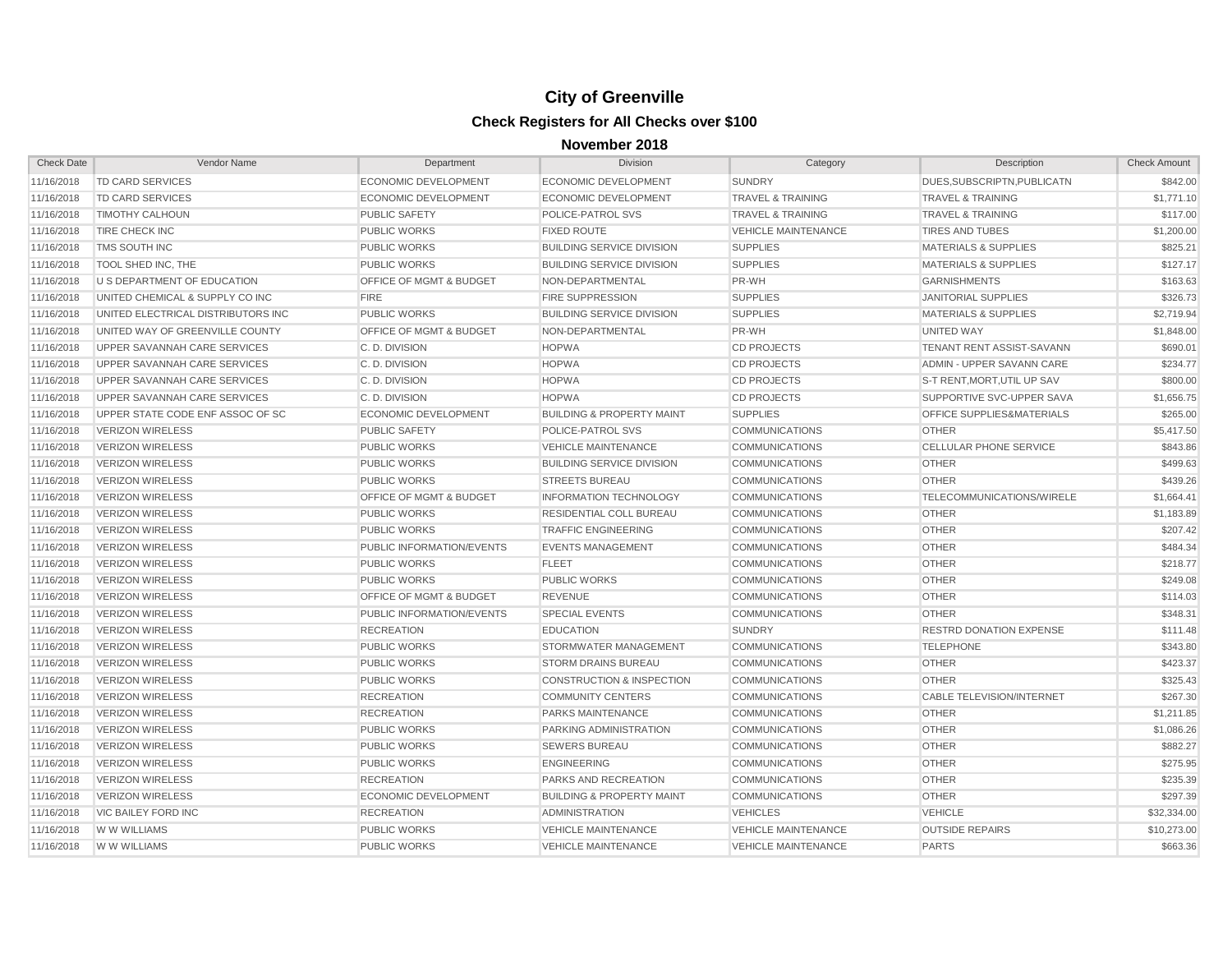| <b>Check Date</b> | Vendor Name                        | Department                         | <b>Division</b>                      | Category                     | Description                      | <b>Check Amount</b> |
|-------------------|------------------------------------|------------------------------------|--------------------------------------|------------------------------|----------------------------------|---------------------|
| 11/16/2018        | <b>TD CARD SERVICES</b>            | <b>ECONOMIC DEVELOPMENT</b>        | ECONOMIC DEVELOPMENT                 | <b>SUNDRY</b>                | DUES, SUBSCRIPTN, PUBLICATN      | \$842.00            |
| 11/16/2018        | <b>TD CARD SERVICES</b>            | <b>ECONOMIC DEVELOPMENT</b>        | <b>ECONOMIC DEVELOPMENT</b>          | <b>TRAVEL &amp; TRAINING</b> | <b>TRAVEL &amp; TRAINING</b>     | \$1,771.10          |
| 11/16/2018        | <b>TIMOTHY CALHOUN</b>             | <b>PUBLIC SAFETY</b>               | <b>POLICE-PATROL SVS</b>             | <b>TRAVEL &amp; TRAINING</b> | <b>TRAVEL &amp; TRAINING</b>     | \$117.00            |
| 11/16/2018        | TIRE CHECK INC                     | <b>PUBLIC WORKS</b>                | <b>FIXED ROUTE</b>                   | <b>VEHICLE MAINTENANCE</b>   | <b>TIRES AND TUBES</b>           | \$1,200.00          |
| 11/16/2018        | TMS SOUTH INC                      | <b>PUBLIC WORKS</b>                | <b>BUILDING SERVICE DIVISION</b>     | <b>SUPPLIES</b>              | <b>MATERIALS &amp; SUPPLIES</b>  | \$825.21            |
| 11/16/2018        | TOOL SHED INC, THE                 | <b>PUBLIC WORKS</b>                | <b>BUILDING SERVICE DIVISION</b>     | <b>SUPPLIES</b>              | <b>MATERIALS &amp; SUPPLIES</b>  | \$127.17            |
| 11/16/2018        | U S DEPARTMENT OF EDUCATION        | OFFICE OF MGMT & BUDGET            | NON-DEPARTMENTAL                     | PR-WH                        | <b>GARNISHMENTS</b>              | \$163.63            |
| 11/16/2018        | UNITED CHEMICAL & SUPPLY CO INC    | <b>FIRE</b>                        | <b>FIRE SUPPRESSION</b>              | <b>SUPPLIES</b>              | <b>JANITORIAL SUPPLIES</b>       | \$326.73            |
| 11/16/2018        | UNITED ELECTRICAL DISTRIBUTORS INC | <b>PUBLIC WORKS</b>                | <b>BUILDING SERVICE DIVISION</b>     | <b>SUPPLIES</b>              | <b>MATERIALS &amp; SUPPLIES</b>  | \$2,719.94          |
| 11/16/2018        | UNITED WAY OF GREENVILLE COUNTY    | <b>OFFICE OF MGMT &amp; BUDGET</b> | NON-DEPARTMENTAL                     | PR-WH                        | UNITED WAY                       | \$1,848.00          |
| 11/16/2018        | UPPER SAVANNAH CARE SERVICES       | C.D. DIVISION                      | <b>HOPWA</b>                         | <b>CD PROJECTS</b>           | <b>TENANT RENT ASSIST-SAVANN</b> | \$690.01            |
| 11/16/2018        | UPPER SAVANNAH CARE SERVICES       | C.D. DIVISION                      | <b>HOPWA</b>                         | <b>CD PROJECTS</b>           | ADMIN - UPPER SAVANN CARE        | \$234.77            |
| 11/16/2018        | UPPER SAVANNAH CARE SERVICES       | C.D. DIVISION                      | <b>HOPWA</b>                         | <b>CD PROJECTS</b>           | S-T RENT, MORT, UTIL UP SAV      | \$800.00            |
| 11/16/2018        | UPPER SAVANNAH CARE SERVICES       | C.D. DIVISION                      | <b>HOPWA</b>                         | <b>CD PROJECTS</b>           | SUPPORTIVE SVC-UPPER SAVA        | \$1,656.75          |
| 11/16/2018        | UPPER STATE CODE ENF ASSOC OF SC   | <b>ECONOMIC DEVELOPMENT</b>        | <b>BUILDING &amp; PROPERTY MAINT</b> | <b>SUPPLIES</b>              | OFFICE SUPPLIES&MATERIALS        | \$265.00            |
| 11/16/2018        | <b>VERIZON WIRELESS</b>            | <b>PUBLIC SAFETY</b>               | POLICE-PATROL SVS                    | <b>COMMUNICATIONS</b>        | <b>OTHER</b>                     | \$5,417.50          |
| 11/16/2018        | <b>VERIZON WIRELESS</b>            | <b>PUBLIC WORKS</b>                | <b>VEHICLE MAINTENANCE</b>           | <b>COMMUNICATIONS</b>        | <b>CELLULAR PHONE SERVICE</b>    | \$843.86            |
| 11/16/2018        | <b>VERIZON WIRELESS</b>            | <b>PUBLIC WORKS</b>                | <b>BUILDING SERVICE DIVISION</b>     | <b>COMMUNICATIONS</b>        | <b>OTHER</b>                     | \$499.63            |
| 11/16/2018        | <b>VERIZON WIRELESS</b>            | <b>PUBLIC WORKS</b>                | <b>STREETS BUREAU</b>                | <b>COMMUNICATIONS</b>        | <b>OTHER</b>                     | \$439.26            |
| 11/16/2018        | <b>VERIZON WIRELESS</b>            | <b>OFFICE OF MGMT &amp; BUDGET</b> | <b>INFORMATION TECHNOLOGY</b>        | <b>COMMUNICATIONS</b>        | TELECOMMUNICATIONS/WIRELE        | \$1,664.41          |
| 11/16/2018        | <b>VERIZON WIRELESS</b>            | <b>PUBLIC WORKS</b>                | <b>RESIDENTIAL COLL BUREAU</b>       | <b>COMMUNICATIONS</b>        | <b>OTHER</b>                     | \$1,183.89          |
| 11/16/2018        | <b>VERIZON WIRELESS</b>            | <b>PUBLIC WORKS</b>                | <b>TRAFFIC ENGINEERING</b>           | <b>COMMUNICATIONS</b>        | <b>OTHER</b>                     | \$207.42            |
| 11/16/2018        | <b>VERIZON WIRELESS</b>            | PUBLIC INFORMATION/EVENTS          | <b>EVENTS MANAGEMENT</b>             | <b>COMMUNICATIONS</b>        | <b>OTHER</b>                     | \$484.34            |
| 11/16/2018        | <b>VERIZON WIRELESS</b>            | <b>PUBLIC WORKS</b>                | <b>FLEET</b>                         | <b>COMMUNICATIONS</b>        | <b>OTHER</b>                     | \$218.77            |
| 11/16/2018        | <b>VERIZON WIRELESS</b>            | <b>PUBLIC WORKS</b>                | <b>PUBLIC WORKS</b>                  | <b>COMMUNICATIONS</b>        | <b>OTHER</b>                     | \$249.08            |
| 11/16/2018        | <b>VERIZON WIRELESS</b>            | OFFICE OF MGMT & BUDGET            | <b>REVENUE</b>                       | <b>COMMUNICATIONS</b>        | <b>OTHER</b>                     | \$114.03            |
| 11/16/2018        | <b>VERIZON WIRELESS</b>            | PUBLIC INFORMATION/EVENTS          | <b>SPECIAL EVENTS</b>                | <b>COMMUNICATIONS</b>        | <b>OTHER</b>                     | \$348.31            |
| 11/16/2018        | <b>VERIZON WIRELESS</b>            | <b>RECREATION</b>                  | <b>EDUCATION</b>                     | <b>SUNDRY</b>                | <b>RESTRD DONATION EXPENSE</b>   | \$111.48            |
| 11/16/2018        | <b>VERIZON WIRELESS</b>            | <b>PUBLIC WORKS</b>                | STORMWATER MANAGEMENT                | <b>COMMUNICATIONS</b>        | <b>TELEPHONE</b>                 | \$343.80            |
| 11/16/2018        | <b>VERIZON WIRELESS</b>            | <b>PUBLIC WORKS</b>                | <b>STORM DRAINS BUREAU</b>           | <b>COMMUNICATIONS</b>        | <b>OTHER</b>                     | \$423.37            |
| 11/16/2018        | <b>VERIZON WIRELESS</b>            | <b>PUBLIC WORKS</b>                | <b>CONSTRUCTION &amp; INSPECTION</b> | <b>COMMUNICATIONS</b>        | <b>OTHER</b>                     | \$325.43            |
| 11/16/2018        | <b>VERIZON WIRELESS</b>            | <b>RECREATION</b>                  | <b>COMMUNITY CENTERS</b>             | <b>COMMUNICATIONS</b>        | <b>CABLE TELEVISION/INTERNET</b> | \$267.30            |
| 11/16/2018        | <b>VERIZON WIRELESS</b>            | <b>RECREATION</b>                  | PARKS MAINTENANCE                    | <b>COMMUNICATIONS</b>        | <b>OTHER</b>                     | \$1,211.85          |
| 11/16/2018        | <b>VERIZON WIRELESS</b>            | <b>PUBLIC WORKS</b>                | PARKING ADMINISTRATION               | <b>COMMUNICATIONS</b>        | <b>OTHER</b>                     | \$1,086.26          |
| 11/16/2018        | <b>VERIZON WIRELESS</b>            | <b>PUBLIC WORKS</b>                | <b>SEWERS BUREAU</b>                 | <b>COMMUNICATIONS</b>        | <b>OTHER</b>                     | \$882.27            |
| 11/16/2018        | <b>VERIZON WIRELESS</b>            | <b>PUBLIC WORKS</b>                | <b>ENGINEERING</b>                   | <b>COMMUNICATIONS</b>        | <b>OTHER</b>                     | \$275.95            |
| 11/16/2018        | <b>VERIZON WIRELESS</b>            | <b>RECREATION</b>                  | PARKS AND RECREATION                 | <b>COMMUNICATIONS</b>        | <b>OTHER</b>                     | \$235.39            |
| 11/16/2018        | <b>VERIZON WIRELESS</b>            | <b>ECONOMIC DEVELOPMENT</b>        | <b>BUILDING &amp; PROPERTY MAINT</b> | <b>COMMUNICATIONS</b>        | <b>OTHER</b>                     | \$297.39            |
| 11/16/2018        | <b>VIC BAILEY FORD INC</b>         | <b>RECREATION</b>                  | <b>ADMINISTRATION</b>                | <b>VEHICLES</b>              | <b>VEHICLE</b>                   | \$32,334.00         |
| 11/16/2018        | W W WILLIAMS                       | <b>PUBLIC WORKS</b>                | <b>VEHICLE MAINTENANCE</b>           | <b>VEHICLE MAINTENANCE</b>   | <b>OUTSIDE REPAIRS</b>           | \$10,273.00         |
| 11/16/2018        | W W WILLIAMS                       | <b>PUBLIC WORKS</b>                | <b>VEHICLE MAINTENANCE</b>           | <b>VEHICLE MAINTENANCE</b>   | <b>PARTS</b>                     | \$663.36            |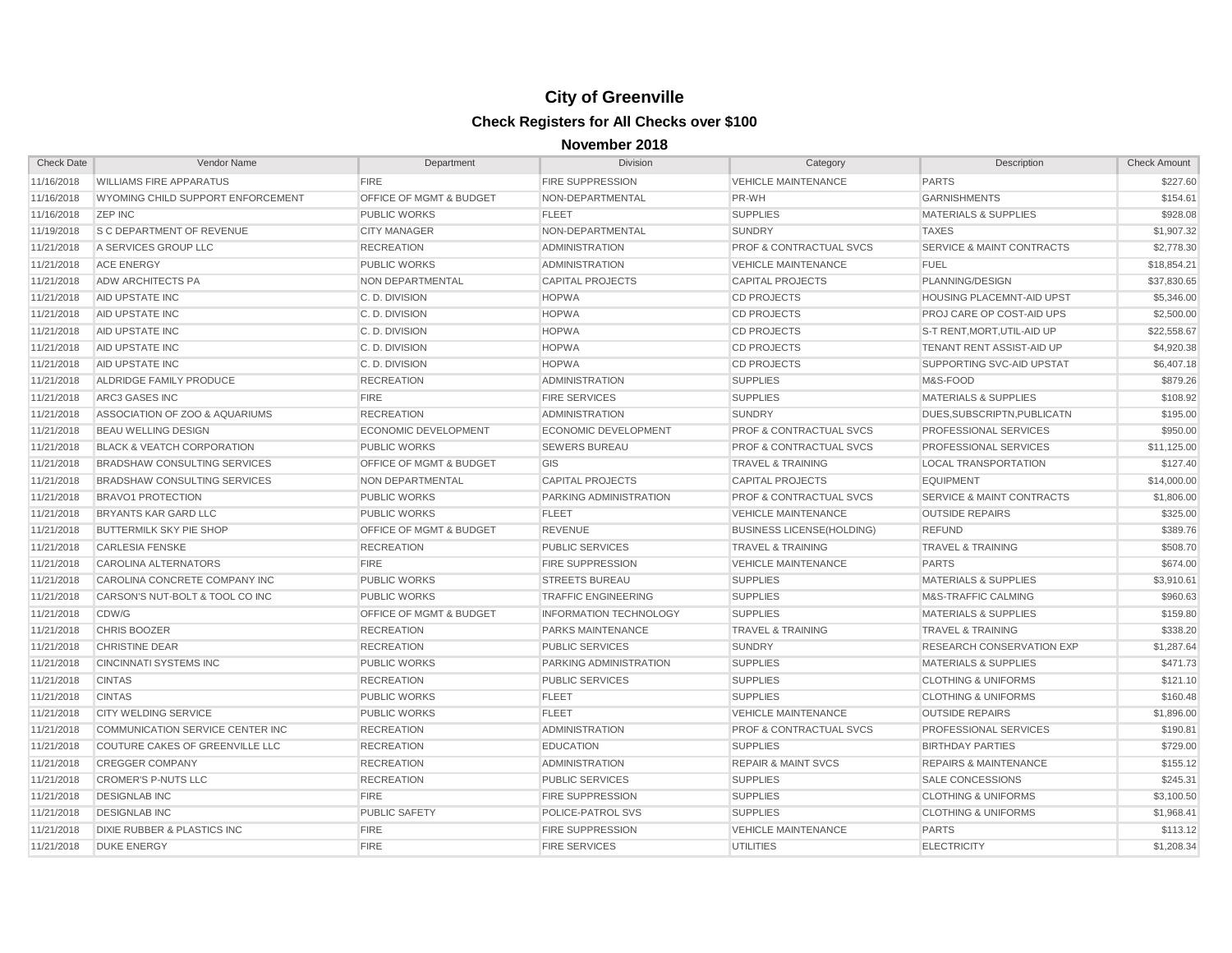| <b>Check Date</b> | Vendor Name                            | Department                         | Division                      | Category                           | Description                          | <b>Check Amount</b> |
|-------------------|----------------------------------------|------------------------------------|-------------------------------|------------------------------------|--------------------------------------|---------------------|
| 11/16/2018        | <b>WILLIAMS FIRE APPARATUS</b>         | <b>FIRE</b>                        | <b>FIRE SUPPRESSION</b>       | <b>VEHICLE MAINTENANCE</b>         | <b>PARTS</b>                         | \$227.60            |
| 11/16/2018        | WYOMING CHILD SUPPORT ENFORCEMENT      | OFFICE OF MGMT & BUDGET            | NON-DEPARTMENTAL              | PR-WH                              | <b>GARNISHMENTS</b>                  | \$154.61            |
| 11/16/2018        | <b>ZEP INC</b>                         | <b>PUBLIC WORKS</b>                | <b>FLEET</b>                  | <b>SUPPLIES</b>                    | <b>MATERIALS &amp; SUPPLIES</b>      | \$928.08            |
| 11/19/2018        | <b>S C DEPARTMENT OF REVENUE</b>       | <b>CITY MANAGER</b>                | NON-DEPARTMENTAL              | <b>SUNDRY</b>                      | <b>TAXES</b>                         | \$1,907.32          |
| 11/21/2018        | A SERVICES GROUP LLC                   | <b>RECREATION</b>                  | <b>ADMINISTRATION</b>         | <b>PROF &amp; CONTRACTUAL SVCS</b> | <b>SERVICE &amp; MAINT CONTRACTS</b> | \$2,778.30          |
| 11/21/2018        | <b>ACE ENERGY</b>                      | <b>PUBLIC WORKS</b>                | <b>ADMINISTRATION</b>         | <b>VEHICLE MAINTENANCE</b>         | <b>FUEL</b>                          | \$18,854.21         |
| 11/21/2018        | <b>ADW ARCHITECTS PA</b>               | NON DEPARTMENTAL                   | <b>CAPITAL PROJECTS</b>       | <b>CAPITAL PROJECTS</b>            | PLANNING/DESIGN                      | \$37,830.65         |
| 11/21/2018        | AID UPSTATE INC                        | C.D. DIVISION                      | <b>HOPWA</b>                  | <b>CD PROJECTS</b>                 | <b>HOUSING PLACEMNT-AID UPST</b>     | \$5,346.00          |
| 11/21/2018        | <b>AID UPSTATE INC</b>                 | C.D. DIVISION                      | <b>HOPWA</b>                  | <b>CD PROJECTS</b>                 | PROJ CARE OP COST-AID UPS            | \$2,500.00          |
| 11/21/2018        | <b>AID UPSTATE INC</b>                 | C.D. DIVISION                      | <b>HOPWA</b>                  | <b>CD PROJECTS</b>                 | S-T RENT, MORT, UTIL-AID UP          | \$22,558.67         |
| 11/21/2018        | <b>AID UPSTATE INC</b>                 | C.D. DIVISION                      | <b>HOPWA</b>                  | <b>CD PROJECTS</b>                 | <b>TENANT RENT ASSIST-AID UP</b>     | \$4,920.38          |
| 11/21/2018        | AID UPSTATE INC                        | C.D. DIVISION                      | <b>HOPWA</b>                  | <b>CD PROJECTS</b>                 | SUPPORTING SVC-AID UPSTAT            | \$6,407.18          |
| 11/21/2018        | ALDRIDGE FAMILY PRODUCE                | <b>RECREATION</b>                  | <b>ADMINISTRATION</b>         | <b>SUPPLIES</b>                    | M&S-FOOD                             | \$879.26            |
| 11/21/2018        | ARC3 GASES INC                         | <b>FIRE</b>                        | <b>FIRE SERVICES</b>          | <b>SUPPLIES</b>                    | <b>MATERIALS &amp; SUPPLIES</b>      | \$108.92            |
| 11/21/2018        | ASSOCIATION OF ZOO & AQUARIUMS         | <b>RECREATION</b>                  | <b>ADMINISTRATION</b>         | <b>SUNDRY</b>                      | DUES, SUBSCRIPTN, PUBLICATN          | \$195.00            |
| 11/21/2018        | <b>BEAU WELLING DESIGN</b>             | <b>ECONOMIC DEVELOPMENT</b>        | ECONOMIC DEVELOPMENT          | <b>PROF &amp; CONTRACTUAL SVCS</b> | PROFESSIONAL SERVICES                | \$950.00            |
| 11/21/2018        | <b>BLACK &amp; VEATCH CORPORATION</b>  | <b>PUBLIC WORKS</b>                | <b>SEWERS BUREAU</b>          | <b>PROF &amp; CONTRACTUAL SVCS</b> | PROFESSIONAL SERVICES                | \$11,125.00         |
| 11/21/2018        | <b>BRADSHAW CONSULTING SERVICES</b>    | OFFICE OF MGMT & BUDGET            | GIS                           | <b>TRAVEL &amp; TRAINING</b>       | <b>LOCAL TRANSPORTATION</b>          | \$127.40            |
| 11/21/2018        | <b>BRADSHAW CONSULTING SERVICES</b>    | NON DEPARTMENTAL                   | <b>CAPITAL PROJECTS</b>       | <b>CAPITAL PROJECTS</b>            | <b>EQUIPMENT</b>                     | \$14,000.00         |
| 11/21/2018        | <b>BRAVO1 PROTECTION</b>               | <b>PUBLIC WORKS</b>                | PARKING ADMINISTRATION        | <b>PROF &amp; CONTRACTUAL SVCS</b> | <b>SERVICE &amp; MAINT CONTRACTS</b> | \$1,806.00          |
| 11/21/2018        | <b>BRYANTS KAR GARD LLC</b>            | <b>PUBLIC WORKS</b>                | <b>FLEET</b>                  | <b>VEHICLE MAINTENANCE</b>         | <b>OUTSIDE REPAIRS</b>               | \$325.00            |
| 11/21/2018        | <b>BUTTERMILK SKY PIE SHOP</b>         | <b>OFFICE OF MGMT &amp; BUDGET</b> | <b>REVENUE</b>                | <b>BUSINESS LICENSE(HOLDING)</b>   | <b>REFUND</b>                        | \$389.76            |
| 11/21/2018        | <b>CARLESIA FENSKE</b>                 | <b>RECREATION</b>                  | <b>PUBLIC SERVICES</b>        | <b>TRAVEL &amp; TRAINING</b>       | <b>TRAVEL &amp; TRAINING</b>         | \$508.70            |
| 11/21/2018        | CAROLINA ALTERNATORS                   | <b>FIRE</b>                        | <b>FIRE SUPPRESSION</b>       | <b>VEHICLE MAINTENANCE</b>         | <b>PARTS</b>                         | \$674.00            |
| 11/21/2018        | CAROLINA CONCRETE COMPANY INC          | <b>PUBLIC WORKS</b>                | <b>STREETS BUREAU</b>         | <b>SUPPLIES</b>                    | <b>MATERIALS &amp; SUPPLIES</b>      | \$3,910.61          |
| 11/21/2018        | CARSON'S NUT-BOLT & TOOL CO INC        | <b>PUBLIC WORKS</b>                | <b>TRAFFIC ENGINEERING</b>    | <b>SUPPLIES</b>                    | M&S-TRAFFIC CALMING                  | \$960.63            |
| 11/21/2018        | CDW/G                                  | OFFICE OF MGMT & BUDGET            | <b>INFORMATION TECHNOLOGY</b> | <b>SUPPLIES</b>                    | <b>MATERIALS &amp; SUPPLIES</b>      | \$159.80            |
| 11/21/2018        | <b>CHRIS BOOZER</b>                    | <b>RECREATION</b>                  | PARKS MAINTENANCE             | <b>TRAVEL &amp; TRAINING</b>       | <b>TRAVEL &amp; TRAINING</b>         | \$338.20            |
| 11/21/2018        | <b>CHRISTINE DEAR</b>                  | <b>RECREATION</b>                  | <b>PUBLIC SERVICES</b>        | <b>SUNDRY</b>                      | RESEARCH CONSERVATION EXP            | \$1,287.64          |
| 11/21/2018        | <b>CINCINNATI SYSTEMS INC</b>          | <b>PUBLIC WORKS</b>                | PARKING ADMINISTRATION        | <b>SUPPLIES</b>                    | <b>MATERIALS &amp; SUPPLIES</b>      | \$471.73            |
| 11/21/2018        | <b>CINTAS</b>                          | <b>RECREATION</b>                  | <b>PUBLIC SERVICES</b>        | <b>SUPPLIES</b>                    | <b>CLOTHING &amp; UNIFORMS</b>       | \$121.10            |
| 11/21/2018        | <b>CINTAS</b>                          | <b>PUBLIC WORKS</b>                | <b>FLEET</b>                  | <b>SUPPLIES</b>                    | <b>CLOTHING &amp; UNIFORMS</b>       | \$160.48            |
| 11/21/2018        | <b>CITY WELDING SERVICE</b>            | <b>PUBLIC WORKS</b>                | <b>FLEET</b>                  | <b>VEHICLE MAINTENANCE</b>         | <b>OUTSIDE REPAIRS</b>               | \$1,896.00          |
| 11/21/2018        | COMMUNICATION SERVICE CENTER INC       | <b>RECREATION</b>                  | <b>ADMINISTRATION</b>         | <b>PROF &amp; CONTRACTUAL SVCS</b> | PROFESSIONAL SERVICES                | \$190.81            |
| 11/21/2018        | COUTURE CAKES OF GREENVILLE LLC        | <b>RECREATION</b>                  | <b>EDUCATION</b>              | <b>SUPPLIES</b>                    | <b>BIRTHDAY PARTIES</b>              | \$729.00            |
| 11/21/2018        | <b>CREGGER COMPANY</b>                 | <b>RECREATION</b>                  | <b>ADMINISTRATION</b>         | <b>REPAIR &amp; MAINT SVCS</b>     | <b>REPAIRS &amp; MAINTENANCE</b>     | \$155.12            |
| 11/21/2018        | <b>CROMER'S P-NUTS LLC</b>             | <b>RECREATION</b>                  | <b>PUBLIC SERVICES</b>        | <b>SUPPLIES</b>                    | <b>SALE CONCESSIONS</b>              | \$245.31            |
| 11/21/2018        | <b>DESIGNLAB INC</b>                   | <b>FIRE</b>                        | <b>FIRE SUPPRESSION</b>       | <b>SUPPLIES</b>                    | <b>CLOTHING &amp; UNIFORMS</b>       | \$3,100.50          |
| 11/21/2018        | <b>DESIGNLAB INC</b>                   | PUBLIC SAFETY                      | POLICE-PATROL SVS             | <b>SUPPLIES</b>                    | <b>CLOTHING &amp; UNIFORMS</b>       | \$1,968.41          |
| 11/21/2018        | <b>DIXIE RUBBER &amp; PLASTICS INC</b> | <b>FIRE</b>                        | <b>FIRE SUPPRESSION</b>       | <b>VEHICLE MAINTENANCE</b>         | <b>PARTS</b>                         | \$113.12            |
| 11/21/2018        | <b>DUKE ENERGY</b>                     | <b>FIRE</b>                        | <b>FIRE SERVICES</b>          | <b>UTILITIES</b>                   | <b>ELECTRICITY</b>                   | \$1,208.34          |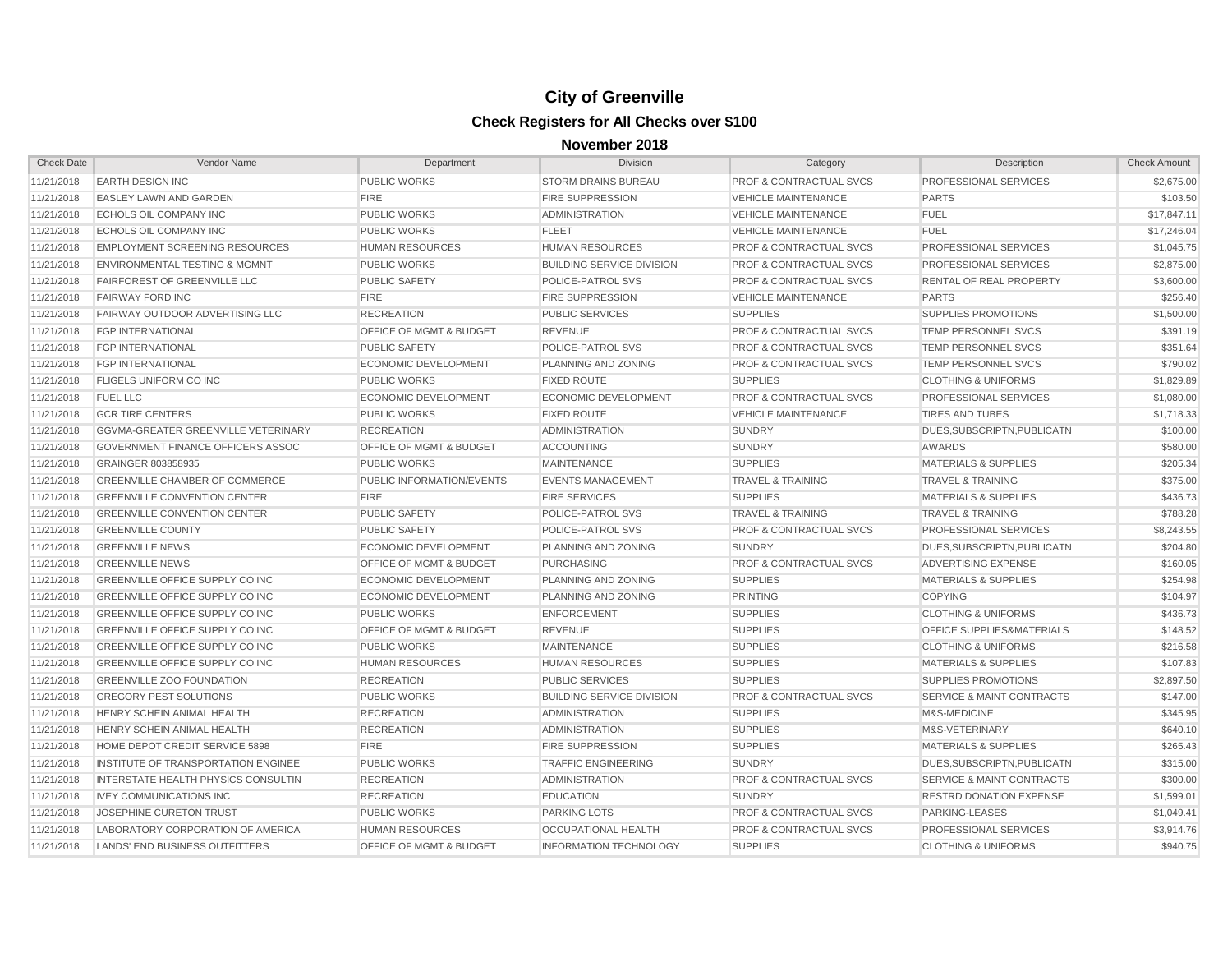| <b>Check Date</b> | Vendor Name                                | Department                         | <b>Division</b>                  | Category                           | Description                          | <b>Check Amount</b> |
|-------------------|--------------------------------------------|------------------------------------|----------------------------------|------------------------------------|--------------------------------------|---------------------|
| 11/21/2018        | <b>EARTH DESIGN INC</b>                    | <b>PUBLIC WORKS</b>                | <b>STORM DRAINS BUREAU</b>       | <b>PROF &amp; CONTRACTUAL SVCS</b> | PROFESSIONAL SERVICES                | \$2,675.00          |
| 11/21/2018        | <b>EASLEY LAWN AND GARDEN</b>              | <b>FIRE</b>                        | <b>FIRE SUPPRESSION</b>          | <b>VEHICLE MAINTENANCE</b>         | <b>PARTS</b>                         | \$103.50            |
| 11/21/2018        | ECHOLS OIL COMPANY INC                     | <b>PUBLIC WORKS</b>                | <b>ADMINISTRATION</b>            | <b>VEHICLE MAINTENANCE</b>         | <b>FUEL</b>                          | \$17,847.11         |
| 11/21/2018        | <b>ECHOLS OIL COMPANY INC</b>              | <b>PUBLIC WORKS</b>                | <b>FLEET</b>                     | <b>VEHICLE MAINTENANCE</b>         | <b>FUEL</b>                          | \$17,246.04         |
| 11/21/2018        | <b>EMPLOYMENT SCREENING RESOURCES</b>      | <b>HUMAN RESOURCES</b>             | <b>HUMAN RESOURCES</b>           | <b>PROF &amp; CONTRACTUAL SVCS</b> | PROFESSIONAL SERVICES                | \$1,045.75          |
| 11/21/2018        | <b>ENVIRONMENTAL TESTING &amp; MGMNT</b>   | <b>PUBLIC WORKS</b>                | <b>BUILDING SERVICE DIVISION</b> | <b>PROF &amp; CONTRACTUAL SVCS</b> | PROFESSIONAL SERVICES                | \$2,875.00          |
| 11/21/2018        | <b>FAIRFOREST OF GREENVILLE LLC</b>        | <b>PUBLIC SAFETY</b>               | POLICE-PATROL SVS                | <b>PROF &amp; CONTRACTUAL SVCS</b> | RENTAL OF REAL PROPERTY              | \$3,600.00          |
| 11/21/2018        | <b>FAIRWAY FORD INC</b>                    | <b>FIRE</b>                        | <b>FIRE SUPPRESSION</b>          | <b>VEHICLE MAINTENANCE</b>         | <b>PARTS</b>                         | \$256.40            |
| 11/21/2018        | <b>FAIRWAY OUTDOOR ADVERTISING LLC</b>     | <b>RECREATION</b>                  | <b>PUBLIC SERVICES</b>           | <b>SUPPLIES</b>                    | <b>SUPPLIES PROMOTIONS</b>           | \$1,500.00          |
| 11/21/2018        | <b>FGP INTERNATIONAL</b>                   | OFFICE OF MGMT & BUDGET            | <b>REVENUE</b>                   | <b>PROF &amp; CONTRACTUAL SVCS</b> | TEMP PERSONNEL SVCS                  | \$391.19            |
| 11/21/2018        | <b>FGP INTERNATIONAL</b>                   | <b>PUBLIC SAFETY</b>               | POLICE-PATROL SVS                | <b>PROF &amp; CONTRACTUAL SVCS</b> | TEMP PERSONNEL SVCS                  | \$351.64            |
| 11/21/2018        | <b>FGP INTERNATIONAL</b>                   | <b>ECONOMIC DEVELOPMENT</b>        | PLANNING AND ZONING              | <b>PROF &amp; CONTRACTUAL SVCS</b> | TEMP PERSONNEL SVCS                  | \$790.02            |
| 11/21/2018        | <b>FLIGELS UNIFORM CO INC</b>              | <b>PUBLIC WORKS</b>                | <b>FIXED ROUTE</b>               | <b>SUPPLIES</b>                    | <b>CLOTHING &amp; UNIFORMS</b>       | \$1,829.89          |
| 11/21/2018        | <b>FUEL LLC</b>                            | <b>ECONOMIC DEVELOPMENT</b>        | ECONOMIC DEVELOPMENT             | <b>PROF &amp; CONTRACTUAL SVCS</b> | PROFESSIONAL SERVICES                | \$1,080.00          |
| 11/21/2018        | <b>GCR TIRE CENTERS</b>                    | <b>PUBLIC WORKS</b>                | <b>FIXED ROUTE</b>               | <b>VEHICLE MAINTENANCE</b>         | <b>TIRES AND TUBES</b>               | \$1,718.33          |
| 11/21/2018        | GGVMA-GREATER GREENVILLE VETERINARY        | <b>RECREATION</b>                  | <b>ADMINISTRATION</b>            | <b>SUNDRY</b>                      | DUES, SUBSCRIPTN, PUBLICATN          | \$100.00            |
| 11/21/2018        | <b>GOVERNMENT FINANCE OFFICERS ASSOC</b>   | OFFICE OF MGMT & BUDGET            | <b>ACCOUNTING</b>                | <b>SUNDRY</b>                      | AWARDS                               | \$580.00            |
| 11/21/2018        | GRAINGER 803858935                         | <b>PUBLIC WORKS</b>                | <b>MAINTENANCE</b>               | <b>SUPPLIES</b>                    | <b>MATERIALS &amp; SUPPLIES</b>      | \$205.34            |
| 11/21/2018        | <b>GREENVILLE CHAMBER OF COMMERCE</b>      | PUBLIC INFORMATION/EVENTS          | <b>EVENTS MANAGEMENT</b>         | <b>TRAVEL &amp; TRAINING</b>       | <b>TRAVEL &amp; TRAINING</b>         | \$375.00            |
| 11/21/2018        | <b>GREENVILLE CONVENTION CENTER</b>        | <b>FIRE</b>                        | <b>FIRE SERVICES</b>             | <b>SUPPLIES</b>                    | <b>MATERIALS &amp; SUPPLIES</b>      | \$436.73            |
| 11/21/2018        | <b>GREENVILLE CONVENTION CENTER</b>        | <b>PUBLIC SAFETY</b>               | <b>POLICE-PATROL SVS</b>         | <b>TRAVEL &amp; TRAINING</b>       | <b>TRAVEL &amp; TRAINING</b>         | \$788.28            |
| 11/21/2018        | <b>GREENVILLE COUNTY</b>                   | <b>PUBLIC SAFETY</b>               | <b>POLICE-PATROL SVS</b>         | <b>PROF &amp; CONTRACTUAL SVCS</b> | PROFESSIONAL SERVICES                | \$8,243.55          |
| 11/21/2018        | <b>GREENVILLE NEWS</b>                     | <b>ECONOMIC DEVELOPMENT</b>        | PLANNING AND ZONING              | <b>SUNDRY</b>                      | DUES, SUBSCRIPTN, PUBLICATN          | \$204.80            |
| 11/21/2018        | <b>GREENVILLE NEWS</b>                     | OFFICE OF MGMT & BUDGET            | <b>PURCHASING</b>                | <b>PROF &amp; CONTRACTUAL SVCS</b> | <b>ADVERTISING EXPENSE</b>           | \$160.05            |
| 11/21/2018        | <b>GREENVILLE OFFICE SUPPLY CO INC</b>     | <b>ECONOMIC DEVELOPMENT</b>        | PLANNING AND ZONING              | <b>SUPPLIES</b>                    | <b>MATERIALS &amp; SUPPLIES</b>      | \$254.98            |
| 11/21/2018        | GREENVILLE OFFICE SUPPLY CO INC            | <b>ECONOMIC DEVELOPMENT</b>        | PLANNING AND ZONING              | <b>PRINTING</b>                    | <b>COPYING</b>                       | \$104.97            |
| 11/21/2018        | <b>GREENVILLE OFFICE SUPPLY CO INC</b>     | <b>PUBLIC WORKS</b>                | <b>ENFORCEMENT</b>               | <b>SUPPLIES</b>                    | <b>CLOTHING &amp; UNIFORMS</b>       | \$436.73            |
| 11/21/2018        | <b>GREENVILLE OFFICE SUPPLY CO INC</b>     | <b>OFFICE OF MGMT &amp; BUDGET</b> | <b>REVENUE</b>                   | <b>SUPPLIES</b>                    | <b>OFFICE SUPPLIES&amp;MATERIALS</b> | \$148.52            |
| 11/21/2018        | <b>GREENVILLE OFFICE SUPPLY CO INC</b>     | <b>PUBLIC WORKS</b>                | <b>MAINTENANCE</b>               | <b>SUPPLIES</b>                    | <b>CLOTHING &amp; UNIFORMS</b>       | \$216.58            |
| 11/21/2018        | <b>GREENVILLE OFFICE SUPPLY CO INC</b>     | <b>HUMAN RESOURCES</b>             | <b>HUMAN RESOURCES</b>           | <b>SUPPLIES</b>                    | <b>MATERIALS &amp; SUPPLIES</b>      | \$107.83            |
| 11/21/2018        | <b>GREENVILLE ZOO FOUNDATION</b>           | <b>RECREATION</b>                  | <b>PUBLIC SERVICES</b>           | <b>SUPPLIES</b>                    | <b>SUPPLIES PROMOTIONS</b>           | \$2,897.50          |
| 11/21/2018        | <b>GREGORY PEST SOLUTIONS</b>              | <b>PUBLIC WORKS</b>                | <b>BUILDING SERVICE DIVISION</b> | <b>PROF &amp; CONTRACTUAL SVCS</b> | <b>SERVICE &amp; MAINT CONTRACTS</b> | \$147.00            |
| 11/21/2018        | HENRY SCHEIN ANIMAL HEALTH                 | <b>RECREATION</b>                  | <b>ADMINISTRATION</b>            | <b>SUPPLIES</b>                    | M&S-MEDICINE                         | \$345.95            |
| 11/21/2018        | HENRY SCHEIN ANIMAL HEALTH                 | <b>RECREATION</b>                  | <b>ADMINISTRATION</b>            | <b>SUPPLIES</b>                    | M&S-VETERINARY                       | \$640.10            |
| 11/21/2018        | HOME DEPOT CREDIT SERVICE 5898             | <b>FIRE</b>                        | <b>FIRE SUPPRESSION</b>          | <b>SUPPLIES</b>                    | <b>MATERIALS &amp; SUPPLIES</b>      | \$265.43            |
| 11/21/2018        | INSTITUTE OF TRANSPORTATION ENGINEE        | <b>PUBLIC WORKS</b>                | <b>TRAFFIC ENGINEERING</b>       | <b>SUNDRY</b>                      | DUES.SUBSCRIPTN.PUBLICATN            | \$315.00            |
| 11/21/2018        | <b>INTERSTATE HEALTH PHYSICS CONSULTIN</b> | <b>RECREATION</b>                  | <b>ADMINISTRATION</b>            | <b>PROF &amp; CONTRACTUAL SVCS</b> | <b>SERVICE &amp; MAINT CONTRACTS</b> | \$300.00            |
| 11/21/2018        | <b>IVEY COMMUNICATIONS INC</b>             | <b>RECREATION</b>                  | <b>EDUCATION</b>                 | <b>SUNDRY</b>                      | <b>RESTRD DONATION EXPENSE</b>       | \$1,599.01          |
| 11/21/2018        | <b>JOSEPHINE CURETON TRUST</b>             | <b>PUBLIC WORKS</b>                | <b>PARKING LOTS</b>              | <b>PROF &amp; CONTRACTUAL SVCS</b> | <b>PARKING-LEASES</b>                | \$1,049.41          |
| 11/21/2018        | LABORATORY CORPORATION OF AMERICA          | <b>HUMAN RESOURCES</b>             | <b>OCCUPATIONAL HEALTH</b>       | <b>PROF &amp; CONTRACTUAL SVCS</b> | PROFESSIONAL SERVICES                | \$3,914.76          |
| 11/21/2018        | LANDS' END BUSINESS OUTFITTERS             | <b>OFFICE OF MGMT &amp; BUDGET</b> | <b>INFORMATION TECHNOLOGY</b>    | <b>SUPPLIES</b>                    | <b>CLOTHING &amp; UNIFORMS</b>       | \$940.75            |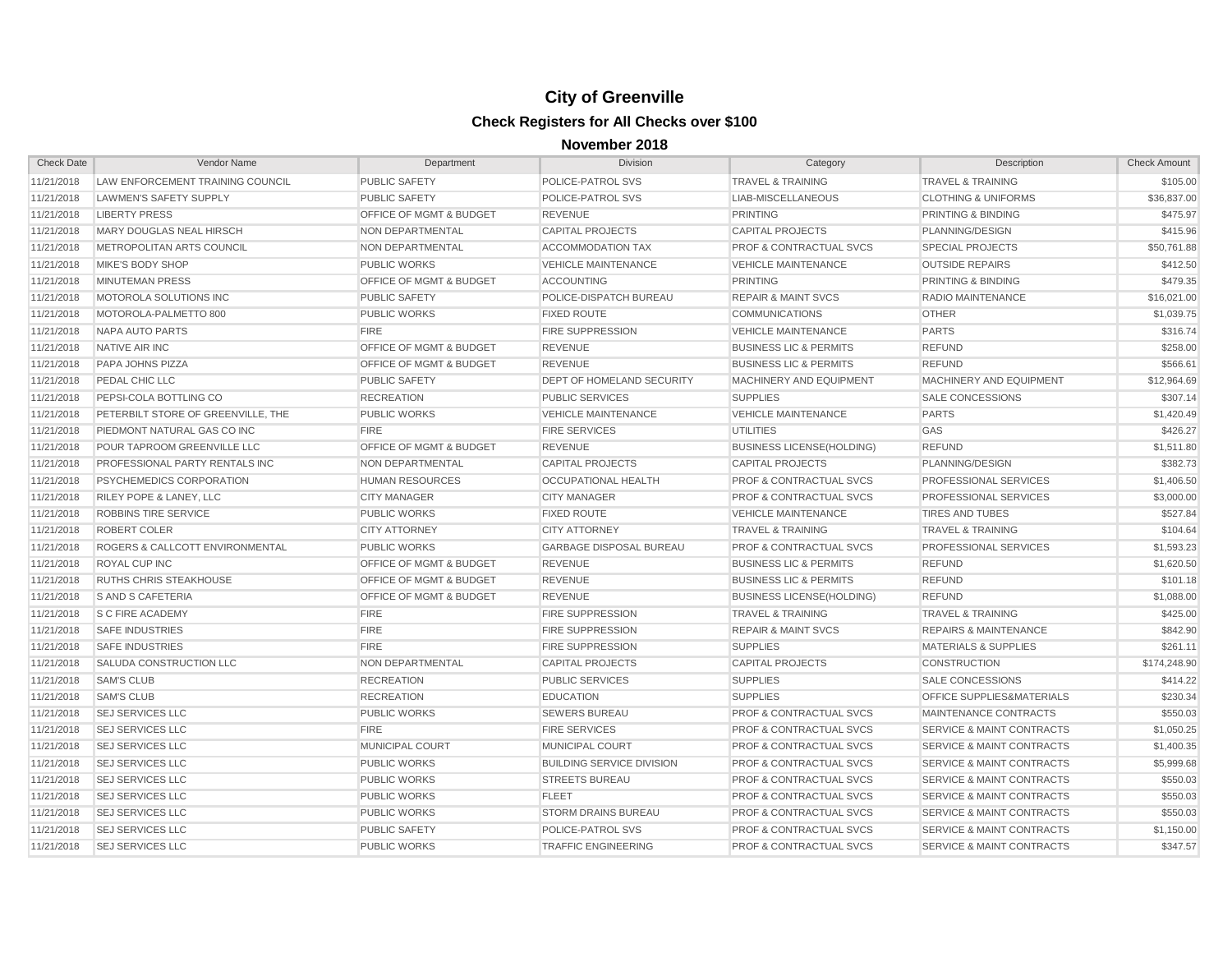| <b>Check Date</b> | Vendor Name                        | Department                         | Division                         | Category                           | Description                          | <b>Check Amount</b> |
|-------------------|------------------------------------|------------------------------------|----------------------------------|------------------------------------|--------------------------------------|---------------------|
| 11/21/2018        | LAW ENFORCEMENT TRAINING COUNCIL   | <b>PUBLIC SAFETY</b>               | POLICE-PATROL SVS                | <b>TRAVEL &amp; TRAINING</b>       | <b>TRAVEL &amp; TRAINING</b>         | \$105.00            |
| 11/21/2018        | LAWMEN'S SAFETY SUPPLY             | <b>PUBLIC SAFETY</b>               | POLICE-PATROL SVS                | LIAB-MISCELLANEOUS                 | <b>CLOTHING &amp; UNIFORMS</b>       | \$36,837.00         |
| 11/21/2018        | <b>LIBERTY PRESS</b>               | OFFICE OF MGMT & BUDGET            | <b>REVENUE</b>                   | <b>PRINTING</b>                    | PRINTING & BINDING                   | \$475.97            |
| 11/21/2018        | MARY DOUGLAS NEAL HIRSCH           | NON DEPARTMENTAL                   | <b>CAPITAL PROJECTS</b>          | <b>CAPITAL PROJECTS</b>            | PLANNING/DESIGN                      | \$415.96            |
| 11/21/2018        | METROPOLITAN ARTS COUNCIL          | NON DEPARTMENTAL                   | ACCOMMODATION TAX                | <b>PROF &amp; CONTRACTUAL SVCS</b> | <b>SPECIAL PROJECTS</b>              | \$50,761.88         |
| 11/21/2018        | MIKE'S BODY SHOP                   | <b>PUBLIC WORKS</b>                | <b>VEHICLE MAINTENANCE</b>       | <b>VEHICLE MAINTENANCE</b>         | <b>OUTSIDE REPAIRS</b>               | \$412.50            |
| 11/21/2018        | <b>MINUTEMAN PRESS</b>             | OFFICE OF MGMT & BUDGET            | <b>ACCOUNTING</b>                | <b>PRINTING</b>                    | PRINTING & BINDING                   | \$479.35            |
| 11/21/2018        | MOTOROLA SOLUTIONS INC             | <b>PUBLIC SAFETY</b>               | POLICE-DISPATCH BUREAU           | <b>REPAIR &amp; MAINT SVCS</b>     | RADIO MAINTENANCE                    | \$16,021.00         |
| 11/21/2018        | MOTOROLA-PALMETTO 800              | <b>PUBLIC WORKS</b>                | <b>FIXED ROUTE</b>               | <b>COMMUNICATIONS</b>              | <b>OTHER</b>                         | \$1,039.75          |
| 11/21/2018        | <b>NAPA AUTO PARTS</b>             | <b>FIRE</b>                        | <b>FIRE SUPPRESSION</b>          | <b>VEHICLE MAINTENANCE</b>         | <b>PARTS</b>                         | \$316.74            |
| 11/21/2018        | NATIVE AIR INC                     | <b>OFFICE OF MGMT &amp; BUDGET</b> | <b>REVENUE</b>                   | <b>BUSINESS LIC &amp; PERMITS</b>  | <b>REFUND</b>                        | \$258.00            |
| 11/21/2018        | PAPA JOHNS PIZZA                   | <b>OFFICE OF MGMT &amp; BUDGET</b> | <b>REVENUE</b>                   | <b>BUSINESS LIC &amp; PERMITS</b>  | <b>REFUND</b>                        | \$566.61            |
| 11/21/2018        | PEDAL CHIC LLC                     | <b>PUBLIC SAFETY</b>               | <b>DEPT OF HOMELAND SECURITY</b> | <b>MACHINERY AND EQUIPMENT</b>     | MACHINERY AND EQUIPMENT              | \$12,964.69         |
| 11/21/2018        | PEPSI-COLA BOTTLING CO             | <b>RECREATION</b>                  | <b>PUBLIC SERVICES</b>           | <b>SUPPLIES</b>                    | SALE CONCESSIONS                     | \$307.14            |
| 11/21/2018        | PETERBILT STORE OF GREENVILLE, THE | <b>PUBLIC WORKS</b>                | <b>VEHICLE MAINTENANCE</b>       | <b>VEHICLE MAINTENANCE</b>         | <b>PARTS</b>                         | \$1,420.49          |
| 11/21/2018        | PIEDMONT NATURAL GAS CO INC        | <b>FIRE</b>                        | <b>FIRE SERVICES</b>             | <b>UTILITIES</b>                   | GAS                                  | \$426.27            |
| 11/21/2018        | POUR TAPROOM GREENVILLE LLC        | OFFICE OF MGMT & BUDGET            | <b>REVENUE</b>                   | <b>BUSINESS LICENSE(HOLDING)</b>   | <b>REFUND</b>                        | \$1,511.80          |
| 11/21/2018        | PROFESSIONAL PARTY RENTALS INC     | NON DEPARTMENTAL                   | <b>CAPITAL PROJECTS</b>          | <b>CAPITAL PROJECTS</b>            | PLANNING/DESIGN                      | \$382.73            |
| 11/21/2018        | PSYCHEMEDICS CORPORATION           | <b>HUMAN RESOURCES</b>             | <b>OCCUPATIONAL HEALTH</b>       | <b>PROF &amp; CONTRACTUAL SVCS</b> | <b>PROFESSIONAL SERVICES</b>         | \$1,406.50          |
| 11/21/2018        | <b>RILEY POPE &amp; LANEY, LLC</b> | <b>CITY MANAGER</b>                | <b>CITY MANAGER</b>              | <b>PROF &amp; CONTRACTUAL SVCS</b> | <b>PROFESSIONAL SERVICES</b>         | \$3,000.00          |
| 11/21/2018        | <b>ROBBINS TIRE SERVICE</b>        | <b>PUBLIC WORKS</b>                | <b>FIXED ROUTE</b>               | <b>VEHICLE MAINTENANCE</b>         | <b>TIRES AND TUBES</b>               | \$527.84            |
| 11/21/2018        | ROBERT COLER                       | <b>CITY ATTORNEY</b>               | <b>CITY ATTORNEY</b>             | <b>TRAVEL &amp; TRAINING</b>       | <b>TRAVEL &amp; TRAINING</b>         | \$104.64            |
| 11/21/2018        | ROGERS & CALLCOTT ENVIRONMENTAL    | <b>PUBLIC WORKS</b>                | <b>GARBAGE DISPOSAL BUREAU</b>   | <b>PROF &amp; CONTRACTUAL SVCS</b> | PROFESSIONAL SERVICES                | \$1,593.23          |
| 11/21/2018        | ROYAL CUP INC                      | OFFICE OF MGMT & BUDGET            | <b>REVENUE</b>                   | <b>BUSINESS LIC &amp; PERMITS</b>  | <b>REFUND</b>                        | \$1,620.50          |
| 11/21/2018        | <b>RUTHS CHRIS STEAKHOUSE</b>      | <b>OFFICE OF MGMT &amp; BUDGET</b> | <b>REVENUE</b>                   | <b>BUSINESS LIC &amp; PERMITS</b>  | <b>REFUND</b>                        | \$101.18            |
| 11/21/2018        | <b>S AND S CAFETERIA</b>           | OFFICE OF MGMT & BUDGET            | <b>REVENUE</b>                   | <b>BUSINESS LICENSE(HOLDING)</b>   | <b>REFUND</b>                        | \$1,088.00          |
| 11/21/2018        | <b>S C FIRE ACADEMY</b>            | <b>FIRE</b>                        | <b>FIRE SUPPRESSION</b>          | <b>TRAVEL &amp; TRAINING</b>       | <b>TRAVEL &amp; TRAINING</b>         | \$425.00            |
| 11/21/2018        | <b>SAFE INDUSTRIES</b>             | <b>FIRE</b>                        | <b>FIRE SUPPRESSION</b>          | <b>REPAIR &amp; MAINT SVCS</b>     | <b>REPAIRS &amp; MAINTENANCE</b>     | \$842.90            |
| 11/21/2018        | <b>SAFE INDUSTRIES</b>             | <b>FIRE</b>                        | <b>FIRE SUPPRESSION</b>          | <b>SUPPLIES</b>                    | <b>MATERIALS &amp; SUPPLIES</b>      | \$261.11            |
| 11/21/2018        | SALUDA CONSTRUCTION LLC            | <b>NON DEPARTMENTAL</b>            | <b>CAPITAL PROJECTS</b>          | <b>CAPITAL PROJECTS</b>            | <b>CONSTRUCTION</b>                  | \$174,248.90        |
| 11/21/2018        | <b>SAM'S CLUB</b>                  | <b>RECREATION</b>                  | <b>PUBLIC SERVICES</b>           | <b>SUPPLIES</b>                    | <b>SALE CONCESSIONS</b>              | \$414.22            |
| 11/21/2018        | <b>SAM'S CLUB</b>                  | <b>RECREATION</b>                  | <b>EDUCATION</b>                 | <b>SUPPLIES</b>                    | OFFICE SUPPLIES&MATERIALS            | \$230.34            |
| 11/21/2018        | <b>SEJ SERVICES LLC</b>            | <b>PUBLIC WORKS</b>                | <b>SEWERS BUREAU</b>             | <b>PROF &amp; CONTRACTUAL SVCS</b> | MAINTENANCE CONTRACTS                | \$550.03            |
| 11/21/2018        | <b>SEJ SERVICES LLC</b>            | <b>FIRE</b>                        | <b>FIRE SERVICES</b>             | <b>PROF &amp; CONTRACTUAL SVCS</b> | <b>SERVICE &amp; MAINT CONTRACTS</b> | \$1,050.25          |
| 11/21/2018        | <b>SEJ SERVICES LLC</b>            | <b>MUNICIPAL COURT</b>             | MUNICIPAL COURT                  | <b>PROF &amp; CONTRACTUAL SVCS</b> | <b>SERVICE &amp; MAINT CONTRACTS</b> | \$1,400.35          |
| 11/21/2018        | <b>SEJ SERVICES LLC</b>            | <b>PUBLIC WORKS</b>                | <b>BUILDING SERVICE DIVISION</b> | <b>PROF &amp; CONTRACTUAL SVCS</b> | <b>SERVICE &amp; MAINT CONTRACTS</b> | \$5,999.68          |
| 11/21/2018        | <b>SEJ SERVICES LLC</b>            | <b>PUBLIC WORKS</b>                | <b>STREETS BUREAU</b>            | <b>PROF &amp; CONTRACTUAL SVCS</b> | <b>SERVICE &amp; MAINT CONTRACTS</b> | \$550.03            |
| 11/21/2018        | <b>SEJ SERVICES LLC</b>            | <b>PUBLIC WORKS</b>                | <b>FLEET</b>                     | <b>PROF &amp; CONTRACTUAL SVCS</b> | <b>SERVICE &amp; MAINT CONTRACTS</b> | \$550.03            |
| 11/21/2018        | <b>SEJ SERVICES LLC</b>            | <b>PUBLIC WORKS</b>                | <b>STORM DRAINS BUREAU</b>       | <b>PROF &amp; CONTRACTUAL SVCS</b> | <b>SERVICE &amp; MAINT CONTRACTS</b> | \$550.03            |
| 11/21/2018        | <b>SEJ SERVICES LLC</b>            | <b>PUBLIC SAFETY</b>               | POLICE-PATROL SVS                | <b>PROF &amp; CONTRACTUAL SVCS</b> | <b>SERVICE &amp; MAINT CONTRACTS</b> | \$1,150.00          |
| 11/21/2018        | <b>SEJ SERVICES LLC</b>            | <b>PUBLIC WORKS</b>                | <b>TRAFFIC ENGINEERING</b>       | <b>PROF &amp; CONTRACTUAL SVCS</b> | <b>SERVICE &amp; MAINT CONTRACTS</b> | \$347.57            |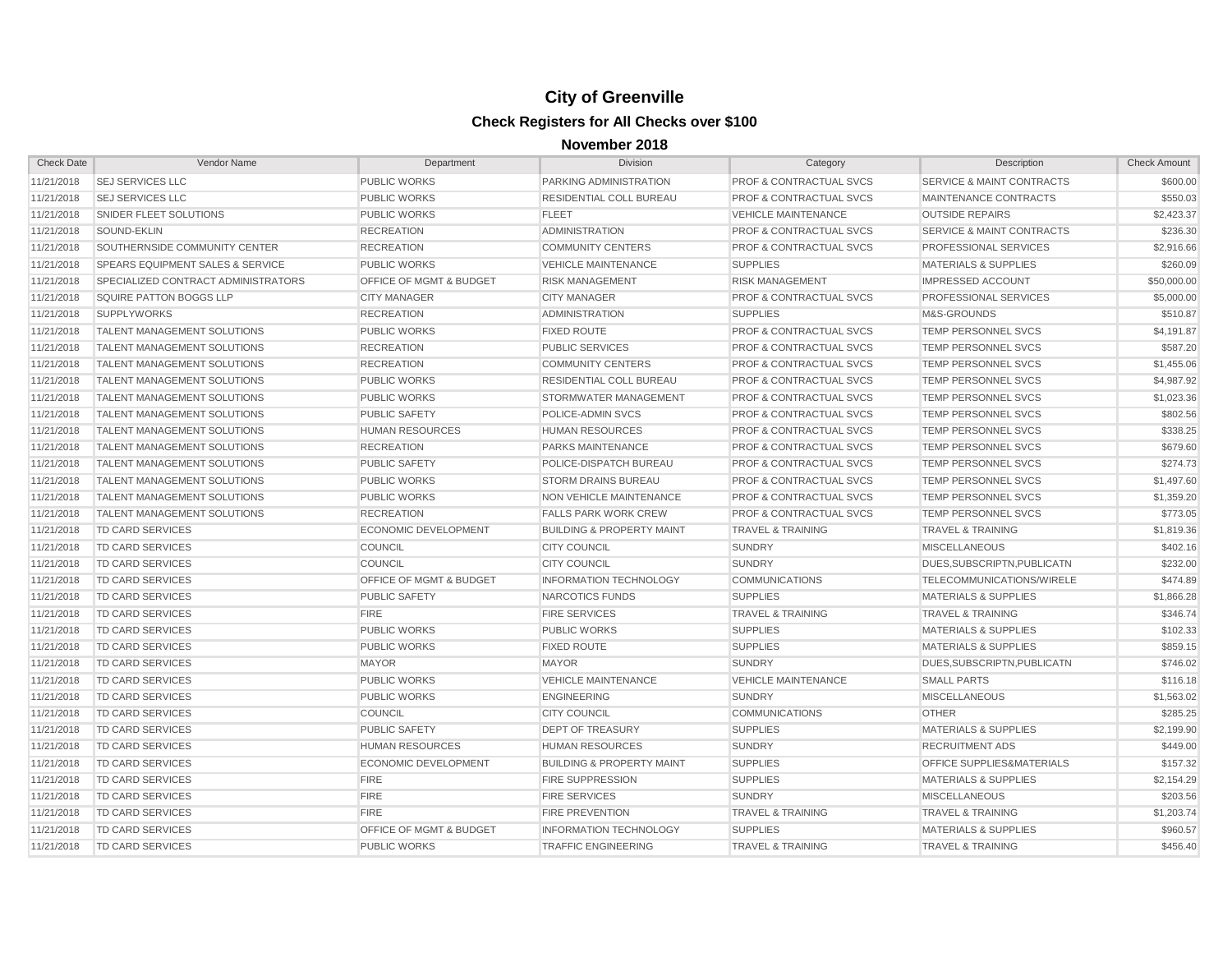| <b>Check Date</b> | Vendor Name                         | Department                         | <b>Division</b>                      | Category                           | Description                          | <b>Check Amount</b> |
|-------------------|-------------------------------------|------------------------------------|--------------------------------------|------------------------------------|--------------------------------------|---------------------|
| 11/21/2018        | <b>SEJ SERVICES LLC</b>             | <b>PUBLIC WORKS</b>                | PARKING ADMINISTRATION               | <b>PROF &amp; CONTRACTUAL SVCS</b> | <b>SERVICE &amp; MAINT CONTRACTS</b> | \$600.00            |
| 11/21/2018        | <b>SEJ SERVICES LLC</b>             | <b>PUBLIC WORKS</b>                | RESIDENTIAL COLL BUREAU              | <b>PROF &amp; CONTRACTUAL SVCS</b> | MAINTENANCE CONTRACTS                | \$550.03            |
| 11/21/2018        | SNIDER FLEET SOLUTIONS              | <b>PUBLIC WORKS</b>                | <b>FLEET</b>                         | <b>VEHICLE MAINTENANCE</b>         | <b>OUTSIDE REPAIRS</b>               | \$2,423.37          |
| 11/21/2018        | SOUND-EKLIN                         | <b>RECREATION</b>                  | <b>ADMINISTRATION</b>                | <b>PROF &amp; CONTRACTUAL SVCS</b> | <b>SERVICE &amp; MAINT CONTRACTS</b> | \$236.30            |
| 11/21/2018        | SOUTHERNSIDE COMMUNITY CENTER       | <b>RECREATION</b>                  | <b>COMMUNITY CENTERS</b>             | <b>PROF &amp; CONTRACTUAL SVCS</b> | PROFESSIONAL SERVICES                | \$2,916.66          |
| 11/21/2018        | SPEARS EQUIPMENT SALES & SERVICE    | <b>PUBLIC WORKS</b>                | <b>VEHICLE MAINTENANCE</b>           | <b>SUPPLIES</b>                    | <b>MATERIALS &amp; SUPPLIES</b>      | \$260.09            |
| 11/21/2018        | SPECIALIZED CONTRACT ADMINISTRATORS | <b>OFFICE OF MGMT &amp; BUDGET</b> | <b>RISK MANAGEMENT</b>               | <b>RISK MANAGEMENT</b>             | <b>IMPRESSED ACCOUNT</b>             | \$50,000.00         |
| 11/21/2018        | SQUIRE PATTON BOGGS LLP             | <b>CITY MANAGER</b>                | <b>CITY MANAGER</b>                  | <b>PROF &amp; CONTRACTUAL SVCS</b> | PROFESSIONAL SERVICES                | \$5,000.00          |
| 11/21/2018        | SUPPLYWORKS                         | <b>RECREATION</b>                  | <b>ADMINISTRATION</b>                | <b>SUPPLIES</b>                    | M&S-GROUNDS                          | \$510.87            |
| 11/21/2018        | <b>TALENT MANAGEMENT SOLUTIONS</b>  | <b>PUBLIC WORKS</b>                | <b>FIXED ROUTE</b>                   | <b>PROF &amp; CONTRACTUAL SVCS</b> | TEMP PERSONNEL SVCS                  | \$4,191.87          |
| 11/21/2018        | <b>TALENT MANAGEMENT SOLUTIONS</b>  | <b>RECREATION</b>                  | <b>PUBLIC SERVICES</b>               | <b>PROF &amp; CONTRACTUAL SVCS</b> | TEMP PERSONNEL SVCS                  | \$587.20            |
| 11/21/2018        | <b>TALENT MANAGEMENT SOLUTIONS</b>  | <b>RECREATION</b>                  | <b>COMMUNITY CENTERS</b>             | <b>PROF &amp; CONTRACTUAL SVCS</b> | TEMP PERSONNEL SVCS                  | \$1,455.06          |
| 11/21/2018        | <b>TALENT MANAGEMENT SOLUTIONS</b>  | <b>PUBLIC WORKS</b>                | RESIDENTIAL COLL BUREAU              | <b>PROF &amp; CONTRACTUAL SVCS</b> | <b>TEMP PERSONNEL SVCS</b>           | \$4,987.92          |
| 11/21/2018        | <b>TALENT MANAGEMENT SOLUTIONS</b>  | <b>PUBLIC WORKS</b>                | STORMWATER MANAGEMENT                | <b>PROF &amp; CONTRACTUAL SVCS</b> | TEMP PERSONNEL SVCS                  | \$1,023.36          |
| 11/21/2018        | <b>TALENT MANAGEMENT SOLUTIONS</b>  | <b>PUBLIC SAFETY</b>               | POLICE-ADMIN SVCS                    | <b>PROF &amp; CONTRACTUAL SVCS</b> | TEMP PERSONNEL SVCS                  | \$802.56            |
| 11/21/2018        | <b>TALENT MANAGEMENT SOLUTIONS</b>  | <b>HUMAN RESOURCES</b>             | <b>HUMAN RESOURCES</b>               | <b>PROF &amp; CONTRACTUAL SVCS</b> | TEMP PERSONNEL SVCS                  | \$338.25            |
| 11/21/2018        | <b>TALENT MANAGEMENT SOLUTIONS</b>  | <b>RECREATION</b>                  | PARKS MAINTENANCE                    | <b>PROF &amp; CONTRACTUAL SVCS</b> | TEMP PERSONNEL SVCS                  | \$679.60            |
| 11/21/2018        | <b>TALENT MANAGEMENT SOLUTIONS</b>  | <b>PUBLIC SAFETY</b>               | POLICE-DISPATCH BUREAU               | <b>PROF &amp; CONTRACTUAL SVCS</b> | TEMP PERSONNEL SVCS                  | \$274.73            |
| 11/21/2018        | <b>TALENT MANAGEMENT SOLUTIONS</b>  | <b>PUBLIC WORKS</b>                | <b>STORM DRAINS BUREAU</b>           | <b>PROF &amp; CONTRACTUAL SVCS</b> | <b>TEMP PERSONNEL SVCS</b>           | \$1,497.60          |
| 11/21/2018        | <b>TALENT MANAGEMENT SOLUTIONS</b>  | <b>PUBLIC WORKS</b>                | NON VEHICLE MAINTENANCE              | <b>PROF &amp; CONTRACTUAL SVCS</b> | <b>TEMP PERSONNEL SVCS</b>           | \$1,359.20          |
| 11/21/2018        | <b>TALENT MANAGEMENT SOLUTIONS</b>  | <b>RECREATION</b>                  | <b>FALLS PARK WORK CREW</b>          | <b>PROF &amp; CONTRACTUAL SVCS</b> | <b>TEMP PERSONNEL SVCS</b>           | \$773.05            |
| 11/21/2018        | <b>TD CARD SERVICES</b>             | <b>ECONOMIC DEVELOPMENT</b>        | <b>BUILDING &amp; PROPERTY MAINT</b> | <b>TRAVEL &amp; TRAINING</b>       | <b>TRAVEL &amp; TRAINING</b>         | \$1,819.36          |
| 11/21/2018        | <b>TD CARD SERVICES</b>             | <b>COUNCIL</b>                     | <b>CITY COUNCIL</b>                  | <b>SUNDRY</b>                      | <b>MISCELLANEOUS</b>                 | \$402.16            |
| 11/21/2018        | <b>TD CARD SERVICES</b>             | COUNCIL                            | <b>CITY COUNCIL</b>                  | <b>SUNDRY</b>                      | DUES, SUBSCRIPTN, PUBLICATN          | \$232.00            |
| 11/21/2018        | <b>TD CARD SERVICES</b>             | <b>OFFICE OF MGMT &amp; BUDGET</b> | <b>INFORMATION TECHNOLOGY</b>        | <b>COMMUNICATIONS</b>              | <b>TELECOMMUNICATIONS/WIRELE</b>     | \$474.89            |
| 11/21/2018        | <b>TD CARD SERVICES</b>             | <b>PUBLIC SAFETY</b>               | NARCOTICS FUNDS                      | <b>SUPPLIES</b>                    | <b>MATERIALS &amp; SUPPLIES</b>      | \$1,866.28          |
| 11/21/2018        | <b>TD CARD SERVICES</b>             | <b>FIRE</b>                        | <b>FIRE SERVICES</b>                 | <b>TRAVEL &amp; TRAINING</b>       | <b>TRAVEL &amp; TRAINING</b>         | \$346.74            |
| 11/21/2018        | <b>TD CARD SERVICES</b>             | <b>PUBLIC WORKS</b>                | <b>PUBLIC WORKS</b>                  | <b>SUPPLIES</b>                    | <b>MATERIALS &amp; SUPPLIES</b>      | \$102.33            |
| 11/21/2018        | <b>TD CARD SERVICES</b>             | <b>PUBLIC WORKS</b>                | <b>FIXED ROUTE</b>                   | <b>SUPPLIES</b>                    | <b>MATERIALS &amp; SUPPLIES</b>      | \$859.15            |
| 11/21/2018        | <b>TD CARD SERVICES</b>             | <b>MAYOR</b>                       | <b>MAYOR</b>                         | <b>SUNDRY</b>                      | DUES.SUBSCRIPTN.PUBLICATN            | \$746.02            |
| 11/21/2018        | <b>TD CARD SERVICES</b>             | <b>PUBLIC WORKS</b>                | <b>VEHICLE MAINTENANCE</b>           | <b>VEHICLE MAINTENANCE</b>         | <b>SMALL PARTS</b>                   | \$116.18            |
| 11/21/2018        | <b>TD CARD SERVICES</b>             | PUBLIC WORKS                       | <b>ENGINEERING</b>                   | <b>SUNDRY</b>                      | <b>MISCELLANEOUS</b>                 | \$1,563.02          |
| 11/21/2018        | <b>TD CARD SERVICES</b>             | COUNCIL                            | <b>CITY COUNCIL</b>                  | <b>COMMUNICATIONS</b>              | <b>OTHER</b>                         | \$285.25            |
| 11/21/2018        | <b>TD CARD SERVICES</b>             | <b>PUBLIC SAFETY</b>               | <b>DEPT OF TREASURY</b>              | <b>SUPPLIES</b>                    | <b>MATERIALS &amp; SUPPLIES</b>      | \$2,199.90          |
| 11/21/2018        | <b>TD CARD SERVICES</b>             | <b>HUMAN RESOURCES</b>             | <b>HUMAN RESOURCES</b>               | <b>SUNDRY</b>                      | <b>RECRUITMENT ADS</b>               | \$449.00            |
| 11/21/2018        | <b>TD CARD SERVICES</b>             | <b>ECONOMIC DEVELOPMENT</b>        | <b>BUILDING &amp; PROPERTY MAINT</b> | <b>SUPPLIES</b>                    | <b>OFFICE SUPPLIES&amp;MATERIALS</b> | \$157.32            |
| 11/21/2018        | <b>TD CARD SERVICES</b>             | <b>FIRE</b>                        | <b>FIRE SUPPRESSION</b>              | <b>SUPPLIES</b>                    | <b>MATERIALS &amp; SUPPLIES</b>      | \$2,154.29          |
| 11/21/2018        | <b>TD CARD SERVICES</b>             | <b>FIRE</b>                        | <b>FIRE SERVICES</b>                 | <b>SUNDRY</b>                      | <b>MISCELLANEOUS</b>                 | \$203.56            |
| 11/21/2018        | <b>TD CARD SERVICES</b>             | <b>FIRE</b>                        | <b>FIRE PREVENTION</b>               | <b>TRAVEL &amp; TRAINING</b>       | <b>TRAVEL &amp; TRAINING</b>         | \$1,203.74          |
| 11/21/2018        | <b>TD CARD SERVICES</b>             | <b>OFFICE OF MGMT &amp; BUDGET</b> | <b>INFORMATION TECHNOLOGY</b>        | <b>SUPPLIES</b>                    | <b>MATERIALS &amp; SUPPLIES</b>      | \$960.57            |
| 11/21/2018        | <b>TD CARD SERVICES</b>             | <b>PUBLIC WORKS</b>                | <b>TRAFFIC ENGINEERING</b>           | <b>TRAVEL &amp; TRAINING</b>       | <b>TRAVEL &amp; TRAINING</b>         | \$456.40            |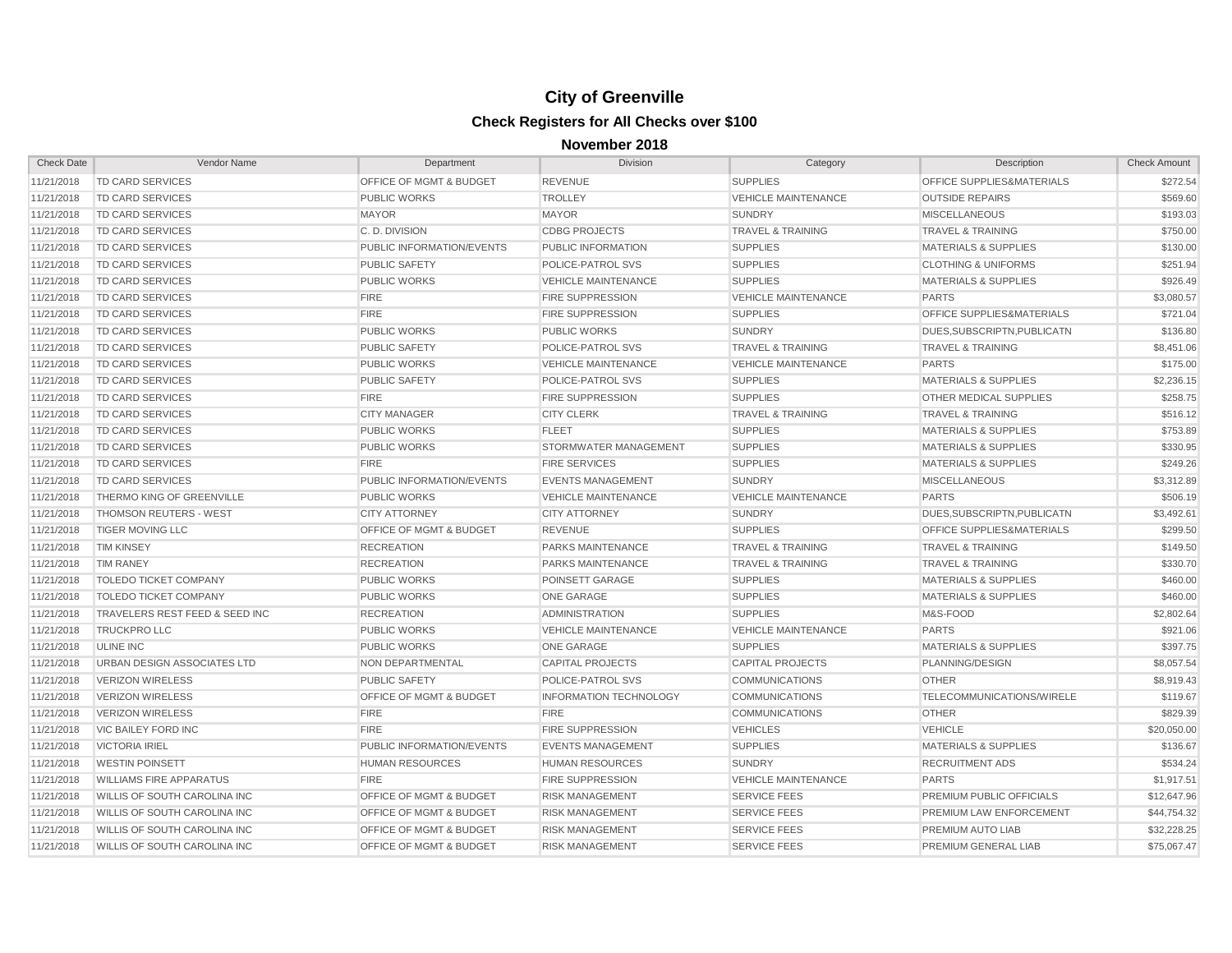| <b>Check Date</b> | Vendor Name                         | Department                         | Division                      | Category                     | Description                          | <b>Check Amount</b> |
|-------------------|-------------------------------------|------------------------------------|-------------------------------|------------------------------|--------------------------------------|---------------------|
| 11/21/2018        | <b>TD CARD SERVICES</b>             | OFFICE OF MGMT & BUDGET            | <b>REVENUE</b>                | <b>SUPPLIES</b>              | OFFICE SUPPLIES&MATERIALS            | \$272.54            |
| 11/21/2018        | <b>TD CARD SERVICES</b>             | <b>PUBLIC WORKS</b>                | <b>TROLLEY</b>                | <b>VEHICLE MAINTENANCE</b>   | <b>OUTSIDE REPAIRS</b>               | \$569.60            |
| 11/21/2018        | TD CARD SERVICES                    | <b>MAYOR</b>                       | <b>MAYOR</b>                  | <b>SUNDRY</b>                | <b>MISCELLANEOUS</b>                 | \$193.03            |
| 11/21/2018        | TD CARD SERVICES                    | C.D. DIVISION                      | <b>CDBG PROJECTS</b>          | <b>TRAVEL &amp; TRAINING</b> | <b>TRAVEL &amp; TRAINING</b>         | \$750.00            |
| 11/21/2018        | <b>TD CARD SERVICES</b>             | PUBLIC INFORMATION/EVENTS          | PUBLIC INFORMATION            | <b>SUPPLIES</b>              | <b>MATERIALS &amp; SUPPLIES</b>      | \$130.00            |
| 11/21/2018        | <b>TD CARD SERVICES</b>             | <b>PUBLIC SAFETY</b>               | POLICE-PATROL SVS             | <b>SUPPLIES</b>              | <b>CLOTHING &amp; UNIFORMS</b>       | \$251.94            |
| 11/21/2018        | <b>TD CARD SERVICES</b>             | <b>PUBLIC WORKS</b>                | <b>VEHICLE MAINTENANCE</b>    | <b>SUPPLIES</b>              | <b>MATERIALS &amp; SUPPLIES</b>      | \$926.49            |
| 11/21/2018        | <b>TD CARD SERVICES</b>             | <b>FIRE</b>                        | <b>FIRE SUPPRESSION</b>       | <b>VEHICLE MAINTENANCE</b>   | <b>PARTS</b>                         | \$3,080.57          |
| 11/21/2018        | TD CARD SERVICES                    | <b>FIRE</b>                        | <b>FIRE SUPPRESSION</b>       | <b>SUPPLIES</b>              | OFFICE SUPPLIES&MATERIALS            | \$721.04            |
| 11/21/2018        | TD CARD SERVICES                    | <b>PUBLIC WORKS</b>                | <b>PUBLIC WORKS</b>           | <b>SUNDRY</b>                | DUES, SUBSCRIPTN, PUBLICATN          | \$136.80            |
| 11/21/2018        | TD CARD SERVICES                    | PUBLIC SAFETY                      | POLICE-PATROL SVS             | <b>TRAVEL &amp; TRAINING</b> | <b>TRAVEL &amp; TRAINING</b>         | \$8,451.06          |
| 11/21/2018        | TD CARD SERVICES                    | <b>PUBLIC WORKS</b>                | <b>VEHICLE MAINTENANCE</b>    | <b>VEHICLE MAINTENANCE</b>   | <b>PARTS</b>                         | \$175.00            |
| 11/21/2018        | <b>TD CARD SERVICES</b>             | <b>PUBLIC SAFETY</b>               | POLICE-PATROL SVS             | <b>SUPPLIES</b>              | <b>MATERIALS &amp; SUPPLIES</b>      | \$2,236.15          |
| 11/21/2018        | <b>TD CARD SERVICES</b>             | <b>FIRE</b>                        | <b>FIRE SUPPRESSION</b>       | <b>SUPPLIES</b>              | <b>OTHER MEDICAL SUPPLIES</b>        | \$258.75            |
| 11/21/2018        | TD CARD SERVICES                    | <b>CITY MANAGER</b>                | <b>CITY CLERK</b>             | <b>TRAVEL &amp; TRAINING</b> | <b>TRAVEL &amp; TRAINING</b>         | \$516.12            |
| 11/21/2018        | TD CARD SERVICES                    | <b>PUBLIC WORKS</b>                | <b>FLEET</b>                  | <b>SUPPLIES</b>              | <b>MATERIALS &amp; SUPPLIES</b>      | \$753.89            |
| 11/21/2018        | TD CARD SERVICES                    | <b>PUBLIC WORKS</b>                | STORMWATER MANAGEMENT         | <b>SUPPLIES</b>              | <b>MATERIALS &amp; SUPPLIES</b>      | \$330.95            |
| 11/21/2018        | TD CARD SERVICES                    | <b>FIRE</b>                        | <b>FIRE SERVICES</b>          | <b>SUPPLIES</b>              | <b>MATERIALS &amp; SUPPLIES</b>      | \$249.26            |
| 11/21/2018        | TD CARD SERVICES                    | PUBLIC INFORMATION/EVENTS          | <b>EVENTS MANAGEMENT</b>      | <b>SUNDRY</b>                | <b>MISCELLANEOUS</b>                 | \$3,312.89          |
| 11/21/2018        | THERMO KING OF GREENVILLE           | <b>PUBLIC WORKS</b>                | <b>VEHICLE MAINTENANCE</b>    | <b>VEHICLE MAINTENANCE</b>   | <b>PARTS</b>                         | \$506.19            |
| 11/21/2018        | THOMSON REUTERS - WEST              | <b>CITY ATTORNEY</b>               | <b>CITY ATTORNEY</b>          | <b>SUNDRY</b>                | DUES, SUBSCRIPTN, PUBLICATN          | \$3,492.61          |
| 11/21/2018        | <b>TIGER MOVING LLC</b>             | <b>OFFICE OF MGMT &amp; BUDGET</b> | <b>REVENUE</b>                | <b>SUPPLIES</b>              | <b>OFFICE SUPPLIES&amp;MATERIALS</b> | \$299.50            |
| 11/21/2018        | <b>TIM KINSEY</b>                   | <b>RECREATION</b>                  | PARKS MAINTENANCE             | <b>TRAVEL &amp; TRAINING</b> | <b>TRAVEL &amp; TRAINING</b>         | \$149.50            |
| 11/21/2018        | <b>TIM RANEY</b>                    | <b>RECREATION</b>                  | PARKS MAINTENANCE             | <b>TRAVEL &amp; TRAINING</b> | <b>TRAVEL &amp; TRAINING</b>         | \$330.70            |
| 11/21/2018        | <b>TOLEDO TICKET COMPANY</b>        | <b>PUBLIC WORKS</b>                | POINSETT GARAGE               | <b>SUPPLIES</b>              | <b>MATERIALS &amp; SUPPLIES</b>      | \$460.00            |
| 11/21/2018        | <b>TOLEDO TICKET COMPANY</b>        | <b>PUBLIC WORKS</b>                | ONE GARAGE                    | <b>SUPPLIES</b>              | <b>MATERIALS &amp; SUPPLIES</b>      | \$460.00            |
| 11/21/2018        | TRAVELERS REST FEED & SEED INC      | <b>RECREATION</b>                  | <b>ADMINISTRATION</b>         | <b>SUPPLIES</b>              | M&S-FOOD                             | \$2,802.64          |
| 11/21/2018        | <b>TRUCKPRO LLC</b>                 | <b>PUBLIC WORKS</b>                | <b>VEHICLE MAINTENANCE</b>    | <b>VEHICLE MAINTENANCE</b>   | <b>PARTS</b>                         | \$921.06            |
| 11/21/2018        | <b>ULINE INC</b>                    | <b>PUBLIC WORKS</b>                | ONE GARAGE                    | <b>SUPPLIES</b>              | <b>MATERIALS &amp; SUPPLIES</b>      | \$397.75            |
| 11/21/2018        | URBAN DESIGN ASSOCIATES LTD         | NON DEPARTMENTAL                   | <b>CAPITAL PROJECTS</b>       | <b>CAPITAL PROJECTS</b>      | PLANNING/DESIGN                      | \$8,057.54          |
| 11/21/2018        | <b>VERIZON WIRELESS</b>             | <b>PUBLIC SAFETY</b>               | POLICE-PATROL SVS             | <b>COMMUNICATIONS</b>        | <b>OTHER</b>                         | \$8,919.43          |
| 11/21/2018        | <b>VERIZON WIRELESS</b>             | <b>OFFICE OF MGMT &amp; BUDGET</b> | <b>INFORMATION TECHNOLOGY</b> | <b>COMMUNICATIONS</b>        | TELECOMMUNICATIONS/WIRELE            | \$119.67            |
| 11/21/2018        | <b>VERIZON WIRELESS</b>             | <b>FIRE</b>                        | <b>FIRE</b>                   | <b>COMMUNICATIONS</b>        | <b>OTHER</b>                         | \$829.39            |
| 11/21/2018        | VIC BAILEY FORD INC                 | <b>FIRE</b>                        | <b>FIRE SUPPRESSION</b>       | <b>VEHICLES</b>              | <b>VEHICLE</b>                       | \$20,050.00         |
| 11/21/2018        | <b>VICTORIA IRIEL</b>               | PUBLIC INFORMATION/EVENTS          | <b>EVENTS MANAGEMENT</b>      | <b>SUPPLIES</b>              | <b>MATERIALS &amp; SUPPLIES</b>      | \$136.67            |
| 11/21/2018        | <b>WESTIN POINSETT</b>              | <b>HUMAN RESOURCES</b>             | <b>HUMAN RESOURCES</b>        | <b>SUNDRY</b>                | <b>RECRUITMENT ADS</b>               | \$534.24            |
| 11/21/2018        | <b>WILLIAMS FIRE APPARATUS</b>      | <b>FIRE</b>                        | <b>FIRE SUPPRESSION</b>       | <b>VEHICLE MAINTENANCE</b>   | <b>PARTS</b>                         | \$1,917.51          |
| 11/21/2018        | WILLIS OF SOUTH CAROLINA INC        | <b>OFFICE OF MGMT &amp; BUDGET</b> | <b>RISK MANAGEMENT</b>        | <b>SERVICE FEES</b>          | PREMIUM PUBLIC OFFICIALS             | \$12,647.96         |
| 11/21/2018        | WILLIS OF SOUTH CAROLINA INC        | <b>OFFICE OF MGMT &amp; BUDGET</b> | <b>RISK MANAGEMENT</b>        | <b>SERVICE FEES</b>          | PREMIUM LAW ENFORCEMENT              | \$44,754.32         |
| 11/21/2018        | WILLIS OF SOUTH CAROLINA INC        | <b>OFFICE OF MGMT &amp; BUDGET</b> | <b>RISK MANAGEMENT</b>        | <b>SERVICE FEES</b>          | PREMIUM AUTO LIAB                    | \$32,228.25         |
| 11/21/2018        | <b>WILLIS OF SOUTH CAROLINA INC</b> | <b>OFFICE OF MGMT &amp; BUDGET</b> | <b>RISK MANAGEMENT</b>        | <b>SERVICE FEES</b>          | PREMIUM GENERAL LIAB                 | \$75,067.47         |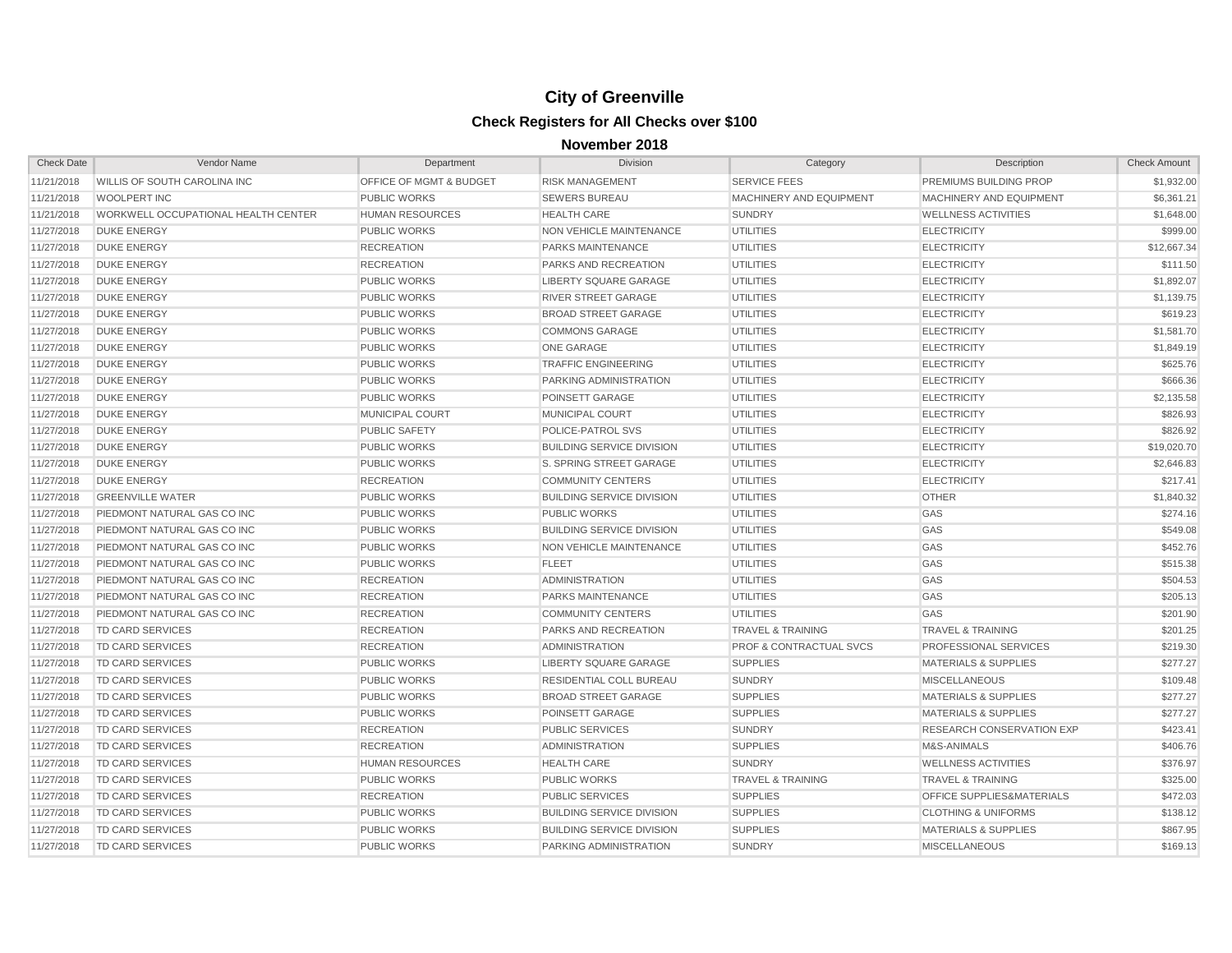| <b>Check Date</b> | Vendor Name                         | Department                         | <b>Division</b>                  | Category                           | Description                          | <b>Check Amount</b> |
|-------------------|-------------------------------------|------------------------------------|----------------------------------|------------------------------------|--------------------------------------|---------------------|
| 11/21/2018        | WILLIS OF SOUTH CAROLINA INC        | <b>OFFICE OF MGMT &amp; BUDGET</b> | <b>RISK MANAGEMENT</b>           | <b>SERVICE FEES</b>                | PREMIUMS BUILDING PROP               | \$1,932.00          |
| 11/21/2018        | WOOLPERT INC                        | <b>PUBLIC WORKS</b>                | <b>SEWERS BUREAU</b>             | MACHINERY AND EQUIPMENT            | MACHINERY AND EQUIPMENT              | \$6,361.21          |
| 11/21/2018        | WORKWELL OCCUPATIONAL HEALTH CENTER | <b>HUMAN RESOURCES</b>             | <b>HEALTH CARE</b>               | <b>SUNDRY</b>                      | <b>WELLNESS ACTIVITIES</b>           | \$1,648.00          |
| 11/27/2018        | <b>DUKE ENERGY</b>                  | <b>PUBLIC WORKS</b>                | NON VEHICLE MAINTENANCE          | <b>UTILITIES</b>                   | <b>ELECTRICITY</b>                   | \$999.00            |
| 11/27/2018        | <b>DUKE ENERGY</b>                  | <b>RECREATION</b>                  | PARKS MAINTENANCE                | <b>UTILITIES</b>                   | <b>ELECTRICITY</b>                   | \$12,667.34         |
| 11/27/2018        | <b>DUKE ENERGY</b>                  | <b>RECREATION</b>                  | PARKS AND RECREATION             | <b>UTILITIES</b>                   | <b>ELECTRICITY</b>                   | \$111.50            |
| 11/27/2018        | <b>DUKE ENERGY</b>                  | <b>PUBLIC WORKS</b>                | <b>LIBERTY SQUARE GARAGE</b>     | <b>UTILITIES</b>                   | <b>ELECTRICITY</b>                   | \$1,892.07          |
| 11/27/2018        | <b>DUKE ENERGY</b>                  | <b>PUBLIC WORKS</b>                | <b>RIVER STREET GARAGE</b>       | <b>UTILITIES</b>                   | <b>ELECTRICITY</b>                   | \$1,139.75          |
| 11/27/2018        | <b>DUKE ENERGY</b>                  | <b>PUBLIC WORKS</b>                | <b>BROAD STREET GARAGE</b>       | <b>UTILITIES</b>                   | <b>ELECTRICITY</b>                   | \$619.23            |
| 11/27/2018        | <b>DUKE ENERGY</b>                  | <b>PUBLIC WORKS</b>                | <b>COMMONS GARAGE</b>            | <b>UTILITIES</b>                   | <b>ELECTRICITY</b>                   | \$1,581.70          |
| 11/27/2018        | <b>DUKE ENERGY</b>                  | <b>PUBLIC WORKS</b>                | <b>ONE GARAGE</b>                | <b>UTILITIES</b>                   | <b>ELECTRICITY</b>                   | \$1,849.19          |
| 11/27/2018        | <b>DUKE ENERGY</b>                  | <b>PUBLIC WORKS</b>                | <b>TRAFFIC ENGINEERING</b>       | <b>UTILITIES</b>                   | <b>ELECTRICITY</b>                   | \$625.76            |
| 11/27/2018        | <b>DUKE ENERGY</b>                  | <b>PUBLIC WORKS</b>                | PARKING ADMINISTRATION           | <b>UTILITIES</b>                   | <b>ELECTRICITY</b>                   | \$666.36            |
| 11/27/2018        | <b>DUKE ENERGY</b>                  | <b>PUBLIC WORKS</b>                | POINSETT GARAGE                  | <b>UTILITIES</b>                   | <b>ELECTRICITY</b>                   | \$2,135.58          |
| 11/27/2018        | <b>DUKE ENERGY</b>                  | MUNICIPAL COURT                    | MUNICIPAL COURT                  | <b>UTILITIES</b>                   | <b>ELECTRICITY</b>                   | \$826.93            |
| 11/27/2018        | <b>DUKE ENERGY</b>                  | <b>PUBLIC SAFETY</b>               | POLICE-PATROL SVS                | <b>UTILITIES</b>                   | <b>ELECTRICITY</b>                   | \$826.92            |
| 11/27/2018        | <b>DUKE ENERGY</b>                  | <b>PUBLIC WORKS</b>                | <b>BUILDING SERVICE DIVISION</b> | <b>UTILITIES</b>                   | <b>ELECTRICITY</b>                   | \$19,020.70         |
| 11/27/2018        | <b>DUKE ENERGY</b>                  | <b>PUBLIC WORKS</b>                | S. SPRING STREET GARAGE          | <b>UTILITIES</b>                   | <b>ELECTRICITY</b>                   | \$2,646.83          |
| 11/27/2018        | <b>DUKE ENERGY</b>                  | <b>RECREATION</b>                  | <b>COMMUNITY CENTERS</b>         | <b>UTILITIES</b>                   | <b>ELECTRICITY</b>                   | \$217.41            |
| 11/27/2018        | <b>GREENVILLE WATER</b>             | <b>PUBLIC WORKS</b>                | <b>BUILDING SERVICE DIVISION</b> | <b>UTILITIES</b>                   | <b>OTHER</b>                         | \$1,840.32          |
| 11/27/2018        | PIEDMONT NATURAL GAS CO INC         | <b>PUBLIC WORKS</b>                | <b>PUBLIC WORKS</b>              | <b>UTILITIES</b>                   | GAS                                  | \$274.16            |
| 11/27/2018        | PIEDMONT NATURAL GAS CO INC         | <b>PUBLIC WORKS</b>                | <b>BUILDING SERVICE DIVISION</b> | <b>UTILITIES</b>                   | GAS                                  | \$549.08            |
| 11/27/2018        | PIEDMONT NATURAL GAS CO INC         | <b>PUBLIC WORKS</b>                | NON VEHICLE MAINTENANCE          | <b>UTILITIES</b>                   | GAS                                  | \$452.76            |
| 11/27/2018        | PIEDMONT NATURAL GAS CO INC         | <b>PUBLIC WORKS</b>                | <b>FLEET</b>                     | <b>UTILITIES</b>                   | GAS                                  | \$515.38            |
| 11/27/2018        | PIEDMONT NATURAL GAS CO INC         | <b>RECREATION</b>                  | <b>ADMINISTRATION</b>            | <b>UTILITIES</b>                   | GAS                                  | \$504.53            |
| 11/27/2018        | PIEDMONT NATURAL GAS CO INC         | <b>RECREATION</b>                  | PARKS MAINTENANCE                | <b>UTILITIES</b>                   | GAS                                  | \$205.13            |
| 11/27/2018        | PIEDMONT NATURAL GAS CO INC         | <b>RECREATION</b>                  | <b>COMMUNITY CENTERS</b>         | <b>UTILITIES</b>                   | GAS                                  | \$201.90            |
| 11/27/2018        | <b>TD CARD SERVICES</b>             | <b>RECREATION</b>                  | <b>PARKS AND RECREATION</b>      | <b>TRAVEL &amp; TRAINING</b>       | <b>TRAVEL &amp; TRAINING</b>         | \$201.25            |
| 11/27/2018        | <b>TD CARD SERVICES</b>             | <b>RECREATION</b>                  | <b>ADMINISTRATION</b>            | <b>PROF &amp; CONTRACTUAL SVCS</b> | PROFESSIONAL SERVICES                | \$219.30            |
| 11/27/2018        | <b>TD CARD SERVICES</b>             | <b>PUBLIC WORKS</b>                | LIBERTY SQUARE GARAGE            | <b>SUPPLIES</b>                    | <b>MATERIALS &amp; SUPPLIES</b>      | \$277.27            |
| 11/27/2018        | <b>TD CARD SERVICES</b>             | <b>PUBLIC WORKS</b>                | <b>RESIDENTIAL COLL BUREAU</b>   | <b>SUNDRY</b>                      | <b>MISCELLANEOUS</b>                 | \$109.48            |
| 11/27/2018        | <b>TD CARD SERVICES</b>             | <b>PUBLIC WORKS</b>                | <b>BROAD STREET GARAGE</b>       | <b>SUPPLIES</b>                    | <b>MATERIALS &amp; SUPPLIES</b>      | \$277.27            |
| 11/27/2018        | <b>TD CARD SERVICES</b>             | <b>PUBLIC WORKS</b>                | POINSETT GARAGE                  | <b>SUPPLIES</b>                    | <b>MATERIALS &amp; SUPPLIES</b>      | \$277.27            |
| 11/27/2018        | <b>TD CARD SERVICES</b>             | <b>RECREATION</b>                  | <b>PUBLIC SERVICES</b>           | <b>SUNDRY</b>                      | <b>RESEARCH CONSERVATION EXP</b>     | \$423.41            |
| 11/27/2018        | <b>TD CARD SERVICES</b>             | <b>RECREATION</b>                  | <b>ADMINISTRATION</b>            | <b>SUPPLIES</b>                    | M&S-ANIMALS                          | \$406.76            |
| 11/27/2018        | <b>TD CARD SERVICES</b>             | <b>HUMAN RESOURCES</b>             | <b>HEALTH CARE</b>               | <b>SUNDRY</b>                      | <b>WELLNESS ACTIVITIES</b>           | \$376.97            |
| 11/27/2018        | <b>TD CARD SERVICES</b>             | <b>PUBLIC WORKS</b>                | <b>PUBLIC WORKS</b>              | <b>TRAVEL &amp; TRAINING</b>       | <b>TRAVEL &amp; TRAINING</b>         | \$325.00            |
| 11/27/2018        | <b>TD CARD SERVICES</b>             | <b>RECREATION</b>                  | <b>PUBLIC SERVICES</b>           | <b>SUPPLIES</b>                    | <b>OFFICE SUPPLIES&amp;MATERIALS</b> | \$472.03            |
| 11/27/2018        | <b>TD CARD SERVICES</b>             | <b>PUBLIC WORKS</b>                | <b>BUILDING SERVICE DIVISION</b> | <b>SUPPLIES</b>                    | <b>CLOTHING &amp; UNIFORMS</b>       | \$138.12            |
| 11/27/2018        | <b>TD CARD SERVICES</b>             | <b>PUBLIC WORKS</b>                | <b>BUILDING SERVICE DIVISION</b> | <b>SUPPLIES</b>                    | <b>MATERIALS &amp; SUPPLIES</b>      | \$867.95            |
| 11/27/2018        | <b>TD CARD SERVICES</b>             | <b>PUBLIC WORKS</b>                | PARKING ADMINISTRATION           | <b>SUNDRY</b>                      | <b>MISCELLANEOUS</b>                 | \$169.13            |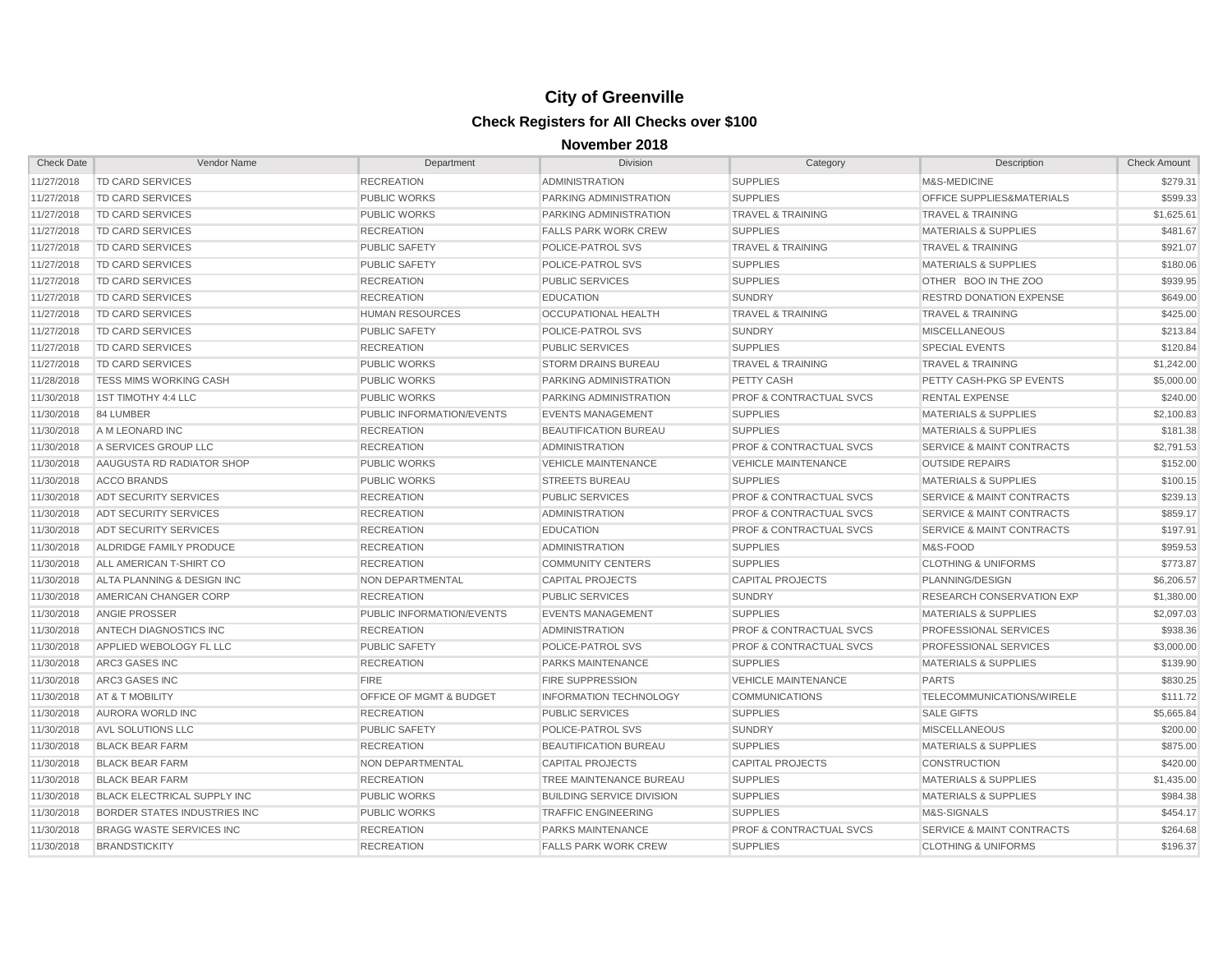| <b>Check Date</b> | Vendor Name                          | Department                         | <b>Division</b>                  | Category                           | Description                          | <b>Check Amount</b> |
|-------------------|--------------------------------------|------------------------------------|----------------------------------|------------------------------------|--------------------------------------|---------------------|
| 11/27/2018        | <b>TD CARD SERVICES</b>              | <b>RECREATION</b>                  | <b>ADMINISTRATION</b>            | <b>SUPPLIES</b>                    | M&S-MEDICINE                         | \$279.31            |
| 11/27/2018        | <b>TD CARD SERVICES</b>              | <b>PUBLIC WORKS</b>                | PARKING ADMINISTRATION           | <b>SUPPLIES</b>                    | <b>OFFICE SUPPLIES&amp;MATERIALS</b> | \$599.33            |
| 11/27/2018        | TD CARD SERVICES                     | <b>PUBLIC WORKS</b>                | PARKING ADMINISTRATION           | <b>TRAVEL &amp; TRAINING</b>       | <b>TRAVEL &amp; TRAINING</b>         | \$1,625.61          |
| 11/27/2018        | TD CARD SERVICES                     | <b>RECREATION</b>                  | <b>FALLS PARK WORK CREW</b>      | <b>SUPPLIES</b>                    | <b>MATERIALS &amp; SUPPLIES</b>      | \$481.67            |
| 11/27/2018        | <b>TD CARD SERVICES</b>              | <b>PUBLIC SAFETY</b>               | POLICE-PATROL SVS                | <b>TRAVEL &amp; TRAINING</b>       | <b>TRAVEL &amp; TRAINING</b>         | \$921.07            |
| 11/27/2018        | <b>TD CARD SERVICES</b>              | <b>PUBLIC SAFETY</b>               | POLICE-PATROL SVS                | <b>SUPPLIES</b>                    | <b>MATERIALS &amp; SUPPLIES</b>      | \$180.06            |
| 11/27/2018        | TD CARD SERVICES                     | <b>RECREATION</b>                  | <b>PUBLIC SERVICES</b>           | <b>SUPPLIES</b>                    | OTHER BOO IN THE ZOO                 | \$939.95            |
| 11/27/2018        | TD CARD SERVICES                     | <b>RECREATION</b>                  | <b>EDUCATION</b>                 | <b>SUNDRY</b>                      | <b>RESTRD DONATION EXPENSE</b>       | \$649.00            |
| 11/27/2018        | <b>TD CARD SERVICES</b>              | <b>HUMAN RESOURCES</b>             | <b>OCCUPATIONAL HEALTH</b>       | <b>TRAVEL &amp; TRAINING</b>       | <b>TRAVEL &amp; TRAINING</b>         | \$425.00            |
| 11/27/2018        | <b>TD CARD SERVICES</b>              | <b>PUBLIC SAFETY</b>               | POLICE-PATROL SVS                | <b>SUNDRY</b>                      | <b>MISCELLANEOUS</b>                 | \$213.84            |
| 11/27/2018        | <b>TD CARD SERVICES</b>              | <b>RECREATION</b>                  | <b>PUBLIC SERVICES</b>           | <b>SUPPLIES</b>                    | <b>SPECIAL EVENTS</b>                | \$120.84            |
| 11/27/2018        | <b>TD CARD SERVICES</b>              | <b>PUBLIC WORKS</b>                | <b>STORM DRAINS BUREAU</b>       | <b>TRAVEL &amp; TRAINING</b>       | <b>TRAVEL &amp; TRAINING</b>         | \$1,242.00          |
| 11/28/2018        | <b>TESS MIMS WORKING CASH</b>        | <b>PUBLIC WORKS</b>                | PARKING ADMINISTRATION           | PETTY CASH                         | <b>PETTY CASH-PKG SP EVENTS</b>      | \$5,000.00          |
| 11/30/2018        | 1ST TIMOTHY 4:4 LLC                  | <b>PUBLIC WORKS</b>                | PARKING ADMINISTRATION           | <b>PROF &amp; CONTRACTUAL SVCS</b> | <b>RENTAL EXPENSE</b>                | \$240.00            |
| 11/30/2018        | 84 LUMBER                            | PUBLIC INFORMATION/EVENTS          | <b>EVENTS MANAGEMENT</b>         | <b>SUPPLIES</b>                    | <b>MATERIALS &amp; SUPPLIES</b>      | \$2,100.83          |
| 11/30/2018        | A M LEONARD INC                      | <b>RECREATION</b>                  | <b>BEAUTIFICATION BUREAU</b>     | <b>SUPPLIES</b>                    | <b>MATERIALS &amp; SUPPLIES</b>      | \$181.38            |
| 11/30/2018        | A SERVICES GROUP LLC                 | <b>RECREATION</b>                  | <b>ADMINISTRATION</b>            | <b>PROF &amp; CONTRACTUAL SVCS</b> | <b>SERVICE &amp; MAINT CONTRACTS</b> | \$2,791.53          |
| 11/30/2018        | AAUGUSTA RD RADIATOR SHOP            | <b>PUBLIC WORKS</b>                | <b>VEHICLE MAINTENANCE</b>       | <b>VEHICLE MAINTENANCE</b>         | <b>OUTSIDE REPAIRS</b>               | \$152.00            |
| 11/30/2018        | <b>ACCO BRANDS</b>                   | <b>PUBLIC WORKS</b>                | <b>STREETS BUREAU</b>            | <b>SUPPLIES</b>                    | <b>MATERIALS &amp; SUPPLIES</b>      | \$100.15            |
| 11/30/2018        | <b>ADT SECURITY SERVICES</b>         | <b>RECREATION</b>                  | <b>PUBLIC SERVICES</b>           | <b>PROF &amp; CONTRACTUAL SVCS</b> | <b>SERVICE &amp; MAINT CONTRACTS</b> | \$239.13            |
| 11/30/2018        | <b>ADT SECURITY SERVICES</b>         | <b>RECREATION</b>                  | <b>ADMINISTRATION</b>            | <b>PROF &amp; CONTRACTUAL SVCS</b> | <b>SERVICE &amp; MAINT CONTRACTS</b> | \$859.17            |
| 11/30/2018        | <b>ADT SECURITY SERVICES</b>         | <b>RECREATION</b>                  | <b>EDUCATION</b>                 | <b>PROF &amp; CONTRACTUAL SVCS</b> | <b>SERVICE &amp; MAINT CONTRACTS</b> | \$197.91            |
| 11/30/2018        | ALDRIDGE FAMILY PRODUCE              | <b>RECREATION</b>                  | <b>ADMINISTRATION</b>            | <b>SUPPLIES</b>                    | M&S-FOOD                             | \$959.53            |
| 11/30/2018        | ALL AMERICAN T-SHIRT CO              | <b>RECREATION</b>                  | <b>COMMUNITY CENTERS</b>         | <b>SUPPLIES</b>                    | <b>CLOTHING &amp; UNIFORMS</b>       | \$773.87            |
| 11/30/2018        | ALTA PLANNING & DESIGN INC           | <b>NON DEPARTMENTAL</b>            | <b>CAPITAL PROJECTS</b>          | <b>CAPITAL PROJECTS</b>            | PLANNING/DESIGN                      | \$6,206.57          |
| 11/30/2018        | AMERICAN CHANGER CORP                | <b>RECREATION</b>                  | <b>PUBLIC SERVICES</b>           | <b>SUNDRY</b>                      | <b>RESEARCH CONSERVATION EXP</b>     | \$1,380.00          |
| 11/30/2018        | <b>ANGIE PROSSER</b>                 | PUBLIC INFORMATION/EVENTS          | <b>EVENTS MANAGEMENT</b>         | <b>SUPPLIES</b>                    | <b>MATERIALS &amp; SUPPLIES</b>      | \$2,097.03          |
| 11/30/2018        | ANTECH DIAGNOSTICS INC               | <b>RECREATION</b>                  | <b>ADMINISTRATION</b>            | <b>PROF &amp; CONTRACTUAL SVCS</b> | <b>PROFESSIONAL SERVICES</b>         | \$938.36            |
| 11/30/2018        | APPLIED WEBOLOGY FL LLC              | <b>PUBLIC SAFETY</b>               | POLICE-PATROL SVS                | <b>PROF &amp; CONTRACTUAL SVCS</b> | <b>PROFESSIONAL SERVICES</b>         | \$3,000.00          |
| 11/30/2018        | ARC3 GASES INC                       | <b>RECREATION</b>                  | <b>PARKS MAINTENANCE</b>         | <b>SUPPLIES</b>                    | <b>MATERIALS &amp; SUPPLIES</b>      | \$139.90            |
| 11/30/2018        | ARC3 GASES INC                       | <b>FIRE</b>                        | <b>FIRE SUPPRESSION</b>          | <b>VEHICLE MAINTENANCE</b>         | <b>PARTS</b>                         | \$830.25            |
| 11/30/2018        | AT & T MOBILITY                      | <b>OFFICE OF MGMT &amp; BUDGET</b> | <b>INFORMATION TECHNOLOGY</b>    | <b>COMMUNICATIONS</b>              | TELECOMMUNICATIONS/WIRELE            | \$111.72            |
| 11/30/2018        | AURORA WORLD INC                     | <b>RECREATION</b>                  | <b>PUBLIC SERVICES</b>           | <b>SUPPLIES</b>                    | <b>SALE GIFTS</b>                    | \$5,665.84          |
| 11/30/2018        | <b>AVL SOLUTIONS LLC</b>             | <b>PUBLIC SAFETY</b>               | POLICE-PATROL SVS                | <b>SUNDRY</b>                      | <b>MISCELLANEOUS</b>                 | \$200.00            |
| 11/30/2018        | <b>BLACK BEAR FARM</b>               | <b>RECREATION</b>                  | <b>BEAUTIFICATION BUREAU</b>     | <b>SUPPLIES</b>                    | <b>MATERIALS &amp; SUPPLIES</b>      | \$875.00            |
| 11/30/2018        | <b>BLACK BEAR FARM</b>               | NON DEPARTMENTAL                   | <b>CAPITAL PROJECTS</b>          | <b>CAPITAL PROJECTS</b>            | <b>CONSTRUCTION</b>                  | \$420.00            |
| 11/30/2018        | <b>BLACK BEAR FARM</b>               | <b>RECREATION</b>                  | TREE MAINTENANCE BUREAU          | <b>SUPPLIES</b>                    | <b>MATERIALS &amp; SUPPLIES</b>      | \$1,435.00          |
| 11/30/2018        | <b>BLACK ELECTRICAL SUPPLY INC</b>   | <b>PUBLIC WORKS</b>                | <b>BUILDING SERVICE DIVISION</b> | <b>SUPPLIES</b>                    | <b>MATERIALS &amp; SUPPLIES</b>      | \$984.38            |
| 11/30/2018        | <b>BORDER STATES INDUSTRIES INC.</b> | <b>PUBLIC WORKS</b>                | <b>TRAFFIC ENGINEERING</b>       | <b>SUPPLIES</b>                    | M&S-SIGNALS                          | \$454.17            |
| 11/30/2018        | <b>BRAGG WASTE SERVICES INC.</b>     | <b>RECREATION</b>                  | <b>PARKS MAINTENANCE</b>         | <b>PROF &amp; CONTRACTUAL SVCS</b> | <b>SERVICE &amp; MAINT CONTRACTS</b> | \$264.68            |
| 11/30/2018        | <b>BRANDSTICKITY</b>                 | <b>RECREATION</b>                  | <b>FALLS PARK WORK CREW</b>      | <b>SUPPLIES</b>                    | <b>CLOTHING &amp; UNIFORMS</b>       | \$196.37            |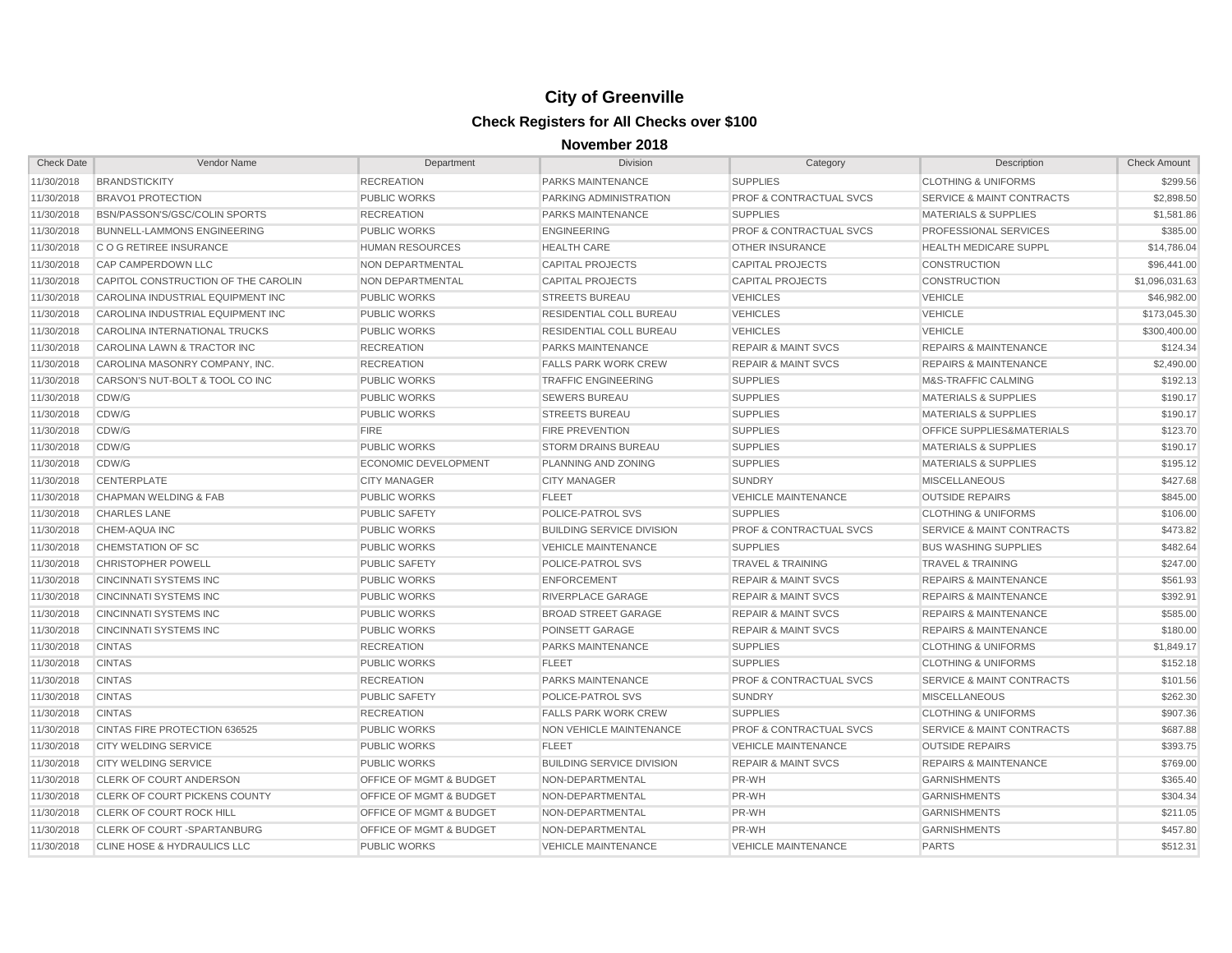| <b>Check Date</b> | Vendor Name                            | Department                         | <b>Division</b>                  | Category                           | Description                          | <b>Check Amount</b> |
|-------------------|----------------------------------------|------------------------------------|----------------------------------|------------------------------------|--------------------------------------|---------------------|
| 11/30/2018        | <b>BRANDSTICKITY</b>                   | <b>RECREATION</b>                  | PARKS MAINTENANCE                | <b>SUPPLIES</b>                    | <b>CLOTHING &amp; UNIFORMS</b>       | \$299.56            |
| 11/30/2018        | <b>BRAVO1 PROTECTION</b>               | <b>PUBLIC WORKS</b>                | PARKING ADMINISTRATION           | PROF & CONTRACTUAL SVCS            | <b>SERVICE &amp; MAINT CONTRACTS</b> | \$2,898.50          |
| 11/30/2018        | BSN/PASSON'S/GSC/COLIN SPORTS          | <b>RECREATION</b>                  | <b>PARKS MAINTENANCE</b>         | <b>SUPPLIES</b>                    | <b>MATERIALS &amp; SUPPLIES</b>      | \$1,581.86          |
| 11/30/2018        | BUNNELL-LAMMONS ENGINEERING            | <b>PUBLIC WORKS</b>                | <b>ENGINEERING</b>               | <b>PROF &amp; CONTRACTUAL SVCS</b> | PROFESSIONAL SERVICES                | \$385.00            |
| 11/30/2018        | <b>CO G RETIREE INSURANCE</b>          | <b>HUMAN RESOURCES</b>             | <b>HEALTH CARE</b>               | <b>OTHER INSURANCE</b>             | <b>HEALTH MEDICARE SUPPL</b>         | \$14,786.04         |
| 11/30/2018        | CAP CAMPERDOWN LLC                     | NON DEPARTMENTAL                   | <b>CAPITAL PROJECTS</b>          | <b>CAPITAL PROJECTS</b>            | <b>CONSTRUCTION</b>                  | \$96,441.00         |
| 11/30/2018        | CAPITOL CONSTRUCTION OF THE CAROLIN    | NON DEPARTMENTAL                   | <b>CAPITAL PROJECTS</b>          | <b>CAPITAL PROJECTS</b>            | <b>CONSTRUCTION</b>                  | \$1,096,031.63      |
| 11/30/2018        | CAROLINA INDUSTRIAL EQUIPMENT INC      | <b>PUBLIC WORKS</b>                | <b>STREETS BUREAU</b>            | <b>VEHICLES</b>                    | <b>VEHICLE</b>                       | \$46,982.00         |
| 11/30/2018        | CAROLINA INDUSTRIAL EQUIPMENT INC      | <b>PUBLIC WORKS</b>                | RESIDENTIAL COLL BUREAU          | <b>VEHICLES</b>                    | <b>VEHICLE</b>                       | \$173,045.30        |
| 11/30/2018        | CAROLINA INTERNATIONAL TRUCKS          | <b>PUBLIC WORKS</b>                | RESIDENTIAL COLL BUREAU          | <b>VEHICLES</b>                    | <b>VEHICLE</b>                       | \$300,400.00        |
| 11/30/2018        | CAROLINA LAWN & TRACTOR INC            | <b>RECREATION</b>                  | <b>PARKS MAINTENANCE</b>         | <b>REPAIR &amp; MAINT SVCS</b>     | <b>REPAIRS &amp; MAINTENANCE</b>     | \$124.34            |
| 11/30/2018        | CAROLINA MASONRY COMPANY, INC.         | <b>RECREATION</b>                  | <b>FALLS PARK WORK CREW</b>      | <b>REPAIR &amp; MAINT SVCS</b>     | <b>REPAIRS &amp; MAINTENANCE</b>     | \$2,490.00          |
| 11/30/2018        | CARSON'S NUT-BOLT & TOOL CO INC        | <b>PUBLIC WORKS</b>                | <b>TRAFFIC ENGINEERING</b>       | <b>SUPPLIES</b>                    | M&S-TRAFFIC CALMING                  | \$192.13            |
| 11/30/2018        | CDW/G                                  | <b>PUBLIC WORKS</b>                | <b>SEWERS BUREAU</b>             | <b>SUPPLIES</b>                    | <b>MATERIALS &amp; SUPPLIES</b>      | \$190.17            |
| 11/30/2018        | CDW/G                                  | <b>PUBLIC WORKS</b>                | <b>STREETS BUREAU</b>            | <b>SUPPLIES</b>                    | <b>MATERIALS &amp; SUPPLIES</b>      | \$190.17            |
| 11/30/2018        | CDW/G                                  | <b>FIRE</b>                        | <b>FIRE PREVENTION</b>           | <b>SUPPLIES</b>                    | OFFICE SUPPLIES&MATERIALS            | \$123.70            |
| 11/30/2018        | CDW/G                                  | <b>PUBLIC WORKS</b>                | <b>STORM DRAINS BUREAU</b>       | <b>SUPPLIES</b>                    | <b>MATERIALS &amp; SUPPLIES</b>      | \$190.17            |
| 11/30/2018        | CDW/G                                  | ECONOMIC DEVELOPMENT               | PLANNING AND ZONING              | <b>SUPPLIES</b>                    | <b>MATERIALS &amp; SUPPLIES</b>      | \$195.12            |
| 11/30/2018        | <b>CENTERPLATE</b>                     | <b>CITY MANAGER</b>                | <b>CITY MANAGER</b>              | <b>SUNDRY</b>                      | <b>MISCELLANEOUS</b>                 | \$427.68            |
| 11/30/2018        | <b>CHAPMAN WELDING &amp; FAB</b>       | <b>PUBLIC WORKS</b>                | <b>FLEET</b>                     | <b>VEHICLE MAINTENANCE</b>         | <b>OUTSIDE REPAIRS</b>               | \$845.00            |
| 11/30/2018        | <b>CHARLES LANE</b>                    | <b>PUBLIC SAFETY</b>               | POLICE-PATROL SVS                | <b>SUPPLIES</b>                    | <b>CLOTHING &amp; UNIFORMS</b>       | \$106.00            |
| 11/30/2018        | CHEM-AQUA INC                          | <b>PUBLIC WORKS</b>                | <b>BUILDING SERVICE DIVISION</b> | <b>PROF &amp; CONTRACTUAL SVCS</b> | <b>SERVICE &amp; MAINT CONTRACTS</b> | \$473.82            |
| 11/30/2018        | CHEMSTATION OF SC                      | <b>PUBLIC WORKS</b>                | <b>VEHICLE MAINTENANCE</b>       | <b>SUPPLIES</b>                    | <b>BUS WASHING SUPPLIES</b>          | \$482.64            |
| 11/30/2018        | <b>CHRISTOPHER POWELL</b>              | <b>PUBLIC SAFETY</b>               | POLICE-PATROL SVS                | <b>TRAVEL &amp; TRAINING</b>       | <b>TRAVEL &amp; TRAINING</b>         | \$247.00            |
| 11/30/2018        | <b>CINCINNATI SYSTEMS INC</b>          | <b>PUBLIC WORKS</b>                | ENFORCEMENT                      | <b>REPAIR &amp; MAINT SVCS</b>     | <b>REPAIRS &amp; MAINTENANCE</b>     | \$561.93            |
| 11/30/2018        | <b>CINCINNATI SYSTEMS INC</b>          | <b>PUBLIC WORKS</b>                | RIVERPLACE GARAGE                | <b>REPAIR &amp; MAINT SVCS</b>     | <b>REPAIRS &amp; MAINTENANCE</b>     | \$392.91            |
| 11/30/2018        | <b>CINCINNATI SYSTEMS INC</b>          | <b>PUBLIC WORKS</b>                | <b>BROAD STREET GARAGE</b>       | <b>REPAIR &amp; MAINT SVCS</b>     | <b>REPAIRS &amp; MAINTENANCE</b>     | \$585.00            |
| 11/30/2018        | <b>CINCINNATI SYSTEMS INC</b>          | <b>PUBLIC WORKS</b>                | <b>POINSETT GARAGE</b>           | <b>REPAIR &amp; MAINT SVCS</b>     | <b>REPAIRS &amp; MAINTENANCE</b>     | \$180.00            |
| 11/30/2018        | <b>CINTAS</b>                          | <b>RECREATION</b>                  | <b>PARKS MAINTENANCE</b>         | <b>SUPPLIES</b>                    | <b>CLOTHING &amp; UNIFORMS</b>       | \$1,849.17          |
| 11/30/2018        | <b>CINTAS</b>                          | <b>PUBLIC WORKS</b>                | <b>FLEET</b>                     | <b>SUPPLIES</b>                    | <b>CLOTHING &amp; UNIFORMS</b>       | \$152.18            |
| 11/30/2018        | <b>CINTAS</b>                          | <b>RECREATION</b>                  | <b>PARKS MAINTENANCE</b>         | <b>PROF &amp; CONTRACTUAL SVCS</b> | <b>SERVICE &amp; MAINT CONTRACTS</b> | \$101.56            |
| 11/30/2018        | <b>CINTAS</b>                          | <b>PUBLIC SAFETY</b>               | POLICE-PATROL SVS                | <b>SUNDRY</b>                      | <b>MISCELLANEOUS</b>                 | \$262.30            |
| 11/30/2018        | <b>CINTAS</b>                          | <b>RECREATION</b>                  | <b>FALLS PARK WORK CREW</b>      | <b>SUPPLIES</b>                    | <b>CLOTHING &amp; UNIFORMS</b>       | \$907.36            |
| 11/30/2018        | CINTAS FIRE PROTECTION 636525          | <b>PUBLIC WORKS</b>                | NON VEHICLE MAINTENANCE          | <b>PROF &amp; CONTRACTUAL SVCS</b> | <b>SERVICE &amp; MAINT CONTRACTS</b> | \$687.88            |
| 11/30/2018        | <b>CITY WELDING SERVICE</b>            | <b>PUBLIC WORKS</b>                | <b>FLEET</b>                     | <b>VEHICLE MAINTENANCE</b>         | <b>OUTSIDE REPAIRS</b>               | \$393.75            |
| 11/30/2018        | <b>CITY WELDING SERVICE</b>            | <b>PUBLIC WORKS</b>                | <b>BUILDING SERVICE DIVISION</b> | <b>REPAIR &amp; MAINT SVCS</b>     | <b>REPAIRS &amp; MAINTENANCE</b>     | \$769.00            |
| 11/30/2018        | <b>CLERK OF COURT ANDERSON</b>         | <b>OFFICE OF MGMT &amp; BUDGET</b> | NON-DEPARTMENTAL                 | PR-WH                              | <b>GARNISHMENTS</b>                  | \$365.40            |
| 11/30/2018        | CLERK OF COURT PICKENS COUNTY          | <b>OFFICE OF MGMT &amp; BUDGET</b> | NON-DEPARTMENTAL                 | PR-WH                              | <b>GARNISHMENTS</b>                  | \$304.34            |
| 11/30/2018        | <b>CLERK OF COURT ROCK HILL</b>        | <b>OFFICE OF MGMT &amp; BUDGET</b> | NON-DEPARTMENTAL                 | PR-WH                              | <b>GARNISHMENTS</b>                  | \$211.05            |
| 11/30/2018        | <b>CLERK OF COURT-SPARTANBURG</b>      | OFFICE OF MGMT & BUDGET            | NON-DEPARTMENTAL                 | PR-WH                              | <b>GARNISHMENTS</b>                  | \$457.80            |
| 11/30/2018        | <b>CLINE HOSE &amp; HYDRAULICS LLC</b> | <b>PUBLIC WORKS</b>                | <b>VEHICLE MAINTENANCE</b>       | <b>VEHICLE MAINTENANCE</b>         | <b>PARTS</b>                         | \$512.31            |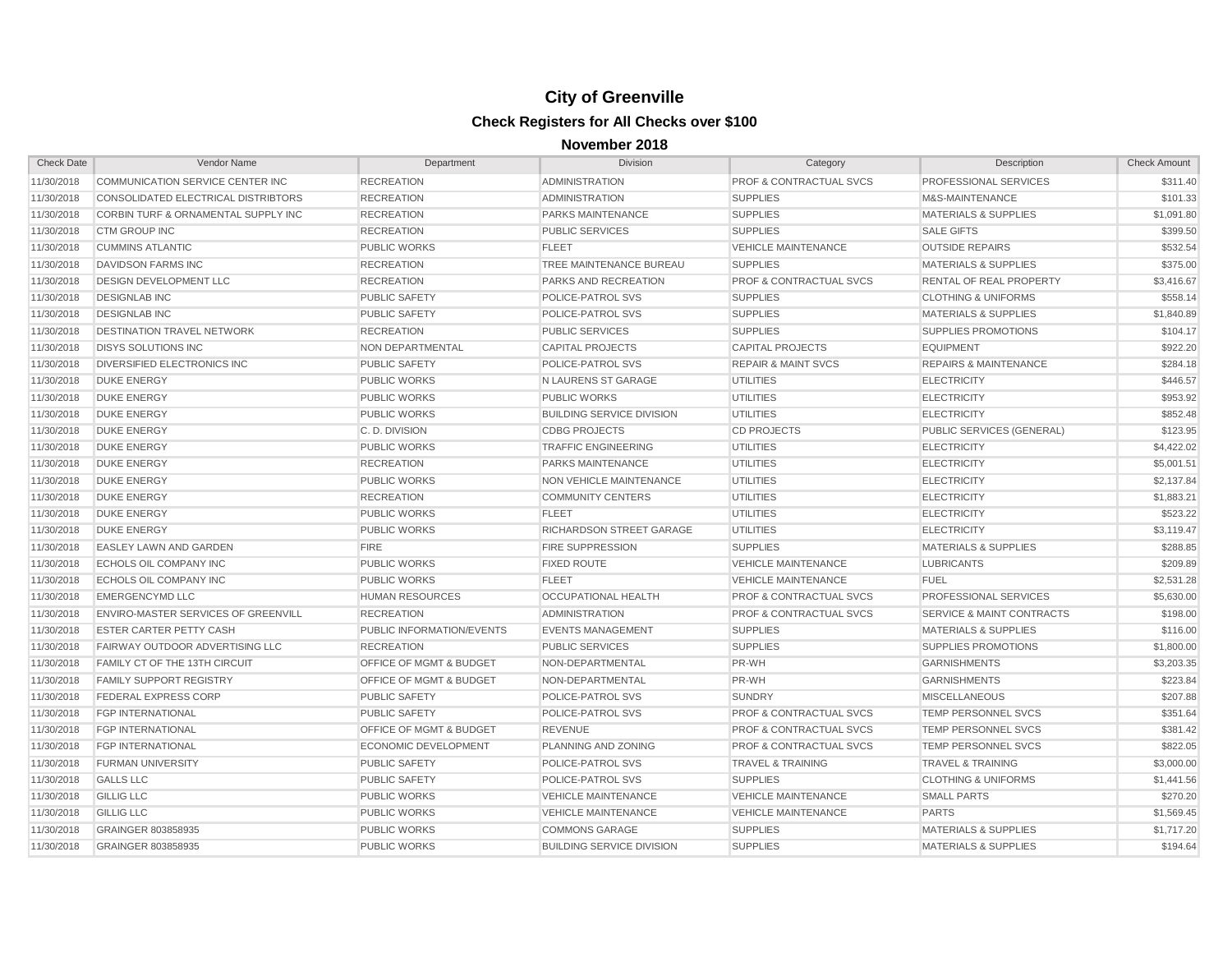| <b>Check Date</b> | Vendor Name                          | Department                         | <b>Division</b>                  | Category                           | Description                          | <b>Check Amount</b> |
|-------------------|--------------------------------------|------------------------------------|----------------------------------|------------------------------------|--------------------------------------|---------------------|
| 11/30/2018        | COMMUNICATION SERVICE CENTER INC     | <b>RECREATION</b>                  | <b>ADMINISTRATION</b>            | <b>PROF &amp; CONTRACTUAL SVCS</b> | PROFESSIONAL SERVICES                | \$311.40            |
| 11/30/2018        | CONSOLIDATED ELECTRICAL DISTRIBTORS  | <b>RECREATION</b>                  | <b>ADMINISTRATION</b>            | <b>SUPPLIES</b>                    | M&S-MAINTENANCE                      | \$101.33            |
| 11/30/2018        | CORBIN TURF & ORNAMENTAL SUPPLY INC  | <b>RECREATION</b>                  | PARKS MAINTENANCE                | <b>SUPPLIES</b>                    | <b>MATERIALS &amp; SUPPLIES</b>      | \$1,091.80          |
| 11/30/2018        | <b>CTM GROUP INC</b>                 | <b>RECREATION</b>                  | <b>PUBLIC SERVICES</b>           | <b>SUPPLIES</b>                    | <b>SALE GIFTS</b>                    | \$399.50            |
| 11/30/2018        | <b>CUMMINS ATLANTIC</b>              | <b>PUBLIC WORKS</b>                | <b>FLEET</b>                     | <b>VEHICLE MAINTENANCE</b>         | <b>OUTSIDE REPAIRS</b>               | \$532.54            |
| 11/30/2018        | <b>DAVIDSON FARMS INC</b>            | <b>RECREATION</b>                  | TREE MAINTENANCE BUREAU          | <b>SUPPLIES</b>                    | <b>MATERIALS &amp; SUPPLIES</b>      | \$375.00            |
| 11/30/2018        | DESIGN DEVELOPMENT LLC               | <b>RECREATION</b>                  | PARKS AND RECREATION             | <b>PROF &amp; CONTRACTUAL SVCS</b> | RENTAL OF REAL PROPERTY              | \$3,416.67          |
| 11/30/2018        | <b>DESIGNLAB INC</b>                 | <b>PUBLIC SAFETY</b>               | POLICE-PATROL SVS                | <b>SUPPLIES</b>                    | <b>CLOTHING &amp; UNIFORMS</b>       | \$558.14            |
| 11/30/2018        | <b>DESIGNLAB INC</b>                 | <b>PUBLIC SAFETY</b>               | <b>POLICE-PATROL SVS</b>         | <b>SUPPLIES</b>                    | <b>MATERIALS &amp; SUPPLIES</b>      | \$1,840.89          |
| 11/30/2018        | DESTINATION TRAVEL NETWORK           | <b>RECREATION</b>                  | <b>PUBLIC SERVICES</b>           | <b>SUPPLIES</b>                    | <b>SUPPLIES PROMOTIONS</b>           | \$104.17            |
| 11/30/2018        | <b>DISYS SOLUTIONS INC</b>           | <b>NON DEPARTMENTAL</b>            | <b>CAPITAL PROJECTS</b>          | <b>CAPITAL PROJECTS</b>            | <b>EQUIPMENT</b>                     | \$922.20            |
| 11/30/2018        | DIVERSIFIED ELECTRONICS INC          | <b>PUBLIC SAFETY</b>               | POLICE-PATROL SVS                | <b>REPAIR &amp; MAINT SVCS</b>     | <b>REPAIRS &amp; MAINTENANCE</b>     | \$284.18            |
| 11/30/2018        | <b>DUKE ENERGY</b>                   | <b>PUBLIC WORKS</b>                | N LAURENS ST GARAGE              | <b>UTILITIES</b>                   | <b>ELECTRICITY</b>                   | \$446.57            |
| 11/30/2018        | <b>DUKE ENERGY</b>                   | <b>PUBLIC WORKS</b>                | <b>PUBLIC WORKS</b>              | <b>UTILITIES</b>                   | <b>ELECTRICITY</b>                   | \$953.92            |
| 11/30/2018        | <b>DUKE ENERGY</b>                   | <b>PUBLIC WORKS</b>                | <b>BUILDING SERVICE DIVISION</b> | <b>UTILITIES</b>                   | <b>ELECTRICITY</b>                   | \$852.48            |
| 11/30/2018        | <b>DUKE ENERGY</b>                   | C.D. DIVISION                      | <b>CDBG PROJECTS</b>             | <b>CD PROJECTS</b>                 | PUBLIC SERVICES (GENERAL)            | \$123.95            |
| 11/30/2018        | <b>DUKE ENERGY</b>                   | <b>PUBLIC WORKS</b>                | <b>TRAFFIC ENGINEERING</b>       | <b>UTILITIES</b>                   | <b>ELECTRICITY</b>                   | \$4,422.02          |
| 11/30/2018        | <b>DUKE ENERGY</b>                   | <b>RECREATION</b>                  | <b>PARKS MAINTENANCE</b>         | <b>UTILITIES</b>                   | <b>ELECTRICITY</b>                   | \$5,001.51          |
| 11/30/2018        | <b>DUKE ENERGY</b>                   | <b>PUBLIC WORKS</b>                | <b>NON VEHICLE MAINTENANCE</b>   | <b>UTILITIES</b>                   | <b>ELECTRICITY</b>                   | \$2,137.84          |
| 11/30/2018        | <b>DUKE ENERGY</b>                   | <b>RECREATION</b>                  | <b>COMMUNITY CENTERS</b>         | <b>UTILITIES</b>                   | <b>ELECTRICITY</b>                   | \$1,883.21          |
| 11/30/2018        | <b>DUKE ENERGY</b>                   | <b>PUBLIC WORKS</b>                | <b>FLEET</b>                     | <b>UTILITIES</b>                   | <b>ELECTRICITY</b>                   | \$523.22            |
| 11/30/2018        | <b>DUKE ENERGY</b>                   | <b>PUBLIC WORKS</b>                | RICHARDSON STREET GARAGE         | <b>UTILITIES</b>                   | <b>ELECTRICITY</b>                   | \$3,119.47          |
| 11/30/2018        | EASLEY LAWN AND GARDEN               | <b>FIRE</b>                        | <b>FIRE SUPPRESSION</b>          | <b>SUPPLIES</b>                    | <b>MATERIALS &amp; SUPPLIES</b>      | \$288.85            |
| 11/30/2018        | ECHOLS OIL COMPANY INC               | <b>PUBLIC WORKS</b>                | <b>FIXED ROUTE</b>               | <b>VEHICLE MAINTENANCE</b>         | <b>LUBRICANTS</b>                    | \$209.89            |
| 11/30/2018        | ECHOLS OIL COMPANY INC               | <b>PUBLIC WORKS</b>                | <b>FLEET</b>                     | <b>VEHICLE MAINTENANCE</b>         | <b>FUEL</b>                          | \$2,531.28          |
| 11/30/2018        | <b>EMERGENCYMD LLC</b>               | <b>HUMAN RESOURCES</b>             | OCCUPATIONAL HEALTH              | <b>PROF &amp; CONTRACTUAL SVCS</b> | PROFESSIONAL SERVICES                | \$5,630.00          |
| 11/30/2018        | ENVIRO-MASTER SERVICES OF GREENVILL  | <b>RECREATION</b>                  | <b>ADMINISTRATION</b>            | <b>PROF &amp; CONTRACTUAL SVCS</b> | <b>SERVICE &amp; MAINT CONTRACTS</b> | \$198.00            |
| 11/30/2018        | <b>ESTER CARTER PETTY CASH</b>       | PUBLIC INFORMATION/EVENTS          | <b>EVENTS MANAGEMENT</b>         | <b>SUPPLIES</b>                    | <b>MATERIALS &amp; SUPPLIES</b>      | \$116.00            |
| 11/30/2018        | FAIRWAY OUTDOOR ADVERTISING LLC      | <b>RECREATION</b>                  | <b>PUBLIC SERVICES</b>           | <b>SUPPLIES</b>                    | <b>SUPPLIES PROMOTIONS</b>           | \$1,800.00          |
| 11/30/2018        | <b>FAMILY CT OF THE 13TH CIRCUIT</b> | <b>OFFICE OF MGMT &amp; BUDGET</b> | NON-DEPARTMENTAL                 | PR-WH                              | <b>GARNISHMENTS</b>                  | \$3,203.35          |
| 11/30/2018        | <b>FAMILY SUPPORT REGISTRY</b>       | <b>OFFICE OF MGMT &amp; BUDGET</b> | NON-DEPARTMENTAL                 | PR-WH                              | <b>GARNISHMENTS</b>                  | \$223.84            |
| 11/30/2018        | FEDERAL EXPRESS CORP                 | <b>PUBLIC SAFETY</b>               | POLICE-PATROL SVS                | <b>SUNDRY</b>                      | <b>MISCELLANEOUS</b>                 | \$207.88            |
| 11/30/2018        | <b>FGP INTERNATIONAL</b>             | <b>PUBLIC SAFETY</b>               | POLICE-PATROL SVS                | PROF & CONTRACTUAL SVCS            | TEMP PERSONNEL SVCS                  | \$351.64            |
| 11/30/2018        | <b>FGP INTERNATIONAL</b>             | <b>OFFICE OF MGMT &amp; BUDGET</b> | <b>REVENUE</b>                   | <b>PROF &amp; CONTRACTUAL SVCS</b> | TEMP PERSONNEL SVCS                  | \$381.42            |
| 11/30/2018        | <b>FGP INTERNATIONAL</b>             | <b>ECONOMIC DEVELOPMENT</b>        | <b>PLANNING AND ZONING</b>       | PROF & CONTRACTUAL SVCS            | TEMP PERSONNEL SVCS                  | \$822.05            |
| 11/30/2018        | <b>FURMAN UNIVERSITY</b>             | <b>PUBLIC SAFETY</b>               | POLICE-PATROL SVS                | <b>TRAVEL &amp; TRAINING</b>       | <b>TRAVEL &amp; TRAINING</b>         | \$3,000.00          |
| 11/30/2018        | <b>GALLS LLC</b>                     | <b>PUBLIC SAFETY</b>               | POLICE-PATROL SVS                | <b>SUPPLIES</b>                    | <b>CLOTHING &amp; UNIFORMS</b>       | \$1,441.56          |
| 11/30/2018        | <b>GILLIG LLC</b>                    | <b>PUBLIC WORKS</b>                | <b>VEHICLE MAINTENANCE</b>       | <b>VEHICLE MAINTENANCE</b>         | <b>SMALL PARTS</b>                   | \$270.20            |
| 11/30/2018        | <b>GILLIG LLC</b>                    | <b>PUBLIC WORKS</b>                | <b>VEHICLE MAINTENANCE</b>       | <b>VEHICLE MAINTENANCE</b>         | <b>PARTS</b>                         | \$1,569.45          |
| 11/30/2018        | GRAINGER 803858935                   | <b>PUBLIC WORKS</b>                | <b>COMMONS GARAGE</b>            | <b>SUPPLIES</b>                    | <b>MATERIALS &amp; SUPPLIES</b>      | \$1,717.20          |
| 11/30/2018        | GRAINGER 803858935                   | <b>PUBLIC WORKS</b>                | <b>BUILDING SERVICE DIVISION</b> | <b>SUPPLIES</b>                    | <b>MATERIALS &amp; SUPPLIES</b>      | \$194.64            |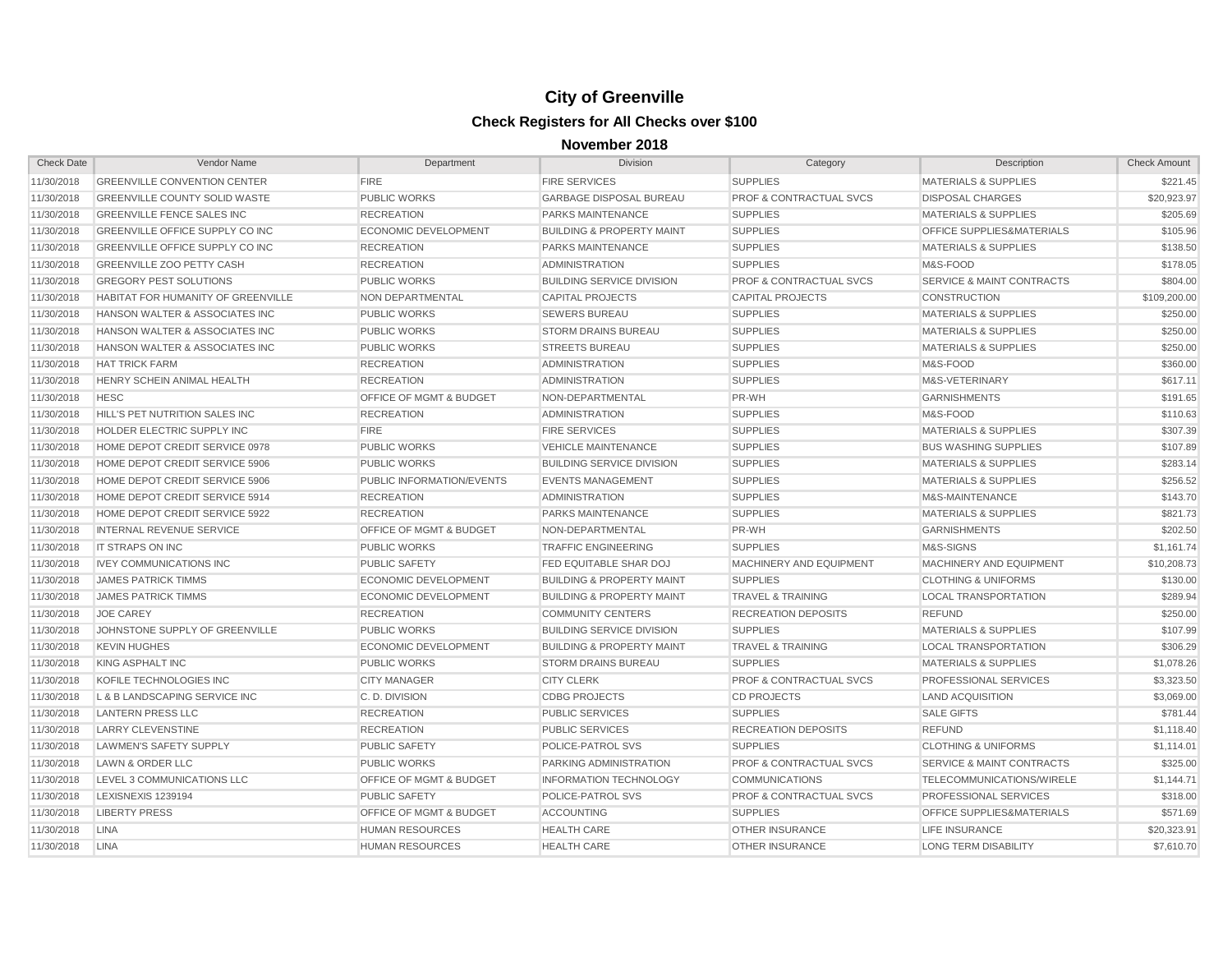| <b>Check Date</b> | Vendor Name                            | Department                         | <b>Division</b>                      | Category                           | Description                          | <b>Check Amount</b> |
|-------------------|----------------------------------------|------------------------------------|--------------------------------------|------------------------------------|--------------------------------------|---------------------|
| 11/30/2018        | <b>GREENVILLE CONVENTION CENTER</b>    | <b>FIRE</b>                        | <b>FIRE SERVICES</b>                 | <b>SUPPLIES</b>                    | <b>MATERIALS &amp; SUPPLIES</b>      | \$221.45            |
| 11/30/2018        | <b>GREENVILLE COUNTY SOLID WASTE</b>   | <b>PUBLIC WORKS</b>                | <b>GARBAGE DISPOSAL BUREAU</b>       | PROF & CONTRACTUAL SVCS            | <b>DISPOSAL CHARGES</b>              | \$20,923.97         |
| 11/30/2018        | <b>GREENVILLE FENCE SALES INC</b>      | <b>RECREATION</b>                  | PARKS MAINTENANCE                    | <b>SUPPLIES</b>                    | <b>MATERIALS &amp; SUPPLIES</b>      | \$205.69            |
| 11/30/2018        | <b>GREENVILLE OFFICE SUPPLY CO INC</b> | <b>ECONOMIC DEVELOPMENT</b>        | <b>BUILDING &amp; PROPERTY MAINT</b> | <b>SUPPLIES</b>                    | OFFICE SUPPLIES&MATERIALS            | \$105.96            |
| 11/30/2018        | GREENVILLE OFFICE SUPPLY CO INC        | <b>RECREATION</b>                  | <b>PARKS MAINTENANCE</b>             | <b>SUPPLIES</b>                    | <b>MATERIALS &amp; SUPPLIES</b>      | \$138.50            |
| 11/30/2018        | <b>GREENVILLE ZOO PETTY CASH</b>       | <b>RECREATION</b>                  | <b>ADMINISTRATION</b>                | <b>SUPPLIES</b>                    | M&S-FOOD                             | \$178.05            |
| 11/30/2018        | <b>GREGORY PEST SOLUTIONS</b>          | <b>PUBLIC WORKS</b>                | <b>BUILDING SERVICE DIVISION</b>     | <b>PROF &amp; CONTRACTUAL SVCS</b> | <b>SERVICE &amp; MAINT CONTRACTS</b> | \$804.00            |
| 11/30/2018        | HABITAT FOR HUMANITY OF GREENVILLE     | <b>NON DEPARTMENTAL</b>            | <b>CAPITAL PROJECTS</b>              | <b>CAPITAL PROJECTS</b>            | <b>CONSTRUCTION</b>                  | \$109,200.00        |
| 11/30/2018        | HANSON WALTER & ASSOCIATES INC         | <b>PUBLIC WORKS</b>                | <b>SEWERS BUREAU</b>                 | <b>SUPPLIES</b>                    | <b>MATERIALS &amp; SUPPLIES</b>      | \$250.00            |
| 11/30/2018        | HANSON WALTER & ASSOCIATES INC         | <b>PUBLIC WORKS</b>                | <b>STORM DRAINS BUREAU</b>           | <b>SUPPLIES</b>                    | <b>MATERIALS &amp; SUPPLIES</b>      | \$250.00            |
| 11/30/2018        | HANSON WALTER & ASSOCIATES INC         | <b>PUBLIC WORKS</b>                | <b>STREETS BUREAU</b>                | <b>SUPPLIES</b>                    | <b>MATERIALS &amp; SUPPLIES</b>      | \$250.00            |
| 11/30/2018        | <b>HAT TRICK FARM</b>                  | <b>RECREATION</b>                  | <b>ADMINISTRATION</b>                | <b>SUPPLIES</b>                    | M&S-FOOD                             | \$360.00            |
| 11/30/2018        | HENRY SCHEIN ANIMAL HEALTH             | <b>RECREATION</b>                  | <b>ADMINISTRATION</b>                | <b>SUPPLIES</b>                    | M&S-VETERINARY                       | \$617.11            |
| 11/30/2018        | <b>HESC</b>                            | <b>OFFICE OF MGMT &amp; BUDGET</b> | NON-DEPARTMENTAL                     | PR-WH                              | <b>GARNISHMENTS</b>                  | \$191.65            |
| 11/30/2018        | HILL'S PET NUTRITION SALES INC         | <b>RECREATION</b>                  | <b>ADMINISTRATION</b>                | <b>SUPPLIES</b>                    | M&S-FOOD                             | \$110.63            |
| 11/30/2018        | HOLDER ELECTRIC SUPPLY INC             | <b>FIRE</b>                        | <b>FIRE SERVICES</b>                 | <b>SUPPLIES</b>                    | <b>MATERIALS &amp; SUPPLIES</b>      | \$307.39            |
| 11/30/2018        | HOME DEPOT CREDIT SERVICE 0978         | <b>PUBLIC WORKS</b>                | <b>VEHICLE MAINTENANCE</b>           | <b>SUPPLIES</b>                    | <b>BUS WASHING SUPPLIES</b>          | \$107.89            |
| 11/30/2018        | HOME DEPOT CREDIT SERVICE 5906         | <b>PUBLIC WORKS</b>                | <b>BUILDING SERVICE DIVISION</b>     | <b>SUPPLIES</b>                    | <b>MATERIALS &amp; SUPPLIES</b>      | \$283.14            |
| 11/30/2018        | HOME DEPOT CREDIT SERVICE 5906         | PUBLIC INFORMATION/EVENTS          | <b>EVENTS MANAGEMENT</b>             | <b>SUPPLIES</b>                    | <b>MATERIALS &amp; SUPPLIES</b>      | \$256.52            |
| 11/30/2018        | HOME DEPOT CREDIT SERVICE 5914         | <b>RECREATION</b>                  | <b>ADMINISTRATION</b>                | <b>SUPPLIES</b>                    | M&S-MAINTENANCE                      | \$143.70            |
| 11/30/2018        | HOME DEPOT CREDIT SERVICE 5922         | <b>RECREATION</b>                  | PARKS MAINTENANCE                    | <b>SUPPLIES</b>                    | <b>MATERIALS &amp; SUPPLIES</b>      | \$821.73            |
| 11/30/2018        | <b>INTERNAL REVENUE SERVICE</b>        | <b>OFFICE OF MGMT &amp; BUDGET</b> | NON-DEPARTMENTAL                     | PR-WH                              | <b>GARNISHMENTS</b>                  | \$202.50            |
| 11/30/2018        | <b>IT STRAPS ON INC</b>                | <b>PUBLIC WORKS</b>                | <b>TRAFFIC ENGINEERING</b>           | <b>SUPPLIES</b>                    | M&S-SIGNS                            | \$1,161.74          |
| 11/30/2018        | <b>IVEY COMMUNICATIONS INC</b>         | <b>PUBLIC SAFETY</b>               | FED EQUITABLE SHAR DOJ               | <b>MACHINERY AND EQUIPMENT</b>     | MACHINERY AND EQUIPMENT              | \$10,208.73         |
| 11/30/2018        | <b>JAMES PATRICK TIMMS</b>             | <b>ECONOMIC DEVELOPMENT</b>        | <b>BUILDING &amp; PROPERTY MAINT</b> | <b>SUPPLIES</b>                    | <b>CLOTHING &amp; UNIFORMS</b>       | \$130.00            |
| 11/30/2018        | <b>JAMES PATRICK TIMMS</b>             | <b>ECONOMIC DEVELOPMENT</b>        | <b>BUILDING &amp; PROPERTY MAINT</b> | <b>TRAVEL &amp; TRAINING</b>       | <b>LOCAL TRANSPORTATION</b>          | \$289.94            |
| 11/30/2018        | <b>JOE CAREY</b>                       | <b>RECREATION</b>                  | <b>COMMUNITY CENTERS</b>             | <b>RECREATION DEPOSITS</b>         | <b>REFUND</b>                        | \$250.00            |
| 11/30/2018        | JOHNSTONE SUPPLY OF GREENVILLE         | <b>PUBLIC WORKS</b>                | <b>BUILDING SERVICE DIVISION</b>     | <b>SUPPLIES</b>                    | <b>MATERIALS &amp; SUPPLIES</b>      | \$107.99            |
| 11/30/2018        | <b>KEVIN HUGHES</b>                    | <b>ECONOMIC DEVELOPMENT</b>        | <b>BUILDING &amp; PROPERTY MAINT</b> | <b>TRAVEL &amp; TRAINING</b>       | <b>LOCAL TRANSPORTATION</b>          | \$306.29            |
| 11/30/2018        | KING ASPHALT INC                       | <b>PUBLIC WORKS</b>                | <b>STORM DRAINS BUREAU</b>           | <b>SUPPLIES</b>                    | <b>MATERIALS &amp; SUPPLIES</b>      | \$1,078.26          |
| 11/30/2018        | KOFILE TECHNOLOGIES INC                | <b>CITY MANAGER</b>                | <b>CITY CLERK</b>                    | <b>PROF &amp; CONTRACTUAL SVCS</b> | PROFESSIONAL SERVICES                | \$3,323.50          |
| 11/30/2018        | L & B LANDSCAPING SERVICE INC          | C.D. DIVISION                      | <b>CDBG PROJECTS</b>                 | <b>CD PROJECTS</b>                 | LAND ACQUISITION                     | \$3,069.00          |
| 11/30/2018        | <b>LANTERN PRESS LLC</b>               | <b>RECREATION</b>                  | <b>PUBLIC SERVICES</b>               | <b>SUPPLIES</b>                    | <b>SALE GIFTS</b>                    | \$781.44            |
| 11/30/2018        | <b>LARRY CLEVENSTINE</b>               | <b>RECREATION</b>                  | <b>PUBLIC SERVICES</b>               | <b>RECREATION DEPOSITS</b>         | <b>REFUND</b>                        | \$1,118.40          |
| 11/30/2018        | LAWMEN'S SAFETY SUPPLY                 | <b>PUBLIC SAFETY</b>               | POLICE-PATROL SVS                    | <b>SUPPLIES</b>                    | <b>CLOTHING &amp; UNIFORMS</b>       | \$1,114.01          |
| 11/30/2018        | LAWN & ORDER LLC                       | <b>PUBLIC WORKS</b>                | PARKING ADMINISTRATION               | <b>PROF &amp; CONTRACTUAL SVCS</b> | <b>SERVICE &amp; MAINT CONTRACTS</b> | \$325.00            |
| 11/30/2018        | LEVEL 3 COMMUNICATIONS LLC             | <b>OFFICE OF MGMT &amp; BUDGET</b> | <b>INFORMATION TECHNOLOGY</b>        | <b>COMMUNICATIONS</b>              | TELECOMMUNICATIONS/WIRELE            | \$1,144.71          |
| 11/30/2018        | LEXISNEXIS 1239194                     | <b>PUBLIC SAFETY</b>               | POLICE-PATROL SVS                    | <b>PROF &amp; CONTRACTUAL SVCS</b> | <b>PROFESSIONAL SERVICES</b>         | \$318.00            |
| 11/30/2018        | <b>LIBERTY PRESS</b>                   | <b>OFFICE OF MGMT &amp; BUDGET</b> | <b>ACCOUNTING</b>                    | <b>SUPPLIES</b>                    | <b>OFFICE SUPPLIES&amp;MATERIALS</b> | \$571.69            |
| 11/30/2018        | <b>LINA</b>                            | <b>HUMAN RESOURCES</b>             | <b>HEALTH CARE</b>                   | <b>OTHER INSURANCE</b>             | <b>LIFE INSURANCE</b>                | \$20,323.91         |
| 11/30/2018        | <b>LINA</b>                            | <b>HUMAN RESOURCES</b>             | <b>HEALTH CARE</b>                   | <b>OTHER INSURANCE</b>             | <b>LONG TERM DISABILITY</b>          | \$7,610.70          |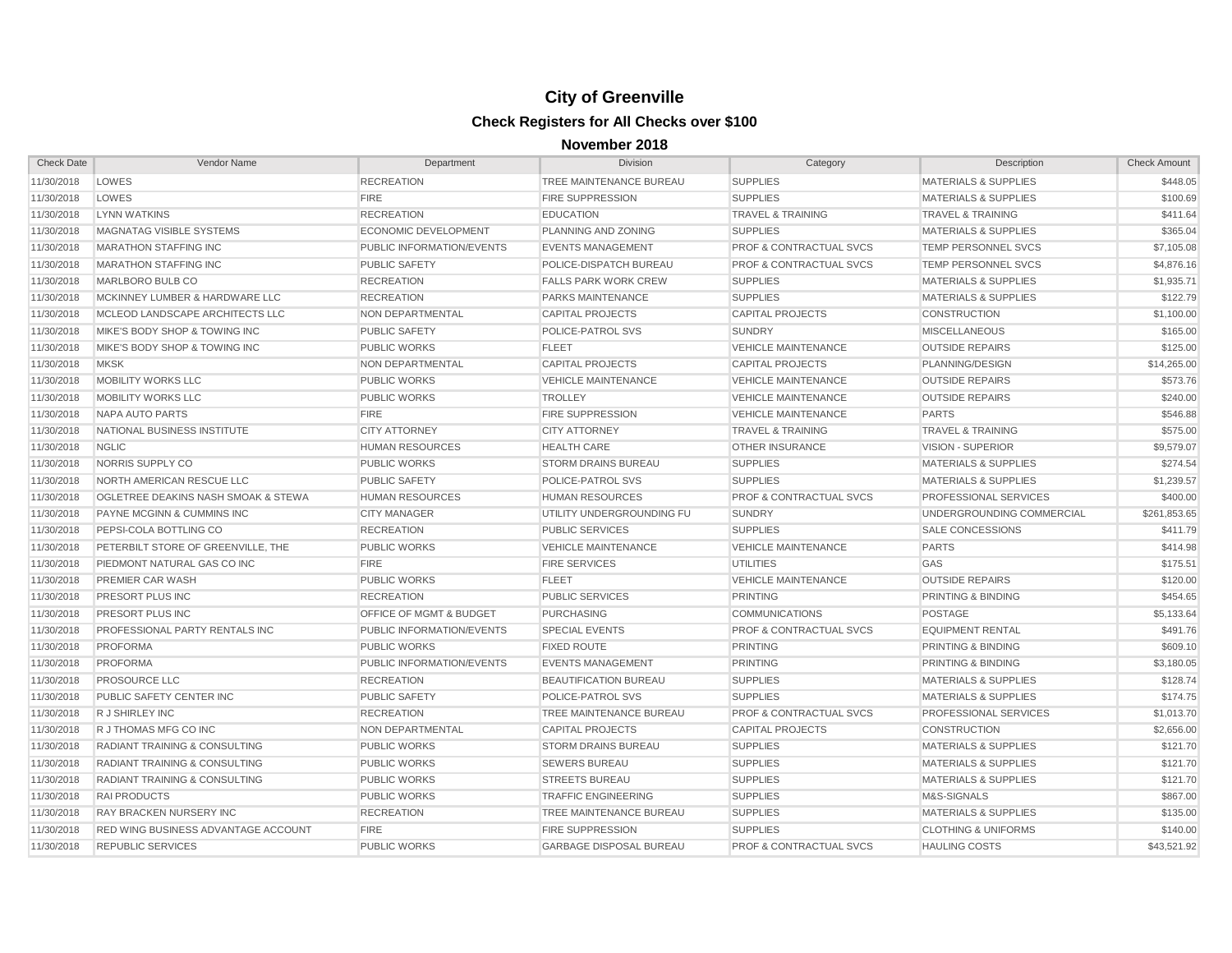| <b>Check Date</b> | Vendor Name                              | Department                | <b>Division</b>                | Category                           | Description                      | <b>Check Amount</b> |
|-------------------|------------------------------------------|---------------------------|--------------------------------|------------------------------------|----------------------------------|---------------------|
| 11/30/2018        | LOWES                                    | <b>RECREATION</b>         | TREE MAINTENANCE BUREAU        | <b>SUPPLIES</b>                    | <b>MATERIALS &amp; SUPPLIES</b>  | \$448.05            |
| 11/30/2018        | LOWES                                    | <b>FIRE</b>               | <b>FIRE SUPPRESSION</b>        | <b>SUPPLIES</b>                    | <b>MATERIALS &amp; SUPPLIES</b>  | \$100.69            |
| 11/30/2018        | <b>LYNN WATKINS</b>                      | <b>RECREATION</b>         | <b>EDUCATION</b>               | <b>TRAVEL &amp; TRAINING</b>       | <b>TRAVEL &amp; TRAINING</b>     | \$411.64            |
| 11/30/2018        | MAGNATAG VISIBLE SYSTEMS                 | ECONOMIC DEVELOPMENT      | PLANNING AND ZONING            | <b>SUPPLIES</b>                    | <b>MATERIALS &amp; SUPPLIES</b>  | \$365.04            |
| 11/30/2018        | <b>MARATHON STAFFING INC</b>             | PUBLIC INFORMATION/EVENTS | <b>EVENTS MANAGEMENT</b>       | <b>PROF &amp; CONTRACTUAL SVCS</b> | TEMP PERSONNEL SVCS              | \$7,105.08          |
| 11/30/2018        | <b>MARATHON STAFFING INC</b>             | <b>PUBLIC SAFETY</b>      | POLICE-DISPATCH BUREAU         | <b>PROF &amp; CONTRACTUAL SVCS</b> | TEMP PERSONNEL SVCS              | \$4,876.16          |
| 11/30/2018        | MARLBORO BULB CO                         | <b>RECREATION</b>         | <b>FALLS PARK WORK CREW</b>    | <b>SUPPLIES</b>                    | <b>MATERIALS &amp; SUPPLIES</b>  | \$1,935.71          |
| 11/30/2018        | MCKINNEY LUMBER & HARDWARE LLC           | <b>RECREATION</b>         | PARKS MAINTENANCE              | <b>SUPPLIES</b>                    | <b>MATERIALS &amp; SUPPLIES</b>  | \$122.79            |
| 11/30/2018        | MCLEOD LANDSCAPE ARCHITECTS LLC          | NON DEPARTMENTAL          | <b>CAPITAL PROJECTS</b>        | <b>CAPITAL PROJECTS</b>            | <b>CONSTRUCTION</b>              | \$1,100.00          |
| 11/30/2018        | MIKE'S BODY SHOP & TOWING INC            | <b>PUBLIC SAFETY</b>      | POLICE-PATROL SVS              | <b>SUNDRY</b>                      | <b>MISCELLANEOUS</b>             | \$165.00            |
| 11/30/2018        | MIKE'S BODY SHOP & TOWING INC            | <b>PUBLIC WORKS</b>       | <b>FLEET</b>                   | <b>VEHICLE MAINTENANCE</b>         | <b>OUTSIDE REPAIRS</b>           | \$125.00            |
| 11/30/2018        | <b>MKSK</b>                              | NON DEPARTMENTAL          | <b>CAPITAL PROJECTS</b>        | <b>CAPITAL PROJECTS</b>            | PLANNING/DESIGN                  | \$14,265.00         |
| 11/30/2018        | <b>MOBILITY WORKS LLC</b>                | <b>PUBLIC WORKS</b>       | <b>VEHICLE MAINTENANCE</b>     | <b>VEHICLE MAINTENANCE</b>         | <b>OUTSIDE REPAIRS</b>           | \$573.76            |
| 11/30/2018        | <b>MOBILITY WORKS LLC</b>                | <b>PUBLIC WORKS</b>       | <b>TROLLEY</b>                 | <b>VEHICLE MAINTENANCE</b>         | <b>OUTSIDE REPAIRS</b>           | \$240.00            |
| 11/30/2018        | NAPA AUTO PARTS                          | <b>FIRE</b>               | <b>FIRE SUPPRESSION</b>        | <b>VEHICLE MAINTENANCE</b>         | <b>PARTS</b>                     | \$546.88            |
| 11/30/2018        | NATIONAL BUSINESS INSTITUTE              | <b>CITY ATTORNEY</b>      | <b>CITY ATTORNEY</b>           | <b>TRAVEL &amp; TRAINING</b>       | TRAVEL & TRAINING                | \$575.00            |
| 11/30/2018        | <b>NGLIC</b>                             | <b>HUMAN RESOURCES</b>    | <b>HEALTH CARE</b>             | <b>OTHER INSURANCE</b>             | VISION - SUPERIOR                | \$9,579.07          |
| 11/30/2018        | NORRIS SUPPLY CO                         | <b>PUBLIC WORKS</b>       | <b>STORM DRAINS BUREAU</b>     | <b>SUPPLIES</b>                    | <b>MATERIALS &amp; SUPPLIES</b>  | \$274.54            |
| 11/30/2018        | NORTH AMERICAN RESCUE LLC                | <b>PUBLIC SAFETY</b>      | POLICE-PATROL SVS              | <b>SUPPLIES</b>                    | <b>MATERIALS &amp; SUPPLIES</b>  | \$1,239.57          |
| 11/30/2018        | OGLETREE DEAKINS NASH SMOAK & STEWA      | <b>HUMAN RESOURCES</b>    | <b>HUMAN RESOURCES</b>         | PROF & CONTRACTUAL SVCS            | PROFESSIONAL SERVICES            | \$400.00            |
| 11/30/2018        | PAYNE MCGINN & CUMMINS INC               | <b>CITY MANAGER</b>       | UTILITY UNDERGROUNDING FU      | <b>SUNDRY</b>                      | <b>UNDERGROUNDING COMMERCIAL</b> | \$261,853.65        |
| 11/30/2018        | PEPSI-COLA BOTTLING CO                   | <b>RECREATION</b>         | <b>PUBLIC SERVICES</b>         | <b>SUPPLIES</b>                    | <b>SALE CONCESSIONS</b>          | \$411.79            |
| 11/30/2018        | PETERBILT STORE OF GREENVILLE. THE       | <b>PUBLIC WORKS</b>       | <b>VEHICLE MAINTENANCE</b>     | <b>VEHICLE MAINTENANCE</b>         | <b>PARTS</b>                     | \$414.98            |
| 11/30/2018        | PIEDMONT NATURAL GAS CO INC              | <b>FIRE</b>               | <b>FIRE SERVICES</b>           | <b>UTILITIES</b>                   | GAS                              | \$175.51            |
| 11/30/2018        | <b>PREMIER CAR WASH</b>                  | <b>PUBLIC WORKS</b>       | <b>FLEET</b>                   | <b>VEHICLE MAINTENANCE</b>         | <b>OUTSIDE REPAIRS</b>           | \$120.00            |
| 11/30/2018        | PRESORT PLUS INC                         | <b>RECREATION</b>         | <b>PUBLIC SERVICES</b>         | <b>PRINTING</b>                    | PRINTING & BINDING               | \$454.65            |
| 11/30/2018        | PRESORT PLUS INC                         | OFFICE OF MGMT & BUDGET   | <b>PURCHASING</b>              | COMMUNICATIONS                     | <b>POSTAGE</b>                   | \$5,133.64          |
| 11/30/2018        | PROFESSIONAL PARTY RENTALS INC           | PUBLIC INFORMATION/EVENTS | <b>SPECIAL EVENTS</b>          | <b>PROF &amp; CONTRACTUAL SVCS</b> | <b>EQUIPMENT RENTAL</b>          | \$491.76            |
| 11/30/2018        | <b>PROFORMA</b>                          | <b>PUBLIC WORKS</b>       | <b>FIXED ROUTE</b>             | <b>PRINTING</b>                    | PRINTING & BINDING               | \$609.10            |
| 11/30/2018        | <b>PROFORMA</b>                          | PUBLIC INFORMATION/EVENTS | <b>EVENTS MANAGEMENT</b>       | <b>PRINTING</b>                    | PRINTING & BINDING               | \$3,180.05          |
| 11/30/2018        | PROSOURCE LLC                            | <b>RECREATION</b>         | <b>BEAUTIFICATION BUREAU</b>   | <b>SUPPLIES</b>                    | <b>MATERIALS &amp; SUPPLIES</b>  | \$128.74            |
| 11/30/2018        | PUBLIC SAFETY CENTER INC                 | <b>PUBLIC SAFETY</b>      | POLICE-PATROL SVS              | <b>SUPPLIES</b>                    | <b>MATERIALS &amp; SUPPLIES</b>  | \$174.75            |
| 11/30/2018        | R J SHIRLEY INC                          | <b>RECREATION</b>         | TREE MAINTENANCE BUREAU        | <b>PROF &amp; CONTRACTUAL SVCS</b> | PROFESSIONAL SERVICES            | \$1,013.70          |
| 11/30/2018        | R J THOMAS MFG CO INC                    | NON DEPARTMENTAL          | <b>CAPITAL PROJECTS</b>        | <b>CAPITAL PROJECTS</b>            | <b>CONSTRUCTION</b>              | \$2,656.00          |
| 11/30/2018        | RADIANT TRAINING & CONSULTING            | <b>PUBLIC WORKS</b>       | <b>STORM DRAINS BUREAU</b>     | <b>SUPPLIES</b>                    | <b>MATERIALS &amp; SUPPLIES</b>  | \$121.70            |
| 11/30/2018        | <b>RADIANT TRAINING &amp; CONSULTING</b> | <b>PUBLIC WORKS</b>       | <b>SEWERS BUREAU</b>           | <b>SUPPLIES</b>                    | <b>MATERIALS &amp; SUPPLIES</b>  | \$121.70            |
| 11/30/2018        | <b>RADIANT TRAINING &amp; CONSULTING</b> | <b>PUBLIC WORKS</b>       | <b>STREETS BUREAU</b>          | <b>SUPPLIES</b>                    | <b>MATERIALS &amp; SUPPLIES</b>  | \$121.70            |
| 11/30/2018        | <b>RAI PRODUCTS</b>                      | <b>PUBLIC WORKS</b>       | <b>TRAFFIC ENGINEERING</b>     | <b>SUPPLIES</b>                    | M&S-SIGNALS                      | \$867.00            |
| 11/30/2018        | RAY BRACKEN NURSERY INC                  | <b>RECREATION</b>         | TREE MAINTENANCE BUREAU        | <b>SUPPLIES</b>                    | <b>MATERIALS &amp; SUPPLIES</b>  | \$135.00            |
| 11/30/2018        | RED WING BUSINESS ADVANTAGE ACCOUNT      | <b>FIRE</b>               | <b>FIRE SUPPRESSION</b>        | <b>SUPPLIES</b>                    | <b>CLOTHING &amp; UNIFORMS</b>   | \$140.00            |
| 11/30/2018        | <b>REPUBLIC SERVICES</b>                 | <b>PUBLIC WORKS</b>       | <b>GARBAGE DISPOSAL BUREAU</b> | <b>PROF &amp; CONTRACTUAL SVCS</b> | <b>HAULING COSTS</b>             | \$43,521.92         |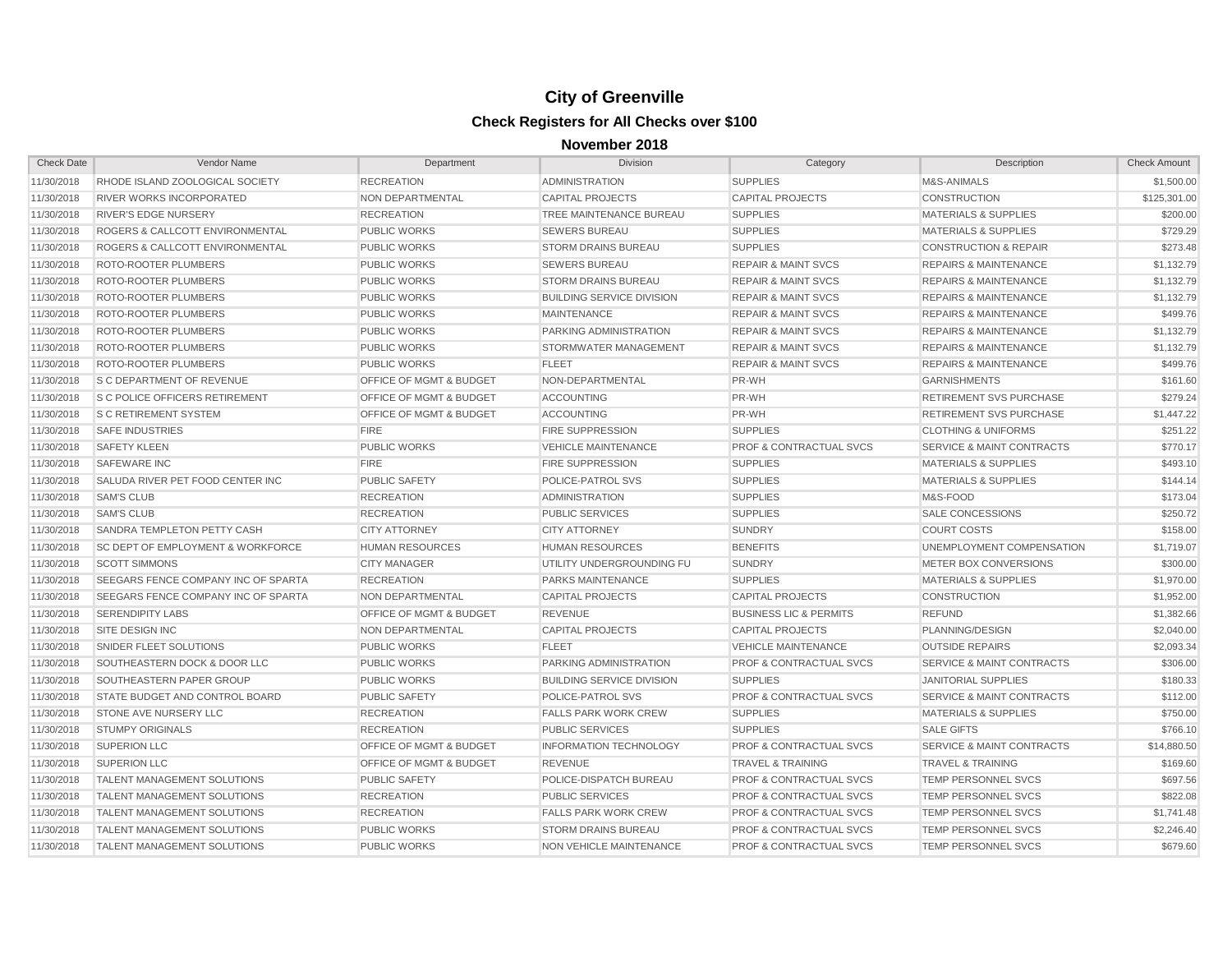| <b>Check Date</b> | Vendor Name                           | Department                         | <b>Division</b>                  | Category                           | Description                          | <b>Check Amount</b> |
|-------------------|---------------------------------------|------------------------------------|----------------------------------|------------------------------------|--------------------------------------|---------------------|
| 11/30/2018        | RHODE ISLAND ZOOLOGICAL SOCIETY       | <b>RECREATION</b>                  | <b>ADMINISTRATION</b>            | <b>SUPPLIES</b>                    | M&S-ANIMALS                          | \$1,500.00          |
| 11/30/2018        | RIVER WORKS INCORPORATED              | NON DEPARTMENTAL                   | <b>CAPITAL PROJECTS</b>          | <b>CAPITAL PROJECTS</b>            | <b>CONSTRUCTION</b>                  | \$125,301.00        |
| 11/30/2018        | <b>RIVER'S EDGE NURSERY</b>           | <b>RECREATION</b>                  | <b>TREE MAINTENANCE BUREAU</b>   | <b>SUPPLIES</b>                    | <b>MATERIALS &amp; SUPPLIES</b>      | \$200.00            |
| 11/30/2018        | ROGERS & CALLCOTT ENVIRONMENTAL       | <b>PUBLIC WORKS</b>                | <b>SEWERS BUREAU</b>             | <b>SUPPLIES</b>                    | <b>MATERIALS &amp; SUPPLIES</b>      | \$729.29            |
| 11/30/2018        | ROGERS & CALLCOTT ENVIRONMENTAL       | <b>PUBLIC WORKS</b>                | <b>STORM DRAINS BUREAU</b>       | <b>SUPPLIES</b>                    | <b>CONSTRUCTION &amp; REPAIR</b>     | \$273.48            |
| 11/30/2018        | ROTO-ROOTER PLUMBERS                  | <b>PUBLIC WORKS</b>                | <b>SEWERS BUREAU</b>             | <b>REPAIR &amp; MAINT SVCS</b>     | <b>REPAIRS &amp; MAINTENANCE</b>     | \$1,132.79          |
| 11/30/2018        | ROTO-ROOTER PLUMBERS                  | <b>PUBLIC WORKS</b>                | <b>STORM DRAINS BUREAU</b>       | <b>REPAIR &amp; MAINT SVCS</b>     | <b>REPAIRS &amp; MAINTENANCE</b>     | \$1,132.79          |
| 11/30/2018        | ROTO-ROOTER PLUMBERS                  | <b>PUBLIC WORKS</b>                | <b>BUILDING SERVICE DIVISION</b> | <b>REPAIR &amp; MAINT SVCS</b>     | <b>REPAIRS &amp; MAINTENANCE</b>     | \$1,132.79          |
| 11/30/2018        | ROTO-ROOTER PLUMBERS                  | <b>PUBLIC WORKS</b>                | <b>MAINTENANCE</b>               | <b>REPAIR &amp; MAINT SVCS</b>     | <b>REPAIRS &amp; MAINTENANCE</b>     | \$499.76            |
| 11/30/2018        | ROTO-ROOTER PLUMBERS                  | <b>PUBLIC WORKS</b>                | PARKING ADMINISTRATION           | <b>REPAIR &amp; MAINT SVCS</b>     | <b>REPAIRS &amp; MAINTENANCE</b>     | \$1,132.79          |
| 11/30/2018        | ROTO-ROOTER PLUMBERS                  | <b>PUBLIC WORKS</b>                | STORMWATER MANAGEMENT            | <b>REPAIR &amp; MAINT SVCS</b>     | <b>REPAIRS &amp; MAINTENANCE</b>     | \$1,132.79          |
| 11/30/2018        | ROTO-ROOTER PLUMBERS                  | <b>PUBLIC WORKS</b>                | <b>FLEET</b>                     | <b>REPAIR &amp; MAINT SVCS</b>     | <b>REPAIRS &amp; MAINTENANCE</b>     | \$499.76            |
| 11/30/2018        | S C DEPARTMENT OF REVENUE             | OFFICE OF MGMT & BUDGET            | NON-DEPARTMENTAL                 | PR-WH                              | <b>GARNISHMENTS</b>                  | \$161.60            |
| 11/30/2018        | <b>S C POLICE OFFICERS RETIREMENT</b> | OFFICE OF MGMT & BUDGET            | <b>ACCOUNTING</b>                | PR-WH                              | <b>RETIREMENT SVS PURCHASE</b>       | \$279.24            |
| 11/30/2018        | <b>S C RETIREMENT SYSTEM</b>          | <b>OFFICE OF MGMT &amp; BUDGET</b> | <b>ACCOUNTING</b>                | PR-WH                              | RETIREMENT SVS PURCHASE              | \$1,447.22          |
| 11/30/2018        | <b>SAFE INDUSTRIES</b>                | <b>FIRE</b>                        | <b>FIRE SUPPRESSION</b>          | <b>SUPPLIES</b>                    | <b>CLOTHING &amp; UNIFORMS</b>       | \$251.22            |
| 11/30/2018        | <b>SAFETY KLEEN</b>                   | <b>PUBLIC WORKS</b>                | <b>VEHICLE MAINTENANCE</b>       | <b>PROF &amp; CONTRACTUAL SVCS</b> | SERVICE & MAINT CONTRACTS            | \$770.17            |
| 11/30/2018        | <b>SAFEWARE INC</b>                   | <b>FIRE</b>                        | <b>FIRE SUPPRESSION</b>          | <b>SUPPLIES</b>                    | <b>MATERIALS &amp; SUPPLIES</b>      | \$493.10            |
| 11/30/2018        | SALUDA RIVER PET FOOD CENTER INC      | <b>PUBLIC SAFETY</b>               | <b>POLICE-PATROL SVS</b>         | <b>SUPPLIES</b>                    | <b>MATERIALS &amp; SUPPLIES</b>      | \$144.14            |
| 11/30/2018        | <b>SAM'S CLUB</b>                     | <b>RECREATION</b>                  | <b>ADMINISTRATION</b>            | <b>SUPPLIES</b>                    | M&S-FOOD                             | \$173.04            |
| 11/30/2018        | <b>SAM'S CLUB</b>                     | <b>RECREATION</b>                  | <b>PUBLIC SERVICES</b>           | <b>SUPPLIES</b>                    | SALE CONCESSIONS                     | \$250.72            |
| 11/30/2018        | SANDRA TEMPLETON PETTY CASH           | <b>CITY ATTORNEY</b>               | <b>CITY ATTORNEY</b>             | <b>SUNDRY</b>                      | <b>COURT COSTS</b>                   | \$158.00            |
| 11/30/2018        | SC DEPT OF EMPLOYMENT & WORKFORCE     | <b>HUMAN RESOURCES</b>             | <b>HUMAN RESOURCES</b>           | <b>BENEFITS</b>                    | UNEMPLOYMENT COMPENSATION            | \$1,719.07          |
| 11/30/2018        | <b>SCOTT SIMMONS</b>                  | <b>CITY MANAGER</b>                | UTILITY UNDERGROUNDING FU        | <b>SUNDRY</b>                      | METER BOX CONVERSIONS                | \$300.00            |
| 11/30/2018        | SEEGARS FENCE COMPANY INC OF SPARTA   | <b>RECREATION</b>                  | <b>PARKS MAINTENANCE</b>         | <b>SUPPLIES</b>                    | <b>MATERIALS &amp; SUPPLIES</b>      | \$1,970.00          |
| 11/30/2018        | SEEGARS FENCE COMPANY INC OF SPARTA   | NON DEPARTMENTAL                   | <b>CAPITAL PROJECTS</b>          | <b>CAPITAL PROJECTS</b>            | <b>CONSTRUCTION</b>                  | \$1,952.00          |
| 11/30/2018        | <b>SERENDIPITY LABS</b>               | OFFICE OF MGMT & BUDGET            | <b>REVENUE</b>                   | <b>BUSINESS LIC &amp; PERMITS</b>  | <b>REFUND</b>                        | \$1,382.66          |
| 11/30/2018        | <b>SITE DESIGN INC</b>                | NON DEPARTMENTAL                   | <b>CAPITAL PROJECTS</b>          | <b>CAPITAL PROJECTS</b>            | PLANNING/DESIGN                      | \$2,040.00          |
| 11/30/2018        | SNIDER FLEET SOLUTIONS                | <b>PUBLIC WORKS</b>                | <b>FLEET</b>                     | <b>VEHICLE MAINTENANCE</b>         | <b>OUTSIDE REPAIRS</b>               | \$2.093.34          |
| 11/30/2018        | SOUTHEASTERN DOCK & DOOR LLC          | <b>PUBLIC WORKS</b>                | PARKING ADMINISTRATION           | <b>PROF &amp; CONTRACTUAL SVCS</b> | <b>SERVICE &amp; MAINT CONTRACTS</b> | \$306.00            |
| 11/30/2018        | SOUTHEASTERN PAPER GROUP              | <b>PUBLIC WORKS</b>                | <b>BUILDING SERVICE DIVISION</b> | <b>SUPPLIES</b>                    | <b>JANITORIAL SUPPLIES</b>           | \$180.33            |
| 11/30/2018        | STATE BUDGET AND CONTROL BOARD        | PUBLIC SAFETY                      | POLICE-PATROL SVS                | <b>PROF &amp; CONTRACTUAL SVCS</b> | <b>SERVICE &amp; MAINT CONTRACTS</b> | \$112.00            |
| 11/30/2018        | STONE AVE NURSERY LLC                 | <b>RECREATION</b>                  | <b>FALLS PARK WORK CREW</b>      | <b>SUPPLIES</b>                    | <b>MATERIALS &amp; SUPPLIES</b>      | \$750.00            |
| 11/30/2018        | <b>STUMPY ORIGINALS</b>               | <b>RECREATION</b>                  | <b>PUBLIC SERVICES</b>           | <b>SUPPLIES</b>                    | <b>SALE GIFTS</b>                    | \$766.10            |
| 11/30/2018        | <b>SUPERION LLC</b>                   | <b>OFFICE OF MGMT &amp; BUDGET</b> | <b>INFORMATION TECHNOLOGY</b>    | <b>PROF &amp; CONTRACTUAL SVCS</b> | <b>SERVICE &amp; MAINT CONTRACTS</b> | \$14,880.50         |
| 11/30/2018        | <b>SUPERION LLC</b>                   | <b>OFFICE OF MGMT &amp; BUDGET</b> | <b>REVENUE</b>                   | <b>TRAVEL &amp; TRAINING</b>       | <b>TRAVEL &amp; TRAINING</b>         | \$169.60            |
| 11/30/2018        | <b>TALENT MANAGEMENT SOLUTIONS</b>    | <b>PUBLIC SAFETY</b>               | POLICE-DISPATCH BUREAU           | <b>PROF &amp; CONTRACTUAL SVCS</b> | TEMP PERSONNEL SVCS                  | \$697.56            |
| 11/30/2018        | <b>TALENT MANAGEMENT SOLUTIONS</b>    | <b>RECREATION</b>                  | <b>PUBLIC SERVICES</b>           | <b>PROF &amp; CONTRACTUAL SVCS</b> | TEMP PERSONNEL SVCS                  | \$822.08            |
| 11/30/2018        | <b>TALENT MANAGEMENT SOLUTIONS</b>    | <b>RECREATION</b>                  | <b>FALLS PARK WORK CREW</b>      | <b>PROF &amp; CONTRACTUAL SVCS</b> | TEMP PERSONNEL SVCS                  | \$1,741.48          |
| 11/30/2018        | <b>TALENT MANAGEMENT SOLUTIONS</b>    | <b>PUBLIC WORKS</b>                | <b>STORM DRAINS BUREAU</b>       | <b>PROF &amp; CONTRACTUAL SVCS</b> | TEMP PERSONNEL SVCS                  | \$2,246.40          |
| 11/30/2018        | <b>TALENT MANAGEMENT SOLUTIONS</b>    | <b>PUBLIC WORKS</b>                | <b>NON VEHICLE MAINTENANCE</b>   | <b>PROF &amp; CONTRACTUAL SVCS</b> | <b>TEMP PERSONNEL SVCS</b>           | \$679.60            |